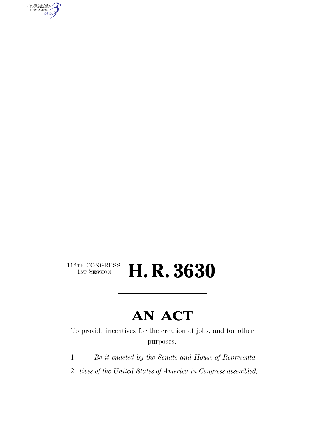AUTHENTICATED<br>U.S. GOVERNMENT<br>INFORMATION **GPO** 

## $112\texttt{TH CONGRESS}\over 1\texttt{ST} \text{Session}$ H. R. 3630

# **AN ACT**

To provide incentives for the creation of jobs, and for other purposes.

1 *Be it enacted by the Senate and House of Representa-*

2 *tives of the United States of America in Congress assembled,*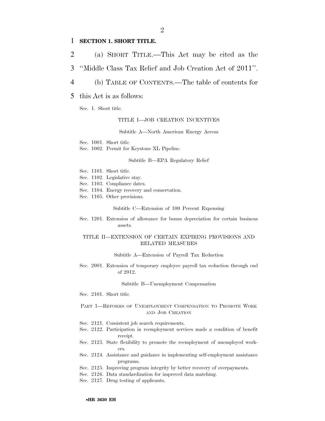### 1 **SECTION 1. SHORT TITLE.**

- 2 (a) SHORT TITLE.—This Act may be cited as the
- 3 ''Middle Class Tax Relief and Job Creation Act of 2011''.
- 4 (b) TABLE OF CONTENTS.—The table of contents for

### 5 this Act is as follows:

Sec. 1. Short title.

#### TITLE I—JOB CREATION INCENTIVES

Subtitle A—North American Energy Access

Sec. 1001. Short title.

Sec. 1002. Permit for Keystone XL Pipeline.

#### Subtitle B—EPA Regulatory Relief

- Sec. 1101. Short title.
- Sec. 1102. Legislative stay.
- Sec. 1103. Compliance dates.
- Sec. 1104. Energy recovery and conservation.
- Sec. 1105. Other provisions.

#### Subtitle C—Extension of 100 Percent Expensing

Sec. 1201. Extension of allowance for bonus depreciation for certain business assets.

#### TITLE II—EXTENSION OF CERTAIN EXPIRING PROVISIONS AND RELATED MEASURES

Subtitle A—Extension of Payroll Tax Reduction

Sec. 2001. Extension of temporary employee payroll tax reduction through end of 2012.

#### Subtitle B—Unemployment Compensation

Sec. 2101. Short title.

#### PART 1—REFORMS OF UNEMPLOYMENT COMPENSATION TO PROMOTE WORK AND JOB CREATION

- Sec. 2121. Consistent job search requirements.
- Sec. 2122. Participation in reemployment services made a condition of benefit receipt.
- Sec. 2123. State flexibility to promote the reemployment of unemployed workers.
- Sec. 2124. Assistance and guidance in implementing self-employment assistance programs.
- Sec. 2125. Improving program integrity by better recovery of overpayments.
- Sec. 2126. Data standardization for improved data matching.
- Sec. 2127. Drug testing of applicants.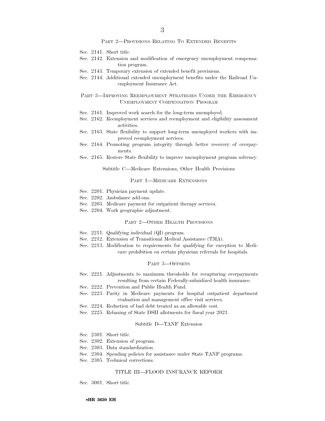#### PART 2—PROVISIONS RELATING TO EXTENDED BENEFITS

- Sec. 2141. Short title.
- Sec. 2142. Extension and modification of emergency unemployment compensation program.
- Sec. 2143. Temporary extension of extended benefit provisions.
- Sec. 2144. Additional extended unemployment benefits under the Railroad Unemployment Insurance Act.

#### PART 3—IMPROVING REEMPLOYMENT STRATEGIES UNDER THE EMERGENCY UNEMPLOYMENT COMPENSATION PROGRAM

- Sec. 2161. Improved work search for the long-term unemployed.
- Sec. 2162. Reemployment services and reemployment and eligibility assessment activities.
- Sec. 2163. State flexibility to support long-term unemployed workers with improved reemployment services.
- Sec. 2164. Promoting program integrity through better recovery of overpayments.
- Sec. 2165. Restore State flexibility to improve unemployment program solvency.

#### Subtitle C—Medicare Extensions; Other Health Provisions

#### PART 1—MEDICARE EXTENSIONS

- Sec. 2201. Physician payment update.
- Sec. 2202. Ambulance add-ons.
- Sec. 2203. Medicare payment for outpatient therapy services.
- Sec. 2204. Work geographic adjustment.

#### PART 2—OTHER HEALTH PROVISIONS

- Sec. 2211. Qualifying individual (QI) program.
- Sec. 2212. Extension of Transitional Medical Assistance (TMA).
- Sec. 2213. Modification to requirements for qualifying for exception to Medicare prohibition on certain physician referrals for hospitals.

#### PART 3—OFFSETS

- Sec. 2221. Adjustments to maximum thresholds for recapturing overpayments resulting from certain Federally-subsidized health insurance.
- Sec. 2222. Prevention and Public Health Fund.
- Sec. 2223. Parity in Medicare payments for hospital outpatient department evaluation and management office visit services.
- Sec. 2224. Reduction of bad debt treated as an allowable cost.
- Sec. 2225. Rebasing of State DSH allotments for fiscal year 2021.

#### Subtitle D—TANF Extension

- Sec. 2301. Short title.
- Sec. 2302. Extension of program.
- Sec. 2303. Data standardization.
- Sec. 2304. Spending policies for assistance under State TANF programs.
- Sec. 2305. Technical corrections.

#### TITLE III—FLOOD INSURANCE REFORM

Sec. 3001. Short title.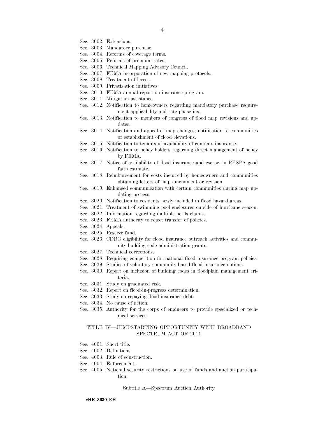- Sec. 3002. Extensions.
- Sec. 3003. Mandatory purchase.
- Sec. 3004. Reforms of coverage terms.
- Sec. 3005. Reforms of premium rates.
- Sec. 3006. Technical Mapping Advisory Council.
- Sec. 3007. FEMA incorporation of new mapping protocols.
- Sec. 3008. Treatment of levees.
- Sec. 3009. Privatization initiatives.
- Sec. 3010. FEMA annual report on insurance program.
- Sec. 3011. Mitigation assistance.
- Sec. 3012. Notification to homeowners regarding mandatory purchase requirement applicability and rate phase-ins.
- Sec. 3013. Notification to members of congress of flood map revisions and updates.
- Sec. 3014. Notification and appeal of map changes; notification to communities of establishment of flood elevations.
- Sec. 3015. Notification to tenants of availability of contents insurance.
- Sec. 3016. Notification to policy holders regarding direct management of policy by FEMA.
- Sec. 3017. Notice of availability of flood insurance and escrow in RESPA good faith estimate.
- Sec. 3018. Reimbursement for costs incurred by homeowners and communities obtaining letters of map amendment or revision.
- Sec. 3019. Enhanced communication with certain communities during map updating process.
- Sec. 3020. Notification to residents newly included in flood hazard areas.
- Sec. 3021. Treatment of swimming pool enclosures outside of hurricane season.
- Sec. 3022. Information regarding multiple perils claims.
- Sec. 3023. FEMA authority to reject transfer of policies.
- Sec. 3024. Appeals.
- Sec. 3025. Reserve fund.
- Sec. 3026. CDBG eligibility for flood insurance outreach activities and community building code administration grants.
- Sec. 3027. Technical corrections.
- Sec. 3028. Requiring competition for national flood insurance program policies.
- Sec. 3029. Studies of voluntary community-based flood insurance options.
- Sec. 3030. Report on inclusion of building codes in floodplain management criteria.
- Sec. 3031. Study on graduated risk.
- Sec. 3032. Report on flood-in-progress determination.
- Sec. 3033. Study on repaying flood insurance debt.
- Sec. 3034. No cause of action.
- Sec. 3035. Authority for the corps of engineers to provide specialized or technical services.

#### TITLE IV—JUMPSTARTING OPPORTUNITY WITH BROADBAND SPECTRUM ACT OF 2011

- Sec. 4001. Short title.
- Sec. 4002. Definitions.
- Sec. 4003. Rule of construction.
- Sec. 4004. Enforcement.
- Sec. 4005. National security restrictions on use of funds and auction participation.

Subtitle A—Spectrum Auction Authority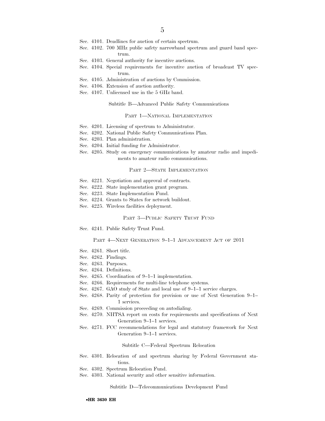- Sec. 4101. Deadlines for auction of certain spectrum.
- Sec. 4102. 700 MHz public safety narrowband spectrum and guard band spectrum.
- Sec. 4103. General authority for incentive auctions.
- Sec. 4104. Special requirements for incentive auction of broadcast TV spectrum.
- Sec. 4105. Administration of auctions by Commission.
- Sec. 4106. Extension of auction authority.
- Sec. 4107. Unlicensed use in the 5 GHz band.

Subtitle B—Advanced Public Safety Communications

#### PART 1-NATIONAL IMPLEMENTATION

- Sec. 4201. Licensing of spectrum to Administrator.
- Sec. 4202. National Public Safety Communications Plan.
- Sec. 4203. Plan administration.
- Sec. 4204. Initial funding for Administrator.
- Sec. 4205. Study on emergency communications by amateur radio and impediments to amateur radio communications.

#### PART 2—STATE IMPLEMENTATION

- Sec. 4221. Negotiation and approval of contracts.
- Sec. 4222. State implementation grant program.
- Sec. 4223. State Implementation Fund.
- Sec. 4224. Grants to States for network buildout.
- Sec. 4225. Wireless facilities deployment.

#### PART 3—PUBLIC SAFETY TRUST FUND

Sec. 4241. Public Safety Trust Fund.

#### PART 4-NEXT GENERATION 9-1-1 ADVANCEMENT ACT OF 2011

- Sec. 4261. Short title.
- Sec. 4262. Findings.
- Sec. 4263. Purposes.
- Sec. 4264. Definitions.
- Sec. 4265. Coordination of 9–1–1 implementation.
- Sec. 4266. Requirements for multi-line telephone systems.
- Sec. 4267. GAO study of State and local use of 9–1–1 service charges.
- Sec. 4268. Parity of protection for provision or use of Next Generation 9–1– 1 services.
- Sec. 4269. Commission proceeding on autodialing.
- Sec. 4270. NHTSA report on costs for requirements and specifications of Next Generation 9–1–1 services.
- Sec. 4271. FCC recommendations for legal and statutory framework for Next Generation 9–1–1 services.

#### Subtitle C—Federal Spectrum Relocation

- Sec. 4301. Relocation of and spectrum sharing by Federal Government stations.
- Sec. 4302. Spectrum Relocation Fund.
- Sec. 4303. National security and other sensitive information.

Subtitle D—Telecommunications Development Fund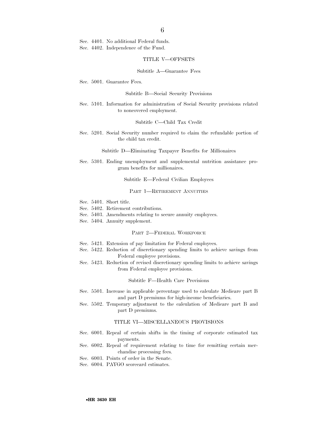Sec. 4401. No additional Federal funds. Sec. 4402. Independence of the Fund.

#### TITLE V—OFFSETS

#### Subtitle A—Guarantee Fees

Sec. 5001. Guarantee Fees.

#### Subtitle B—Social Security Provisions

Sec. 5101. Information for administration of Social Security provisions related to noncovered employment.

#### Subtitle C—Child Tax Credit

Sec. 5201. Social Security number required to claim the refundable portion of the child tax credit.

Subtitle D—Eliminating Taxpayer Benefits for Millionaires

Sec. 5301. Ending unemployment and supplemental nutrition assistance program benefits for millionaires.

Subtitle E—Federal Civilian Employees

#### PART 1—RETIREMENT ANNUITIES

- Sec. 5401. Short title.
- Sec. 5402. Retirement contributions.
- Sec. 5403. Amendments relating to secure annuity employees.
- Sec. 5404. Annuity supplement.

#### PART 2—FEDERAL WORKFORCE

- Sec. 5421. Extension of pay limitation for Federal employees.
- Sec. 5422. Reduction of discretionary spending limits to achieve savings from Federal employee provisions.
- Sec. 5423. Reduction of revised discretionary spending limits to achieve savings from Federal employee provisions.

#### Subtitle F—Health Care Provisions

- Sec. 5501. Increase in applicable percentage used to calculate Medicare part B and part D premiums for high-income beneficiaries.
- Sec. 5502. Temporary adjustment to the calculation of Medicare part B and part D premiums.

#### TITLE VI—MISCELLANEOUS PROVISIONS

- Sec. 6001. Repeal of certain shifts in the timing of corporate estimated tax payments.
- Sec. 6002. Repeal of requirement relating to time for remitting certain merchandise processing fees.
- Sec. 6003. Points of order in the Senate.
- Sec. 6004. PAYGO scorecard estimates.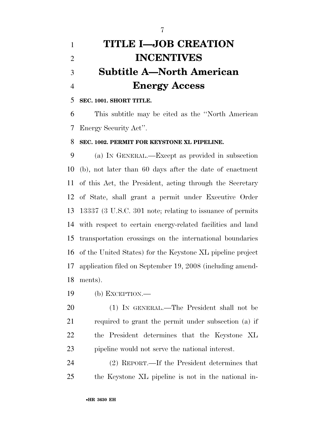# **TITLE I—JOB CREATION INCENTIVES Subtitle A—North American Energy Access**

## **SEC. 1001. SHORT TITLE.**

 This subtitle may be cited as the ''North American Energy Security Act''.

### **SEC. 1002. PERMIT FOR KEYSTONE XL PIPELINE.**

 (a) IN GENERAL.—Except as provided in subsection (b), not later than 60 days after the date of enactment of this Act, the President, acting through the Secretary of State, shall grant a permit under Executive Order 13337 (3 U.S.C. 301 note; relating to issuance of permits with respect to certain energy-related facilities and land transportation crossings on the international boundaries of the United States) for the Keystone XL pipeline project application filed on September 19, 2008 (including amend-ments).

(b) EXCEPTION.—

 (1) IN GENERAL.—The President shall not be required to grant the permit under subsection (a) if the President determines that the Keystone XL pipeline would not serve the national interest.

 (2) REPORT.—If the President determines that the Keystone XL pipeline is not in the national in-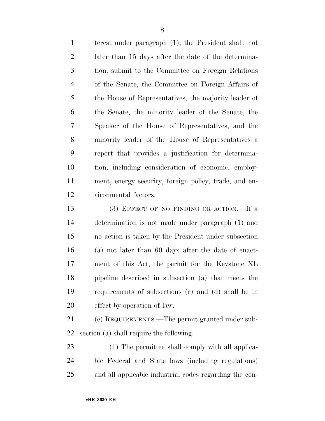terest under paragraph (1), the President shall, not later than 15 days after the date of the determina- tion, submit to the Committee on Foreign Relations of the Senate, the Committee on Foreign Affairs of the House of Representatives, the majority leader of the Senate, the minority leader of the Senate, the Speaker of the House of Representatives, and the minority leader of the House of Representatives a report that provides a justification for determina- tion, including consideration of economic, employ- ment, energy security, foreign policy, trade, and en-vironmental factors.

13 (3) EFFECT OF NO FINDING OR ACTION. If a determination is not made under paragraph (1) and no action is taken by the President under subsection (a) not later than 60 days after the date of enact- ment of this Act, the permit for the Keystone XL pipeline described in subsection (a) that meets the requirements of subsections (c) and (d) shall be in effect by operation of law.

 (c) REQUIREMENTS.—The permit granted under sub-section (a) shall require the following:

 (1) The permittee shall comply with all applica- ble Federal and State laws (including regulations) and all applicable industrial codes regarding the con-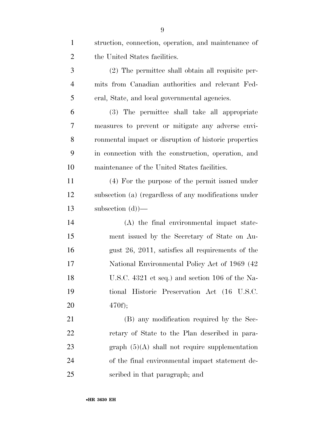| $\mathbf{1}$   | struction, connection, operation, and maintenance of  |
|----------------|-------------------------------------------------------|
| $\overline{2}$ | the United States facilities.                         |
| 3              | (2) The permittee shall obtain all requisite per-     |
| $\overline{4}$ | mits from Canadian authorities and relevant Fed-      |
| 5              | eral, State, and local governmental agencies.         |
| 6              | (3) The permittee shall take all appropriate          |
| 7              | measures to prevent or mitigate any adverse envi-     |
| 8              | ronmental impact or disruption of historic properties |
| 9              | in connection with the construction, operation, and   |
| 10             | maintenance of the United States facilities.          |
| 11             | (4) For the purpose of the permit issued under        |
| 12             | subsection (a) (regardless of any modifications under |
| 13             | subsection $(d)$ )—                                   |
| 14             | (A) the final environmental impact state-             |
| 15             | ment issued by the Secretary of State on Au-          |
| 16             | gust 26, 2011, satisfies all requirements of the      |
| 17             | National Environmental Policy Act of 1969 (42)        |
| 18             | U.S.C. 4321 et seq.) and section 106 of the Na-       |
| 19             | tional Historic Preservation Act (16 U.S.C.           |
| 20             | $470f$ ;                                              |
| 21             | (B) any modification required by the Sec-             |
| 22             | retary of State to the Plan described in para-        |
| 23             | graph $(5)(A)$ shall not require supplementation      |
| 24             | of the final environmental impact statement de-       |
| 25             | scribed in that paragraph; and                        |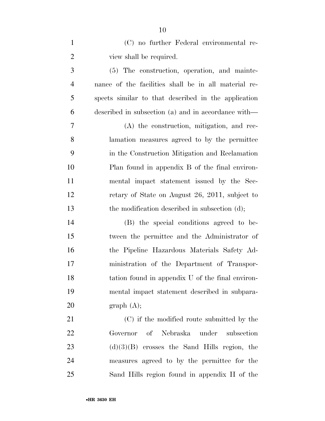| $\mathbf{1}$   | (C) no further Federal environmental re-             |
|----------------|------------------------------------------------------|
| $\overline{2}$ | view shall be required.                              |
| 3              | (5) The construction, operation, and mainte-         |
| $\overline{4}$ | nance of the facilities shall be in all material re- |
| 5              | spects similar to that described in the application  |
| 6              | described in subsection (a) and in accordance with—  |
| 7              | (A) the construction, mitigation, and rec-           |
| 8              | lamation measures agreed to by the permittee         |
| 9              | in the Construction Mitigation and Reclamation       |
| 10             | Plan found in appendix B of the final environ-       |
| 11             | mental impact statement issued by the Sec-           |
| 12             | retary of State on August 26, 2011, subject to       |
| 13             | the modification described in subsection (d);        |
| 14             | (B) the special conditions agreed to be-             |
| 15             | tween the permittee and the Administrator of         |
| 16             | the Pipeline Hazardous Materials Safety Ad-          |
| 17             | ministration of the Department of Transpor-          |
| 18             | tation found in appendix U of the final environ-     |
| 19             | mental impact statement described in subpara-        |
| 20             | graph (A);                                           |
| 21             | (C) if the modified route submitted by the           |
| 22             | of Nebraska<br>under<br>subsection<br>Governor       |
| 23             | $(d)(3)(B)$ crosses the Sand Hills region, the       |
| 24             | measures agreed to by the permittee for the          |
| 25             | Sand Hills region found in appendix H of the         |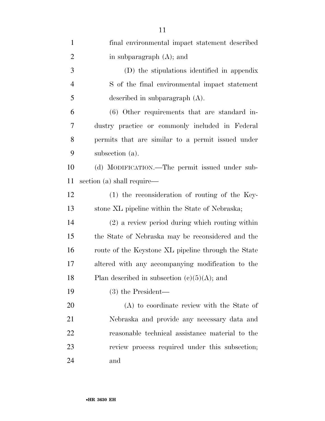| $\mathbf{1}$   | final environmental impact statement described      |
|----------------|-----------------------------------------------------|
| $\overline{2}$ | in subparagraph $(A)$ ; and                         |
| 3              | (D) the stipulations identified in appendix         |
| $\overline{4}$ | S of the final environmental impact statement       |
| 5              | described in subparagraph $(A)$ .                   |
| 6              | (6) Other requirements that are standard in-        |
| 7              | dustry practice or commonly included in Federal     |
| 8              | permits that are similar to a permit issued under   |
| 9              | subsection (a).                                     |
| 10             | (d) MODIFICATION.—The permit issued under sub-      |
| 11             | section (a) shall require—                          |
| 12             | $(1)$ the reconsideration of routing of the Key-    |
| 13             | stone XL pipeline within the State of Nebraska;     |
| 14             | $(2)$ a review period during which routing within   |
| 15             | the State of Nebraska may be reconsidered and the   |
| 16             | route of the Keystone XL pipeline through the State |
| 17             | altered with any accompanying modification to the   |
| 18             | Plan described in subsection $(c)(5)(A)$ ; and      |
| 19             | $(3)$ the President—                                |
| 20             | (A) to coordinate review with the State of          |
| 21             | Nebraska and provide any necessary data and         |
| 22             | reasonable technical assistance material to the     |
| 23             | review process required under this subsection;      |
| 24             | and                                                 |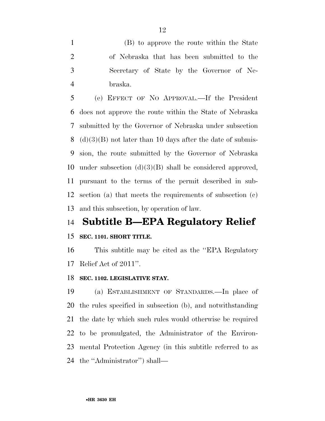(B) to approve the route within the State of Nebraska that has been submitted to the Secretary of State by the Governor of Ne-braska.

 (e) EFFECT OF NO APPROVAL.—If the President does not approve the route within the State of Nebraska submitted by the Governor of Nebraska under subsection 8 (d)(3)(B) not later than 10 days after the date of submis- sion, the route submitted by the Governor of Nebraska under subsection (d)(3)(B) shall be considered approved, pursuant to the terms of the permit described in sub- section (a) that meets the requirements of subsection (c) and this subsection, by operation of law.

## **Subtitle B—EPA Regulatory Relief**

## **SEC. 1101. SHORT TITLE.**

 This subtitle may be cited as the ''EPA Regulatory Relief Act of 2011''.

### **SEC. 1102. LEGISLATIVE STAY.**

 (a) ESTABLISHMENT OF STANDARDS.—In place of the rules specified in subsection (b), and notwithstanding the date by which such rules would otherwise be required to be promulgated, the Administrator of the Environ- mental Protection Agency (in this subtitle referred to as the ''Administrator'') shall—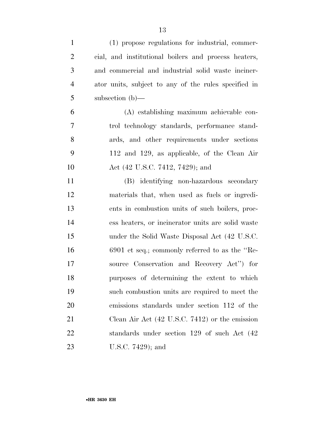| $\mathbf{1}$   | (1) propose regulations for industrial, commer-           |
|----------------|-----------------------------------------------------------|
| $\overline{2}$ | cial, and institutional boilers and process heaters,      |
| 3              | and commercial and industrial solid waste inciner-        |
| $\overline{4}$ | ator units, subject to any of the rules specified in      |
| 5              | subsection $(b)$ —                                        |
| 6              | (A) establishing maximum achievable con-                  |
| 7              | trol technology standards, performance stand-             |
| 8              | ards, and other requirements under sections               |
| 9              | 112 and 129, as applicable, of the Clean Air              |
| 10             | Act (42 U.S.C. 7412, 7429); and                           |
| 11             | (B) identifying non-hazardous secondary                   |
| 12             | materials that, when used as fuels or ingredi-            |
| 13             | ents in combustion units of such boilers, proc-           |
| 14             | ess heaters, or incinerator units are solid waste         |
| 15             | under the Solid Waste Disposal Act (42 U.S.C.             |
| 16             | $6901$ et seq.; commonly referred to as the "Re-          |
| 17             | source Conservation and Recovery Act") for                |
| 18             | purposes of determining the extent to which               |
| 19             | such combustion units are required to meet the            |
| 20             | emissions standards under section 112 of the              |
| 21             | Clean Air Act $(42 \text{ U.S.C. } 7412)$ or the emission |
| 22             | standards under section 129 of such Act (42)              |
| 23             | U.S.C. $7429$ ; and                                       |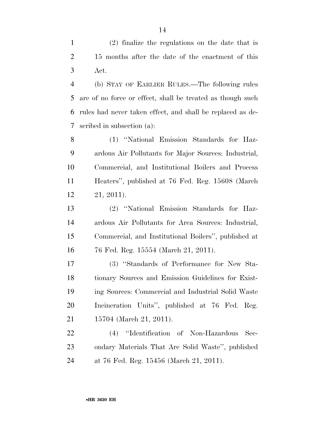(2) finalize the regulations on the date that is 15 months after the date of the enactment of this Act.

 (b) STAY OF EARLIER RULES.—The following rules are of no force or effect, shall be treated as though such rules had never taken effect, and shall be replaced as de-scribed in subsection (a):

 (1) ''National Emission Standards for Haz- ardous Air Pollutants for Major Sources: Industrial, Commercial, and Institutional Boilers and Process Heaters'', published at 76 Fed. Reg. 15608 (March 21, 2011).

 (2) ''National Emission Standards for Haz- ardous Air Pollutants for Area Sources: Industrial, Commercial, and Institutional Boilers'', published at 76 Fed. Reg. 15554 (March 21, 2011).

 (3) ''Standards of Performance for New Sta- tionary Sources and Emission Guidelines for Exist- ing Sources: Commercial and Industrial Solid Waste Incineration Units'', published at 76 Fed. Reg. 15704 (March 21, 2011).

 (4) ''Identification of Non-Hazardous Sec- ondary Materials That Are Solid Waste'', published at 76 Fed. Reg. 15456 (March 21, 2011).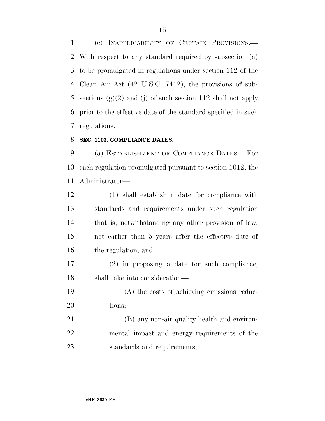(c) INAPPLICABILITY OF CERTAIN PROVISIONS.— With respect to any standard required by subsection (a) to be promulgated in regulations under section 112 of the Clean Air Act (42 U.S.C. 7412), the provisions of sub-5 sections  $(g)(2)$  and (j) of such section 112 shall not apply prior to the effective date of the standard specified in such regulations.

### **SEC. 1103. COMPLIANCE DATES.**

 (a) ESTABLISHMENT OF COMPLIANCE DATES.—For each regulation promulgated pursuant to section 1012, the Administrator—

 (1) shall establish a date for compliance with standards and requirements under such regulation that is, notwithstanding any other provision of law, not earlier than 5 years after the effective date of the regulation; and

- (2) in proposing a date for such compliance, shall take into consideration—
- (A) the costs of achieving emissions reduc-tions;

 (B) any non-air quality health and environ- mental impact and energy requirements of the standards and requirements;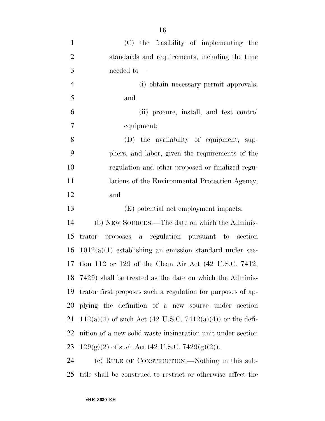| $\mathbf{1}$   | (C) the feasibility of implementing the                          |
|----------------|------------------------------------------------------------------|
| $\overline{2}$ | standards and requirements, including the time                   |
| 3              | needed to-                                                       |
| $\overline{4}$ | (i) obtain necessary permit approvals;                           |
| 5              | and                                                              |
| 6              | (ii) procure, install, and test control                          |
| 7              | equipment;                                                       |
| 8              | (D) the availability of equipment, sup-                          |
| 9              | pliers, and labor, given the requirements of the                 |
| 10             | regulation and other proposed or finalized regu-                 |
| 11             | lations of the Environmental Protection Agency;                  |
| 12             | and                                                              |
|                |                                                                  |
| 13             | (E) potential net employment impacts.                            |
| 14             | (b) NEW SOURCES.—The date on which the Adminis-                  |
| 15             | trator proposes a regulation pursuant to section                 |
| 16             | $1012(a)(1)$ establishing an emission standard under sec-        |
| 17             | tion 112 or 129 of the Clean Air Act $(42 \text{ U.S.C. } 7412,$ |
|                | 18 7429) shall be treated as the date on which the Adminis-      |
|                | trator first proposes such a regulation for purposes of ap-      |
| 19<br>20       | plying the definition of a new source under section              |
|                | $112(a)(4)$ of such Act (42 U.S.C. 7412(a)(4)) or the defi-      |
|                | nition of a new solid waste incineration unit under section      |
| 21<br>22<br>23 | $129(g)(2)$ of such Act (42 U.S.C. 7429(g)(2)).                  |

title shall be construed to restrict or otherwise affect the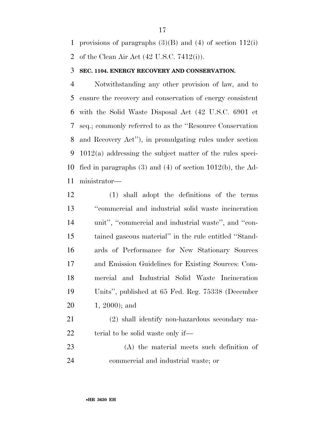provisions of paragraphs (3)(B) and (4) of section 112(i) of the Clean Air Act (42 U.S.C. 7412(i)).

### **SEC. 1104. ENERGY RECOVERY AND CONSERVATION.**

 Notwithstanding any other provision of law, and to ensure the recovery and conservation of energy consistent with the Solid Waste Disposal Act (42 U.S.C. 6901 et seq.; commonly referred to as the ''Resource Conservation and Recovery Act''), in promulgating rules under section 1012(a) addressing the subject matter of the rules speci- fied in paragraphs (3) and (4) of section 1012(b), the Ad-ministrator—

- (1) shall adopt the definitions of the terms ''commercial and industrial solid waste incineration 14 unit", "commercial and industrial waste", and "con- tained gaseous material'' in the rule entitled ''Stand- ards of Performance for New Stationary Sources and Emission Guidelines for Existing Sources: Com- mercial and Industrial Solid Waste Incineration Units'', published at 65 Fed. Reg. 75338 (December 1, 2000); and
- (2) shall identify non-hazardous secondary ma-22 terial to be solid waste only if—
- (A) the material meets such definition of commercial and industrial waste; or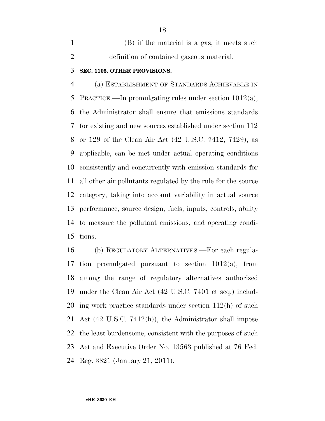(B) if the material is a gas, it meets such definition of contained gaseous material.

### **SEC. 1105. OTHER PROVISIONS.**

 (a) ESTABLISHMENT OF STANDARDS ACHIEVABLE IN PRACTICE.—In promulgating rules under section 1012(a), the Administrator shall ensure that emissions standards for existing and new sources established under section 112 or 129 of the Clean Air Act (42 U.S.C. 7412, 7429), as applicable, can be met under actual operating conditions consistently and concurrently with emission standards for all other air pollutants regulated by the rule for the source category, taking into account variability in actual source performance, source design, fuels, inputs, controls, ability to measure the pollutant emissions, and operating condi-tions.

 (b) REGULATORY ALTERNATIVES.—For each regula- tion promulgated pursuant to section 1012(a), from among the range of regulatory alternatives authorized under the Clean Air Act (42 U.S.C. 7401 et seq.) includ- ing work practice standards under section 112(h) of such Act (42 U.S.C. 7412(h)), the Administrator shall impose the least burdensome, consistent with the purposes of such Act and Executive Order No. 13563 published at 76 Fed. Reg. 3821 (January 21, 2011).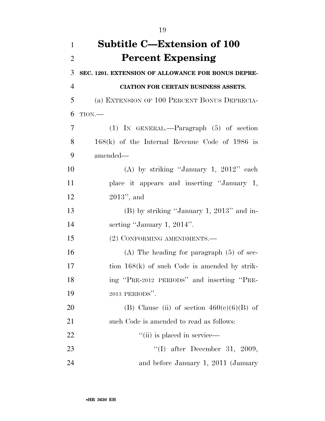| $\mathbf{1}$   | Subtitle C—Extension of 100                        |
|----------------|----------------------------------------------------|
| $\overline{2}$ | <b>Percent Expensing</b>                           |
| 3              | SEC. 1201. EXTENSION OF ALLOWANCE FOR BONUS DEPRE- |
| $\overline{4}$ | <b>CIATION FOR CERTAIN BUSINESS ASSETS.</b>        |
| 5              | (a) EXTENSION OF 100 PERCENT BONUS DEPRECIA-       |
| 6              | TION.                                              |
| $\overline{7}$ | $(1)$ IN GENERAL.—Paragraph $(5)$ of section       |
| 8              | $168(k)$ of the Internal Revenue Code of 1986 is   |
| 9              | amended—                                           |
| 10             | (A) by striking "January 1, $2012$ " each          |
| 11             | place it appears and inserting "January 1,         |
| 12             | $2013$ ", and                                      |
| 13             | $(B)$ by striking "January 1, 2013" and in-        |
| 14             | serting "January 1, $2014$ ".                      |
| 15             | (2) CONFORMING AMENDMENTS.-                        |
| 16             | $(A)$ The heading for paragraph $(5)$ of sec-      |
| 17             | tion $168(k)$ of such Code is amended by strik-    |
| 18             | ing "PRE-2012 PERIODS" and inserting "PRE-         |
| 19             | 2013 PERIODS".                                     |
| 20             | (B) Clause (ii) of section $460(e)(6)(B)$ of       |
| 21             | such Code is amended to read as follows:           |
| 22             | "(ii) is placed in service—                        |
| 23             | "(I) after December 31, 2009,                      |
| 24             | and before January 1, 2011 (January                |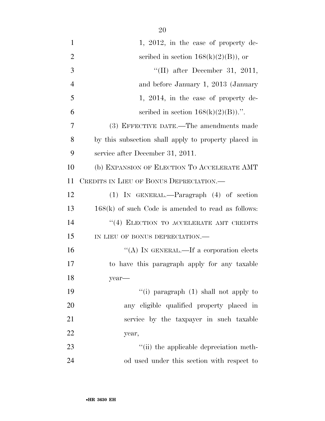| $\mathbf{1}$   | 1, 2012, in the case of property de-                 |
|----------------|------------------------------------------------------|
| $\overline{2}$ | scribed in section $168(k)(2)(B)$ , or               |
| 3              | "(II) after December 31, 2011,                       |
| $\overline{4}$ | and before January 1, 2013 (January                  |
| 5              | 1, 2014, in the case of property de-                 |
| 6              | scribed in section $168(k)(2)(B)$ .".                |
| 7              | (3) EFFECTIVE DATE.—The amendments made              |
| 8              | by this subsection shall apply to property placed in |
| 9              | service after December 31, 2011.                     |
| 10             | (b) EXPANSION OF ELECTION TO ACCELERATE AMT          |
| 11             | CREDITS IN LIEU OF BONUS DEPRECIATION.—              |
| 12             | $(1)$ IN GENERAL.—Paragraph $(4)$ of section         |
| 13             | $168(k)$ of such Code is amended to read as follows: |
| 14             | "(4) ELECTION TO ACCELERATE AMT CREDITS              |
| 15             | IN LIEU OF BONUS DEPRECIATION.-                      |
| 16             | "(A) IN GENERAL.—If a corporation elects             |
| 17             | to have this paragraph apply for any taxable         |
| 18             | $year$ —                                             |
| 19             | "(i) paragraph (1) shall not apply to                |
| 20             | any eligible qualified property placed in            |
| 21             | service by the taxpayer in such taxable              |
| 22             | year,                                                |
| 23             | "(ii) the applicable depreciation meth-              |
| 24             | od used under this section with respect to           |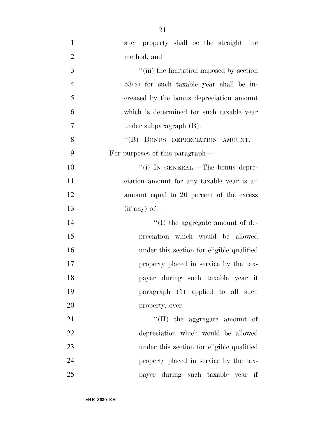| $\mathbf{1}$   | such property shall be the straight line   |
|----------------|--------------------------------------------|
| $\overline{2}$ | method, and                                |
| 3              | "(iii) the limitation imposed by section   |
| $\overline{4}$ | $53(c)$ for such taxable year shall be in- |
| 5              | creased by the bonus depreciation amount   |
| 6              | which is determined for such taxable year  |
| $\tau$         | under subparagraph $(B)$ .                 |
| 8              | "(B) BONUS DEPRECIATION AMOUNT.-           |
| 9              | For purposes of this paragraph—            |
| 10             | "(i) IN GENERAL.—The bonus depre-          |
| 11             | ciation amount for any taxable year is an  |
| 12             | amount equal to 20 percent of the excess   |
| 13             | $(i f any) of$ —                           |
| 14             | $\lq\lq$ (I) the aggregate amount of de-   |
| 15             | preciation which would be allowed          |
| 16             | under this section for eligible qualified  |
| 17             | property placed in service by the tax-     |
| 18             | payer during such taxable year if          |
| 19             | paragraph (1) applied to all such          |
| 20             | property, over                             |
| 21             | $``(II)$ the aggregate amount of           |
| 22             | depreciation which would be allowed        |
| 23             | under this section for eligible qualified  |
| 24             | property placed in service by the tax-     |
| 25             | payer during such taxable year if          |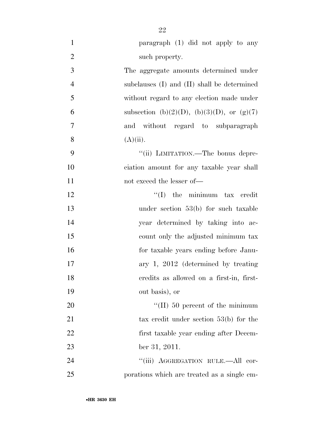| $\mathbf{1}$   | paragraph (1) did not apply to any          |
|----------------|---------------------------------------------|
| $\mathfrak{2}$ | such property.                              |
| 3              | The aggregate amounts determined under      |
| $\overline{4}$ | subclauses (I) and (II) shall be determined |
| 5              | without regard to any election made under   |
| 6              | subsection (b)(2)(D), (b)(3)(D), or (g)(7)  |
| 7              | and without regard to subparagraph          |
| 8              | $(A)(ii)$ .                                 |
| 9              | "(ii) LIMITATION.—The bonus depre-          |
| 10             | ciation amount for any taxable year shall   |
| 11             | not exceed the lesser of-                   |
| 12             | $f'(I)$ the minimum tax credit              |
| 13             | under section $53(b)$ for such taxable      |
| 14             | year determined by taking into ac-          |
| 15             | count only the adjusted minimum tax         |
| 16             | for taxable years ending before Janu-       |
| 17             | ary $1, 2012$ (determined by treating       |
| 18             | credits as allowed on a first-in, first-    |
| 19             | out basis), or                              |
| 20             | $\lq (II)$ 50 percent of the minimum        |
| 21             | tax credit under section $53(b)$ for the    |
| 22             | first taxable year ending after Decem-      |
| 23             | ber 31, 2011.                               |
| 24             | "(iii) AGGREGATION RULE.—All cor-           |
| 25             | porations which are treated as a single em- |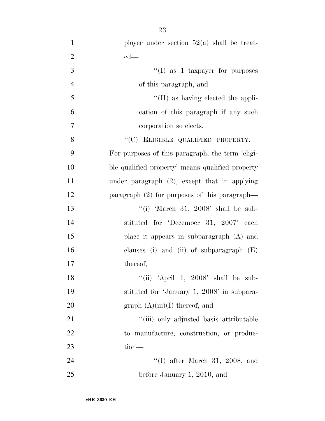| $\mathbf{1}$   | ployer under section $52(a)$ shall be treat-     |
|----------------|--------------------------------------------------|
| $\overline{2}$ | $ed$ —                                           |
| 3              | "(I) as 1 taxpayer for purposes                  |
| $\overline{4}$ | of this paragraph, and                           |
| 5              | $\lq\lq$ (II) as having elected the appli-       |
| 6              | cation of this paragraph if any such             |
| $\overline{7}$ | corporation so elects.                           |
| 8              | "(C) ELIGIBLE QUALIFIED PROPERTY.-               |
| 9              | For purposes of this paragraph, the term 'eligi- |
| 10             | ble qualified property' means qualified property |
| 11             | under paragraph $(2)$ , except that in applying  |
| 12             | paragraph $(2)$ for purposes of this paragraph—  |
| 13             | "(i) 'March 31, 2008' shall be sub-              |
| 14             | stituted for 'December 31, 2007' each            |
| 15             | place it appears in subparagraph (A) and         |
| 16             | clauses (i) and (ii) of subparagraph $(E)$       |
| 17             | thereof,                                         |
| 18             | "(ii) 'April 1, $2008$ ' shall be sub-           |
| 19             | stituted for 'January 1, 2008' in subpara-       |
| 20             | graph $(A)(iii)(I)$ thereof, and                 |
| 21             | "(iii) only adjusted basis attributable          |
| 22             | to manufacture, construction, or produc-         |
| 23             | $tion$ —                                         |
| 24             | $\lq(1)$ after March 31, 2008, and               |
| 25             | before January 1, 2010, and                      |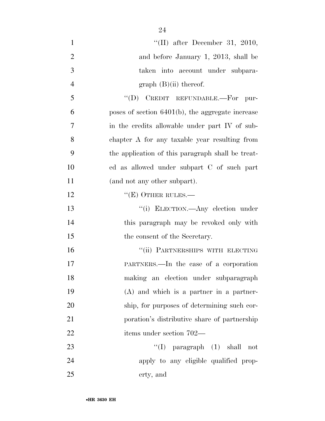| $\mathbf{1}$   | "(II) after December 31, 2010,                      |
|----------------|-----------------------------------------------------|
| $\overline{2}$ | and before January 1, 2013, shall be                |
| 3              | taken into account under subpara-                   |
| $\overline{4}$ | graph $(B)(ii)$ thereof.                            |
| 5              | "(D) CREDIT REFUNDABLE.-For pur-                    |
| 6              | poses of section $6401(b)$ , the aggregate increase |
| 7              | in the credits allowable under part IV of sub-      |
| 8              | chapter A for any taxable year resulting from       |
| 9              | the application of this paragraph shall be treat-   |
| 10             | ed as allowed under subpart C of such part          |
| 11             | (and not any other subpart).                        |
| 12             | $\lq\lq(E)$ OTHER RULES.—                           |
| 13             | "(i) ELECTION.—Any election under                   |
| 14             | this paragraph may be revoked only with             |
| 15             | the consent of the Secretary.                       |
| 16             | "(ii) PARTNERSHIPS WITH ELECTING                    |
| 17             | PARTNERS.—In the case of a corporation              |
| 18             | making an election under subparagraph               |
| 19             | $(A)$ and which is a partner in a partner-          |
| 20             | ship, for purposes of determining such cor-         |
| 21             | poration's distributive share of partnership        |
| 22             | items under section 702—                            |
| 23             | "(I) paragraph $(1)$ shall<br>$\operatorname{not}$  |
| 24             | apply to any eligible qualified prop-               |
| 25             | erty, and                                           |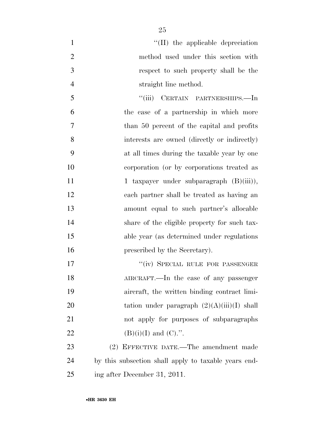| $\mathbf{1}$   | $\lq$ (II) the applicable depreciation               |
|----------------|------------------------------------------------------|
| $\overline{2}$ | method used under this section with                  |
| 3              | respect to such property shall be the                |
| $\overline{4}$ | straight line method.                                |
| 5              | "(iii) CERTAIN PARTNERSHIPS.—In                      |
| 6              | the case of a partnership in which more              |
| $\overline{7}$ | than 50 percent of the capital and profits           |
| 8              | interests are owned (directly or indirectly)         |
| 9              | at all times during the taxable year by one          |
| 10             | corporation (or by corporations treated as           |
| 11             | 1 taxpayer under subparagraph $(B)(iii)$ ,           |
| 12             | each partner shall be treated as having an           |
| 13             | amount equal to such partner's allocable             |
| 14             | share of the eligible property for such tax-         |
| 15             | able year (as determined under regulations)          |
| 16             | prescribed by the Secretary).                        |
| 17             | "(iv) SPECIAL RULE FOR PASSENGER                     |
| 18             | AIRCRAFT.—In the case of any passenger               |
| 19             | aircraft, the written binding contract limi-         |
| 20             | tation under paragraph $(2)(A)(iii)(I)$ shall        |
| 21             | not apply for purposes of subparagraphs              |
| 22             | $(B)(i)(I)$ and $(C)$ .".                            |
| 23             | (2) EFFECTIVE DATE.—The amendment made               |
| 24             | by this subsection shall apply to taxable years end- |
| 25             | ing after December 31, 2011.                         |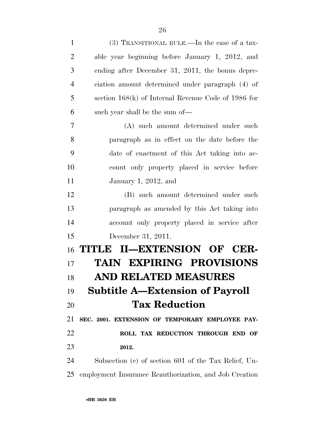| $\mathbf{1}$   | (3) TRANSITIONAL RULE.—In the case of a tax-           |
|----------------|--------------------------------------------------------|
| $\overline{2}$ | able year beginning before January 1, 2012, and        |
| 3              | ending after December 31, 2011, the bonus depre-       |
| $\overline{4}$ | ciation amount determined under paragraph (4) of       |
| 5              | section $168(k)$ of Internal Revenue Code of 1986 for  |
| 6              | such year shall be the sum of—                         |
| 7              | (A) such amount determined under such                  |
| 8              | paragraph as in effect on the date before the          |
| 9              | date of enactment of this Act taking into ac-          |
| 10             | count only property placed in service before           |
| 11             | January 1, 2012, and                                   |
| 12             | (B) such amount determined under such                  |
| 13             | paragraph as amended by this Act taking into           |
| 14             | account only property placed in service after          |
| 15             | December 31, 2011.                                     |
| 16             | TITLE II-EXTENSION OF CER-                             |
| 17             | <b>TAIN EXPIRING PROVISIONS</b>                        |
| 18             | <b>AND RELATED MEASURES</b>                            |
| 19             | <b>Subtitle A—Extension of Payroll</b>                 |
| 20             | <b>Tax Reduction</b>                                   |
| 21             | SEC. 2001. EXTENSION OF TEMPORARY EMPLOYEE PAY-        |
| 22             | ROLL TAX REDUCTION THROUGH END OF                      |
| 23             | 2012.                                                  |
| 24             | Subsection (c) of section 601 of the Tax Relief, Un-   |
| 25             | employment Insurance Reauthorization, and Job Creation |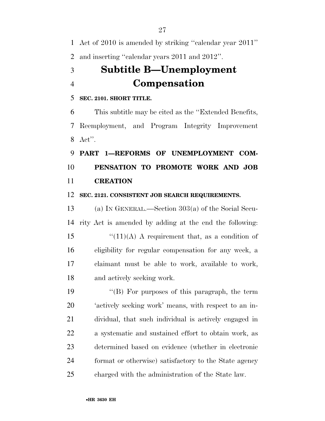Act of 2010 is amended by striking ''calendar year 2011''

and inserting ''calendar years 2011 and 2012''.

## **Subtitle B—Unemployment Compensation**

## **SEC. 2101. SHORT TITLE.**

 This subtitle may be cited as the ''Extended Benefits, Reemployment, and Program Integrity Improvement Act''.

## **PART 1—REFORMS OF UNEMPLOYMENT COM- PENSATION TO PROMOTE WORK AND JOB CREATION**

### **SEC. 2121. CONSISTENT JOB SEARCH REQUIREMENTS.**

 (a) IN GENERAL.—Section 303(a) of the Social Secu- rity Act is amended by adding at the end the following:  $\frac{1}{(11)(A)}$  A requirement that, as a condition of eligibility for regular compensation for any week, a claimant must be able to work, available to work, and actively seeking work.

 ''(B) For purposes of this paragraph, the term 'actively seeking work' means, with respect to an in- dividual, that such individual is actively engaged in a systematic and sustained effort to obtain work, as determined based on evidence (whether in electronic format or otherwise) satisfactory to the State agency charged with the administration of the State law.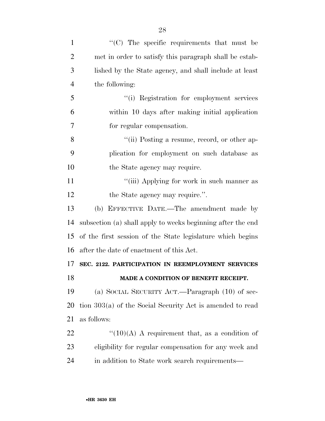| $\mathbf{1}$   | $\cdot$ (C) The specific requirements that must be          |
|----------------|-------------------------------------------------------------|
| $\overline{2}$ | met in order to satisfy this paragraph shall be estab-      |
| 3              | lished by the State agency, and shall include at least      |
| $\overline{4}$ | the following:                                              |
| 5              | "(i) Registration for employment services                   |
| 6              | within 10 days after making initial application             |
| 7              | for regular compensation.                                   |
| 8              | "(ii) Posting a resume, record, or other ap-                |
| 9              | plication for employment on such database as                |
| 10             | the State agency may require.                               |
| 11             | "(iii) Applying for work in such manner as                  |
| 12             | the State agency may require.".                             |
| 13             | (b) EFFECTIVE DATE.—The amendment made by                   |
| 14             | subsection (a) shall apply to weeks beginning after the end |
| 15             | of the first session of the State legislature which begins  |
| 16             | after the date of enactment of this Act.                    |
| 17             | SEC. 2122. PARTICIPATION IN REEMPLOYMENT SERVICES           |
| 18             | MADE A CONDITION OF BENEFIT RECEIPT.                        |
| 19             | (a) SOCIAL SECURITY ACT.—Paragraph $(10)$ of sec-           |
| 20             | tion 303(a) of the Social Security Act is amended to read   |
| 21             | as follows:                                                 |
| 22             | $\lq(10)(A)$ A requirement that, as a condition of          |
| 23             | eligibility for regular compensation for any week and       |
| 24             | in addition to State work search requirements—              |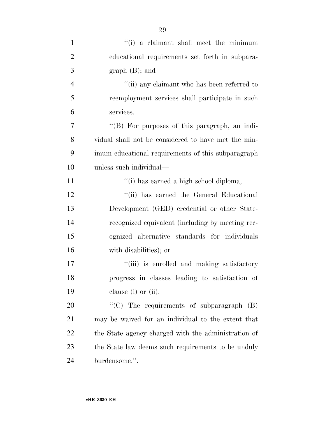| $\mathbf{1}$   | "(i) a claimant shall meet the minimum              |
|----------------|-----------------------------------------------------|
| $\overline{2}$ | educational requirements set forth in subpara-      |
| 3              | $graph(B);$ and                                     |
| $\overline{4}$ | "(ii) any claimant who has been referred to         |
| 5              | reemployment services shall participate in such     |
| 6              | services.                                           |
| 7              | "(B) For purposes of this paragraph, an indi-       |
| 8              | vidual shall not be considered to have met the min- |
| 9              | imum educational requirements of this subparagraph  |
| 10             | unless such individual—                             |
| 11             | "(i) has earned a high school diploma;              |
| 12             | "(ii) has earned the General Educational            |
| 13             | Development (GED) credential or other State-        |
| 14             | recognized equivalent (including by meeting rec-    |
| 15             | ognized alternative standards for individuals       |
| 16             | with disabilities); or                              |
| 17             | "(iii) is enrolled and making satisfactory          |
| 18             | progress in classes leading to satisfaction of      |
| 19             | clause $(i)$ or $(ii)$ .                            |
| 20             | "(C) The requirements of subparagraph $(B)$         |
| 21             | may be waived for an individual to the extent that  |
| 22             | the State agency charged with the administration of |
| 23             | the State law deems such requirements to be unduly  |
| 24             | burdensome.".                                       |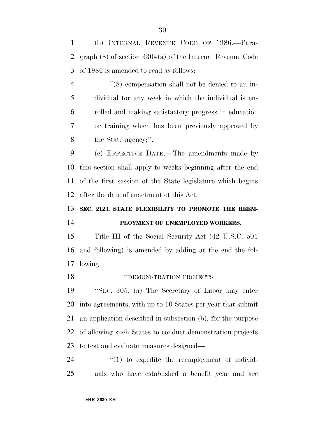(b) INTERNAL REVENUE CODE OF 1986.—Para- graph (8) of section 3304(a) of the Internal Revenue Code of 1986 is amended to read as follows:

 ''(8) compensation shall not be denied to an in- dividual for any week in which the individual is en- rolled and making satisfactory progress in education or training which has been previously approved by the State agency;''.

 (c) EFFECTIVE DATE.—The amendments made by this section shall apply to weeks beginning after the end of the first session of the State legislature which begins after the date of enactment of this Act.

**SEC. 2123. STATE FLEXIBILITY TO PROMOTE THE REEM-**

## **PLOYMENT OF UNEMPLOYED WORKERS.**

 Title III of the Social Security Act (42 U.S.C. 501 and following) is amended by adding at the end the fol-lowing:

## ''DEMONSTRATION PROJECTS

 ''SEC. 305. (a) The Secretary of Labor may enter into agreements, with up to 10 States per year that submit an application described in subsection (b), for the purpose of allowing such States to conduct demonstration projects to test and evaluate measures designed—

24  $\frac{1}{2}$  (1) to expedite the reemployment of individ-uals who have established a benefit year and are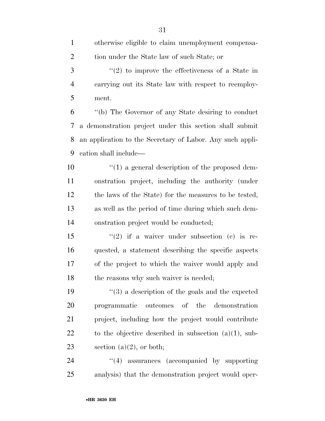| 3              | $f'(2)$ to improve the effectiveness of a State in        |
|----------------|-----------------------------------------------------------|
| $\overline{4}$ | carrying out its State law with respect to reemploy-      |
| 5              | ment.                                                     |
| 6              | "(b) The Governor of any State desiring to conduct        |
| 7              | a demonstration project under this section shall submit   |
| 8              | an application to the Secretary of Labor. Any such appli- |
| 9              | cation shall include—                                     |
| 10             | $\lq(1)$ a general description of the proposed dem-       |
| 11             | onstration project, including the authority (under        |
| 12             | the laws of the State) for the measures to be tested,     |
| 13             | as well as the period of time during which such dem-      |
| 14             | onstration project would be conducted;                    |
| 15             | "(2) if a waiver under subsection (c) is re-              |
| 16             | quested, a statement describing the specific aspects      |
| 17             | of the project to which the waiver would apply and        |
| 18             | the reasons why such waiver is needed;                    |
| 19             | $(3)$ a description of the goals and the expected         |
| 20             | programmatic outcomes of the demonstration                |
| 21             | project, including how the project would contribute       |
| 22             | to the objective described in subsection $(a)(1)$ , sub-  |
| 23             | section $(a)(2)$ , or both;                               |
| 24             | $\lq(4)$ assurances (accompanied by supporting            |
| 25             | analysis) that the demonstration project would oper-      |
|                |                                                           |
|                | •HR 3630 EH                                               |

otherwise eligible to claim unemployment compensa-

tion under the State law of such State; or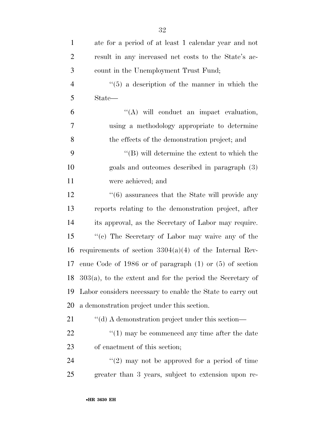| $\mathbf{1}$   | ate for a period of at least 1 calendar year and not            |
|----------------|-----------------------------------------------------------------|
| $\overline{2}$ | result in any increased net costs to the State's ac-            |
| 3              | count in the Unemployment Trust Fund;                           |
| $\overline{4}$ | $\cdot\cdot$ (5) a description of the manner in which the       |
| 5              | State—                                                          |
| 6              | "(A) will conduct an impact evaluation,                         |
| 7              | using a methodology appropriate to determine                    |
| 8              | the effects of the demonstration project; and                   |
| 9              | $\lq\lq (B)$ will determine the extent to which the             |
| 10             | goals and outcomes described in paragraph (3)                   |
| 11             | were achieved; and                                              |
| 12             | $\cdot\cdot\cdot(6)$ assurances that the State will provide any |
| 13             | reports relating to the demonstration project, after            |
| 14             | its approval, as the Secretary of Labor may require.            |
| 15             | "(c) The Secretary of Labor may waive any of the                |
| 16             | requirements of section $3304(a)(4)$ of the Internal Rev-       |
| 17             | enue Code of 1986 or of paragraph $(1)$ or $(5)$ of section     |
|                | 18 $303(a)$ , to the extent and for the period the Secretary of |
| 19             | Labor considers necessary to enable the State to carry out      |
| 20             | a demonstration project under this section.                     |
| 21             | "(d) A demonstration project under this section—                |
| 22             | $"(1)$ may be commenced any time after the date                 |
| 23             | of enactment of this section;                                   |
| 24             | $\lq(2)$ may not be approved for a period of time               |
| 25             | greater than 3 years, subject to extension upon re-             |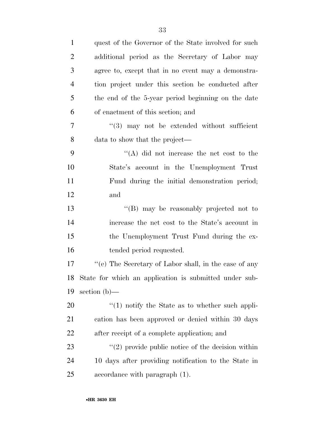| $\mathbf{1}$   | quest of the Governor of the State involved for such   |
|----------------|--------------------------------------------------------|
| $\overline{2}$ | additional period as the Secretary of Labor may        |
| 3              | agree to, except that in no event may a demonstra-     |
| $\overline{4}$ | tion project under this section be conducted after     |
| 5              | the end of the 5-year period beginning on the date     |
| 6              | of enactment of this section; and                      |
| 7              | "(3) may not be extended without sufficient            |
| 8              | data to show that the project—                         |
| 9              | $\lq\lq$ did not increase the net cost to the          |
| 10             | State's account in the Unemployment Trust              |
| 11             | Fund during the initial demonstration period;          |
| 12             | and                                                    |
| 13             | "(B) may be reasonably projected not to                |
| 14             | increase the net cost to the State's account in        |
| 15             | the Unemployment Trust Fund during the ex-             |
| 16             | tended period requested.                               |
| 17             | "(e) The Secretary of Labor shall, in the case of any  |
| 18             | State for which an application is submitted under sub- |
| 19             | section $(b)$ —                                        |
| 20             | $\cdot$ (1) notify the State as to whether such appli- |
| 21             | cation has been approved or denied within 30 days      |
| 22             | after receipt of a complete application; and           |
| 23             | $\lq(2)$ provide public notice of the decision within  |
| 24             | 10 days after providing notification to the State in   |
| 25             | accordance with paragraph $(1)$ .                      |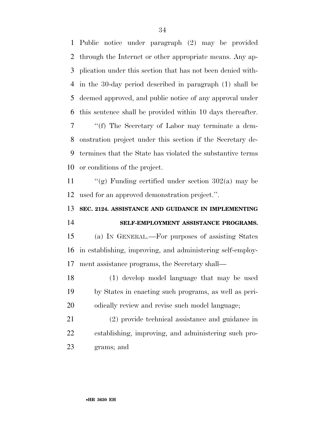Public notice under paragraph (2) may be provided through the Internet or other appropriate means. Any ap- plication under this section that has not been denied with- in the 30-day period described in paragraph (1) shall be deemed approved, and public notice of any approval under this sentence shall be provided within 10 days thereafter. ''(f) The Secretary of Labor may terminate a dem- onstration project under this section if the Secretary de-termines that the State has violated the substantive terms

or conditions of the project.

11  $\frac{1}{2}$  (g) Funding certified under section 302(a) may be used for an approved demonstration project.''.

## **SEC. 2124. ASSISTANCE AND GUIDANCE IN IMPLEMENTING**

## **SELF-EMPLOYMENT ASSISTANCE PROGRAMS.**

 (a) IN GENERAL.—For purposes of assisting States in establishing, improving, and administering self-employ-ment assistance programs, the Secretary shall—

 (1) develop model language that may be used by States in enacting such programs, as well as peri-odically review and revise such model language;

 (2) provide technical assistance and guidance in establishing, improving, and administering such pro-grams; and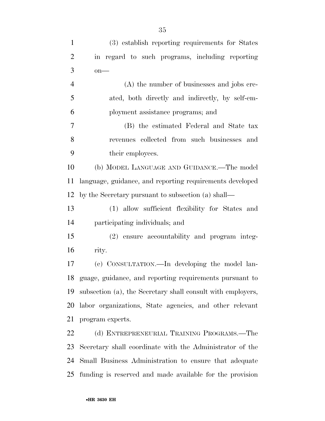| $\mathbf{1}$   | (3) establish reporting requirements for States             |
|----------------|-------------------------------------------------------------|
|                |                                                             |
| $\overline{2}$ | in regard to such programs, including reporting             |
| 3              | $on$ —                                                      |
| $\overline{4}$ | (A) the number of businesses and jobs cre-                  |
| 5              | ated, both directly and indirectly, by self-em-             |
| 6              | ployment assistance programs; and                           |
| $\overline{7}$ | (B) the estimated Federal and State tax                     |
| 8              | revenues collected from such businesses and                 |
| 9              | their employees.                                            |
| 10             | (b) MODEL LANGUAGE AND GUIDANCE.—The model                  |
| 11             | language, guidance, and reporting requirements developed    |
| 12             | by the Secretary pursuant to subsection (a) shall—          |
| 13             | (1) allow sufficient flexibility for States and             |
| 14             | participating individuals; and                              |
| 15             | (2) ensure accountability and program integ-                |
| 16             | rity.                                                       |
| 17             | (c) CONSULTATION.—In developing the model lan-              |
| 18             | guage, guidance, and reporting requirements pursuant to     |
| 19             | subsection (a), the Secretary shall consult with employers, |
| 20             | labor organizations, State agencies, and other relevant     |
| 21             | program experts.                                            |
| 22             | (d) ENTREPRENEURIAL TRAINING PROGRAMS.—The                  |
| 23             | Secretary shall coordinate with the Administrator of the    |
| 24             | Small Business Administration to ensure that adequate       |

funding is reserved and made available for the provision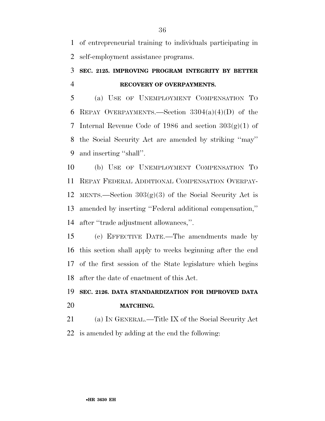of entrepreneurial training to individuals participating in self-employment assistance programs.

## **SEC. 2125. IMPROVING PROGRAM INTEGRITY BY BETTER RECOVERY OF OVERPAYMENTS.**

 (a) USE OF UNEMPLOYMENT COMPENSATION TO 6 REPAY OVERPAYMENTS.—Section  $3304(a)(4)(D)$  of the 7 Internal Revenue Code of 1986 and section  $303(g)(1)$  of the Social Security Act are amended by striking ''may'' and inserting ''shall''.

 (b) USE OF UNEMPLOYMENT COMPENSATION TO REPAY FEDERAL ADDITIONAL COMPENSATION OVERPAY-12 MENTS.—Section  $303(g)(3)$  of the Social Security Act is amended by inserting ''Federal additional compensation,'' after ''trade adjustment allowances,''.

 (c) EFFECTIVE DATE.—The amendments made by this section shall apply to weeks beginning after the end of the first session of the State legislature which begins after the date of enactment of this Act.

## **SEC. 2126. DATA STANDARDIZATION FOR IMPROVED DATA MATCHING.**

 (a) IN GENERAL.—Title IX of the Social Security Act is amended by adding at the end the following: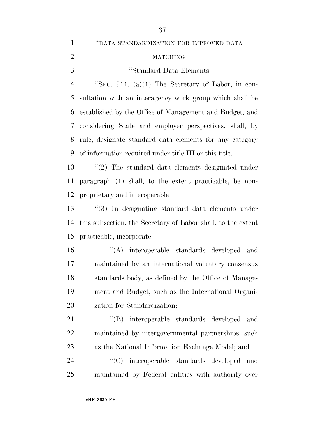''DATA STANDARDIZATION FOR IMPROVED DATA MATCHING ''Standard Data Elements ''SEC. 911. (a)(1) The Secretary of Labor, in con- sultation with an interagency work group which shall be established by the Office of Management and Budget, and considering State and employer perspectives, shall, by rule, designate standard data elements for any category of information required under title III or this title. ''(2) The standard data elements designated under paragraph (1) shall, to the extent practicable, be non- proprietary and interoperable. ''(3) In designating standard data elements under this subsection, the Secretary of Labor shall, to the extent practicable, incorporate— ''(A) interoperable standards developed and maintained by an international voluntary consensus standards body, as defined by the Office of Manage- ment and Budget, such as the International Organi- zation for Standardization; 21 "(B) interoperable standards developed and maintained by intergovernmental partnerships, such as the National Information Exchange Model; and  $\langle ^{\prime}(C) \rangle$  interoperable standards developed and maintained by Federal entities with authority over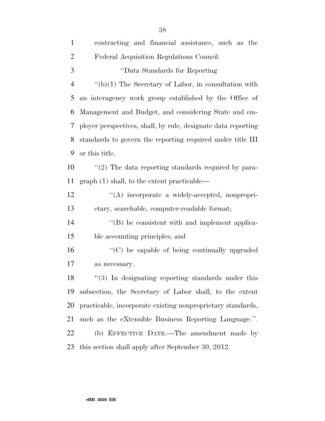| $\mathbf{1}$   | contracting and financial assistance, such as the             |
|----------------|---------------------------------------------------------------|
| $\overline{2}$ | Federal Acquisition Regulations Council.                      |
| 3              | "Data Standards for Reporting"                                |
| $\overline{4}$ | $``(b)(1)$ The Secretary of Labor, in consultation with       |
| 5              | an interagency work group established by the Office of        |
| 6              | Management and Budget, and considering State and em-          |
| 7              | ployer perspectives, shall, by rule, designate data reporting |
| 8              | standards to govern the reporting required under title III    |
| 9              | or this title.                                                |
| 10             | $\lq(2)$ The data reporting standards required by para-       |
| 11             | $graph(1) shall, to the extent practicable$                   |
| 12             | "(A) incorporate a widely-accepted, nonpropri-                |
| 13             | etary, searchable, computer-readable format;                  |
| 14             | "(B) be consistent with and implement applica-                |
| 15             | ble accounting principles; and                                |
| 16             | "(C) be capable of being continually upgraded                 |
| 17             | as necessary.                                                 |
| 18             | $\lq(3)$ In designating reporting standards under this        |
| 19             | subsection, the Secretary of Labor shall, to the extent       |
| 20             | practicable, incorporate existing nonproprietary standards,   |
| 21             | such as the eXtensible Business Reporting Language.".         |
| 22             | (b) EFFECTIVE DATE.—The amendment made by                     |
| 23             | this section shall apply after September 30, 2012.            |
|                |                                                               |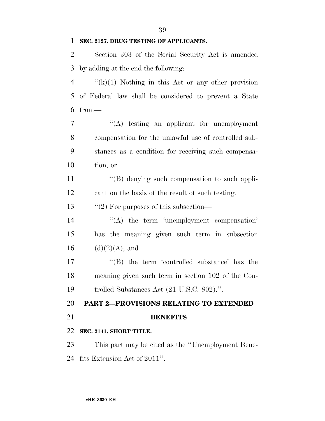### **SEC. 2127. DRUG TESTING OF APPLICANTS.**

 Section 303 of the Social Security Act is amended by adding at the end the following:

 $\frac{4}{(k)(1)}$  Nothing in this Act or any other provision of Federal law shall be considered to prevent a State from—

 ''(A) testing an applicant for unemployment compensation for the unlawful use of controlled sub- stances as a condition for receiving such compensa-tion; or

11 ''(B) denying such compensation to such appli-cant on the basis of the result of such testing.

13 "(2) For purposes of this subsection—

14 "(A) the term 'unemployment compensation' has the meaning given such term in subsection 16 (d)(2)(A); and

17 ''(B) the term 'controlled substance' has the meaning given such term in section 102 of the Con-trolled Substances Act (21 U.S.C. 802).''.

**PART 2—PROVISIONS RELATING TO EXTENDED** 

### **BENEFITS**

### **SEC. 2141. SHORT TITLE.**

 This part may be cited as the ''Unemployment Bene-fits Extension Act of 2011''.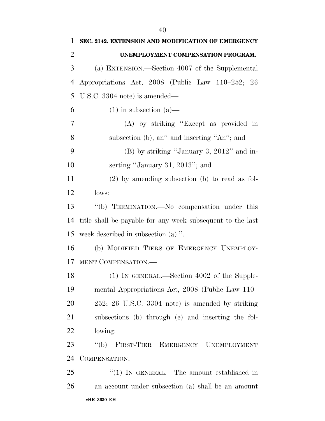| SEC. 2142. EXTENSION AND MODIFICATION OF EMERGENCY         |
|------------------------------------------------------------|
| UNEMPLOYMENT COMPENSATION PROGRAM.                         |
| (a) EXTENSION.—Section 4007 of the Supplemental            |
| Appropriations Act, 2008 (Public Law 110–252; 26           |
| U.S.C. $3304$ note) is amended—                            |
| $(1)$ in subsection $(a)$ —                                |
| (A) by striking "Except as provided in                     |
| subsection (b), an'' and inserting "An''; and              |
| $(B)$ by striking "January 3, 2012" and in-                |
| serting "January 31, 2013"; and                            |
| $(2)$ by amending subsection (b) to read as fol-           |
| lows:                                                      |
| "(b) TERMINATION.—No compensation under this               |
| title shall be payable for any week subsequent to the last |
| week described in subsection $(a)$ .".                     |
| (b) MODIFIED TIERS OF EMERGENCY UNEMPLOY-                  |
| MENT COMPENSATION.                                         |
| $(1)$ IN GENERAL.—Section 4002 of the Supple-              |
| mental Appropriations Act, 2008 (Public Law 110–           |
| $252$ ; $26$ U.S.C. $3304$ note) is amended by striking    |
| subsections (b) through (e) and inserting the fol-         |
| lowing:                                                    |
| f'(b)<br>FIRST-TIER EMERGENCY UNEMPLOYMENT                 |
| COMPENSATION.—                                             |
| "(1) IN GENERAL.—The amount established in                 |
|                                                            |
|                                                            |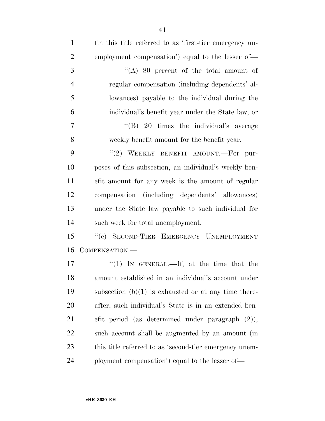| $\mathbf{1}$   | (in this title referred to as 'first-tier emergency un- |
|----------------|---------------------------------------------------------|
| $\overline{2}$ | employment compensation') equal to the lesser of—       |
| 3              | "(A) 80 percent of the total amount of                  |
| $\overline{4}$ | regular compensation (including dependents' al-         |
| 5              | lowances) payable to the individual during the          |
| 6              | individual's benefit year under the State law; or       |
| 7              | "(B) 20 times the individual's average                  |
| 8              | weekly benefit amount for the benefit year.             |
| 9              | "(2) WEEKLY BENEFIT AMOUNT.—For pur-                    |
| 10             | poses of this subsection, an individual's weekly ben-   |
| 11             | efit amount for any week is the amount of regular       |
| 12             | compensation (including dependents' allowances)         |
| 13             | under the State law payable to such individual for      |
| 14             | such week for total unemployment.                       |
| 15             | "(c) SECOND-TIER EMERGENCY UNEMPLOYMENT                 |
| 16             | COMPENSATION.                                           |
| 17             | "(1) IN GENERAL.—If, at the time that the               |
| 18             | amount established in an individual's account under     |
| 19             | subsection $(b)(1)$ is exhausted or at any time there-  |
| 20             | after, such individual's State is in an extended ben-   |
| 21             | efit period (as determined under paragraph $(2)$ ),     |
| 22             | such account shall be augmented by an amount (in        |
| 23             | this title referred to as 'second-tier emergency unem-  |
| 24             | ployment compensation') equal to the lesser of—         |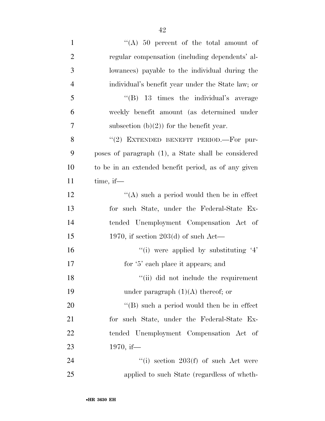| $\mathbf{1}$   | "(A) 50 percent of the total amount of                |
|----------------|-------------------------------------------------------|
| $\overline{2}$ | regular compensation (including dependents' al-       |
| 3              | lowances) payable to the individual during the        |
| $\overline{4}$ | individual's benefit year under the State law; or     |
| 5              | $\cdot$ (B) 13 times the individual's average         |
| 6              | weekly benefit amount (as determined under            |
| 7              | subsection $(b)(2)$ for the benefit year.             |
| 8              | "(2) EXTENDED BENEFIT PERIOD.—For pur-                |
| 9              | poses of paragraph (1), a State shall be considered   |
| 10             | to be in an extended benefit period, as of any given  |
| 11             | $time$ , if $-$                                       |
| 12             | $\lq\lq$ such a period would then be in effect        |
| 13             | for such State, under the Federal-State Ex-           |
| 14             | tended Unemployment Compensation Act of               |
| 15             | 1970, if section 203(d) of such Act—                  |
| 16             | $\lq\lq$ (i) were applied by substituting $\lq\lq\lq$ |
| 17             | for '5' each place it appears; and                    |
| 18             | "(ii) did not include the requirement                 |
| 19             | under paragraph $(1)(A)$ thereof; or                  |
| 20             | $\lq\lq (B)$ such a period would then be in effect    |
| 21             | for such State, under the Federal-State Ex-           |
| 22             | tended Unemployment Compensation Act of               |
| 23             | 1970, if-                                             |
| 24             | $f'(i)$ section 203(f) of such Act were               |
| 25             | applied to such State (regardless of wheth-           |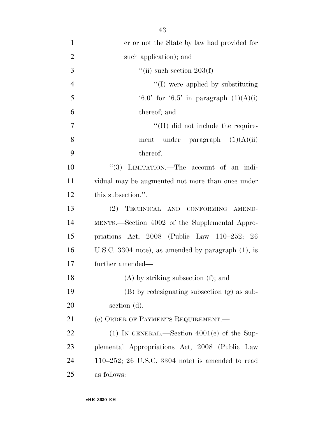| $\mathbf{1}$   | er or not the State by law had provided for                |
|----------------|------------------------------------------------------------|
| $\overline{2}$ | such application); and                                     |
| 3              | "(ii) such section $203(f)$ —                              |
| $\overline{4}$ | $\lq\lq$ were applied by substituting                      |
| 5              | $(6.0^{\circ}$ for $(6.5^{\circ}$ in paragraph $(1)(A)(i)$ |
| 6              | thereof; and                                               |
| 7              | $\lq\lq$ (II) did not include the require-                 |
| 8              | ment under paragraph $(1)(A)(ii)$                          |
| 9              | thereof.                                                   |
| 10             | "(3) LIMITATION.—The account of an indi-                   |
| 11             | vidual may be augmented not more than once under           |
| 12             | this subsection.".                                         |
| 13             | (2)<br>TECHNICAL AND CONFORMING AMEND-                     |
| 14             | MENTS.—Section 4002 of the Supplemental Appro-             |
| 15             | priations Act, $2008$ (Public Law $110-252$ ; $26$         |
| 16             | U.S.C. 3304 note), as amended by paragraph $(1)$ , is      |
| 17             | further amended—                                           |
| 18             | $(A)$ by striking subsection $(f)$ ; and                   |
| 19             | (B) by redesignating subsection (g) as sub-                |
| 20             | section (d).                                               |
| 21             | (c) ORDER OF PAYMENTS REQUIREMENT.                         |
| 22             | $(1)$ IN GENERAL.—Section $4001(e)$ of the Sup-            |

 plemental Appropriations Act, 2008 (Public Law 110–252; 26 U.S.C. 3304 note) is amended to read as follows: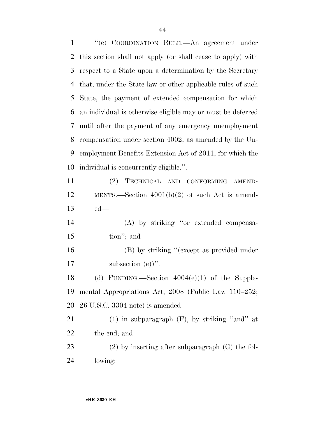''(e) COORDINATION RULE.—An agreement under this section shall not apply (or shall cease to apply) with respect to a State upon a determination by the Secretary that, under the State law or other applicable rules of such State, the payment of extended compensation for which an individual is otherwise eligible may or must be deferred until after the payment of any emergency unemployment compensation under section 4002, as amended by the Un- employment Benefits Extension Act of 2011, for which the individual is concurrently eligible.''.

 (2) TECHNICAL AND CONFORMING AMEND- MENTS.—Section 4001(b)(2) of such Act is amend-ed—

 (A) by striking ''or extended compensa-tion''; and

16 (B) by striking "(except as provided under 17 subsection (e))".

18 (d) FUNDING.—Section  $4004(e)(1)$  of the Supple- mental Appropriations Act, 2008 (Public Law 110–252; 26 U.S.C. 3304 note) is amended—

 (1) in subparagraph (F), by striking ''and'' at the end; and

 (2) by inserting after subparagraph (G) the fol-lowing: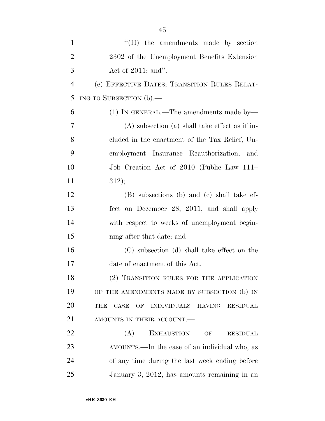| $\mathbf{1}$   | $\mathrm{H}$ ) the amendments made by section                               |
|----------------|-----------------------------------------------------------------------------|
| $\overline{2}$ | 2302 of the Unemployment Benefits Extension                                 |
| 3              | Act of $2011$ ; and".                                                       |
| $\overline{4}$ | (e) EFFECTIVE DATES; TRANSITION RULES RELAT-                                |
| 5              | ING TO SUBSECTION (b).—                                                     |
| 6              | $(1)$ In GENERAL.—The amendments made by—                                   |
| 7              | $(A)$ subsection $(a)$ shall take effect as if in-                          |
| 8              | cluded in the enactment of the Tax Relief, Un-                              |
| 9              | employment Insurance Reauthorization, and                                   |
| 10             | Job Creation Act of 2010 (Public Law 111–                                   |
| 11             | 312);                                                                       |
| 12             | (B) subsections (b) and (c) shall take ef-                                  |
| 13             | fect on December 28, 2011, and shall apply                                  |
| 14             | with respect to weeks of unemployment begin-                                |
| 15             | ning after that date; and                                                   |
| 16             | (C) subsection (d) shall take effect on the                                 |
| 17             | date of enactment of this Act.                                              |
| 18             | (2) TRANSITION RULES FOR THE APPLICATION                                    |
| 19             | OF THE AMENDMENTS MADE BY SUBSECTION (b) IN                                 |
| 20             | <b>INDIVIDUALS</b><br>THE<br>CASE<br>OF<br><b>HAVING</b><br><b>RESIDUAL</b> |
| 21             | AMOUNTS IN THEIR ACCOUNT.                                                   |
| 22             | (A)<br><b>EXHAUSTION</b><br>OF<br><b>RESIDUAL</b>                           |
| 23             | AMOUNTS.—In the case of an individual who, as                               |
| 24             | of any time during the last week ending before                              |
| 25             | January 3, 2012, has amounts remaining in an                                |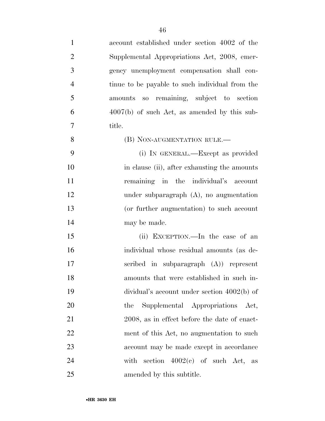| $\mathbf{1}$   | account established under section 4002 of the   |
|----------------|-------------------------------------------------|
| $\overline{2}$ | Supplemental Appropriations Act, 2008, emer-    |
| 3              | gency unemployment compensation shall con-      |
| $\overline{4}$ | tinue to be payable to such individual from the |
| 5              | amounts so remaining, subject to section        |
| 6              | $4007(b)$ of such Act, as amended by this sub-  |
| $\overline{7}$ | title.                                          |
| 8              | (B) NON-AUGMENTATION RULE.-                     |
| 9              | (i) IN GENERAL.—Except as provided              |
| 10             | in clause (ii), after exhausting the amounts    |
| 11             | remaining in the individual's account           |
| 12             | under subparagraph $(A)$ , no augmentation      |
| 13             | (or further augmentation) to such account       |
| 14             | may be made.                                    |
| 15             | (ii) EXCEPTION.—In the case of an               |
| 16             | individual whose residual amounts (as de-       |
| 17             | scribed in subparagraph $(A)$ represent         |
| 18             | amounts that were established in such in-       |
| 19             | dividual's account under section $4002(b)$ of   |
| 20             | Supplemental Appropriations<br>the<br>Act,      |
| 21             | 2008, as in effect before the date of enact-    |
| 22             | ment of this Act, no augmentation to such       |
| 23             | account may be made except in accordance        |
| 24             | section $4002(e)$ of such Act, as<br>with       |
| 25             | amended by this subtitle.                       |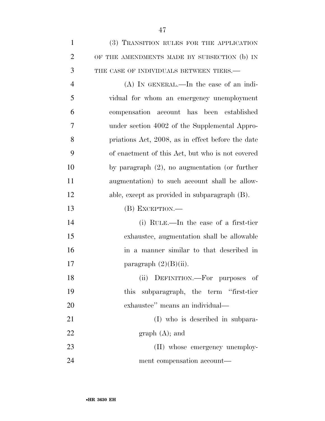| $\mathbf{1}$   | (3) TRANSITION RULES FOR THE APPLICATION          |
|----------------|---------------------------------------------------|
| $\overline{2}$ | OF THE AMENDMENTS MADE BY SUBSECTION (b) IN       |
| 3              | THE CASE OF INDIVIDUALS BETWEEN TIERS.-           |
| $\overline{4}$ | $(A)$ In GENERAL.—In the case of an indi-         |
| 5              | vidual for whom an emergency unemployment         |
| 6              | compensation account has been established         |
| 7              | under section 4002 of the Supplemental Appro-     |
| 8              | priations Act, 2008, as in effect before the date |
| 9              | of enactment of this Act, but who is not covered  |
| 10             | by paragraph $(2)$ , no augmentation (or further  |
| 11             | augmentation) to such account shall be allow-     |
| 12             | able, except as provided in subparagraph (B).     |
| 13             | $(B)$ EXCEPTION.—                                 |
| 14             | (i) RULE.—In the case of a first-tier             |
| 15             | exhaustee, augmentation shall be allowable        |
| 16             | in a manner similar to that described in          |
| 17             | paragraph $(2)(B)(ii)$ .                          |
| 18             | (ii) DEFINITION.—For purposes of                  |
| 19             | this subparagraph, the term "first-tier           |
| 20             | exhaustee" means an individual—                   |
| 21             | (I) who is described in subpara-                  |
| 22             | graph (A); and                                    |
| 23             | (II) whose emergency unemploy-                    |
| 24             | ment compensation account—                        |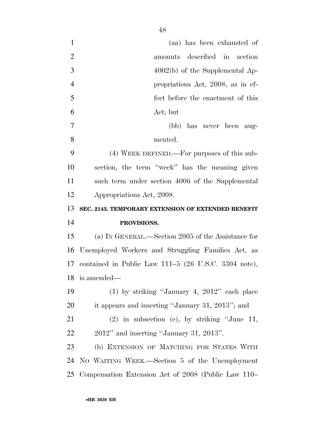| $\mathbf{1}$   | (aa) has been exhausted of                              |
|----------------|---------------------------------------------------------|
| $\overline{2}$ | amounts described in section                            |
| 3              | $4002(b)$ of the Supplemental Ap-                       |
| $\overline{4}$ | propriations Act, 2008, as in ef-                       |
| 5              | fect before the enactment of this                       |
| 6              | Act; but                                                |
| $\tau$         | (bb) has never been aug-                                |
| 8              | mented.                                                 |
| 9              | $(4)$ WEEK DEFINED.—For purposes of this sub-           |
| 10             | section, the term "week" has the meaning given          |
| 11             | such term under section 4006 of the Supplemental        |
| 12             | Appropriations Act, 2008.                               |
|                |                                                         |
| 13             | SEC. 2143. TEMPORARY EXTENSION OF EXTENDED BENEFIT      |
| 14             | PROVISIONS.                                             |
| 15             | (a) IN GENERAL.—Section 2005 of the Assistance for      |
| 16             | Unemployed Workers and Struggling Families Act, as      |
|                | 17 contained in Public Law 111–5 (26 U.S.C. 3304 note), |
|                | 18 is amended—                                          |
| 19             | $(1)$ by striking "January 4, 2012" each place          |
| 20             | it appears and inserting "January 31, 2013"; and        |
| 21             | $(2)$ in subsection (c), by striking "June 11,          |
| 22             | $2012"$ and inserting "January 31, 2013".               |
| 23             | (b) EXTENSION OF MATCHING FOR STATES WITH               |
| 24             | NO WAITING WEEK.—Section 5 of the Unemployment          |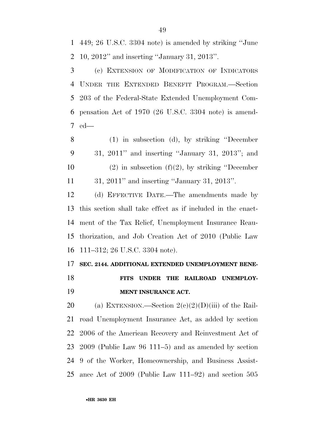449; 26 U.S.C. 3304 note) is amended by striking ''June 10, 2012'' and inserting ''January 31, 2013''.

 (c) EXTENSION OF MODIFICATION OF INDICATORS UNDER THE EXTENDED BENEFIT PROGRAM.—Section 203 of the Federal-State Extended Unemployment Com- pensation Act of 1970 (26 U.S.C. 3304 note) is amend-ed—

 (1) in subsection (d), by striking ''December 31, 2011'' and inserting ''January 31, 2013''; and 10 (2) in subsection  $(f)(2)$ , by striking "December 31, 2011'' and inserting ''January 31, 2013''.

 (d) EFFECTIVE DATE.—The amendments made by this section shall take effect as if included in the enact- ment of the Tax Relief, Unemployment Insurance Reau- thorization, and Job Creation Act of 2010 (Public Law 111–312; 26 U.S.C. 3304 note).

### **SEC. 2144. ADDITIONAL EXTENDED UNEMPLOYMENT BENE-**

 **FITS UNDER THE RAILROAD UNEMPLOY-MENT INSURANCE ACT.** 

20 (a) EXTENSION.—Section  $2(e)(2)(D)(iii)$  of the Rail- road Unemployment Insurance Act, as added by section 2006 of the American Recovery and Reinvestment Act of 2009 (Public Law 96 111–5) and as amended by section 9 of the Worker, Homeownership, and Business Assist-ance Act of 2009 (Public Law 111–92) and section 505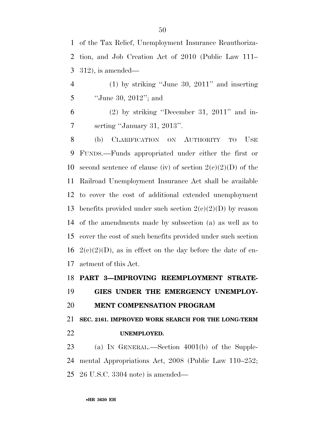of the Tax Relief, Unemployment Insurance Reauthoriza- tion, and Job Creation Act of 2010 (Public Law 111– 312), is amended—

 (1) by striking ''June 30, 2011'' and inserting ''June 30, 2012''; and

 (2) by striking "December 31, 2011" and in-serting ''January 31, 2013''.

 (b) CLARIFICATION ON AUTHORITY TO USE FUNDS.—Funds appropriated under either the first or 10 second sentence of clause (iv) of section  $2(e)(2)(D)$  of the Railroad Unemployment Insurance Act shall be available to cover the cost of additional extended unemployment 13 benefits provided under such section  $2(e)(2)(D)$  by reason of the amendments made by subsection (a) as well as to cover the cost of such benefits provided under such section  $2(e)(2)(D)$ , as in effect on the day before the date of en-actment of this Act.

## **PART 3—IMPROVING REEMPLOYMENT STRATE- GIES UNDER THE EMERGENCY UNEMPLOY-MENT COMPENSATION PROGRAM**

 **SEC. 2161. IMPROVED WORK SEARCH FOR THE LONG-TERM UNEMPLOYED.** 

 (a) IN GENERAL.—Section 4001(b) of the Supple- mental Appropriations Act, 2008 (Public Law 110–252; 26 U.S.C. 3304 note) is amended—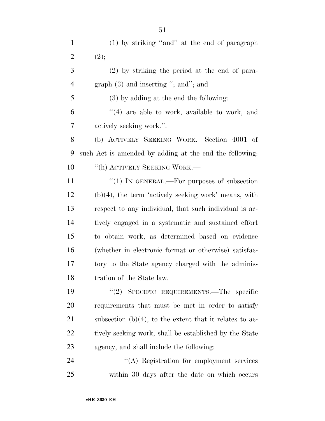(1) by striking ''and'' at the end of paragraph 2  $(2);$  (2) by striking the period at the end of para-4 graph (3) and inserting "; and"; and (3) by adding at the end the following: ''(4) are able to work, available to work, and actively seeking work.''. (b) ACTIVELY SEEKING WORK.—Section 4001 of such Act is amended by adding at the end the following: 10 <sup>''</sup>(h) ACTIVELY SEEKING WORK.— 11 "(1) IN GENERAL.—For purposes of subsection (b)(4), the term 'actively seeking work' means, with respect to any individual, that such individual is ac- tively engaged in a systematic and sustained effort to obtain work, as determined based on evidence (whether in electronic format or otherwise) satisfac- tory to the State agency charged with the adminis-tration of the State law.

 ''(2) SPECIFIC REQUIREMENTS.—The specific requirements that must be met in order to satisfy 21 subsection  $(b)(4)$ , to the extent that it relates to ac-22 tively seeking work, shall be established by the State agency, and shall include the following:

24 ''(A) Registration for employment services within 30 days after the date on which occurs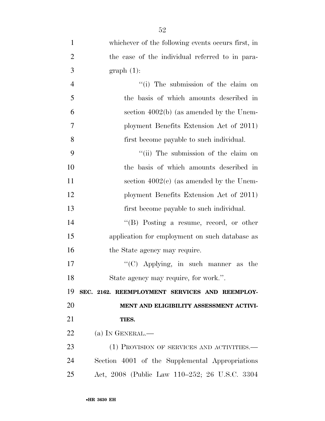| $\mathbf{1}$   | whichever of the following events occurs first, in |
|----------------|----------------------------------------------------|
| $\overline{2}$ | the case of the individual referred to in para-    |
| 3              | $graph(1)$ :                                       |
| $\overline{4}$ | "(i) The submission of the claim on                |
| 5              | the basis of which amounts described in            |
| 6              | section $4002(b)$ (as amended by the Unem-         |
| 7              | ployment Benefits Extension Act of 2011)           |
| 8              | first become payable to such individual.           |
| 9              | "(ii) The submission of the claim on               |
| 10             | the basis of which amounts described in            |
| 11             | section $4002(c)$ (as amended by the Unem-         |
| 12             | ployment Benefits Extension Act of 2011)           |
| 13             | first become payable to such individual.           |
| 14             | $\lq\lq (B)$ Posting a resume, record, or other    |
| 15             | application for employment on such database as     |
| 16             | the State agency may require.                      |
| 17             | "(C) Applying, in such manner as<br>the            |
| 18             | State agency may require, for work.".              |
| 19             | SEC. 2162. REEMPLOYMENT SERVICES AND REEMPLOY-     |
| 20             | MENT AND ELIGIBILITY ASSESSMENT ACTIVI-            |
| 21             | TIES.                                              |
| 22             | (a) IN GENERAL.—                                   |
| 23             | (1) PROVISION OF SERVICES AND ACTIVITIES.—         |
| 24             | Section 4001 of the Supplemental Appropriations    |
| 25             | Act, 2008 (Public Law 110–252; 26 U.S.C. 3304      |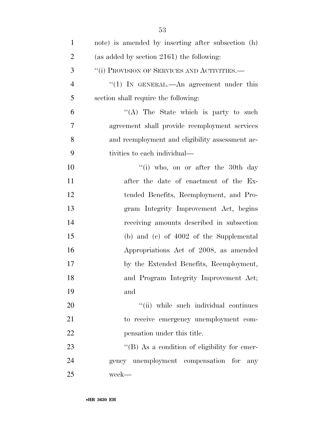| $\mathbf{1}$   | note) is amended by inserting after subsection (h)   |
|----------------|------------------------------------------------------|
| $\overline{2}$ | (as added by section $2161$ ) the following:         |
| 3              | "(i) PROVISION OF SERVICES AND ACTIVITIES.—          |
| $\overline{4}$ | "(1) IN GENERAL.—An agreement under this             |
| 5              | section shall require the following:                 |
| 6              | "(A) The State which is party to such                |
| 7              | agreement shall provide reemployment services        |
| 8              | and reemployment and eligibility assessment ac-      |
| 9              | tivities to each individual—                         |
| 10             | "(i) who, on or after the 30th day                   |
| 11             | after the date of enactment of the Ex-               |
| 12             | tended Benefits, Reemployment, and Pro-              |
| 13             | gram Integrity Improvement Act, begins               |
| 14             | receiving amounts described in subsection            |
| 15             | (b) and (c) of $4002$ of the Supplemental            |
| 16             | Appropriations Act of 2008, as amended               |
| 17             | by the Extended Benefits, Reemployment,              |
| 18             | and Program Integrity Improvement Act;               |
| 19             | and                                                  |
| 20             | "(ii) while such individual continues                |
| 21             | to receive emergency unemployment com-               |
| 22             | pensation under this title.                          |
| 23             | $\lq\lq (B)$ As a condition of eligibility for emer- |
| 24             | gency unemployment compensation for any              |
| 25             | week-                                                |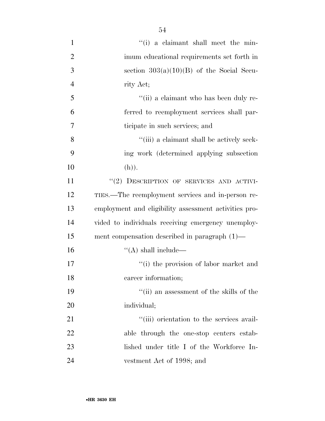| $\mathbf{1}$   | "(i) a claimant shall meet the min-                   |
|----------------|-------------------------------------------------------|
| $\overline{2}$ | imum educational requirements set forth in            |
| 3              | section $303(a)(10)(B)$ of the Social Secu-           |
| $\overline{4}$ | rity Act;                                             |
| 5              | "(ii) a claimant who has been duly re-                |
| 6              | ferred to reemployment services shall par-            |
| 7              | ticipate in such services; and                        |
| 8              | "(iii) a claimant shall be actively seek-             |
| 9              | ing work (determined applying subsection              |
| 10             | (h)).                                                 |
| 11             | "(2) DESCRIPTION OF SERVICES AND ACTIVI-              |
| 12             | TIES.—The reemployment services and in-person re-     |
| 13             | employment and eligibility assessment activities pro- |
| 14             | vided to individuals receiving emergency unemploy-    |
| 15             | ment compensation described in paragraph $(1)$ —      |
| 16             | $\lq\lq$ shall include—                               |
| 17             | "(i) the provision of labor market and                |
| 18             | career information;                                   |
| 19             | "(ii) an assessment of the skills of the              |
| 20             | individual;                                           |
| 21             | "(iii) orientation to the services avail-             |
| 22             | able through the one-stop centers estab-              |
| 23             | lished under title I of the Workforce In-             |
| 24             | vestment Act of 1998; and                             |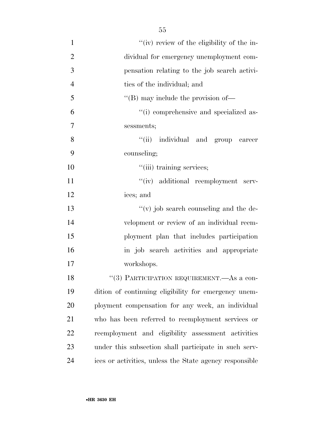| $\mathbf{1}$   | "(iv) review of the eligibility of the in-              |
|----------------|---------------------------------------------------------|
| $\overline{2}$ | dividual for emergency unemployment com-                |
| 3              | pensation relating to the job search activi-            |
| $\overline{4}$ | ties of the individual; and                             |
| 5              | $\lq\lq$ (B) may include the provision of —             |
| 6              | "(i) comprehensive and specialized as-                  |
| 7              | sessments;                                              |
| 8              | "(ii) individual and group career                       |
| 9              | counseling;                                             |
| 10             | "(iii) training services;                               |
| 11             | "(iv) additional reemployment serv-                     |
| 12             | ices; and                                               |
| 13             | $f'(v)$ job search counseling and the de-               |
| 14             | velopment or review of an individual reem-              |
| 15             | ployment plan that includes participation               |
| 16             | in job search activities and appropriate                |
| 17             | workshops.                                              |
| 18             | "(3) PARTICIPATION REQUIREMENT.—As a con-               |
| 19             | dition of continuing eligibility for emergency unem-    |
| 20             | ployment compensation for any week, an individual       |
| 21             | who has been referred to reemployment services or       |
| 22             | reemployment and eligibility assessment activities      |
| 23             | under this subsection shall participate in such serv-   |
| 24             | ices or activities, unless the State agency responsible |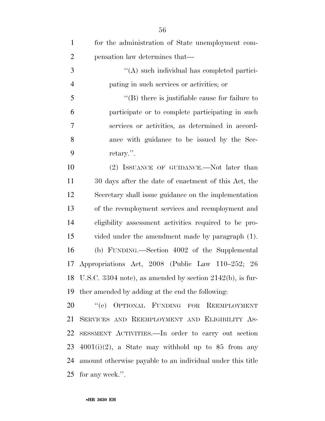| $\mathbf{1}$   | for the administration of State unemployment com-            |
|----------------|--------------------------------------------------------------|
| $\overline{2}$ | pensation law determines that—                               |
| 3              | "(A) such individual has completed partici-                  |
| $\overline{4}$ | pating in such services or activities; or                    |
| 5              | $\lq$ (B) there is justifiable cause for failure to          |
| 6              | participate or to complete participating in such             |
| $\tau$         | services or activities, as determined in accord-             |
| 8              | ance with guidance to be issued by the Sec-                  |
| 9              | retary.".                                                    |
| 10             | (2) ISSUANCE OF GUIDANCE.—Not later than                     |
| 11             | 30 days after the date of enactment of this Act, the         |
| 12             | Secretary shall issue guidance on the implementation         |
| 13             | of the reemployment services and reemployment and            |
| 14             | eligibility assessment activities required to be pro-        |
| 15             | vided under the amendment made by paragraph (1).             |
| 16             | (b) FUNDING.—Section 4002 of the Supplemental                |
| 17             | Appropriations Act, 2008 (Public Law 110–252; 26             |
|                | 18 U.S.C. 3304 note), as amended by section 2142(b), is fur- |
| 19             | ther amended by adding at the end the following:             |
| 20             | OPTIONAL FUNDING FOR REEMPLOYMENT<br>``(e)                   |
| 21             | SERVICES AND REEMPLOYMENT AND ELIGIBILITY AS-                |
| 22             | SESSMENT ACTIVITIES. In order to carry out section           |
| 23             | $4001(i)(2)$ , a State may withhold up to \$5 from any       |
| 24             | amount otherwise payable to an individual under this title   |
| 25             | for any week.".                                              |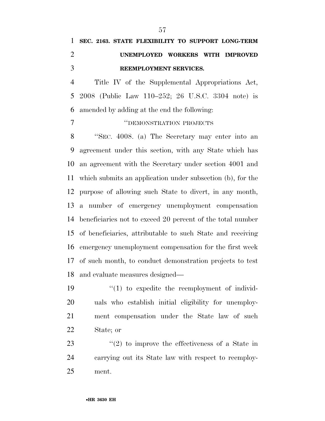# **SEC. 2163. STATE FLEXIBILITY TO SUPPORT LONG-TERM UNEMPLOYED WORKERS WITH IMPROVED REEMPLOYMENT SERVICES.**

 Title IV of the Supplemental Appropriations Act, 2008 (Public Law 110–252; 26 U.S.C. 3304 note) is amended by adding at the end the following:

### **''DEMONSTRATION PROJECTS**

 ''SEC. 4008. (a) The Secretary may enter into an agreement under this section, with any State which has an agreement with the Secretary under section 4001 and which submits an application under subsection (b), for the purpose of allowing such State to divert, in any month, a number of emergency unemployment compensation beneficiaries not to exceed 20 percent of the total number of beneficiaries, attributable to such State and receiving emergency unemployment compensation for the first week of such month, to conduct demonstration projects to test and evaluate measures designed—

 $\frac{1}{2}$  (1) to expedite the reemployment of individ- uals who establish initial eligibility for unemploy- ment compensation under the State law of such State; or

23  $\frac{1}{2}$  to improve the effectiveness of a State in carrying out its State law with respect to reemploy-ment.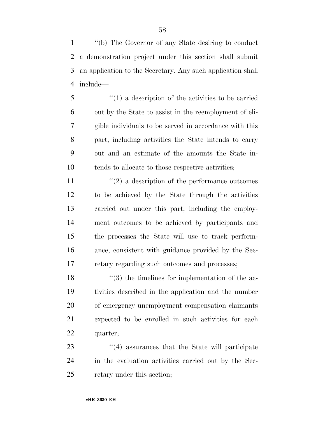''(b) The Governor of any State desiring to conduct a demonstration project under this section shall submit an application to the Secretary. Any such application shall include—

 ''(1) a description of the activities to be carried out by the State to assist in the reemployment of eli- gible individuals to be served in accordance with this part, including activities the State intends to carry out and an estimate of the amounts the State in-tends to allocate to those respective activities;

 $(2)$  a description of the performance outcomes to be achieved by the State through the activities carried out under this part, including the employ- ment outcomes to be achieved by participants and the processes the State will use to track perform- ance, consistent with guidance provided by the Sec-retary regarding such outcomes and processes;

18 ''(3) the timelines for implementation of the ac- tivities described in the application and the number of emergency unemployment compensation claimants expected to be enrolled in such activities for each quarter;

23 ''(4) assurances that the State will participate in the evaluation activities carried out by the Sec-retary under this section;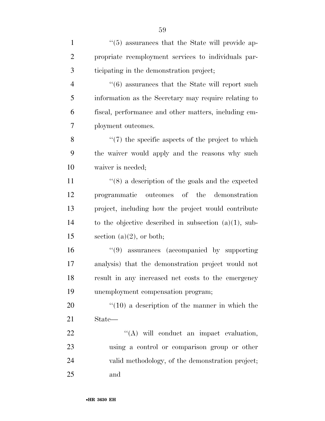1 ''(5) assurances that the State will provide ap- propriate reemployment services to individuals par-ticipating in the demonstration project;

4 ''(6) assurances that the State will report such information as the Secretary may require relating to fiscal, performance and other matters, including em-ployment outcomes.

8 ''(7) the specific aspects of the project to which the waiver would apply and the reasons why such waiver is needed;

 ''(8) a description of the goals and the expected programmatic outcomes of the demonstration project, including how the project would contribute to the objective described in subsection (a)(1), sub-15 section  $(a)(2)$ , or both;

 ''(9) assurances (accompanied by supporting analysis) that the demonstration project would not result in any increased net costs to the emergency unemployment compensation program;

20  $\frac{1}{20}$  (10) a description of the manner in which the State—

 $\text{``(A)}$  will conduct an impact evaluation, using a control or comparison group or other valid methodology, of the demonstration project; and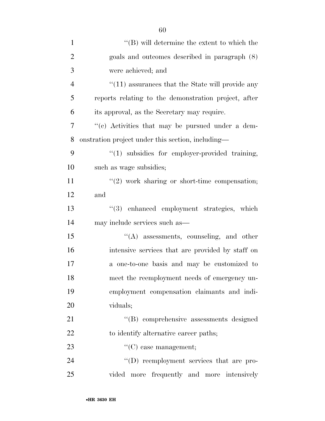| $\mathbf{1}$   | $\lq\lq$ (B) will determine the extent to which the         |
|----------------|-------------------------------------------------------------|
| $\overline{2}$ | goals and outcomes described in paragraph (8)               |
| 3              | were achieved; and                                          |
| $\overline{4}$ | $\cdot\cdot(11)$ assurances that the State will provide any |
| 5              | reports relating to the demonstration project, after        |
| 6              | its approval, as the Secretary may require.                 |
| 7              | "(c) Activities that may be pursued under a dem-            |
| 8              | onstration project under this section, including—           |
| 9              | "(1) subsidies for employer-provided training,              |
| 10             | such as wage subsidies;                                     |
| 11             | $"(2)$ work sharing or short-time compensation;             |
| 12             | and                                                         |
| 13             | "(3) enhanced employment strategies, which                  |
| 14             | may include services such as—                               |
| 15             | $\lq\lq$ assessments, counseling, and other                 |
| 16             | intensive services that are provided by staff on            |
| 17             | a one-to-one basis and may be customized to                 |
| 18             | meet the reemployment needs of emergency un-                |
| 19             | employment compensation claimants and indi-                 |
| 20             | viduals;                                                    |
| 21             | "(B) comprehensive assessments designed                     |
| 22             | to identify alternative career paths;                       |
| 23             | $\lq\lq$ (C) case management;                               |
| 24             | "(D) reemployment services that are pro-                    |
| 25             | vided more frequently and more intensively                  |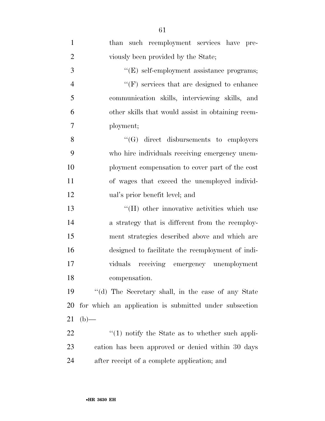| $\mathbf{1}$   | than such reemployment services have pre-              |
|----------------|--------------------------------------------------------|
| $\overline{2}$ | viously been provided by the State;                    |
| 3              | "(E) self-employment assistance programs;              |
| $\overline{4}$ | $\lq\lq(F)$ services that are designed to enhance      |
| 5              | communication skills, interviewing skills, and         |
| 6              | other skills that would assist in obtaining reem-      |
| 7              | ployment;                                              |
| 8              | $\lq\lq(G)$ direct disbursements to employers          |
| 9              | who hire individuals receiving emergency unem-         |
| 10             | ployment compensation to cover part of the cost        |
| 11             | of wages that exceed the unemployed individ-           |
| 12             | ual's prior benefit level; and                         |
| 13             | "(H) other innovative activities which use             |
| 14             | a strategy that is different from the reemploy-        |
| 15             | ment strategies described above and which are          |
| 16             | designed to facilitate the reemployment of indi-       |
| 17             | viduals receiving emergency unemployment               |
| 18             | compensation.                                          |
| 19             | "(d) The Secretary shall, in the case of any State     |
| 20             | for which an application is submitted under subsection |
| 21             | $(b)$ —                                                |
| 22             | $\lq(1)$ notify the State as to whether such appli-    |
| 23             | cation has been approved or denied within 30 days      |
| 24             | after receipt of a complete application; and           |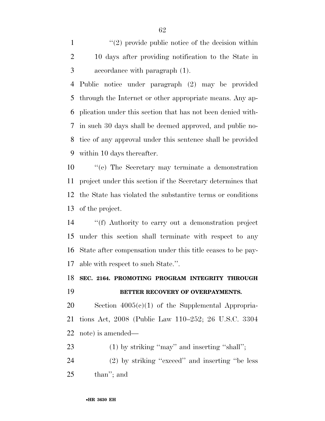1  $\frac{1}{2}$  provide public notice of the decision within 10 days after providing notification to the State in accordance with paragraph (1).

 Public notice under paragraph (2) may be provided through the Internet or other appropriate means. Any ap- plication under this section that has not been denied with- in such 30 days shall be deemed approved, and public no- tice of any approval under this sentence shall be provided within 10 days thereafter.

 ''(e) The Secretary may terminate a demonstration project under this section if the Secretary determines that the State has violated the substantive terms or conditions of the project.

 ''(f) Authority to carry out a demonstration project under this section shall terminate with respect to any State after compensation under this title ceases to be pay-able with respect to such State.''.

### **SEC. 2164. PROMOTING PROGRAM INTEGRITY THROUGH BETTER RECOVERY OF OVERPAYMENTS.**

 Section 4005(c)(1) of the Supplemental Appropria- tions Act, 2008 (Public Law 110–252; 26 U.S.C. 3304 note) is amended—

23 (1) by striking "may" and inserting "shall";

 (2) by striking ''exceed'' and inserting ''be less than''; and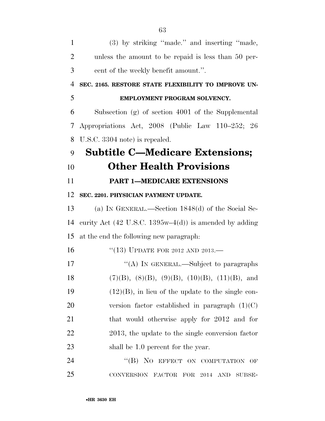| $\mathbf{1}$   | (3) by striking "made." and inserting "made,                 |
|----------------|--------------------------------------------------------------|
| $\overline{2}$ | unless the amount to be repaid is less than 50 per-          |
| 3              | cent of the weekly benefit amount.".                         |
| $\overline{4}$ | SEC. 2165. RESTORE STATE FLEXIBILITY TO IMPROVE UN-          |
| 5              | EMPLOYMENT PROGRAM SOLVENCY.                                 |
| 6              | Subsection (g) of section 4001 of the Supplemental           |
| 7              | Appropriations Act, 2008 (Public Law 110–252; 26             |
| 8              | U.S.C. 3304 note) is repealed.                               |
| 9              | <b>Subtitle C-Medicare Extensions;</b>                       |
| 10             | <b>Other Health Provisions</b>                               |
| 11             | <b>PART 1-MEDICARE EXTENSIONS</b>                            |
| 12             | SEC. 2201. PHYSICIAN PAYMENT UPDATE.                         |
| 13             | (a) IN GENERAL.—Section $1848(d)$ of the Social Se-          |
| 14             | curity Act (42 U.S.C. 1395w–4(d)) is amended by adding       |
| 15             | at the end the following new paragraph:                      |
| 16             | "(13) UPDATE FOR 2012 AND 2013.—                             |
| 17             | "(A) IN GENERAL.—Subject to paragraphs                       |
| 18             | $(7)(B)$ , $(8)(B)$ , $(9)(B)$ , $(10)(B)$ , $(11)(B)$ , and |
| 19             | $(12)(B)$ , in lieu of the update to the single con-         |
| 20             | version factor established in paragraph $(1)(C)$             |
| 21             | that would otherwise apply for 2012 and for                  |
| 22             | 2013, the update to the single conversion factor             |
| 23             | shall be 1.0 percent for the year.                           |
| 24             | "(B) NO EFFECT ON COMPUTATION OF                             |
| 25             | CONVERSION FACTOR FOR 2014 AND<br>SUBSE-                     |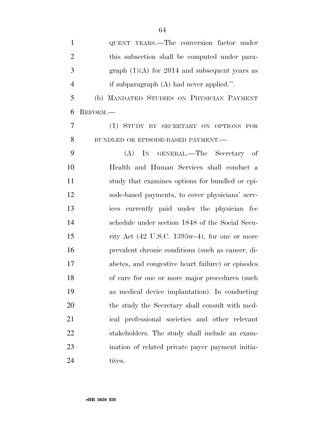| $\mathbf{1}$   | QUENT YEARS.—The conversion factor under                         |
|----------------|------------------------------------------------------------------|
| $\overline{2}$ | this subsection shall be computed under para-                    |
| 3              | graph $(1)(A)$ for 2014 and subsequent years as                  |
| $\overline{4}$ | if subparagraph $(A)$ had never applied.".                       |
| 5              | (b) MANDATED STUDIES ON PHYSICIAN PAYMENT                        |
| 6              | REFORM.                                                          |
| 7              | (1) STUDY BY SECRETARY ON OPTIONS FOR                            |
| 8              | BUNDLED OR EPISODE-BASED PAYMENT.-                               |
| 9              | IN GENERAL.—The Secretary of<br>(A)                              |
| 10             | Health and Human Services shall conduct a                        |
| 11             | study that examines options for bundled or epi-                  |
| 12             | sode-based payments, to cover physicians' serv-                  |
| 13             | ices currently paid under the physician fee                      |
| 14             | schedule under section 1848 of the Social Secu-                  |
| 15             | rity Act $(42 \text{ U.S.C. } 1395\text{w-}4)$ , for one or more |
| 16             | prevalent chronic conditions (such as cancer, di-                |
| 17             | abetes, and congestive heart failure) or episodes                |
| 18             | of care for one or more major procedures (such                   |
| 19             | as medical device implantation). In conducting                   |
| 20             | the study the Secretary shall consult with med-                  |
| 21             | ical professional societies and other relevant                   |
| 22             | stakeholders. The study shall include an exam-                   |
| 23             | ination of related private payer payment initia-                 |
| 24             | tives.                                                           |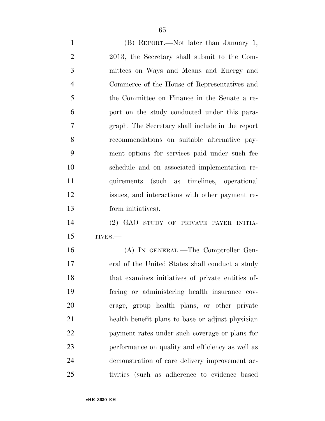(B) REPORT.—Not later than January 1, 2013, the Secretary shall submit to the Com- mittees on Ways and Means and Energy and Commerce of the House of Representatives and the Committee on Finance in the Senate a re- port on the study conducted under this para- graph. The Secretary shall include in the report recommendations on suitable alternative pay- ment options for services paid under such fee schedule and on associated implementation re- quirements (such as timelines, operational issues, and interactions with other payment re- form initiatives). (2) GAO STUDY OF PRIVATE PAYER INITIA-

TIVES.—

 (A) IN GENERAL.—The Comptroller Gen- eral of the United States shall conduct a study that examines initiatives of private entities of- fering or administering health insurance cov- erage, group health plans, or other private health benefit plans to base or adjust physician payment rates under such coverage or plans for performance on quality and efficiency as well as demonstration of care delivery improvement ac-tivities (such as adherence to evidence based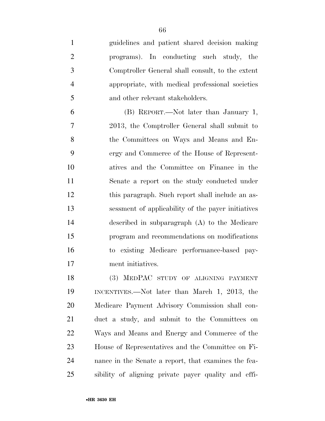guidelines and patient shared decision making programs). In conducting such study, the Comptroller General shall consult, to the extent appropriate, with medical professional societies 5 and other relevant stakeholders.

 (B) REPORT.—Not later than January 1, 2013, the Comptroller General shall submit to the Committees on Ways and Means and En- ergy and Commerce of the House of Represent- atives and the Committee on Finance in the Senate a report on the study conducted under this paragraph. Such report shall include an as- sessment of applicability of the payer initiatives described in subparagraph (A) to the Medicare program and recommendations on modifications to existing Medicare performance-based pay-ment initiatives.

 (3) MEDPAC STUDY OF ALIGNING PAYMENT INCENTIVES.—Not later than March 1, 2013, the Medicare Payment Advisory Commission shall con- duct a study, and submit to the Committees on Ways and Means and Energy and Commerce of the House of Representatives and the Committee on Fi- nance in the Senate a report, that examines the fea-sibility of aligning private payer quality and effi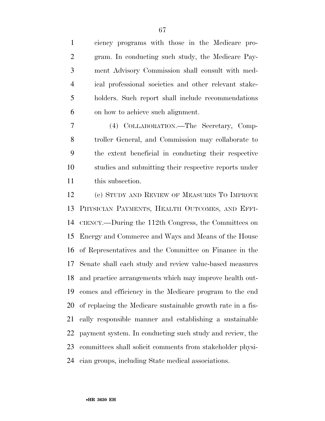ciency programs with those in the Medicare pro- gram. In conducting such study, the Medicare Pay- ment Advisory Commission shall consult with med- ical professional societies and other relevant stake- holders. Such report shall include recommendations on how to achieve such alignment.

 (4) COLLABORATION.—The Secretary, Comp- troller General, and Commission may collaborate to the extent beneficial in conducting their respective studies and submitting their respective reports under this subsection.

 (c) STUDY AND REVIEW OF MEASURES TO IMPROVE PHYSICIAN PAYMENTS, HEALTH OUTCOMES, AND EFFI- CIENCY.—During the 112th Congress, the Committees on Energy and Commerce and Ways and Means of the House of Representatives and the Committee on Finance in the Senate shall each study and review value-based measures and practice arrangements which may improve health out- comes and efficiency in the Medicare program to the end of replacing the Medicare sustainable growth rate in a fis- cally responsible manner and establishing a sustainable payment system. In conducting such study and review, the committees shall solicit comments from stakeholder physi-cian groups, including State medical associations.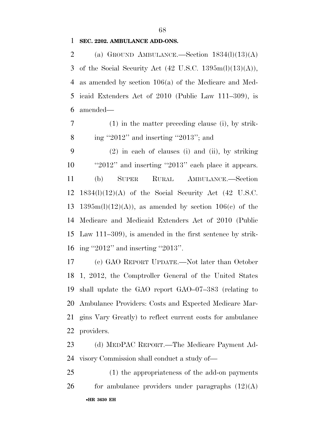#### **SEC. 2202. AMBULANCE ADD-ONS.**

2 (a) GROUND AMBULANCE.—Section  $1834(l)(13)(A)$ 3 of the Social Security Act  $(42 \text{ U.S.C. } 1395 \text{m}(l)(13)(A)),$  as amended by section 106(a) of the Medicare and Med- icaid Extenders Act of 2010 (Public Law 111–309), is amended—

 (1) in the matter preceding clause (i), by strik-ing ''2012'' and inserting ''2013''; and

 (2) in each of clauses (i) and (ii), by striking 10 ''2012'' and inserting "2013" each place it appears. (b) SUPER RURAL AMBULANCE.—Section 1834(l)(12)(A) of the Social Security Act (42 U.S.C. 13 1395m(l)(12)(A)), as amended by section 106(c) of the Medicare and Medicaid Extenders Act of 2010 (Public Law 111–309), is amended in the first sentence by strik-ing ''2012'' and inserting ''2013''.

 (c) GAO REPORT UPDATE.—Not later than October 1, 2012, the Comptroller General of the United States shall update the GAO report GAO–07–383 (relating to Ambulance Providers: Costs and Expected Medicare Mar- gins Vary Greatly) to reflect current costs for ambulance providers.

 (d) MEDPAC REPORT.—The Medicare Payment Ad-visory Commission shall conduct a study of—

•**HR 3630 EH** (1) the appropriateness of the add-on payments 26 for ambulance providers under paragraphs  $(12)(A)$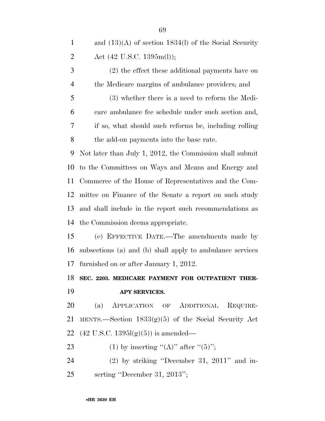| $\mathbf{1}$   | and $(13)(A)$ of section 1834(l) of the Social Security   |
|----------------|-----------------------------------------------------------|
| $\overline{2}$ | Act $(42 \text{ U.S.C. } 1395\text{m(l)});$               |
| 3              | (2) the effect these additional payments have on          |
| $\overline{4}$ | the Medicare margins of ambulance providers; and          |
| 5              | (3) whether there is a need to reform the Medi-           |
| 6              | care ambulance fee schedule under such section and,       |
| 7              | if so, what should such reforms be, including rolling     |
| 8              | the add-on payments into the base rate.                   |
| 9              | Not later than July 1, 2012, the Commission shall submit  |
| 10             | to the Committees on Ways and Means and Energy and        |
| 11             | Commerce of the House of Representatives and the Com-     |
| 12             | mittee on Finance of the Senate a report on such study    |
| 13             | and shall include in the report such recommendations as   |
| 14             | the Commission deems appropriate.                         |
| 15             | (e) EFFECTIVE DATE.—The amendments made by                |
| 16             | subsections (a) and (b) shall apply to ambulance services |
| 17             | furnished on or after January 1, 2012.                    |
|                | 18 SEC. 2203. MEDICARE PAYMENT FOR OUTPATIENT THER-       |
| 19             | APY SERVICES.                                             |
| 20             | (a) APPLICATION OF ADDITIONAL REQUIRE-                    |
| 21             | MENTS.—Section $1833(g)(5)$ of the Social Security Act    |
| 22             | $(42 \text{ U.S.C. } 1395l(g)(5))$ is amended—            |
| 23             | (1) by inserting "(A)" after " $(5)$ ";                   |
| 24             | $(2)$ by striking "December 31, 2011" and in-             |

serting ''December 31, 2013'';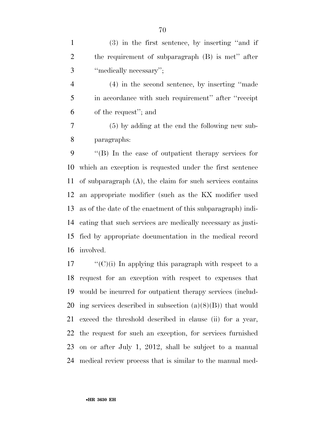(3) in the first sentence, by inserting ''and if the requirement of subparagraph (B) is met'' after ''medically necessary'';

 (4) in the second sentence, by inserting ''made in accordance with such requirement'' after ''receipt of the request''; and

 (5) by adding at the end the following new sub-paragraphs:

 ''(B) In the case of outpatient therapy services for which an exception is requested under the first sentence of subparagraph (A), the claim for such services contains an appropriate modifier (such as the KX modifier used as of the date of the enactment of this subparagraph) indi- cating that such services are medically necessary as justi- fied by appropriate documentation in the medical record involved.

 "'(C)(i) In applying this paragraph with respect to a request for an exception with respect to expenses that would be incurred for outpatient therapy services (includ-20 ing services described in subsection  $(a)(8)(B)$  that would exceed the threshold described in clause (ii) for a year, the request for such an exception, for services furnished on or after July 1, 2012, shall be subject to a manual medical review process that is similar to the manual med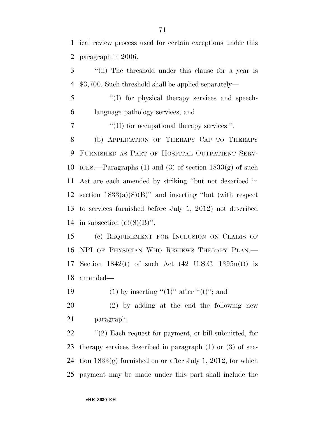ical review process used for certain exceptions under this paragraph in 2006.

 ''(ii) The threshold under this clause for a year is \$3,700. Such threshold shall be applied separately—

 ''(I) for physical therapy services and speech-language pathology services; and

7  $\langle$  (II) for occupational therapy services.".

 (b) APPLICATION OF THERAPY CAP TO THERAPY FURNISHED AS PART OF HOSPITAL OUTPATIENT SERV-10 ICES.—Paragraphs (1) and (3) of section  $1833(g)$  of such Act are each amended by striking ''but not described in 12 section  $1833(a)(8)(B)$ " and inserting "but (with respect to services furnished before July 1, 2012) not described 14 in subsection  $(a)(8)(B)$ ".

 (c) REQUIREMENT FOR INCLUSION ON CLAIMS OF NPI OF PHYSICIAN WHO REVIEWS THERAPY PLAN.— Section 1842(t) of such Act (42 U.S.C. 1395u(t)) is amended—

19 (1) by inserting " $(1)$ " after " $(t)$ "; and

 (2) by adding at the end the following new paragraph:

 $\frac{1}{2}$  (2) Each request for payment, or bill submitted, for therapy services described in paragraph (1) or (3) of sec- tion 1833(g) furnished on or after July 1, 2012, for which payment may be made under this part shall include the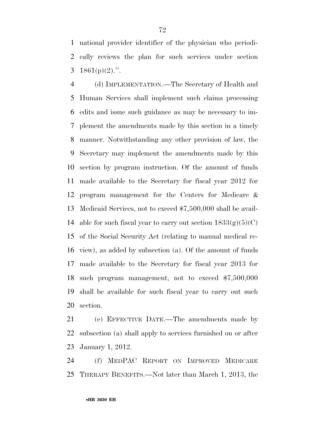national provider identifier of the physician who periodi- cally reviews the plan for such services under section 3 1861(p)(2).".

 (d) IMPLEMENTATION.—The Secretary of Health and Human Services shall implement such claims processing edits and issue such guidance as may be necessary to im- plement the amendments made by this section in a timely manner. Notwithstanding any other provision of law, the Secretary may implement the amendments made by this section by program instruction. Of the amount of funds made available to the Secretary for fiscal year 2012 for program management for the Centers for Medicare & Medicaid Services, not to exceed \$7,500,000 shall be avail-14 able for such fiscal year to carry out section  $1833(g)(5)(C)$  of the Social Security Act (relating to manual medical re- view), as added by subsection (a). Of the amount of funds made available to the Secretary for fiscal year 2013 for such program management, not to exceed \$7,500,000 shall be available for such fiscal year to carry out such section.

 (e) EFFECTIVE DATE.—The amendments made by subsection (a) shall apply to services furnished on or after January 1, 2012.

 (f) MEDPAC REPORT ON IMPROVED MEDICARE THERAPY BENEFITS.—Not later than March 1, 2013, the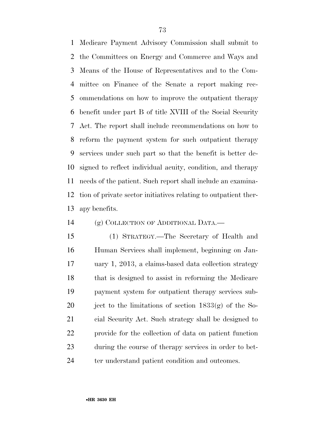Medicare Payment Advisory Commission shall submit to the Committees on Energy and Commerce and Ways and Means of the House of Representatives and to the Com- mittee on Finance of the Senate a report making rec- ommendations on how to improve the outpatient therapy benefit under part B of title XVIII of the Social Security Act. The report shall include recommendations on how to reform the payment system for such outpatient therapy services under such part so that the benefit is better de- signed to reflect individual acuity, condition, and therapy needs of the patient. Such report shall include an examina- tion of private sector initiatives relating to outpatient ther-apy benefits.

## (g) COLLECTION OF ADDITIONAL DATA.—

 (1) STRATEGY.—The Secretary of Health and Human Services shall implement, beginning on Jan- uary 1, 2013, a claims-based data collection strategy that is designed to assist in reforming the Medicare payment system for outpatient therapy services sub-20 ject to the limitations of section  $1833(g)$  of the So- cial Security Act. Such strategy shall be designed to provide for the collection of data on patient function during the course of therapy services in order to bet-24 ter understand patient condition and outcomes.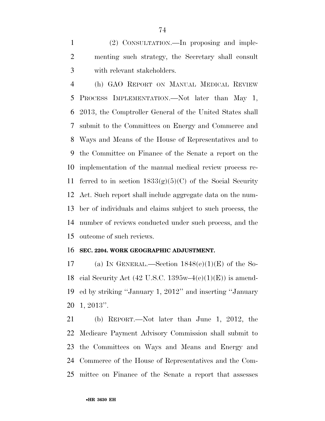(2) CONSULTATION.—In proposing and imple- menting such strategy, the Secretary shall consult with relevant stakeholders.

 (h) GAO REPORT ON MANUAL MEDICAL REVIEW PROCESS IMPLEMENTATION.—Not later than May 1, 2013, the Comptroller General of the United States shall submit to the Committees on Energy and Commerce and Ways and Means of the House of Representatives and to the Committee on Finance of the Senate a report on the implementation of the manual medical review process re-11 ferred to in section  $1833(g)(5)(C)$  of the Social Security Act. Such report shall include aggregate data on the num- ber of individuals and claims subject to such process, the number of reviews conducted under such process, and the outcome of such reviews.

#### **SEC. 2204. WORK GEOGRAPHIC ADJUSTMENT.**

17 (a) IN GENERAL.—Section  $1848(e)(1)(E)$  of the So-18 cial Security Act (42 U.S.C. 1395w–4 $(e)(1)(E)$ ) is amend- ed by striking ''January 1, 2012'' and inserting ''January 1, 2013''.

 (b) REPORT.—Not later than June 1, 2012, the Medicare Payment Advisory Commission shall submit to the Committees on Ways and Means and Energy and Commerce of the House of Representatives and the Com-mittee on Finance of the Senate a report that assesses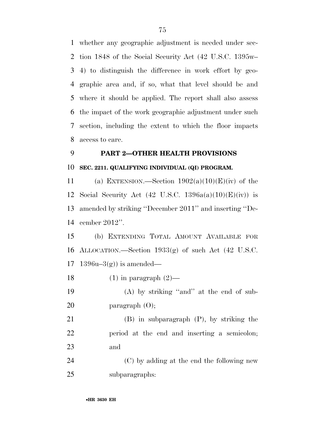whether any geographic adjustment is needed under sec- tion 1848 of the Social Security Act (42 U.S.C. 1395w– 4) to distinguish the difference in work effort by geo- graphic area and, if so, what that level should be and where it should be applied. The report shall also assess the impact of the work geographic adjustment under such section, including the extent to which the floor impacts access to care.

# **PART 2—OTHER HEALTH PROVISIONS**

## **SEC. 2211. QUALIFYING INDIVIDUAL (QI) PROGRAM.**

11 (a) EXTENSION.—Section  $1902(a)(10)(E)(iv)$  of the 12 Social Security Act (42 U.S.C.  $1396a(a)(10)(E)(iv)$ ) is amended by striking ''December 2011'' and inserting ''De-cember 2012''.

 (b) EXTENDING TOTAL AMOUNT AVAILABLE FOR ALLOCATION.—Section 1933(g) of such Act (42 U.S.C. 17 1396u–3(g) is amended—

18 (1) in paragraph  $(2)$ —

19 (A) by striking "and" at the end of sub-20 paragraph (O);

 (B) in subparagraph (P), by striking the period at the end and inserting a semicolon; and

 (C) by adding at the end the following new subparagraphs: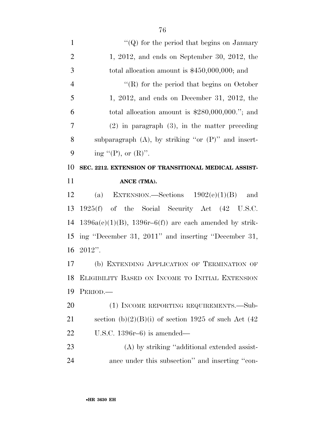| $\mathbf{1}$   | "( $Q$ ) for the period that begins on January             |
|----------------|------------------------------------------------------------|
| $\overline{2}$ | $1, 2012,$ and ends on September 30, 2012, the             |
| 3              | total allocation amount is $$450,000,000$ ; and            |
| $\overline{4}$ | $\lq\lq$ for the period that begins on October             |
| 5              | $1, 2012,$ and ends on December 31, 2012, the              |
| 6              | total allocation amount is $$280,000,000."$ ; and          |
| $\overline{7}$ | $(2)$ in paragraph $(3)$ , in the matter preceding         |
| 8              | subparagraph $(A)$ , by striking "or $(P)$ " and insert-   |
| 9              | ing "(P), or $(R)$ ".                                      |
| 10             | SEC. 2212. EXTENSION OF TRANSITIONAL MEDICAL ASSIST-       |
| 11             | ANCE (TMA).                                                |
| 12             | (a) EXTENSION.—Sections $1902(e)(1)(B)$<br>and             |
| 13             | 1925(f) of the Social Security Act (42 U.S.C.              |
|                |                                                            |
| 14             | $1396a(e)(1)(B)$ , $1396r-6(f)$ are each amended by strik- |
| 15             | ing "December 31, 2011" and inserting "December 31,        |
| 16             | $2012"$ .                                                  |
| 17             | (b) EXTENDING APPLICATION OF TERMINATION OF                |
|                | 18 ELIGIBILITY BASED ON INCOME TO INITIAL EXTENSION        |
| 19             | PERIOD.                                                    |
| 20             | (1) INCOME REPORTING REQUIREMENTS.—Sub-                    |
| 21             | section (b)(2)(B)(i) of section 1925 of such Act (42       |
| 22             | U.S.C. $1396r-6$ ) is amended—                             |
| 23             | (A) by striking "additional extended assist-               |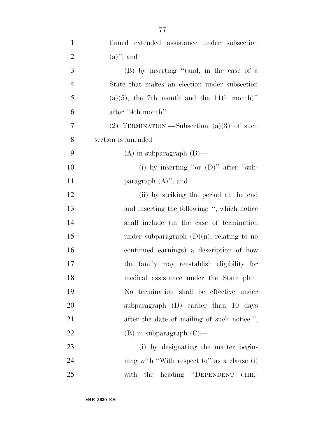| $\mathbf{1}$   | tinued extended assistance under subsection   |
|----------------|-----------------------------------------------|
| $\overline{2}$ | $(a)$ "; and                                  |
| 3              | (B) by inserting "(and, in the case of a      |
| $\overline{4}$ | State that makes an election under subsection |
| 5              | $(a)(5)$ , the 7th month and the 11th month)" |
| 6              | after "4th month".                            |
| 7              | (2) TERMINATION.—Subsection $(a)(3)$ of such  |
| 8              | section is amended—                           |
| 9              | $(A)$ in subparagraph $(B)$ —                 |
| 10             | (i) by inserting "or $(D)$ " after "sub-      |
| 11             | paragraph $(A)$ "; and                        |
| 12             | (ii) by striking the period at the end        |
| 13             | and inserting the following: ", which notice  |
| 14             | shall include (in the case of termination     |
| 15             | under subparagraph $(D)(ii)$ , relating to no |
| 16             | continued earnings) a description of how      |
| 17             | the family may reestablish eligibility for    |
| 18             | medical assistance under the State plan.      |
| 19             | No termination shall be effective under       |
| 20             | subparagraph (D) earlier than 10 days         |
| 21             | after the date of mailing of such notice.";   |
| 22             | $(B)$ in subparagraph $(C)$ —                 |
| 23             | (i) by designating the matter begin-          |
| 24             | ning with "With respect to" as a clause (i)   |
| 25             | with the heading "DEPENDENT CHIL-             |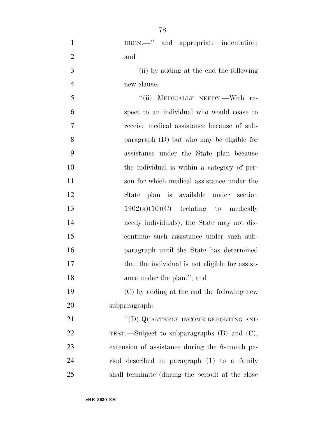| $\mathbf{1}$   | DREN. -" and appropriate indentation;            |
|----------------|--------------------------------------------------|
| $\overline{2}$ | and                                              |
| 3              | (ii) by adding at the end the following          |
| $\overline{4}$ | new clause:                                      |
| 5              | "(ii) MEDICALLY NEEDY.--With re-                 |
| 6              | spect to an individual who would cease to        |
| 7              | receive medical assistance because of sub-       |
| 8              | paragraph (D) but who may be eligible for        |
| 9              | assistance under the State plan because          |
| 10             | the individual is within a category of per-      |
| 11             | son for which medical assistance under the       |
| 12             | State plan is available under section            |
| 13             | $1902(a)(10)(C)$ (relating to medically          |
| 14             | needy individuals), the State may not dis-       |
| 15             | continue such assistance under such sub-         |
| 16             | paragraph until the State has determined         |
| 17             | that the individual is not eligible for assist-  |
| 18             | ance under the plan."; and                       |
| 19             | (C) by adding at the end the following new       |
| 20             | subparagraph:                                    |
| 21             | "(D) QUARTERLY INCOME REPORTING AND              |
| 22             | TEST.—Subject to subparagraphs $(B)$ and $(C)$ , |
| 23             | extension of assistance during the 6-month pe-   |
| 24             | riod described in paragraph (1) to a family      |
| 25             | shall terminate (during the period) at the close |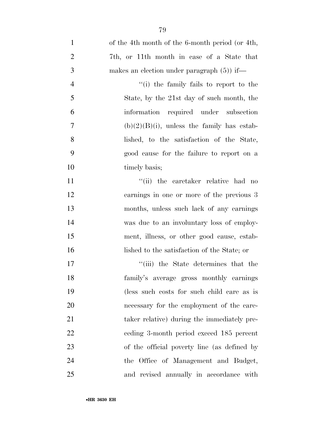| $\mathbf{1}$   | of the 4th month of the 6-month period (or 4th, |
|----------------|-------------------------------------------------|
| $\overline{2}$ | 7th, or 11th month in case of a State that      |
| 3              | makes an election under paragraph $(5)$ if—     |
| $\overline{4}$ | "(i) the family fails to report to the          |
| 5              | State, by the 21st day of such month, the       |
| 6              | information required under subsection           |
| $\overline{7}$ | $(b)(2)(B)(i)$ , unless the family has estab-   |
| 8              | lished, to the satisfaction of the State,       |
| 9              | good cause for the failure to report on a       |
| 10             | timely basis;                                   |
| 11             | "(ii) the caretaker relative had no             |
| 12             | earnings in one or more of the previous 3       |
| 13             | months, unless such lack of any earnings        |
| 14             | was due to an involuntary loss of employ-       |
| 15             | ment, illness, or other good cause, estab-      |
| 16             | lished to the satisfaction of the State; or     |
| 17             | "(iii) the State determines that the            |
| 18             | family's average gross monthly earnings         |
| 19             | (less such costs for such child care as is      |
| 20             | necessary for the employment of the care-       |
| 21             | taker relative) during the immediately pre-     |
| 22             | eeding 3-month period exceed 185 percent        |
| 23             | of the official poverty line (as defined by     |
| 24             | the Office of Management and Budget,            |
| 25             | and revised annually in accordance with         |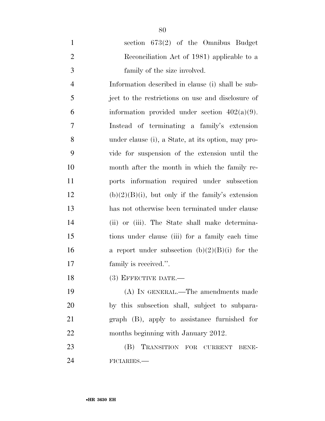|               | section $673(2)$ of the Omnibus Budget      |
|---------------|---------------------------------------------|
|               | Reconciliation Act of 1981) applicable to a |
| $\mathcal{R}$ | family of the size involved.                |

 Information described in clause (i) shall be sub- ject to the restrictions on use and disclosure of 6 information provided under section  $402(a)(9)$ . Instead of terminating a family's extension under clause (i), a State, at its option, may pro- vide for suspension of the extension until the month after the month in which the family re- ports information required under subsection 12 (b) $(2)(B)(i)$ , but only if the family's extension has not otherwise been terminated under clause (ii) or (iii). The State shall make determina- tions under clause (iii) for a family each time 16 a report under subsection  $(b)(2)(B)(i)$  for the 17 family is received.".

18 (3) EFFECTIVE DATE.

 (A) IN GENERAL.—The amendments made by this subsection shall, subject to subpara- graph (B), apply to assistance furnished for 22 months beginning with January 2012.

23 (B) TRANSITION FOR CURRENT BENE-FICIARIES.—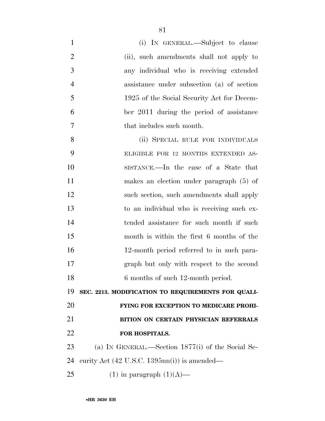| $\mathbf{1}$   | (i) IN GENERAL.—Subject to clause                               |
|----------------|-----------------------------------------------------------------|
| $\overline{2}$ | (ii), such amendments shall not apply to                        |
| 3              | any individual who is receiving extended                        |
| $\overline{4}$ | assistance under subsection (a) of section                      |
| 5              | 1925 of the Social Security Act for Decem-                      |
| 6              | ber 2011 during the period of assistance                        |
| 7              | that includes such month.                                       |
| 8              | (ii) SPECIAL RULE FOR INDIVIDUALS                               |
| 9              | ELIGIBLE FOR 12 MONTHS EXTENDED AS-                             |
| 10             | SISTANCE.—In the case of a State that                           |
| 11             | makes an election under paragraph $(5)$ of                      |
| 12             | such section, such amendments shall apply                       |
| 13             | to an individual who is receiving such ex-                      |
| 14             | tended assistance for such month if such                        |
| 15             | month is within the first 6 months of the                       |
| 16             | 12-month period referred to in such para-                       |
| 17             | graph but only with respect to the second                       |
| 18             | 6 months of such 12-month period.                               |
| 19             | SEC. 2213. MODIFICATION TO REQUIREMENTS FOR QUALI-              |
| 20             | FYING FOR EXCEPTION TO MEDICARE PROHI-                          |
| 21             | BITION ON CERTAIN PHYSICIAN REFERRALS                           |
| 22             | FOR HOSPITALS.                                                  |
| 23             | (a) IN GENERAL.—Section 1877(i) of the Social Se-               |
| 24             | curity Act $(42 \text{ U.S.C. } 1395 \text{nn}(i))$ is amended— |
| 25             | $(1)$ in paragraph $(1)(A)$ —                                   |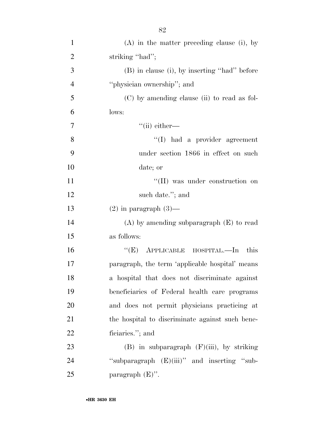| $\mathbf{1}$   | $(A)$ in the matter preceding clause (i), by    |
|----------------|-------------------------------------------------|
| $\overline{2}$ | striking "had";                                 |
| 3              | (B) in clause (i), by inserting "had" before    |
| $\overline{4}$ | "physician ownership"; and                      |
| 5              | $(C)$ by amending clause (ii) to read as fol-   |
| 6              | lows:                                           |
| $\overline{7}$ | $\lq$ <sup>"</sup> (ii) either—                 |
| 8              | $\lq\lq$ had a provider agreement               |
| 9              | under section 1866 in effect on such            |
| 10             | date; or                                        |
| 11             | "(II) was under construction on                 |
| 12             | such date."; and                                |
| 13             | $(2)$ in paragraph $(3)$ —                      |
| 14             | $(A)$ by amending subparagraph $(E)$ to read    |
| 15             | as follows:                                     |
| 16             | "(E) APPLICABLE HOSPITAL.—In this               |
| 17             | paragraph, the term 'applicable hospital' means |
| 18             | a hospital that does not discriminate against   |
| 19             | beneficiaries of Federal health care programs   |
| 20             | and does not permit physicians practicing at    |
| 21             | the hospital to discriminate against such bene- |
| 22             | ficiaries."; and                                |
| 23             | $(B)$ in subparagraph $(F)(iii)$ , by striking  |
| 24             | "subparagraph $(E)(iii)$ " and inserting "sub-  |
| 25             | paragraph $(E)$ ".                              |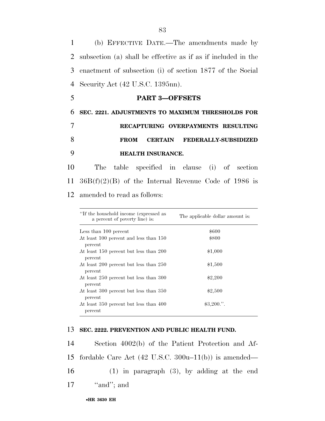(b) EFFECTIVE DATE.—The amendments made by subsection (a) shall be effective as if as if included in the enactment of subsection (i) of section 1877 of the Social Security Act (42 U.S.C. 1395nn).

 **SEC. 2221. ADJUSTMENTS TO MAXIMUM THRESHOLDS FOR RECAPTURING OVERPAYMENTS RESULTING FROM CERTAIN FEDERALLY-SUBSIDIZED HEALTH INSURANCE.** 

5 **PART 3—OFFSETS** 

10 The table specified in clause (i) of section 11 36B(f)(2)(B) of the Internal Revenue Code of 1986 is 12 amended to read as follows:

| "If the household income (expressed as<br>a percent of poverty line) is: | The applicable dollar amount is: |
|--------------------------------------------------------------------------|----------------------------------|
| Less than 100 percent                                                    | \$600                            |
| At least 100 percent and less than 150<br>percent                        | \$800                            |
| At least 150 percent but less than 200<br>percent                        | \$1,000                          |
| At least 200 percent but less than 250<br>percent                        | \$1,500                          |
| At least 250 percent but less than 300<br>percent                        | \$2,200                          |
| At least 300 percent but less than 350<br>percent                        | \$2,500                          |
| At least 350 percent but less than 400<br>percent                        | \$3,200."                        |

#### 13 **SEC. 2222. PREVENTION AND PUBLIC HEALTH FUND.**

 Section 4002(b) of the Patient Protection and Af- fordable Care Act (42 U.S.C. 300u–11(b)) is amended— (1) in paragraph (3), by adding at the end  $"and"$ ; and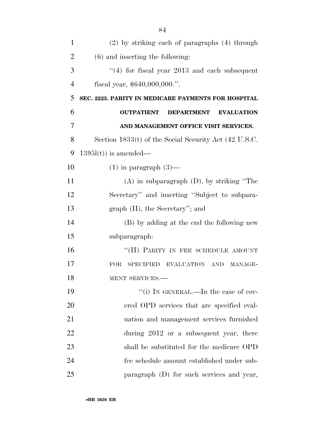| 1              | $(2)$ by striking each of paragraphs $(4)$ through          |
|----------------|-------------------------------------------------------------|
| $\overline{2}$ | $(6)$ and inserting the following:                          |
| 3              | $(4)$ for fiscal year 2013 and each subsequent              |
| $\overline{4}$ | fiscal year, $$640,000,000."$ .                             |
| 5              | SEC. 2223. PARITY IN MEDICARE PAYMENTS FOR HOSPITAL         |
| 6              | <b>OUTPATIENT</b><br><b>DEPARTMENT</b><br><b>EVALUATION</b> |
| 7              | AND MANAGEMENT OFFICE VISIT SERVICES.                       |
| 8              | Section $1833(t)$ of the Social Security Act (42 U.S.C.     |
| 9              | $1395l(t)$ is amended—                                      |
| 10             | $(1)$ in paragraph $(3)$ —                                  |
| 11             | $(A)$ in subparagraph $(D)$ , by striking "The              |
| 12             | Secretary" and inserting "Subject to subpara-               |
| 13             | $graph(H)$ , the Secretary''; and                           |
| 14             | (B) by adding at the end the following new                  |
| 15             | subparagraph:                                               |
| 16             | "(H) PARITY IN FEE SCHEDULE AMOUNT                          |
| 17             | <b>FOR</b><br><b>SPECIFIED</b><br>EVALUATION AND MANAGE-    |
| 18             | MENT SERVICES.-                                             |
| 19             | "(i) IN GENERAL.—In the case of cov-                        |
| 20             | ered OPD services that are specified eval-                  |
| 21             | uation and management services furnished                    |
| 22             | during 2012 or a subsequent year, there                     |
| 23             | shall be substituted for the medicare OPD                   |
| 24             | fee schedule amount established under sub-                  |
| 25             | paragraph (D) for such services and year,                   |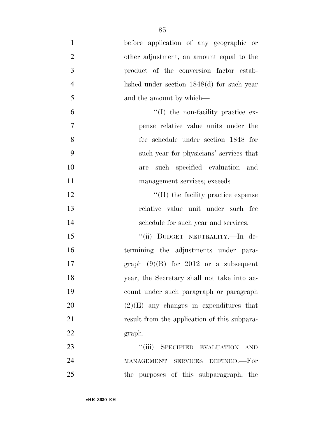| $\mathbf{1}$   | before application of any geographic or       |
|----------------|-----------------------------------------------|
| $\overline{2}$ | other adjustment, an amount equal to the      |
| 3              | product of the conversion factor estab-       |
| $\overline{4}$ | lished under section $1848(d)$ for such year  |
| 5              | and the amount by which—                      |
| 6              | $\lq(1)$ the non-facility practice ex-        |
| $\overline{7}$ | pense relative value units under the          |
| 8              | fee schedule under section 1848 for           |
| 9              | such year for physicians' services that       |
| 10             | such specified evaluation and<br>are          |
| 11             | management services; exceeds                  |
| 12             | $\lq$ (II) the facility practice expense      |
| 13             | relative value unit under such fee            |
| 14             | schedule for such year and services.          |
| 15             | "(ii) BUDGET NEUTRALITY.—In de-               |
| 16             | termining the adjustments under para-         |
| 17             | graph $(9)(B)$ for 2012 or a subsequent       |
| 18             | year, the Secretary shall not take into ac-   |
| 19             | count under such paragraph or paragraph       |
| 20             | $(2)(E)$ any changes in expenditures that     |
| 21             | result from the application of this subpara-  |
| 22             | graph.                                        |
| 23             | ``(iii)<br>SPECIFIED EVALUATION<br><b>AND</b> |
| 24             | SERVICES DEFINED.—For<br>MANAGEMENT           |
| 25             | the purposes of this subparagraph, the        |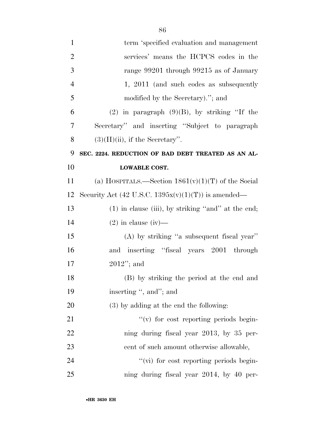| $\mathbf{1}$   | term 'specified evaluation and management              |
|----------------|--------------------------------------------------------|
| $\overline{2}$ | services' means the HCPCS codes in the                 |
| 3              | range 99201 through 99215 as of January                |
| $\overline{4}$ | 1, 2011 (and such codes as subsequently                |
| 5              | modified by the Secretary)."; and                      |
| 6              | $(2)$ in paragraph $(9)(B)$ , by striking "If the      |
| 7              | Secretary" and inserting "Subject to paragraph"        |
| 8              | $(3)(H)(ii)$ , if the Secretary".                      |
| 9              | SEC. 2224. REDUCTION OF BAD DEBT TREATED AS AN AL-     |
| 10             | <b>LOWABLE COST.</b>                                   |
| 11             | (a) HOSPITALS.—Section $1861(v)(1)(T)$ of the Social   |
| 12             | Security Act (42 U.S.C. $1395x(v)(1)(T)$ ) is amended— |
| 13             | $(1)$ in clause (iii), by striking "and" at the end;   |
| 14             | $(2)$ in clause $(iv)$ —                               |
| 15             | (A) by striking "a subsequent fiscal year"             |
| 16             | and inserting "fiscal years 2001 through               |
| 17             | $2012$ "; and                                          |
| 18             | (B) by striking the period at the end and              |
| 19             | inserting ", and"; and                                 |
| 20             | $(3)$ by adding at the end the following:              |
| 21             | $f'(v)$ for cost reporting periods begin-              |
| 22             | ning during fiscal year 2013, by 35 per-               |
| 23             | cent of such amount otherwise allowable,               |
| 24             | "(vi) for cost reporting periods begin-                |
| 25             | ning during fiscal year 2014, by 40 per-               |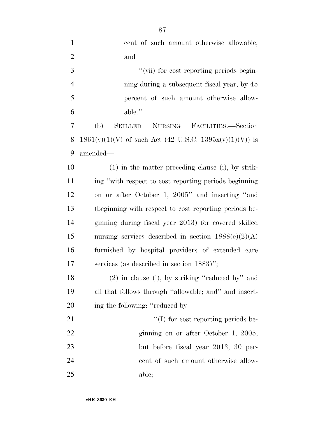| $\mathbf{1}$   | cent of such amount otherwise allowable,                       |
|----------------|----------------------------------------------------------------|
| $\overline{2}$ | and                                                            |
| 3              | "(vii) for cost reporting periods begin-                       |
| $\overline{4}$ | ning during a subsequent fiscal year, by 45                    |
| 5              | percent of such amount otherwise allow-                        |
| 6              | able.".                                                        |
| 7              | (b)<br><b>SKILLED</b><br><b>NURSING</b><br>FACILITIES.—Section |
| 8              | $1861(v)(1)(V)$ of such Act (42 U.S.C. 1395x(v)(1)(V)) is      |
| 9              | amended—                                                       |
| 10             | $(1)$ in the matter preceding clause (i), by strik-            |
| 11             | ing "with respect to cost reporting periods beginning          |
| 12             | on or after October 1, 2005" and inserting "and                |
| 13             | (beginning with respect to cost reporting periods be-          |
| 14             | ginning during fiscal year 2013) for covered skilled           |
| 15             | nursing services described in section $1888(e)(2)(A)$          |
| 16             | furnished by hospital providers of extended care               |
| 17             | services (as described in section 1883)";                      |
| 18             | (2) in clause (i), by striking "reduced by" and                |
| 19             | all that follows through "allowable; and" and insert-          |
| 20             | ing the following: "reduced by—                                |
| 21             | $\lq\lq$ for cost reporting periods be-                        |
| 22             | ginning on or after October 1, 2005,                           |
| 23             | but before fiscal year 2013, 30 per-                           |
| 24             | cent of such amount otherwise allow-                           |
| 25             | able;                                                          |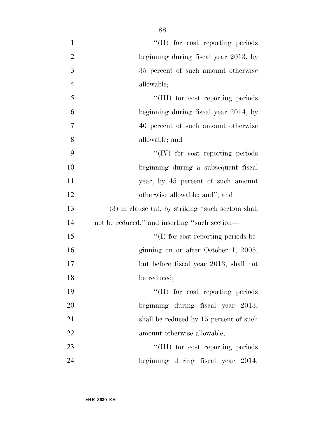| $\mathbf{1}$   | "(II) for cost reporting periods                    |
|----------------|-----------------------------------------------------|
| $\overline{2}$ | beginning during fiscal year 2013, by               |
| 3              | 35 percent of such amount otherwise                 |
| $\overline{4}$ | allowable;                                          |
| 5              | "(III) for cost reporting periods                   |
| 6              | beginning during fiscal year 2014, by               |
| 7              | 40 percent of such amount otherwise                 |
| 8              | allowable; and                                      |
| 9              | "(IV) for cost reporting periods                    |
| 10             | beginning during a subsequent fiscal                |
| 11             | year, by 45 percent of such amount                  |
| 12             | otherwise allowable; and"; and                      |
| 13             | (3) in clause (ii), by striking "such section shall |
| 14             | not be reduced." and inserting "such section—       |
| 15             | $\lq\lq$ for cost reporting periods be-             |
| 16             | ginning on or after October 1, 2005,                |
| 17             | but before fiscal year 2013, shall not              |
| 18             | be reduced;                                         |
| 19             | "(II) for cost reporting periods                    |
| 20             | beginning during fiscal year 2013,                  |
| 21             | shall be reduced by 15 percent of such              |
| 22             | amount otherwise allowable;                         |
| 23             | "(III) for cost reporting periods                   |
| 24             | beginning during fiscal year 2014,                  |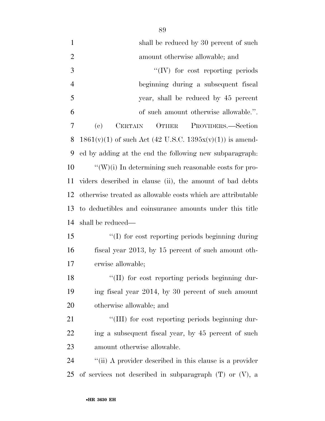| $\mathbf{1}$   | shall be reduced by 30 percent of such                        |
|----------------|---------------------------------------------------------------|
| $\overline{2}$ | amount otherwise allowable; and                               |
| 3              | $\lq\lq (IV)$ for cost reporting periods                      |
| $\overline{4}$ | beginning during a subsequent fiscal                          |
| 5              | year, shall be reduced by 45 percent                          |
| 6              | of such amount otherwise allowable.".                         |
| 7              | (e)<br>OTHER<br><b>CERTAIN</b><br>PROVIDERS.—Section          |
| 8              | $1861(v)(1)$ of such Act (42 U.S.C. $1395x(v)(1)$ ) is amend- |
| 9              | ed by adding at the end the following new subparagraph.       |
| 10             | $``(W)(i)$ In determining such reasonable costs for pro-      |
| 11             | viders described in clause (ii), the amount of bad debts      |
| 12             | otherwise treated as allowable costs which are attributable   |
| 13             | to deductibles and coinsurance amounts under this title       |
| 14             | shall be reduced—                                             |
| 15             | "(I) for cost reporting periods beginning during              |
| 16             | fiscal year 2013, by 15 percent of such amount oth-           |
| 17             | erwise allowable;                                             |
| 18             | "(II) for cost reporting periods beginning dur-               |
| 19             | ing fiscal year 2014, by 30 percent of such amount            |
| 20             | otherwise allowable; and                                      |
| 21             | "(III) for cost reporting periods beginning dur-              |
| <u>22</u>      | ing a subsequent fiscal year, by 45 percent of such           |
| 23             | amount otherwise allowable.                                   |
| 24             | "(ii) A provider described in this clause is a provider       |
| 25             | of services not described in subparagraph $(T)$ or $(V)$ , a  |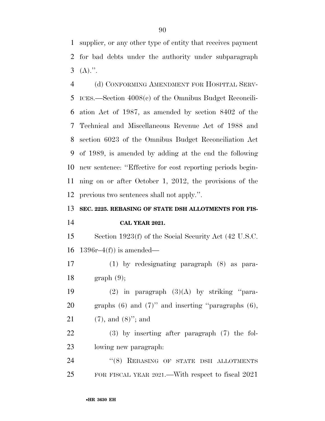supplier, or any other type of entity that receives payment for bad debts under the authority under subparagraph (A).".

 (d) CONFORMING AMENDMENT FOR HOSPITAL SERV- ICES.—Section 4008(c) of the Omnibus Budget Reconcili- ation Act of 1987, as amended by section 8402 of the Technical and Miscellaneous Revenue Act of 1988 and section 6023 of the Omnibus Budget Reconciliation Act of 1989, is amended by adding at the end the following new sentence: ''Effective for cost reporting periods begin- ning on or after October 1, 2012, the provisions of the previous two sentences shall not apply.''.

# **SEC. 2225. REBASING OF STATE DSH ALLOTMENTS FOR FIS-CAL YEAR 2021.**

 Section 1923(f) of the Social Security Act (42 U.S.C. 16 1396 $r-4(f)$  is amended—

 (1) by redesignating paragraph (8) as para-graph (9);

19  $(2)$  in paragraph  $(3)(A)$  by striking "para- graphs (6) and (7)'' and inserting ''paragraphs (6), (7), and (8)''; and

 (3) by inserting after paragraph (7) the fol-lowing new paragraph:

24 "(8) REBASING OF STATE DSH ALLOTMENTS FOR FISCAL YEAR 2021.—With respect to fiscal 2021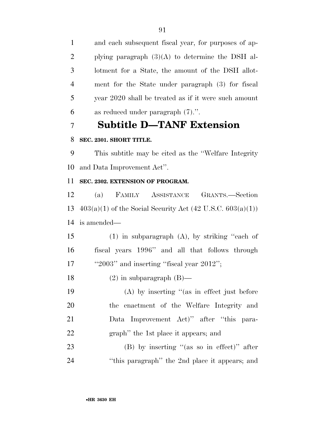and each subsequent fiscal year, for purposes of ap- plying paragraph (3)(A) to determine the DSH al- lotment for a State, the amount of the DSH allot- ment for the State under paragraph (3) for fiscal year 2020 shall be treated as if it were such amount as reduced under paragraph (7).''.

# **Subtitle D—TANF Extension**

# **SEC. 2301. SHORT TITLE.**

 This subtitle may be cited as the ''Welfare Integrity and Data Improvement Act''.

# **SEC. 2302. EXTENSION OF PROGRAM.**

 (a) FAMILY ASSISTANCE GRANTS.—Section 13  $403(a)(1)$  of the Social Security Act (42 U.S.C. 603(a)(1)) is amended—

 (1) in subparagraph (A), by striking ''each of fiscal years 1996'' and all that follows through 17 "2003" and inserting "fiscal year 2012";

18 (2) in subparagraph  $(B)$ —

 (A) by inserting ''(as in effect just before the enactment of the Welfare Integrity and Data Improvement Act)'' after ''this para-graph'' the 1st place it appears; and

 (B) by inserting ''(as so in effect)'' after ''this paragraph'' the 2nd place it appears; and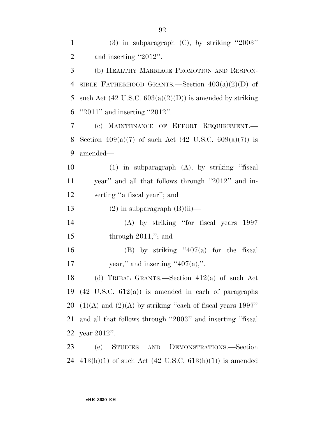1 (3) in subparagraph (C), by striking  $"2003"$ 2 and inserting "2012". (b) HEALTHY MARRIAGE PROMOTION AND RESPON- SIBLE FATHERHOOD GRANTS.—Section 403(a)(2)(D) of 5 such Act  $(42 \text{ U.S.C. } 603(a)(2)(D))$  is amended by striking ''2011'' and inserting ''2012''. (c) MAINTENANCE OF EFFORT REQUIREMENT.— 8 Section  $409(a)(7)$  of such Act  $(42 \text{ U.S.C. } 609(a)(7))$  is amended— (1) in subparagraph (A), by striking ''fiscal year'' and all that follows through ''2012'' and in-serting ''a fiscal year''; and

13 (2) in subparagraph  $(B)(ii)$ —

14 (A) by striking ''for fiscal years 1997 15 through 2011,"; and

16 (B) by striking  $407(a)$  for the fiscal 17 year," and inserting " $407(a)$ ,".

 (d) TRIBAL GRANTS.—Section 412(a) of such Act (42 U.S.C. 612(a)) is amended in each of paragraphs  $(1)(A)$  and  $(2)(A)$  by striking "each of fiscal years 1997" and all that follows through ''2003'' and inserting ''fiscal year 2012''.

23 (e) STUDIES AND DEMONSTRATIONS.—Section 24  $413(h)(1)$  of such Act  $(42 \text{ U.S.C. } 613(h)(1))$  is amended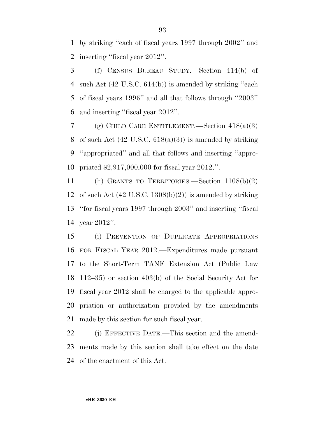by striking ''each of fiscal years 1997 through 2002'' and inserting ''fiscal year 2012''.

 (f) CENSUS BUREAU STUDY.—Section 414(b) of such Act (42 U.S.C. 614(b)) is amended by striking ''each of fiscal years 1996'' and all that follows through ''2003'' and inserting ''fiscal year 2012''.

7 (g) CHILD CARE ENTITLEMENT. Section  $418(a)(3)$ 8 of such Act  $(42 \text{ U.S.C. } 618(a)(3))$  is amended by striking ''appropriated'' and all that follows and inserting ''appro-priated \$2,917,000,000 for fiscal year 2012.''.

 (h) GRANTS TO TERRITORIES.—Section 1108(b)(2) 12 of such Act  $(42 \text{ U.S.C. } 1308(b)(2))$  is amended by striking ''for fiscal years 1997 through 2003'' and inserting ''fiscal year 2012''.

 (i) PREVENTION OF DUPLICATE APPROPRIATIONS FOR FISCAL YEAR 2012.—Expenditures made pursuant to the Short-Term TANF Extension Act (Public Law 112–35) or section 403(b) of the Social Security Act for fiscal year 2012 shall be charged to the applicable appro- priation or authorization provided by the amendments made by this section for such fiscal year.

 (j) EFFECTIVE DATE.—This section and the amend- ments made by this section shall take effect on the date of the enactment of this Act.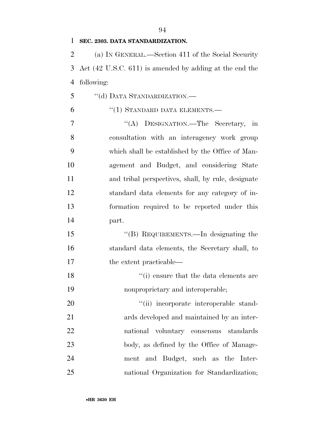#### **SEC. 2303. DATA STANDARDIZATION.**

 (a) IN GENERAL.—Section 411 of the Social Security Act (42 U.S.C. 611) is amended by adding at the end the following:

5 "(d) DATA STANDARDIZATION.—

#### 6 "(1) STANDARD DATA ELEMENTS.—

 ''(A) DESIGNATION.—The Secretary, in consultation with an interagency work group which shall be established by the Office of Man- agement and Budget, and considering State and tribal perspectives, shall, by rule, designate standard data elements for any category of in- formation required to be reported under this part.

 ''(B) REQUIREMENTS.—In designating the standard data elements, the Secretary shall, to 17 the extent practicable—

 ''(i) ensure that the data elements are nonproprietary and interoperable;

 $\frac{1}{1}$  incorporate interoperable stand- ards developed and maintained by an inter- national voluntary consensus standards 23 body, as defined by the Office of Manage- ment and Budget, such as the Inter-national Organization for Standardization;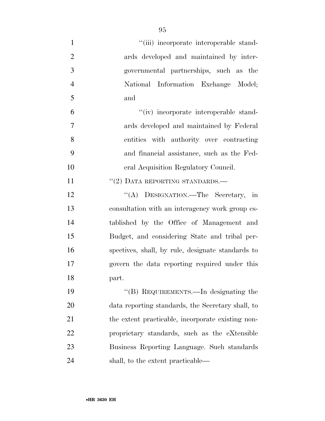| $\mathbf{1}$   | "(iii) incorporate interoperable stand-           |
|----------------|---------------------------------------------------|
| $\overline{2}$ | ards developed and maintained by inter-           |
| 3              | governmental partnerships, such as the            |
| $\overline{4}$ | National Information Exchange Model;              |
| 5              | and                                               |
| 6              | "(iv) incorporate interoperable stand-            |
| 7              | ards developed and maintained by Federal          |
| 8              | entities with authority over contracting          |
| 9              | and financial assistance, such as the Fed-        |
| 10             | eral Acquisition Regulatory Council.              |
| 11             | "(2) DATA REPORTING STANDARDS.-                   |
| 12             | "(A) DESIGNATION.—The Secretary, in               |
| 13             | consultation with an interagency work group es-   |
| 14             | tablished by the Office of Management and         |
| 15             | Budget, and considering State and tribal per-     |
| 16             | spectives, shall, by rule, designate standards to |
| 17             | govern the data reporting required under this     |
| 18             | part.                                             |
| 19             | "(B) REQUIREMENTS.—In designating the             |
| 20             | data reporting standards, the Secretary shall, to |
| 21             | the extent practicable, incorporate existing non- |
| 22             | proprietary standards, such as the eXtensible     |
| 23             | Business Reporting Language. Such standards       |
| 24             | shall, to the extent practicable—                 |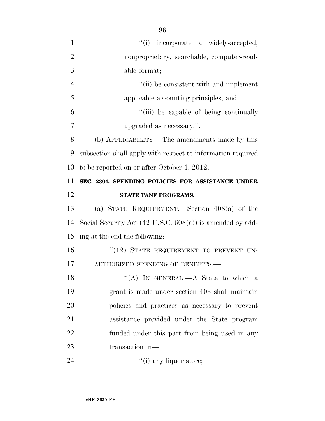| $\mathbf{1}$   | "(i) incorporate a widely-accepted,                                  |
|----------------|----------------------------------------------------------------------|
| $\overline{2}$ | nonproprietary, searchable, computer-read-                           |
| 3              | able format;                                                         |
| $\overline{4}$ | "(ii) be consistent with and implement                               |
| 5              | applicable accounting principles; and                                |
| 6              | "(iii) be capable of being continually                               |
| 7              | upgraded as necessary.".                                             |
| 8              | (b) APPLICABILITY.—The amendments made by this                       |
| 9              | subsection shall apply with respect to information required          |
| 10             | to be reported on or after October 1, 2012.                          |
| 11             | SEC. 2304. SPENDING POLICIES FOR ASSISTANCE UNDER                    |
| 12             | STATE TANF PROGRAMS.                                                 |
|                |                                                                      |
| 13             | (a) STATE REQUIREMENT.—Section $408(a)$ of the                       |
| 14             | Social Security Act $(42 \text{ U.S.C. } 608(a))$ is amended by add- |
| 15             | ing at the end the following:                                        |
| 16             | "(12) STATE REQUIREMENT TO PREVENT UN-                               |
| 17             | AUTHORIZED SPENDING OF BENEFITS.-                                    |
| 18             | "(A) IN GENERAL.—A State to which a                                  |
| 19             | grant is made under section 403 shall maintain                       |
| 20             | policies and practices as necessary to prevent                       |
| 21             | assistance provided under the State program                          |
| 22             | funded under this part from being used in any                        |
| 23             | transaction in-                                                      |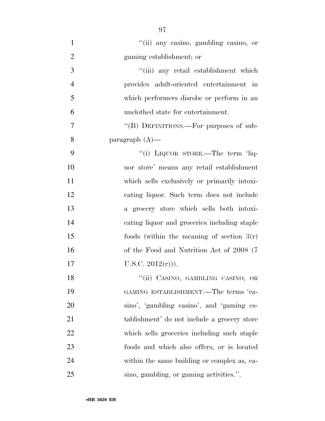''(ii) any casino, gambling casino, or gaming establishment; or ''(iii) any retail establishment which provides adult-oriented entertainment in which performers disrobe or perform in an unclothed state for entertainment. 7 "'(B) DEFINITIONS.—For purposes of sub- paragraph (A)— 9 "(i) LIQUOR STORE.—The term 'liq- uor store' means any retail establishment which sells exclusively or primarily intoxi- cating liquor. Such term does not include a grocery store which sells both intoxi- cating liquor and groceries including staple foods (within the meaning of section 3(r) of the Food and Nutrition Act of 2008 (7 17 U.S.C.  $2012(r)$ ). 18 "(ii) CASINO, GAMBLING CASINO, OR GAMING ESTABLISHMENT.—The terms 'ca- sino', 'gambling casino', and 'gaming es- tablishment' do not include a grocery store which sells groceries including such staple foods and which also offers, or is located within the same building or complex as, ca-sino, gambling, or gaming activities.''.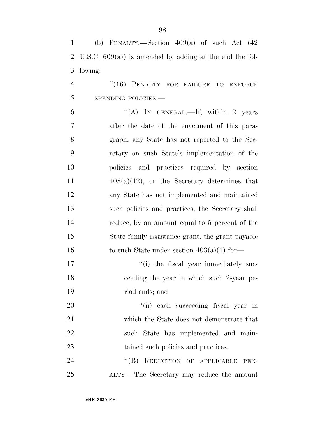| $\mathbf{1}$   | (b) PENALTY.—Section $409(a)$ of such Act $(42)$         |
|----------------|----------------------------------------------------------|
| 2              | U.S.C. $609(a)$ is amended by adding at the end the fol- |
| 3              | lowing:                                                  |
| $\overline{4}$ | "(16) PENALTY FOR FAILURE TO ENFORCE                     |
| 5              | SPENDING POLICIES.-                                      |
| 6              | "(A) IN GENERAL.—If, within 2 years                      |
| $\overline{7}$ | after the date of the enactment of this para-            |
| 8              | graph, any State has not reported to the Sec-            |
| 9              | retary on such State's implementation of the             |
| 10             | policies and practices required by section               |
| 11             | $408(a)(12)$ , or the Secretary determines that          |
| 12             | any State has not implemented and maintained             |
| 13             | such policies and practices, the Secretary shall         |
| 14             | reduce, by an amount equal to 5 percent of the           |
| 15             | State family assistance grant, the grant payable         |
| 16             | to such State under section $403(a)(1)$ for—             |
| 17             | "(i) the fiscal year immediately suc-                    |
| 18             | ceeding the year in which such 2-year pe-                |
| 19             | riod ends; and                                           |
| 20             | "(ii) each succeeding fiscal year in                     |
| 21             | which the State does not demonstrate that                |
| 22             | such State has implemented and main-                     |
| 23             | tained such policies and practices.                      |
| 24             | $\lq\lq (B)$<br>REDUCTION OF APPLICABLE PEN-             |
| 25             | ALTY.—The Secretary may reduce the amount                |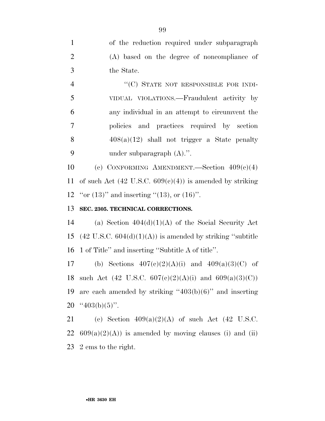of the reduction required under subparagraph (A) based on the degree of noncompliance of the State. 4 "(C) STATE NOT RESPONSIBLE FOR INDI-VIDUAL VIOLATIONS.—Fraudulent activity by

 any individual in an attempt to circumvent the policies and practices required by section  $408(a)(12)$  shall not trigger a State penalty under subparagraph (A).''.

10 (c) CONFORMING AMENDMENT. Section  $409(c)(4)$ 11 of such Act  $(42 \text{ U.S.C. } 609(c)(4))$  is amended by striking 12 "or  $(13)$ " and inserting " $(13)$ , or  $(16)$ ".

# 13 **SEC. 2305. TECHNICAL CORRECTIONS.**

14 (a) Section  $404(d)(1)(A)$  of the Social Security Act 15 (42 U.S.C.  $604(d)(1)(A)$ ) is amended by striking "subtitle 16 1 of Title'' and inserting ''Subtitle A of title''.

17 (b) Sections  $407(c)(2)(A)(i)$  and  $409(a)(3)(C)$  of 18 such Act (42 U.S.C.  $607(c)(2)(A)(i)$  and  $609(a)(3)(C)$ ) 19 are each amended by striking  $403(b)(6)$ " and inserting 20  $\cdot$  '403(b)(5)''.

21 (c) Section  $409(a)(2)(A)$  of such Act (42 U.S.C. 22  $609(a)(2)(A)$  is amended by moving clauses (i) and (ii) 23 2 ems to the right.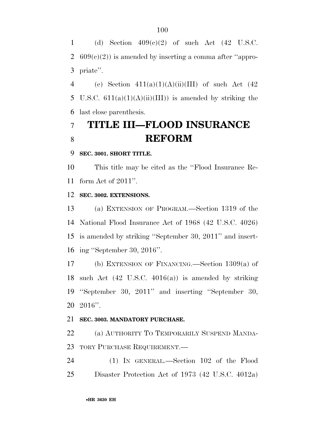1 (d) Section  $409(c)(2)$  of such Act (42 U.S.C. 2  $609(c)(2)$  is amended by inserting a comma after "appro-priate''.

4 (e) Section  $411(a)(1)(A)(ii)(III)$  of such Act  $(42)$ 5 U.S.C.  $611(a)(1)(A)(ii)(III)$  is amended by striking the last close parenthesis.

# **TITLE III—FLOOD INSURANCE REFORM**

#### **SEC. 3001. SHORT TITLE.**

 This title may be cited as the ''Flood Insurance Re-form Act of 2011''.

**SEC. 3002. EXTENSIONS.** 

 (a) EXTENSION OF PROGRAM.—Section 1319 of the National Flood Insurance Act of 1968 (42 U.S.C. 4026) is amended by striking ''September 30, 2011'' and insert-ing ''September 30, 2016''.

 (b) EXTENSION OF FINANCING.—Section 1309(a) of such Act (42 U.S.C. 4016(a)) is amended by striking ''September 30, 2011'' and inserting ''September 30, 2016''.

### **SEC. 3003. MANDATORY PURCHASE.**

 (a) AUTHORITY TO TEMPORARILY SUSPEND MANDA-TORY PURCHASE REQUIREMENT.—

 (1) IN GENERAL.—Section 102 of the Flood Disaster Protection Act of 1973 (42 U.S.C. 4012a)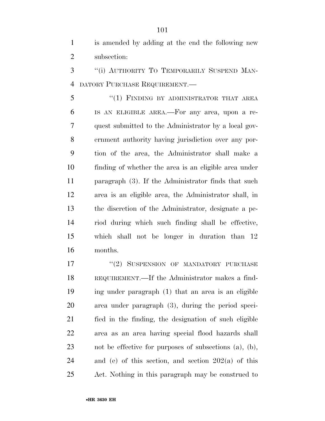is amended by adding at the end the following new subsection:

 ''(i) AUTHORITY TO TEMPORARILY SUSPEND MAN-DATORY PURCHASE REQUIREMENT.—

5 "(1) FINDING BY ADMINISTRATOR THAT AREA IS AN ELIGIBLE AREA.—For any area, upon a re- quest submitted to the Administrator by a local gov- ernment authority having jurisdiction over any por- tion of the area, the Administrator shall make a finding of whether the area is an eligible area under paragraph (3). If the Administrator finds that such area is an eligible area, the Administrator shall, in the discretion of the Administrator, designate a pe- riod during which such finding shall be effective, which shall not be longer in duration than 12 months.

17 "(2) SUSPENSION OF MANDATORY PURCHASE REQUIREMENT.—If the Administrator makes a find- ing under paragraph (1) that an area is an eligible area under paragraph (3), during the period speci- fied in the finding, the designation of such eligible area as an area having special flood hazards shall not be effective for purposes of subsections (a), (b), 24 and (e) of this section, and section  $202(a)$  of this Act. Nothing in this paragraph may be construed to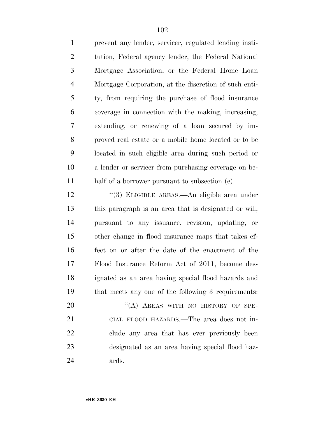prevent any lender, servicer, regulated lending insti- tution, Federal agency lender, the Federal National Mortgage Association, or the Federal Home Loan Mortgage Corporation, at the discretion of such enti- ty, from requiring the purchase of flood insurance coverage in connection with the making, increasing, extending, or renewing of a loan secured by im- proved real estate or a mobile home located or to be located in such eligible area during such period or a lender or servicer from purchasing coverage on be-half of a borrower pursuant to subsection (e).

12 "(3) ELIGIBLE AREAS.—An eligible area under this paragraph is an area that is designated or will, pursuant to any issuance, revision, updating, or other change in flood insurance maps that takes ef- fect on or after the date of the enactment of the Flood Insurance Reform Act of 2011, become des- ignated as an area having special flood hazards and that meets any one of the following 3 requirements:

20 "(A) AREAS WITH NO HISTORY OF SPE- CIAL FLOOD HAZARDS.—The area does not in- clude any area that has ever previously been designated as an area having special flood haz-ards.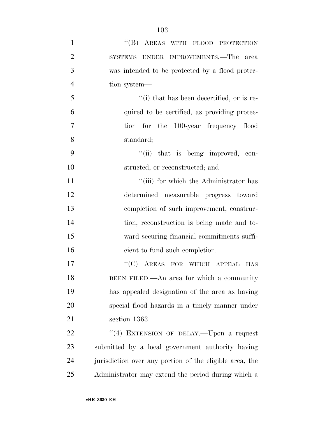| $\mathbf{1}$   | "(B) AREAS WITH FLOOD PROTECTION                        |
|----------------|---------------------------------------------------------|
| $\overline{2}$ | SYSTEMS UNDER IMPROVEMENTS.—The<br>area                 |
| 3              | was intended to be protected by a flood protec-         |
| $\overline{4}$ | tion system—                                            |
| 5              | $"$ (i) that has been decertified, or is re-            |
| 6              | quired to be certified, as providing protec-            |
| $\overline{7}$ | tion for the 100-year frequency flood                   |
| 8              | standard;                                               |
| 9              | "(ii) that is being improved, con-                      |
| 10             | structed, or reconstructed; and                         |
| 11             | "(iii) for which the Administrator has                  |
| 12             | determined measurable progress toward                   |
| 13             | completion of such improvement, construc-               |
| 14             | tion, reconstruction is being made and to-              |
| 15             | ward securing financial commitments suffi-              |
| 16             | cient to fund such completion.                          |
| 17             | $"$ (C) AREAS FOR WHICH APPEAL HAS                      |
| 18             | BEEN FILED.—An area for which a community               |
| 19             | has appealed designation of the area as having          |
| 20             | special flood hazards in a timely manner under          |
| 21             | section 1363.                                           |
| 22             | "(4) EXTENSION OF DELAY.—Upon a request                 |
| 23             | submitted by a local government authority having        |
| 24             | jurisdiction over any portion of the eligible area, the |
| 25             | Administrator may extend the period during which a      |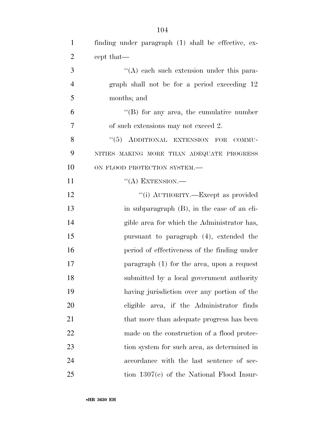| $\mathbf{1}$   | finding under paragraph (1) shall be effective, ex- |
|----------------|-----------------------------------------------------|
| $\overline{2}$ | cept that—                                          |
| 3              | $\lq\lq$ each such extension under this para-       |
| $\overline{4}$ | graph shall not be for a period exceeding 12        |
| 5              | months; and                                         |
| 6              | $\lq\lq (B)$ for any area, the cumulative number    |
| $\overline{7}$ | of such extensions may not exceed 2.                |
| 8              | "(5) ADDITIONAL EXTENSION FOR COMMU-                |
| 9              | NITIES MAKING MORE THAN ADEQUATE PROGRESS           |
| 10             | ON FLOOD PROTECTION SYSTEM.-                        |
| 11             | $\lq\lq$ (A) EXTENSION.—                            |
| 12             | "(i) AUTHORITY.—Except as provided                  |
| 13             | in subparagraph (B), in the case of an eli-         |
| 14             | gible area for which the Administrator has,         |
| 15             | pursuant to paragraph (4), extended the             |
| 16             | period of effectiveness of the finding under        |
| 17             | paragraph $(1)$ for the area, upon a request        |
| 18             | submitted by a local government authority           |
| 19             | having jurisdiction over any portion of the         |
| 20             | eligible area, if the Administrator finds           |
| 21             | that more than adequate progress has been           |
| 22             | made on the construction of a flood protec-         |
| 23             | tion system for such area, as determined in         |
| 24             | accordance with the last sentence of sec-           |
| 25             | tion 1307(e) of the National Flood Insur-           |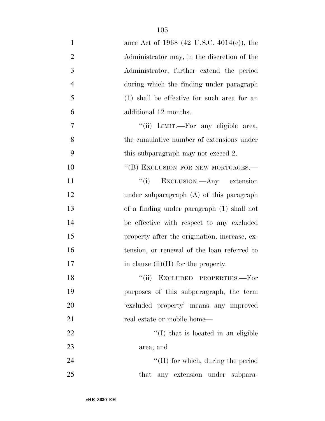| $\mathbf{1}$   | ance Act of 1968 (42 U.S.C. 4014(e)), the     |
|----------------|-----------------------------------------------|
| $\overline{2}$ | Administrator may, in the discretion of the   |
| 3              | Administrator, further extend the period      |
| $\overline{4}$ | during which the finding under paragraph      |
| 5              | $(1)$ shall be effective for such area for an |
| 6              | additional 12 months.                         |
| $\overline{7}$ | "(ii) LIMIT.—For any eligible area,           |
| 8              | the cumulative number of extensions under     |
| 9              | this subparagraph may not exceed 2.           |
| 10             | "(B) EXCLUSION FOR NEW MORTGAGES.-            |
| 11             | "(i) EXCLUSION.—Any extension                 |
| 12             | under subparagraph $(A)$ of this paragraph    |
| 13             | of a finding under paragraph (1) shall not    |
| 14             | be effective with respect to any excluded     |
| 15             | property after the origination, increase, ex- |
| 16             | tension, or renewal of the loan referred to   |
| 17             | in clause $(ii)(II)$ for the property.        |
| 18             | "(ii) EXCLUDED PROPERTIES.-For                |
| 19             | purposes of this subparagraph, the term       |
| 20             | 'excluded property' means any improved        |
| 21             | real estate or mobile home—                   |
| 22             | $\lq\lq$ (I) that is located in an eligible   |
| 23             | area; and                                     |
| 24             | $\lq\lq$ (II) for which, during the period    |
| 25             | that any extension under subpara-             |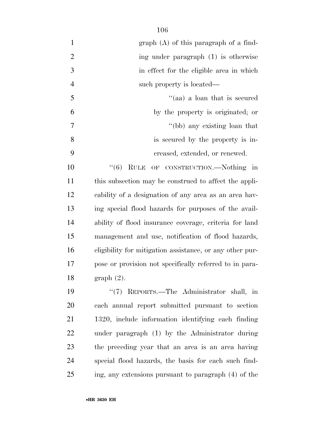| $\mathbf{1}$   | $graph(A)$ of this paragraph of a find-                  |
|----------------|----------------------------------------------------------|
| $\overline{2}$ | ing under paragraph (1) is otherwise                     |
| 3              | in effect for the eligible area in which                 |
| $\overline{4}$ | such property is located—                                |
| 5              | "(aa) a loan that is secured                             |
| 6              | by the property is originated; or                        |
| 7              | "(bb) any existing loan that                             |
| 8              | is secured by the property is in-                        |
| 9              | creased, extended, or renewed.                           |
| 10             | (6)<br>RULE OF CONSTRUCTION.—Nothing in                  |
| 11             | this subsection may be construed to affect the appli-    |
| 12             | cability of a designation of any area as an area hav-    |
| 13             | ing special flood hazards for purposes of the avail-     |
| 14             | ability of flood insurance coverage, criteria for land   |
| 15             | management and use, notification of flood hazards,       |
| 16             | eligibility for mitigation assistance, or any other pur- |
| 17             | pose or provision not specifically referred to in para-  |
| 18             | $graph(2)$ .                                             |
| 19             | "(7) REPORTS.—The Administrator shall, in                |
| 20             | each annual report submitted pursuant to section         |
| 21             | 1320, include information identifying each finding       |
| 22             | under paragraph (1) by the Administrator during          |
| 23             | the preceding year that an area is an area having        |
| 24             | special flood hazards, the basis for each such find-     |
| 25             | ing, any extensions pursuant to paragraph (4) of the     |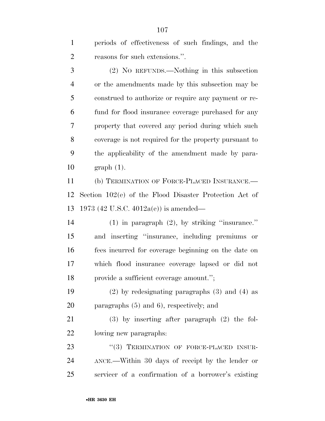periods of effectiveness of such findings, and the reasons for such extensions.''.

 (2) NO REFUNDS.—Nothing in this subsection or the amendments made by this subsection may be construed to authorize or require any payment or re- fund for flood insurance coverage purchased for any property that covered any period during which such coverage is not required for the property pursuant to the applicability of the amendment made by para-graph (1).

 (b) TERMINATION OF FORCE-PLACED INSURANCE.— Section 102(e) of the Flood Disaster Protection Act of 1973 (42 U.S.C. 4012a(e)) is amended—

 (1) in paragraph (2), by striking ''insurance.'' and inserting ''insurance, including premiums or fees incurred for coverage beginning on the date on which flood insurance coverage lapsed or did not provide a sufficient coverage amount.'';

 (2) by redesignating paragraphs (3) and (4) as paragraphs (5) and 6), respectively; and

 (3) by inserting after paragraph (2) the fol-lowing new paragraphs:

23 "(3) TERMINATION OF FORCE-PLACED INSUR- ANCE.—Within 30 days of receipt by the lender or servicer of a confirmation of a borrower's existing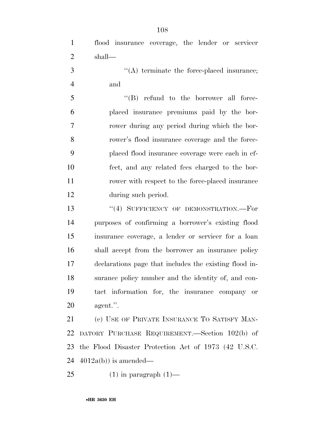flood insurance coverage, the lender or servicer shall—

 ''(A) terminate the force-placed insurance; and

 ''(B) refund to the borrower all force- placed insurance premiums paid by the bor- rower during any period during which the bor- rower's flood insurance coverage and the force- placed flood insurance coverage were each in ef- fect, and any related fees charged to the bor- rower with respect to the force-placed insurance during such period.

13 "(4) SUFFICIENCY OF DEMONSTRATION. For purposes of confirming a borrower's existing flood insurance coverage, a lender or servicer for a loan shall accept from the borrower an insurance policy declarations page that includes the existing flood in- surance policy number and the identity of, and con- tact information for, the insurance company or agent.''.

21 (c) USE OF PRIVATE INSURANCE TO SATISFY MAN- DATORY PURCHASE REQUIREMENT.—Section 102(b) of the Flood Disaster Protection Act of 1973 (42 U.S.C.  $4012a(b)$  is amended—

25  $(1)$  in paragraph  $(1)$ —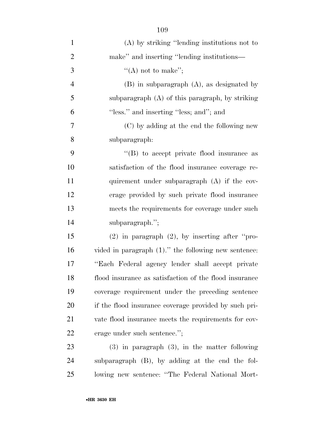| $\mathbf{1}$   | $(A)$ by striking "lending institutions not to          |
|----------------|---------------------------------------------------------|
| $\overline{2}$ | make" and inserting "lending institutions—              |
| 3              | "(A) not to make";                                      |
| $\overline{4}$ | $(B)$ in subparagraph $(A)$ , as designated by          |
| 5              | subparagraph $(A)$ of this paragraph, by striking       |
| 6              | "less." and inserting "less; and"; and                  |
| $\overline{7}$ | (C) by adding at the end the following new              |
| 8              | subparagraph:                                           |
| 9              | $\lq\lq$ to accept private flood insurance as           |
| 10             | satisfaction of the flood insurance coverage re-        |
| 11             | quirement under subparagraph (A) if the cov-            |
| 12             | erage provided by such private flood insurance          |
| 13             | meets the requirements for coverage under such          |
| 14             | subparagraph.";                                         |
| 15             | $(2)$ in paragraph $(2)$ , by inserting after "pro-     |
| 16             | vided in paragraph $(1)$ ." the following new sentence: |
| 17             | "Each Federal agency lender shall accept private        |
| 18             | flood insurance as satisfaction of the flood insurance  |
| 19             | coverage requirement under the preceding sentence       |
| 20             | if the flood insurance coverage provided by such pri-   |
| 21             | vate flood insurance meets the requirements for cov-    |
| 22             | erage under such sentence.";                            |
| 23             | $(3)$ in paragraph $(3)$ , in the matter following      |
| 24             | subparagraph (B), by adding at the end the fol-         |
| 25             | lowing new sentence: "The Federal National Mort-        |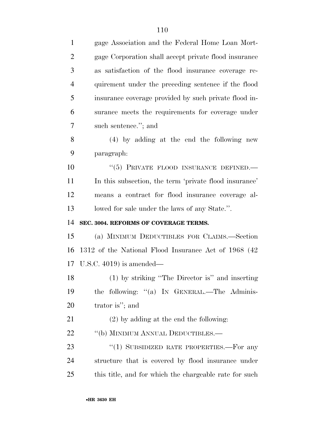| $\mathbf{1}$   | gage Association and the Federal Home Loan Mort-       |  |
|----------------|--------------------------------------------------------|--|
| $\overline{2}$ | gage Corporation shall accept private flood insurance  |  |
| 3              | as satisfaction of the flood insurance coverage re-    |  |
| $\overline{4}$ | quirement under the preceding sentence if the flood    |  |
| 5              | insurance coverage provided by such private flood in-  |  |
| 6              | surance meets the requirements for coverage under      |  |
| 7              | such sentence."; and                                   |  |
| 8              | $(4)$ by adding at the end the following new           |  |
| 9              | paragraph:                                             |  |
| 10             | "(5) PRIVATE FLOOD INSURANCE DEFINED.-                 |  |
| 11             | In this subsection, the term 'private flood insurance' |  |
| 12             | means a contract for flood insurance coverage al-      |  |
| 13             | lowed for sale under the laws of any State.".          |  |
|                |                                                        |  |
| 14             | SEC. 3004. REFORMS OF COVERAGE TERMS.                  |  |
| 15             | (a) MINIMUM DEDUCTIBLES FOR CLAIMS.—Section            |  |
| 16             | 1312 of the National Flood Insurance Act of 1968 (42)  |  |
|                | 17 U.S.C. $4019$ is amended—                           |  |
| 18             | (1) by striking "The Director is" and inserting        |  |
|                | the following: "(a) IN GENERAL.—The Adminis-           |  |
| 19<br>20       | trator is"; and                                        |  |
| 21             | $(2)$ by adding at the end the following:              |  |
| 22             | "(b) MINIMUM ANNUAL DEDUCTIBLES.—                      |  |
| 23             | "(1) SUBSIDIZED RATE PROPERTIES.—For any               |  |
| 24             | structure that is covered by flood insurance under     |  |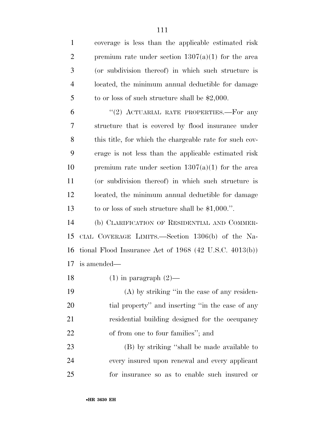coverage is less than the applicable estimated risk 2 premium rate under section  $1307(a)(1)$  for the area (or subdivision thereof) in which such structure is located, the minimum annual deductible for damage 5 to or loss of such structure shall be \$2,000. 6 "(2) ACTUARIAL RATE PROPERTIES.—For any structure that is covered by flood insurance under this title, for which the chargeable rate for such cov- erage is not less than the applicable estimated risk 10 premium rate under section  $1307(a)(1)$  for the area (or subdivision thereof) in which such structure is located, the minimum annual deductible for damage to or loss of such structure shall be \$1,000.''. (b) CLARIFICATION OF RESIDENTIAL AND COMMER- CIAL COVERAGE LIMITS.—Section 1306(b) of the Na- tional Flood Insurance Act of 1968 (42 U.S.C. 4013(b)) is amended—

18 (1) in paragraph  $(2)$ —

 (A) by striking ''in the case of any residen- tial property'' and inserting ''in the case of any residential building designed for the occupancy 22 of from one to four families"; and

 (B) by striking ''shall be made available to every insured upon renewal and every applicant for insurance so as to enable such insured or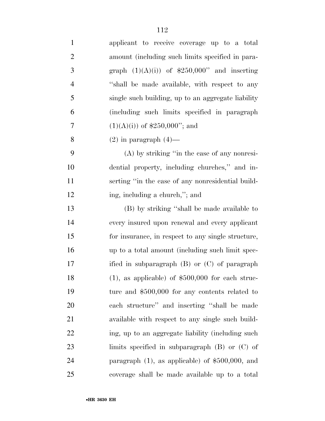| $\mathbf{1}$   | applicant to receive coverage up to a total         |
|----------------|-----------------------------------------------------|
| $\overline{2}$ | amount (including such limits specified in para-    |
| 3              | graph $(1)(A)(i)$ of \$250,000" and inserting       |
| $\overline{4}$ | "shall be made available, with respect to any       |
| 5              | single such building, up to an aggregate liability  |
| 6              | (including such limits specified in paragraph)      |
| 7              | $(1)(A)(i)$ of \$250,000"; and                      |
| 8              | $(2)$ in paragraph $(4)$ —                          |
| 9              | $(A)$ by striking "in the case of any nonresi-      |
| 10             | dential property, including churches," and in-      |
| 11             | serting "in the case of any nonresidential build-   |
| 12             | ing, including a church,"; and                      |
| 13             | (B) by striking "shall be made available to         |
| 14             | every insured upon renewal and every applicant      |
| 15             | for insurance, in respect to any single structure,  |
| 16             | up to a total amount (including such limit spec-    |
| 17             | ified in subparagraph $(B)$ or $(C)$ of paragraph   |
| 18             | $(1)$ , as applicable) of \$500,000 for each struc- |
| 19             | ture and $$500,000$ for any contents related to     |
| 20             | each structure" and inserting "shall be made        |
| 21             | available with respect to any single such build-    |
| 22             | ing, up to an aggregate liability (including such   |
| 23             | limits specified in subparagraph $(B)$ or $(C)$ of  |
| 24             | paragraph $(1)$ , as applicable) of \$500,000, and  |
| 25             | coverage shall be made available up to a total      |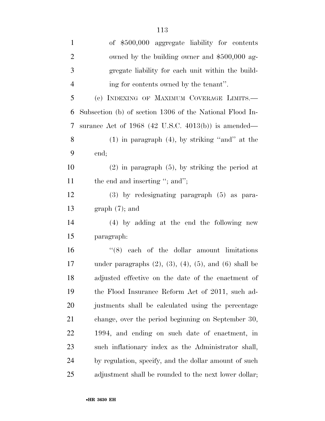| $\mathbf{1}$   | of \$500,000 aggregate liability for contents                       |  |
|----------------|---------------------------------------------------------------------|--|
| $\overline{2}$ | owned by the building owner and \$500,000 ag-                       |  |
| 3              | gregate liability for each unit within the build-                   |  |
| $\overline{4}$ | ing for contents owned by the tenant".                              |  |
| 5              | (c) INDEXING OF MAXIMUM COVERAGE LIMITS.—                           |  |
| 6              | Subsection (b) of section 1306 of the National Flood In-            |  |
| 7              | surance Act of $1968$ (42 U.S.C. 4013(b)) is amended—               |  |
| 8              | $(1)$ in paragraph $(4)$ , by striking "and" at the                 |  |
| 9              | end;                                                                |  |
| 10             | $(2)$ in paragraph $(5)$ , by striking the period at                |  |
| <sup>11</sup>  | the end and inserting "; and";                                      |  |
| 12             | $(3)$ by redesignating paragraph $(5)$ as para-                     |  |
| 13             | $graph(7)$ ; and                                                    |  |
| 14             | $(4)$ by adding at the end the following new                        |  |
| 15             | paragraph:                                                          |  |
| 16             | $(8)$ each of the dollar amount limitations                         |  |
| 17             | under paragraphs $(2)$ , $(3)$ , $(4)$ , $(5)$ , and $(6)$ shall be |  |
| 18             | adjusted effective on the date of the enactment of                  |  |
| 19             | the Flood Insurance Reform Act of 2011, such ad-                    |  |
| 20             | justments shall be calculated using the percentage                  |  |
| 21             | change, over the period beginning on September 30,                  |  |
| <u>22</u>      | 1994, and ending on such date of enactment, in                      |  |
| 23             | such inflationary index as the Administrator shall,                 |  |
| 24             | by regulation, specify, and the dollar amount of such               |  |
| 25             | adjustment shall be rounded to the next lower dollar;               |  |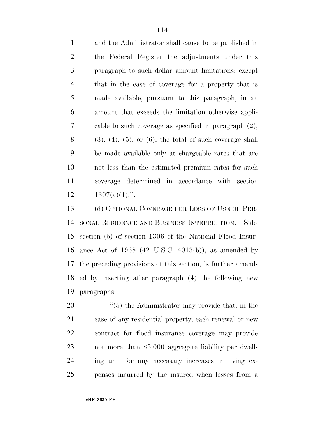and the Administrator shall cause to be published in the Federal Register the adjustments under this paragraph to such dollar amount limitations; except that in the case of coverage for a property that is made available, pursuant to this paragraph, in an amount that exceeds the limitation otherwise appli- cable to such coverage as specified in paragraph (2), (3), (4), (5), or (6), the total of such coverage shall be made available only at chargeable rates that are not less than the estimated premium rates for such coverage determined in accordance with section  $1307(a)(1)$ .".

13 (d) OPTIONAL COVERAGE FOR LOSS OF USE OF PER- SONAL RESIDENCE AND BUSINESS INTERRUPTION.—Sub- section (b) of section 1306 of the National Flood Insur- ance Act of 1968 (42 U.S.C. 4013(b)), as amended by the preceding provisions of this section, is further amend- ed by inserting after paragraph (4) the following new paragraphs:

 $\frac{1}{20}$  (5) the Administrator may provide that, in the case of any residential property, each renewal or new contract for flood insurance coverage may provide not more than \$5,000 aggregate liability per dwell- ing unit for any necessary increases in living ex-penses incurred by the insured when losses from a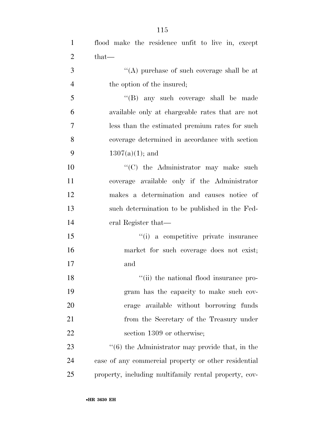| $\mathbf{1}$   | flood make the residence unfit to live in, except           |
|----------------|-------------------------------------------------------------|
| 2              | $that-$                                                     |
| 3              | "(A) purchase of such coverage shall be at                  |
| $\overline{4}$ | the option of the insured;                                  |
| 5              | "(B) any such coverage shall be made                        |
| 6              | available only at chargeable rates that are not             |
| $\tau$         | less than the estimated premium rates for such              |
| 8              | coverage determined in accordance with section              |
| 9              | $1307(a)(1)$ ; and                                          |
| 10             | "(C) the Administrator may make such                        |
| 11             | coverage available only if the Administrator                |
| 12             | makes a determination and causes notice of                  |
| 13             | such determination to be published in the Fed-              |
| 14             | eral Register that—                                         |
| 15             | "(i) a competitive private insurance                        |
| 16             | market for such coverage does not exist;                    |
| 17             | and                                                         |
| 18             | "(ii) the national flood insurance pro-                     |
| 19             | gram has the capacity to make such cov-                     |
| 20             | erage available without borrowing funds                     |
| 21             | from the Secretary of the Treasury under                    |
| 22             | section 1309 or otherwise;                                  |
| 23             | $\cdot\cdot$ (6) the Administrator may provide that, in the |
| 24             | case of any commercial property or other residential        |
| 25             | property, including multifamily rental property, cov-       |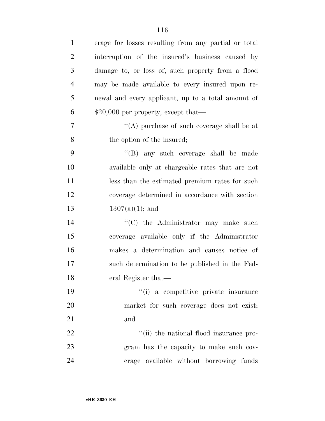| $\mathbf{1}$   | erage for losses resulting from any partial or total |
|----------------|------------------------------------------------------|
| $\overline{2}$ | interruption of the insured's business caused by     |
| 3              | damage to, or loss of, such property from a flood    |
| $\overline{4}$ | may be made available to every insured upon re-      |
| 5              | newal and every applicant, up to a total amount of   |
| 6              | $$20,000$ per property, except that—                 |
| $\overline{7}$ | "(A) purchase of such coverage shall be at           |
| 8              | the option of the insured;                           |
| 9              | "(B) any such coverage shall be made                 |
| 10             | available only at chargeable rates that are not      |
| 11             | less than the estimated premium rates for such       |
| 12             | coverage determined in accordance with section       |
| 13             | $1307(a)(1)$ ; and                                   |
| 14             | "(C) the Administrator may make such                 |
| 15             | coverage available only if the Administrator         |
| 16             | makes a determination and causes notice of           |
| 17             | such determination to be published in the Fed-       |
| 18             | eral Register that-                                  |
| 19             | "(i) a competitive private insurance                 |
| 20             | market for such coverage does not exist;             |
| 21             | and                                                  |
| 22             | "(ii) the national flood insurance pro-              |
| 23             | gram has the capacity to make such cov-              |
| 24             | erage available without borrowing funds              |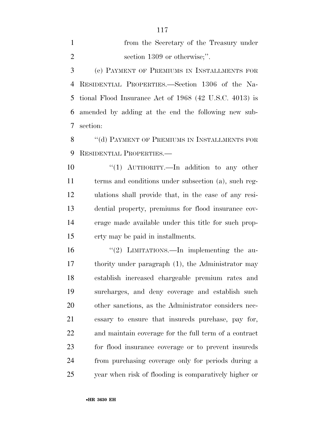from the Secretary of the Treasury under 2 section 1309 or otherwise;".

 (e) PAYMENT OF PREMIUMS IN INSTALLMENTS FOR RESIDENTIAL PROPERTIES.—Section 1306 of the Na- tional Flood Insurance Act of 1968 (42 U.S.C. 4013) is amended by adding at the end the following new sub-section:

8 "(d) PAYMENT OF PREMIUMS IN INSTALLMENTS FOR RESIDENTIAL PROPERTIES.—

 ''(1) AUTHORITY.—In addition to any other terms and conditions under subsection (a), such reg- ulations shall provide that, in the case of any resi- dential property, premiums for flood insurance cov- erage made available under this title for such prop-erty may be paid in installments.

 ''(2) LIMITATIONS.—In implementing the au- thority under paragraph (1), the Administrator may establish increased chargeable premium rates and surcharges, and deny coverage and establish such other sanctions, as the Administrator considers nec- essary to ensure that insureds purchase, pay for, and maintain coverage for the full term of a contract for flood insurance coverage or to prevent insureds from purchasing coverage only for periods during a year when risk of flooding is comparatively higher or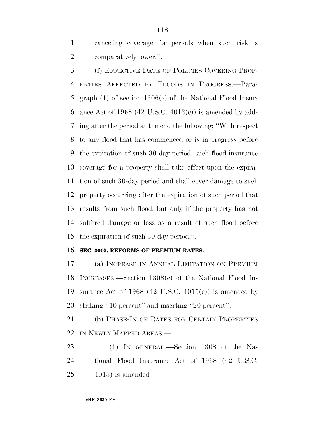canceling coverage for periods when such risk is comparatively lower.''.

 (f) EFFECTIVE DATE OF POLICIES COVERING PROP- ERTIES AFFECTED BY FLOODS IN PROGRESS.—Para- graph (1) of section 1306(c) of the National Flood Insur-6 ance Act of 1968 (42 U.S.C.  $4013(c)$ ) is amended by add- ing after the period at the end the following: ''With respect to any flood that has commenced or is in progress before the expiration of such 30-day period, such flood insurance coverage for a property shall take effect upon the expira- tion of such 30-day period and shall cover damage to such property occurring after the expiration of such period that results from such flood, but only if the property has not suffered damage or loss as a result of such flood before the expiration of such 30-day period.''.

#### **SEC. 3005. REFORMS OF PREMIUM RATES.**

 (a) INCREASE IN ANNUAL LIMITATION ON PREMIUM INCREASES.—Section 1308(e) of the National Flood In-19 surance Act of 1968 (42 U.S.C. 4015(e)) is amended by striking ''10 percent'' and inserting ''20 percent''.

21 (b) PHASE-IN OF RATES FOR CERTAIN PROPERTIES IN NEWLY MAPPED AREAS.—

 (1) IN GENERAL.—Section 1308 of the Na- tional Flood Insurance Act of 1968 (42 U.S.C. 4015) is amended—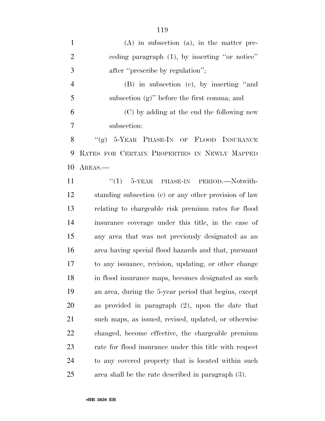| $\mathbf{1}$   | $(A)$ in subsection $(a)$ , in the matter pre-         |
|----------------|--------------------------------------------------------|
| $\overline{2}$ | ceding paragraph (1), by inserting "or notice"         |
| 3              | after "prescribe by regulation";                       |
| $\overline{4}$ | (B) in subsection (c), by inserting "and               |
| 5              | subsection $(g)$ " before the first comma; and         |
| 6              | (C) by adding at the end the following new             |
| 7              | subsection:                                            |
| 8              | "(g) 5-YEAR PHASE-IN OF FLOOD INSURANCE                |
| 9              | RATES FOR CERTAIN PROPERTIES IN NEWLY MAPPED           |
| 10             | AREAS.—                                                |
| 11             | $\cdot$ (1) 5-YEAR PHASE-IN PERIOD. Notwith-           |
| 12             | standing subsection (c) or any other provision of law  |
| 13             | relating to chargeable risk premium rates for flood    |
| 14             | insurance coverage under this title, in the case of    |
| 15             | any area that was not previously designated as an      |
| 16             | area having special flood hazards and that, pursuant   |
| 17             | to any issuance, revision, updating, or other change   |
| 18             | in flood insurance maps, becomes designated as such    |
| 19             | an area, during the 5-year period that begins, except  |
| 20             | as provided in paragraph $(2)$ , upon the date that    |
| 21             | such maps, as issued, revised, updated, or otherwise   |
| 22             | changed, become effective, the chargeable premium      |
| 23             | rate for flood insurance under this title with respect |
| 24             | to any covered property that is located within such    |
| 25             | area shall be the rate described in paragraph (3).     |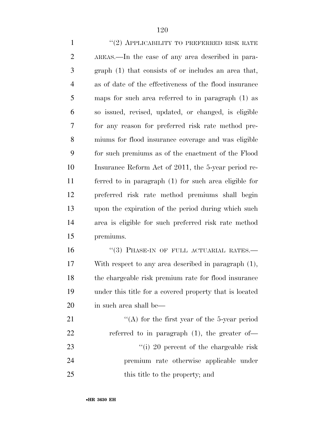1 ''(2) APPLICABILITY TO PREFERRED RISK RATE AREAS.—In the case of any area described in para- graph (1) that consists of or includes an area that, as of date of the effectiveness of the flood insurance maps for such area referred to in paragraph (1) as so issued, revised, updated, or changed, is eligible for any reason for preferred risk rate method pre- miums for flood insurance coverage and was eligible for such premiums as of the enactment of the Flood Insurance Reform Act of 2011, the 5-year period re- ferred to in paragraph (1) for such area eligible for preferred risk rate method premiums shall begin upon the expiration of the period during which such area is eligible for such preferred risk rate method premiums.

16 "(3) PHASE-IN OF FULL ACTUARIAL RATES.— With respect to any area described in paragraph (1), the chargeable risk premium rate for flood insurance under this title for a covered property that is located in such area shall be—

21  $\langle (A)$  for the first year of the 5-year period 22 referred to in paragraph (1), the greater of-23 ''(i) 20 percent of the chargeable risk premium rate otherwise applicable under 25 this title to the property; and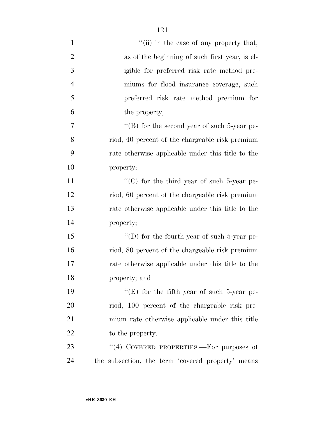| $\mathbf{1}$   | "(ii) in the case of any property that,           |
|----------------|---------------------------------------------------|
| $\overline{2}$ | as of the beginning of such first year, is el-    |
| 3              | igible for preferred risk rate method pre-        |
| $\overline{4}$ | miums for flood insurance coverage, such          |
| 5              | preferred risk rate method premium for            |
| 6              | the property;                                     |
| 7              | "(B) for the second year of such $5$ -year pe-    |
| 8              | riod, 40 percent of the chargeable risk premium   |
| 9              | rate otherwise applicable under this title to the |
| 10             | property;                                         |
| 11             | "(C) for the third year of such 5-year pe-        |
| 12             | riod, 60 percent of the chargeable risk premium   |
| 13             | rate otherwise applicable under this title to the |
| 14             | property;                                         |
| 15             | "(D) for the fourth year of such $5$ -year pe-    |
| 16             | riod, 80 percent of the chargeable risk premium   |
| 17             | rate otherwise applicable under this title to the |
| 18             | property; and                                     |
| 19             | "(E) for the fifth year of such 5-year pe-        |
| 20             | riod, 100 percent of the chargeable risk pre-     |
| 21             | mium rate otherwise applicable under this title   |
| 22             | to the property.                                  |
| 23             | "(4) COVERED PROPERTIES.—For purposes of          |
| 24             | the subsection, the term 'covered property' means |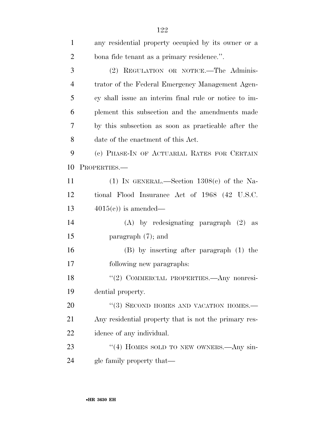| 1              | any residential property occupied by its owner or a   |  |
|----------------|-------------------------------------------------------|--|
| $\overline{2}$ | bona fide tenant as a primary residence.".            |  |
| 3              | (2) REGULATION OR NOTICE.-The Adminis-                |  |
| $\overline{4}$ | trator of the Federal Emergency Management Agen-      |  |
| 5              | cy shall issue an interim final rule or notice to im- |  |
| 6              | plement this subsection and the amendments made       |  |
| 7              | by this subsection as soon as practicable after the   |  |
| 8              | date of the enactment of this Act.                    |  |
| 9              | (c) PHASE-IN OF ACTUARIAL RATES FOR CERTAIN           |  |
| 10             | PROPERTIES.                                           |  |
| 11             | (1) IN GENERAL.—Section $1308(c)$ of the Na-          |  |
| 12             | tional Flood Insurance Act of 1968 (42 U.S.C.         |  |
| 13             | $4015(e)$ is amended—                                 |  |
| 14             | $(A)$ by redesignating paragraph $(2)$ as             |  |
| 15             | paragraph $(7)$ ; and                                 |  |
| 16             | (B) by inserting after paragraph (1) the              |  |
| 17             | following new paragraphs:                             |  |
| 18             | "(2) COMMERCIAL PROPERTIES.- Any nonresi-             |  |
| 19             | dential property.                                     |  |
| 20             | "(3) SECOND HOMES AND VACATION HOMES.-                |  |
| 21             | Any residential property that is not the primary res- |  |
| 22             | idence of any individual.                             |  |
| 23             | "(4) HOMES SOLD TO NEW OWNERS.—Any sin-               |  |
| 24             | gle family property that—                             |  |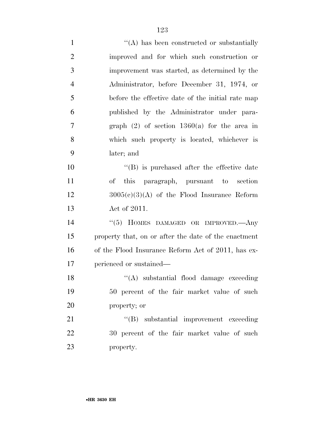| $\mathbf{1}$   | $\lq\lq$ has been constructed or substantially       |
|----------------|------------------------------------------------------|
| $\overline{2}$ | improved and for which such construction or          |
| 3              | improvement was started, as determined by the        |
| $\overline{4}$ | Administrator, before December 31, 1974, or          |
| 5              | before the effective date of the initial rate map    |
| 6              | published by the Administrator under para-           |
| 7              | graph $(2)$ of section 1360(a) for the area in       |
| 8              | which such property is located, whichever is         |
| 9              | later; and                                           |
| 10             | $\lq\lq$ is purchased after the effective date       |
| 11             | of this paragraph, pursuant to section               |
| 12             | $3005(c)(3)(A)$ of the Flood Insurance Reform        |
| 13             | Act of 2011.                                         |
| 14             | "(5) HOMES DAMAGED OR IMPROVED.—Any                  |
| 15             | property that, on or after the date of the enactment |
| 16             | of the Flood Insurance Reform Act of 2011, has ex-   |
| 17             | perienced or sustained—                              |
| 18             | "(A) substantial flood damage exceeding              |
| 19             | 50 percent of the fair market value of such          |
| 20             | property; or                                         |
| 21             | "(B) substantial improvement exceeding               |
| 22             | 30 percent of the fair market value of such          |
| 23             | property.                                            |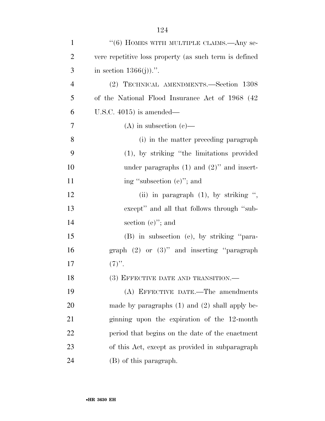| $\mathbf{1}$   | "(6) HOMES WITH MULTIPLE CLAIMS.—Any se-               |
|----------------|--------------------------------------------------------|
| $\overline{2}$ | vere repetitive loss property (as such term is defined |
| 3              | in section $1366(j)$ .".                               |
| $\overline{4}$ | (2) TECHNICAL AMENDMENTS.—Section 1308                 |
| 5              | of the National Flood Insurance Act of 1968 (42)       |
| 6              | U.S.C. $4015$ ) is amended—                            |
| 7              | $(A)$ in subsection $(e)$ —                            |
| 8              | (i) in the matter preceding paragraph                  |
| 9              | $(1)$ , by striking "the limitations provided          |
| 10             | under paragraphs $(1)$ and $(2)$ " and insert-         |
| 11             | ing "subsection (e)"; and                              |
| 12             | (ii) in paragraph $(1)$ , by striking ",               |
| 13             | except" and all that follows through "sub-             |
| 14             | section $(e)$ "; and                                   |
| 15             | (B) in subsection (e), by striking "para-              |
| 16             | graph $(2)$ or $(3)$ " and inserting "paragraph"       |
| 17             | $(7)$ ".                                               |
| 18             | (3) EFFECTIVE DATE AND TRANSITION.-                    |
| 19             | (A) EFFECTIVE DATE.—The amendments                     |
| 20             | made by paragraphs $(1)$ and $(2)$ shall apply be-     |
| 21             | ginning upon the expiration of the 12-month            |
| 22             | period that begins on the date of the enactment        |
| 23             | of this Act, except as provided in subparagraph        |
| 24             | (B) of this paragraph.                                 |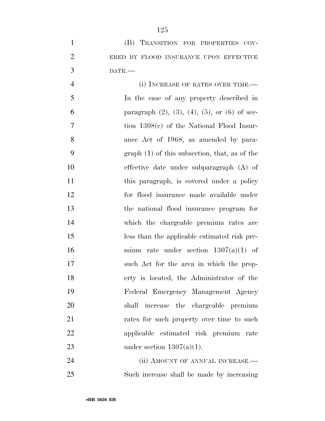(i) INCREASE OF RATES OVER TIME.— In the case of any property described in 6 paragraph  $(2)$ ,  $(3)$ ,  $(4)$ ,  $(5)$ , or  $(6)$  of sec- tion 1308(c) of the National Flood Insur- ance Act of 1968, as amended by para- graph (1) of this subsection, that, as of the effective date under subparagraph (A) of 11 this paragraph, is covered under a policy for flood insurance made available under the national flood insurance program for which the chargeable premium rates are less than the applicable estimated risk pre- mium rate under section 1307(a)(1) of such Act for the area in which the prop- erty is located, the Administrator of the Federal Emergency Management Agency shall increase the chargeable premium 21 rates for such property over time to such applicable estimated risk premium rate 23 under section  $1307(a)(1)$ .

24 (ii) AMOUNT OF ANNUAL INCREASE.— Such increase shall be made by increasing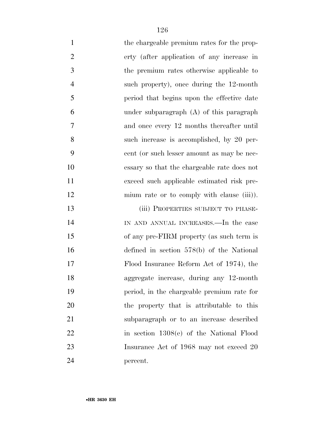| $\mathbf{1}$   | the chargeable premium rates for the prop-  |
|----------------|---------------------------------------------|
| $\overline{2}$ | erty (after application of any increase in  |
| 3              | the premium rates otherwise applicable to   |
| $\overline{4}$ | such property), once during the 12-month    |
| 5              | period that begins upon the effective date  |
| 6              | under subparagraph (A) of this paragraph    |
| 7              | and once every 12 months thereafter until   |
| 8              | such increase is accomplished, by 20 per-   |
| 9              | cent (or such lesser amount as may be nec-  |
| 10             | essary so that the chargeable rate does not |
| 11             | exceed such applicable estimated risk pre-  |
| 12             | mium rate or to comply with clause (iii).   |
| 13             | (iii) PROPERTIES SUBJECT TO PHASE-          |
| 14             | IN AND ANNUAL INCREASES.—In the case        |
| 15             | of any pre-FIRM property (as such term is   |
| 16             | defined in section $578(b)$ of the National |
| 17             | Flood Insurance Reform Act of 1974), the    |
| 18             | aggregate increase, during any 12-month     |
| 19             | period, in the chargeable premium rate for  |
| 20             | the property that is attributable to this   |
| 21             | subparagraph or to an increase described    |
| 22             | in section 1308(e) of the National Flood    |
| 23             | Insurance Act of 1968 may not exceed 20     |
| 24             | percent.                                    |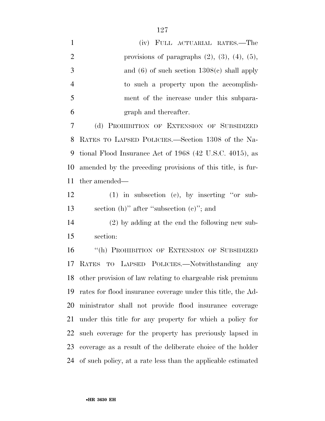| $\mathbf{1}$   | (iv) FULL ACTUARIAL RATES.—The                                  |
|----------------|-----------------------------------------------------------------|
| $\overline{2}$ | provisions of paragraphs $(2)$ , $(3)$ , $(4)$ , $(5)$ ,        |
| 3              | and $(6)$ of such section $1308(e)$ shall apply                 |
| $\overline{4}$ | to such a property upon the accomplish-                         |
| 5              | ment of the increase under this subpara-                        |
| 6              | graph and thereafter.                                           |
| 7              | (d) PROHIBITION OF EXTENSION OF SUBSIDIZED                      |
| 8              | RATES TO LAPSED POLICIES.—Section 1308 of the Na-               |
| 9              | tional Flood Insurance Act of 1968 (42 U.S.C. 4015), as         |
| 10             | amended by the preceding provisions of this title, is fur-      |
| 11             | ther amended—                                                   |
| 12             | $(1)$ in subsection (e), by inserting "or sub-                  |
| 13             | section $(h)$ " after "subsection $(e)$ "; and                  |
| 14             | $(2)$ by adding at the end the following new sub-               |
| 15             | section:                                                        |
| 16             | "(h) PROHIBITION OF EXTENSION OF SUBSIDIZED                     |
| 17             | TO LAPSED POLICIES.—Notwithstanding any<br>RATES                |
|                | 18 other provision of law relating to chargeable risk premium   |
| 19             | rates for flood insurance coverage under this title, the Ad-    |
| 20             | ministrator shall not provide flood insurance coverage          |
| 21             | under this title for any property for which a policy for        |
| 22             | such coverage for the property has previously lapsed in         |
| 23             | coverage as a result of the deliberate choice of the holder     |
|                | 24 of such policy, at a rate less than the applicable estimated |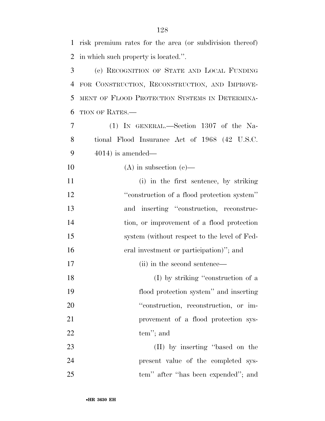risk premium rates for the area (or subdivision thereof) in which such property is located.''.

 (e) RECOGNITION OF STATE AND LOCAL FUNDING FOR CONSTRUCTION, RECONSTRUCTION, AND IMPROVE- MENT OF FLOOD PROTECTION SYSTEMS IN DETERMINA-TION OF RATES.—

 (1) IN GENERAL.—Section 1307 of the Na- tional Flood Insurance Act of 1968 (42 U.S.C. 4014) is amended—

10 (A) in subsection (e)—

 (i) in the first sentence, by striking ''construction of a flood protection system'' and inserting ''construction, reconstruc- tion, or improvement of a flood protection system (without respect to the level of Fed- eral investment or participation)''; and 17 (ii) in the second sentence—

18 (I) by striking "construction of a flood protection system'' and inserting 20  $\text{``construction, reconstruction, or im-}$  provement of a flood protection sys-22 tem''; and

23 (II) by inserting "based on the present value of the completed sys-tem'' after ''has been expended''; and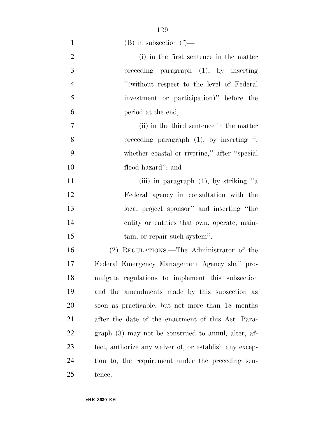| $\mathbf{1}$   | $(B)$ in subsection $(f)$ —                            |
|----------------|--------------------------------------------------------|
| $\mathfrak{2}$ | (i) in the first sentence in the matter                |
| 3              | preceding paragraph $(1)$ , by inserting               |
| $\overline{4}$ | "(without respect to the level of Federal              |
| 5              | investment or participation)" before the               |
| 6              | period at the end;                                     |
| $\tau$         | (ii) in the third sentence in the matter               |
| 8              | preceding paragraph $(1)$ , by inserting ",            |
| 9              | whether coastal or riverine," after "special           |
| 10             | flood hazard"; and                                     |
| 11             | (iii) in paragraph $(1)$ , by striking "a              |
| 12             | Federal agency in consultation with the                |
| 13             | local project sponsor" and inserting "the              |
| 14             | entity or entities that own, operate, main-            |
| 15             | tain, or repair such system".                          |
| 16             | (2) REGULATIONS.—The Administrator of the              |
| 17             | Federal Emergency Management Agency shall pro-         |
| 18             | mulgate regulations to implement this subsection       |
| 19             | and the amendments made by this subsection as          |
| 20             | soon as practicable, but not more than 18 months       |
| 21             | after the date of the enactment of this Act. Para-     |
| 22             | graph (3) may not be construed to annul, alter, af-    |
| 23             | fect, authorize any waiver of, or establish any excep- |
| 24             | tion to, the requirement under the preceding sen-      |
| 25             | tence.                                                 |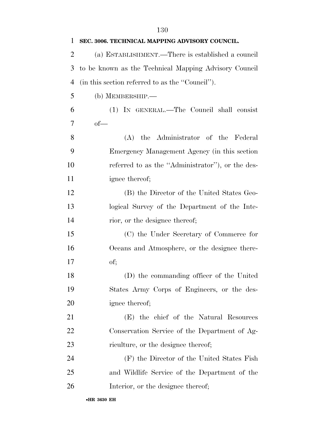| 1              | SEC. 3006. TECHNICAL MAPPING ADVISORY COUNCIL.        |
|----------------|-------------------------------------------------------|
| $\overline{2}$ | (a) ESTABLISHMENT.—There is established a council     |
| 3              | to be known as the Technical Mapping Advisory Council |
| $\overline{4}$ | (in this section referred to as the "Council").       |
| 5              | $(b)$ MEMBERSHIP.—                                    |
| 6              | (1) IN GENERAL.—The Council shall consist             |
| 7              | $of$ —                                                |
| 8              | (A) the Administrator of the Federal                  |
| 9              | Emergency Management Agency (in this section          |
| 10             | referred to as the "Administrator"), or the des-      |
| 11             | ignee thereof;                                        |
| 12             | (B) the Director of the United States Geo-            |
| 13             | logical Survey of the Department of the Inte-         |
| 14             | rior, or the designee thereof;                        |
| 15             | (C) the Under Secretary of Commerce for               |
| 16             | Oceans and Atmosphere, or the designee there-         |
| 17             | of;                                                   |
| 18             | (D) the commanding officer of the United              |
| 19             | States Army Corps of Engineers, or the des-           |
| 20             | ignee thereof;                                        |
| 21             | (E) the chief of the Natural Resources                |
| 22             | Conservation Service of the Department of Ag-         |
| 23             | riculture, or the designee thereof;                   |
| 24             | (F) the Director of the United States Fish            |
| 25             | and Wildlife Service of the Department of the         |
| 26             | Interior, or the designee thereof;                    |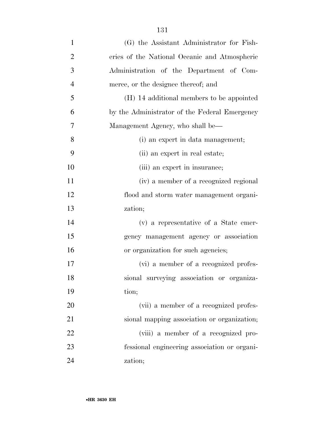| $\mathbf{1}$   | (G) the Assistant Administrator for Fish-     |
|----------------|-----------------------------------------------|
| $\overline{2}$ | eries of the National Oceanic and Atmospheric |
| 3              | Administration of the Department of Com-      |
| $\overline{4}$ | merce, or the designee thereof; and           |
| 5              | (H) 14 additional members to be appointed     |
| 6              | by the Administrator of the Federal Emergency |
| 7              | Management Agency, who shall be—              |
| 8              | (i) an expert in data management;             |
| 9              | (ii) an expert in real estate;                |
| 10             | (iii) an expert in insurance;                 |
| 11             | (iv) a member of a recognized regional        |
| 12             | flood and storm water management organi-      |
| 13             | zation;                                       |
| 14             | (v) a representative of a State emer-         |
| 15             | gency management agency or association        |
| 16             | or organization for such agencies;            |
| 17             | (vi) a member of a recognized profes-         |
| 18             | sional surveying association or organiza-     |
| 19             | tion;                                         |
| 20             | (vii) a member of a recognized profes-        |
| 21             | sional mapping association or organization;   |
| 22             | (viii) a member of a recognized pro-          |
| 23             | fessional engineering association or organi-  |
| 24             | zation;                                       |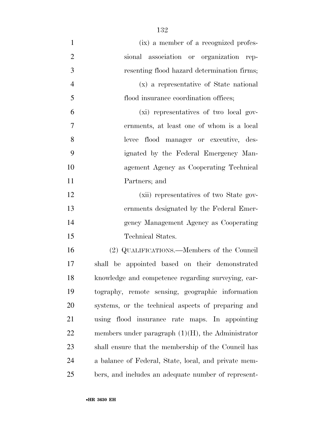- (ix) a member of a recognized profes- sional association or organization rep- resenting flood hazard determination firms; (x) a representative of State national flood insurance coordination offices; (xi) representatives of two local gov- ernments, at least one of whom is a local levee flood manager or executive, des- ignated by the Federal Emergency Man-agement Agency as Cooperating Technical
- (xii) representatives of two State gov- ernments designated by the Federal Emer- gency Management Agency as Cooperating Technical States.

 (2) QUALIFICATIONS.—Members of the Council shall be appointed based on their demonstrated knowledge and competence regarding surveying, car- tography, remote sensing, geographic information systems, or the technical aspects of preparing and using flood insurance rate maps. In appointing 22 members under paragraph  $(1)(H)$ , the Administrator shall ensure that the membership of the Council has a balance of Federal, State, local, and private mem-bers, and includes an adequate number of represent-

Partners; and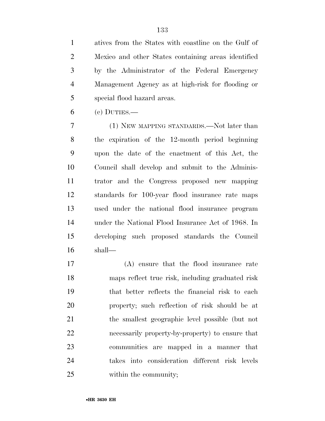atives from the States with coastline on the Gulf of Mexico and other States containing areas identified by the Administrator of the Federal Emergency Management Agency as at high-risk for flooding or special flood hazard areas.

(c) DUTIES.—

 (1) NEW MAPPING STANDARDS.—Not later than the expiration of the 12-month period beginning upon the date of the enactment of this Act, the Council shall develop and submit to the Adminis- trator and the Congress proposed new mapping standards for 100-year flood insurance rate maps used under the national flood insurance program under the National Flood Insurance Act of 1968. In developing such proposed standards the Council shall—

 (A) ensure that the flood insurance rate maps reflect true risk, including graduated risk that better reflects the financial risk to each property; such reflection of risk should be at the smallest geographic level possible (but not necessarily property-by-property) to ensure that communities are mapped in a manner that takes into consideration different risk levels within the community;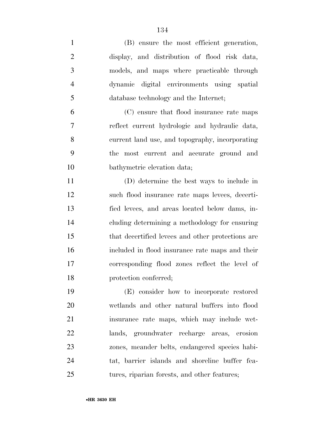| $\mathbf{1}$   | (B) ensure the most efficient generation,         |
|----------------|---------------------------------------------------|
| $\overline{2}$ | display, and distribution of flood risk data,     |
| 3              | models, and maps where practicable through        |
| $\overline{4}$ | dynamic digital environments using spatial        |
| 5              | database technology and the Internet;             |
| 6              | (C) ensure that flood insurance rate maps         |
| $\overline{7}$ | reflect current hydrologic and hydraulic data,    |
| 8              | current land use, and topography, incorporating   |
| 9              | the most current and accurate ground and          |
| 10             | bathymetric elevation data;                       |
| 11             | (D) determine the best ways to include in         |
| 12             | such flood insurance rate maps levees, decerti-   |
| 13             | fied levees, and areas located below dams, in-    |
| 14             | cluding determining a methodology for ensuring    |
| 15             | that decertified levees and other protections are |
| 16             | included in flood insurance rate maps and their   |
| 17             | corresponding flood zones reflect the level of    |
| 18             | protection conferred;                             |
| 19             | (E) consider how to incorporate restored          |
| 20             | wetlands and other natural buffers into flood     |
| 21             | insurance rate maps, which may include wet-       |
| 22             | lands, groundwater recharge areas, erosion        |
| 23             | zones, meander belts, endangered species habi-    |

tures, riparian forests, and other features;

tat, barrier islands and shoreline buffer fea-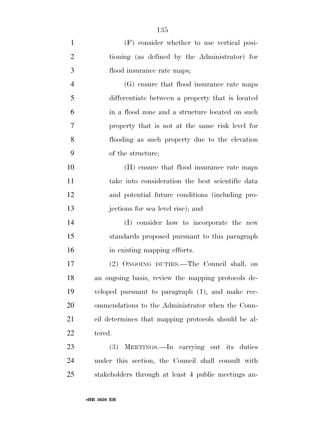| $\mathbf{1}$   | (F) consider whether to use vertical posi-          |
|----------------|-----------------------------------------------------|
| $\overline{2}$ | tioning (as defined by the Administrator) for       |
| 3              | flood insurance rate maps;                          |
| $\overline{4}$ | (G) ensure that flood insurance rate maps           |
| 5              | differentiate between a property that is located    |
| 6              | in a flood zone and a structure located on such     |
| 7              | property that is not at the same risk level for     |
| 8              | flooding as such property due to the elevation      |
| 9              | of the structure;                                   |
| 10             | (H) ensure that flood insurance rate maps           |
| 11             | take into consideration the best scientific data    |
| 12             | and potential future conditions (including pro-     |
| 13             | jections for sea level rise); and                   |
| 14             | (I) consider how to incorporate the new             |
| 15             | standards proposed pursuant to this paragraph       |
| 16             | in existing mapping efforts.                        |
| 17             | (2) ONGOING DUTIES.—The Council shall, on           |
| 18             | an ongoing basis, review the mapping protocols de-  |
| 19             | veloped pursuant to paragraph (1), and make rec-    |
| 20             | ommendations to the Administrator when the Coun-    |
| 21             | cil determines that mapping protocols should be al- |
| 22             | tered.                                              |
| 23             | (3) MEETINGS.—In carrying out its duties            |
| 24             | under this section, the Council shall consult with  |
| 25             | stakeholders through at least 4 public meetings an- |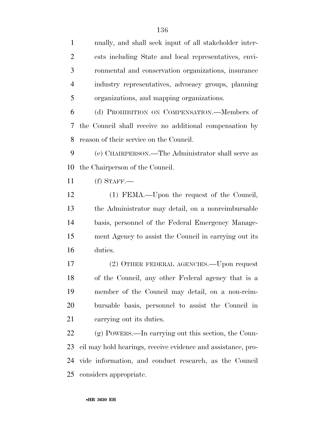nually, and shall seek input of all stakeholder inter- ests including State and local representatives, envi- ronmental and conservation organizations, insurance industry representatives, advocacy groups, planning organizations, and mapping organizations.

 (d) PROHIBITION ON COMPENSATION.—Members of the Council shall receive no additional compensation by reason of their service on the Council.

 (e) CHAIRPERSON.—The Administrator shall serve as the Chairperson of the Council.

(f) STAFF.—

 (1) FEMA.—Upon the request of the Council, the Administrator may detail, on a nonreimbursable basis, personnel of the Federal Emergency Manage- ment Agency to assist the Council in carrying out its duties.

 (2) OTHER FEDERAL AGENCIES.—Upon request of the Council, any other Federal agency that is a member of the Council may detail, on a non-reim- bursable basis, personnel to assist the Council in carrying out its duties.

 (g) POWERS.—In carrying out this section, the Coun- cil may hold hearings, receive evidence and assistance, pro- vide information, and conduct research, as the Council considers appropriate.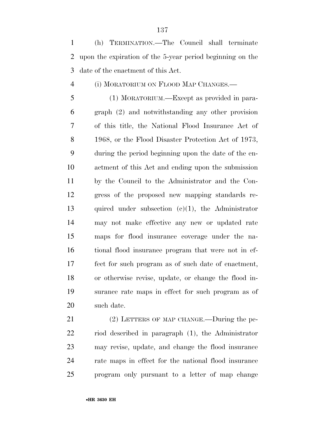(h) TERMINATION.—The Council shall terminate upon the expiration of the 5-year period beginning on the date of the enactment of this Act.

## (i) MORATORIUM ON FLOOD MAP CHANGES.—

 (1) MORATORIUM.—Except as provided in para- graph (2) and notwithstanding any other provision of this title, the National Flood Insurance Act of 1968, or the Flood Disaster Protection Act of 1973, during the period beginning upon the date of the en- actment of this Act and ending upon the submission by the Council to the Administrator and the Con- gress of the proposed new mapping standards re- quired under subsection (c)(1), the Administrator may not make effective any new or updated rate maps for flood insurance coverage under the na- tional flood insurance program that were not in ef- fect for such program as of such date of enactment, or otherwise revise, update, or change the flood in- surance rate maps in effect for such program as of such date.

21 (2) LETTERS OF MAP CHANGE.—During the pe- riod described in paragraph (1), the Administrator may revise, update, and change the flood insurance rate maps in effect for the national flood insurance program only pursuant to a letter of map change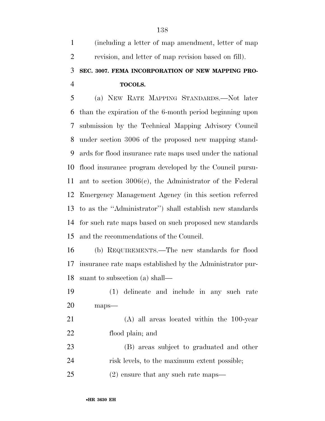| $\mathbf{1}$   | (including a letter of map amendment, letter of map         |
|----------------|-------------------------------------------------------------|
| $\overline{2}$ | revision, and letter of map revision based on fill).        |
| 3              | SEC. 3007. FEMA INCORPORATION OF NEW MAPPING PRO-           |
| $\overline{4}$ | <b>TOCOLS.</b>                                              |
| 5              | (a) NEW RATE MAPPING STANDARDS.—Not later                   |
| 6              | than the expiration of the 6-month period beginning upon    |
| 7              | submission by the Technical Mapping Advisory Council        |
| 8              | under section 3006 of the proposed new mapping stand-       |
| 9              | ards for flood insurance rate maps used under the national  |
| 10             | flood insurance program developed by the Council pursu-     |
| 11             | ant to section $3006(c)$ , the Administrator of the Federal |
| 12             | Emergency Management Agency (in this section referred       |
| 13             | to as the "Administrator") shall establish new standards    |
| 14             | for such rate maps based on such proposed new standards     |
| 15             | and the recommendations of the Council.                     |
| 16             | (b) REQUIREMENTS.—The new standards for flood               |

 insurance rate maps established by the Administrator pur-suant to subsection (a) shall—

 (1) delineate and include in any such rate maps—

 (A) all areas located within the 100-year flood plain; and

 (B) areas subject to graduated and other risk levels, to the maximum extent possible;

(2) ensure that any such rate maps—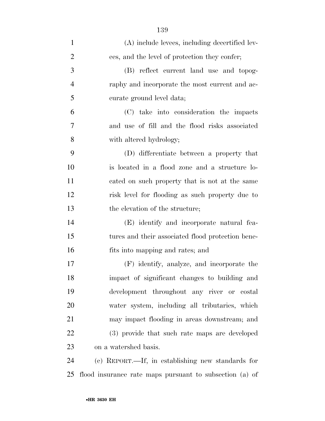| $\mathbf{1}$   | (A) include levees, including decertified lev-          |
|----------------|---------------------------------------------------------|
| $\overline{2}$ | ees, and the level of protection they confer;           |
| 3              | (B) reflect current land use and topog-                 |
| $\overline{4}$ | raphy and incorporate the most current and ac-          |
| 5              | curate ground level data;                               |
| 6              | (C) take into consideration the impacts                 |
| 7              | and use of fill and the flood risks associated          |
| 8              | with altered hydrology;                                 |
| 9              | (D) differentiate between a property that               |
| 10             | is located in a flood zone and a structure lo-          |
| 11             | cated on such property that is not at the same          |
| 12             | risk level for flooding as such property due to         |
| 13             | the elevation of the structure;                         |
| 14             | (E) identify and incorporate natural fea-               |
| 15             | tures and their associated flood protection bene-       |
| 16             | fits into mapping and rates; and                        |
| 17             | (F) identify, analyze, and incorporate the              |
| 18             | impact of significant changes to building and           |
| 19             | development throughout any river or costal              |
| 20             | water system, including all tributaries, which          |
| 21             | may impact flooding in areas downstream; and            |
| 22             | (3) provide that such rate maps are developed           |
| 23             | on a watershed basis.                                   |
| 24             | (c) REPORT.—If, in establishing new standards for       |
| 25             | flood insurance rate maps pursuant to subsection (a) of |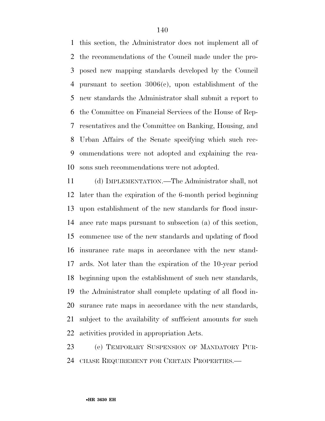this section, the Administrator does not implement all of the recommendations of the Council made under the pro- posed new mapping standards developed by the Council pursuant to section 3006(c), upon establishment of the new standards the Administrator shall submit a report to the Committee on Financial Services of the House of Rep- resentatives and the Committee on Banking, Housing, and Urban Affairs of the Senate specifying which such rec- ommendations were not adopted and explaining the rea-sons such recommendations were not adopted.

 (d) IMPLEMENTATION.—The Administrator shall, not later than the expiration of the 6-month period beginning upon establishment of the new standards for flood insur- ance rate maps pursuant to subsection (a) of this section, commence use of the new standards and updating of flood insurance rate maps in accordance with the new stand- ards. Not later than the expiration of the 10-year period beginning upon the establishment of such new standards, the Administrator shall complete updating of all flood in- surance rate maps in accordance with the new standards, subject to the availability of sufficient amounts for such activities provided in appropriation Acts.

 (e) TEMPORARY SUSPENSION OF MANDATORY PUR-CHASE REQUIREMENT FOR CERTAIN PROPERTIES.—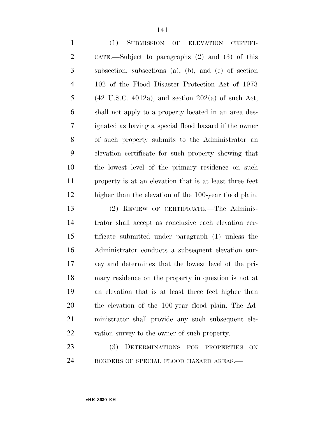| $\mathbf{1}$   | (1)<br>SUBMISSION OF ELEVATION CERTIFI-                          |
|----------------|------------------------------------------------------------------|
| $\overline{2}$ | CATE.—Subject to paragraphs $(2)$ and $(3)$ of this              |
| 3              | subsection, subsections (a), (b), and (e) of section             |
| $\overline{4}$ | 102 of the Flood Disaster Protection Act of 1973                 |
| 5              | $(42 \text{ U.S.C. } 4012a)$ , and section $202(a)$ of such Act, |
| 6              | shall not apply to a property located in an area des-            |
| 7              | ignated as having a special flood hazard if the owner            |
| 8              | of such property submits to the Administrator and                |
| 9              | elevation certificate for such property showing that             |
| 10             | the lowest level of the primary residence on such                |
| 11             | property is at an elevation that is at least three feet          |
| 12             | higher than the elevation of the 100-year flood plain.           |
| 13             | (2) REVIEW OF CERTIFICATE.—The Adminis-                          |
| 14             | trator shall accept as conclusive each elevation cer-            |
| 15             | tificate submitted under paragraph (1) unless the                |
| 16             | Administrator conducts a subsequent elevation sur-               |
| 17             | vey and determines that the lowest level of the pri-             |
| 18             | mary residence on the property in question is not at             |
| 19             | an elevation that is at least three feet higher than             |
| 20             | the elevation of the 100-year flood plain. The Ad-               |
| 21             | ministrator shall provide any such subsequent ele-               |
| 22             | vation survey to the owner of such property.                     |
| 23             | <b>(3)</b><br>DETERMINATIONS FOR<br><b>PROPERTIES</b><br>ON      |
| 24             | BORDERS OF SPECIAL FLOOD HAZARD AREAS.-                          |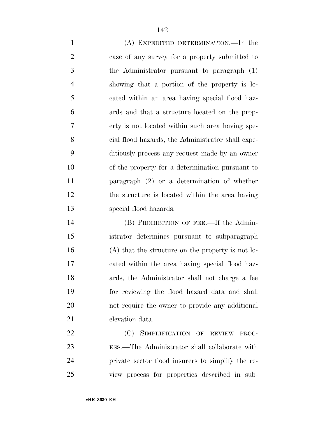(A) EXPEDITED DETERMINATION.—In the case of any survey for a property submitted to the Administrator pursuant to paragraph (1) showing that a portion of the property is lo- cated within an area having special flood haz- ards and that a structure located on the prop- erty is not located within such area having spe- cial flood hazards, the Administrator shall expe- ditiously process any request made by an owner of the property for a determination pursuant to paragraph (2) or a determination of whether the structure is located within the area having special flood hazards.

 (B) PROHIBITION OF FEE.—If the Admin- istrator determines pursuant to subparagraph (A) that the structure on the property is not lo- cated within the area having special flood haz- ards, the Administrator shall not charge a fee for reviewing the flood hazard data and shall not require the owner to provide any additional elevation data.

22 (C) SIMPLIFICATION OF REVIEW PROC- ESS.—The Administrator shall collaborate with private sector flood insurers to simplify the re-view process for properties described in sub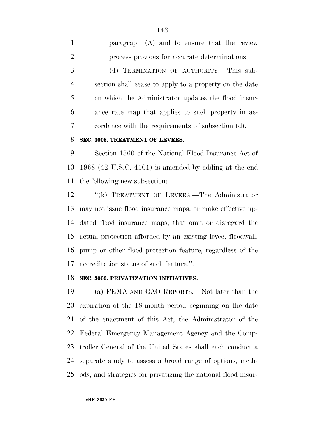paragraph (A) and to ensure that the review process provides for accurate determinations. (4) TERMINATION OF AUTHORITY.—This sub- section shall cease to apply to a property on the date on which the Administrator updates the flood insur- ance rate map that applies to such property in ac-cordance with the requirements of subsection (d).

## **SEC. 3008. TREATMENT OF LEVEES.**

 Section 1360 of the National Flood Insurance Act of 1968 (42 U.S.C. 4101) is amended by adding at the end the following new subsection:

12 "(k) TREATMENT OF LEVEES.—The Administrator may not issue flood insurance maps, or make effective up- dated flood insurance maps, that omit or disregard the actual protection afforded by an existing levee, floodwall, pump or other flood protection feature, regardless of the accreditation status of such feature.''.

## **SEC. 3009. PRIVATIZATION INITIATIVES.**

 (a) FEMA AND GAO REPORTS.—Not later than the expiration of the 18-month period beginning on the date of the enactment of this Act, the Administrator of the Federal Emergency Management Agency and the Comp- troller General of the United States shall each conduct a separate study to assess a broad range of options, meth-ods, and strategies for privatizing the national flood insur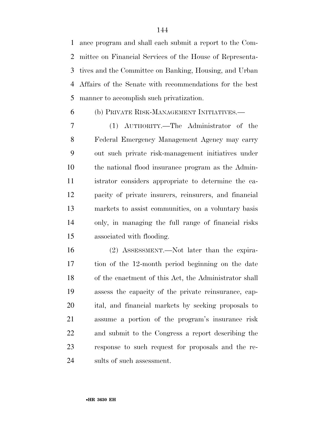ance program and shall each submit a report to the Com- mittee on Financial Services of the House of Representa- tives and the Committee on Banking, Housing, and Urban Affairs of the Senate with recommendations for the best manner to accomplish such privatization.

# (b) PRIVATE RISK-MANAGEMENT INITIATIVES.—

 (1) AUTHORITY.—The Administrator of the Federal Emergency Management Agency may carry out such private risk-management initiatives under the national flood insurance program as the Admin- istrator considers appropriate to determine the ca- pacity of private insurers, reinsurers, and financial markets to assist communities, on a voluntary basis only, in managing the full range of financial risks associated with flooding.

 (2) ASSESSMENT.—Not later than the expira- tion of the 12-month period beginning on the date of the enactment of this Act, the Administrator shall assess the capacity of the private reinsurance, cap- ital, and financial markets by seeking proposals to assume a portion of the program's insurance risk and submit to the Congress a report describing the response to such request for proposals and the re-sults of such assessment.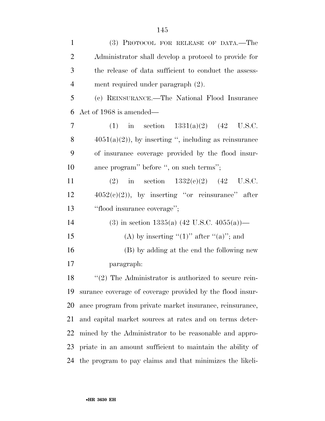| $\mathbf{1}$   | (3) PROTOCOL FOR RELEASE OF DATA.—The                     |
|----------------|-----------------------------------------------------------|
| $\overline{2}$ | Administrator shall develop a protocol to provide for     |
| 3              | the release of data sufficient to conduct the assess-     |
| $\overline{4}$ | ment required under paragraph (2).                        |
| 5              | (c) REINSURANCE.—The National Flood Insurance             |
| 6              | Act of 1968 is amended—                                   |
| 7              | in section $1331(a)(2)$ (42 U.S.C.<br>(1)                 |
| 8              | $4051(a)(2)$ , by inserting ", including as reinsurance   |
| 9              | of insurance coverage provided by the flood insur-        |
| 10             | ance program" before ", on such terms";                   |
| 11             | (2) in section $1332(e)(2)$ (42 U.S.C.                    |
| 12             | $4052(c)(2)$ , by inserting "or reinsurance" after        |
| 13             | "flood insurance coverage";                               |
| 14             | (3) in section 1335(a) $(42 \text{ U.S.C. } 4055(a))$ —   |
| 15             | (A) by inserting " $(1)$ " after " $(a)$ "; and           |
| 16             | (B) by adding at the end the following new                |
| 17             | paragraph:                                                |
| 18             | $\lq(2)$ The Administrator is authorized to secure rein-  |
| 19             | surance coverage of coverage provided by the flood insur- |
| 20             | ance program from private market insurance, reinsurance,  |
| 21             | and capital market sources at rates and on terms deter-   |
|                |                                                           |
| 22             | mined by the Administrator to be reasonable and appro-    |
| 23             | priate in an amount sufficient to maintain the ability of |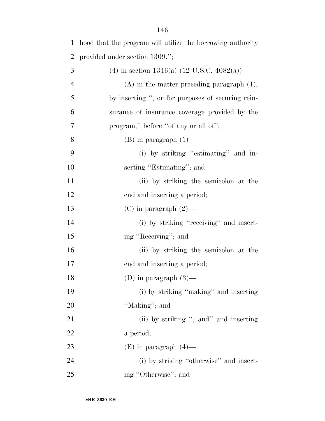| $\mathbf{1}$   | hood that the program will utilize the borrowing authority |
|----------------|------------------------------------------------------------|
| 2              | provided under section 1309.";                             |
| 3              | (4) in section 1346(a) $(12 \text{ U.S.C. } 4082(a))$ —    |
| $\overline{4}$ | $(A)$ in the matter preceding paragraph $(1)$ ,            |
| 5              | by inserting ", or for purposes of securing rein-          |
| 6              | surance of insurance coverage provided by the              |
| 7              | program," before "of any or all of";                       |
| 8              | $(B)$ in paragraph $(1)$ —                                 |
| 9              | (i) by striking "estimating" and in-                       |
| 10             | serting "Estimating"; and                                  |
| 11             | (ii) by striking the semicolon at the                      |
| 12             | end and inserting a period;                                |
| 13             | $(C)$ in paragraph $(2)$ —                                 |
| 14             | (i) by striking "receiving" and insert-                    |
| 15             | ing "Receiving"; and                                       |
| 16             | (ii) by striking the semicolon at the                      |
| 17             | end and inserting a period;                                |
| 18             | (D) in paragraph $(3)$ —                                   |
| 19             | (i) by striking "making" and inserting                     |
| 20             | "Making"; and                                              |
| 21             | (ii) by striking "; and" and inserting                     |
| 22             | a period;                                                  |
| 23             | $(E)$ in paragraph $(4)$ —                                 |
| 24             | (i) by striking "otherwise" and insert-                    |
| 25             | ing "Otherwise"; and                                       |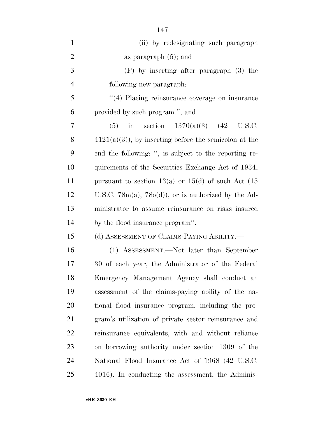| $\mathbf{1}$   | (ii) by redesignating such paragraph                     |
|----------------|----------------------------------------------------------|
| $\overline{2}$ | as paragraph $(5)$ ; and                                 |
| 3              | $(F)$ by inserting after paragraph $(3)$ the             |
| $\overline{4}$ | following new paragraph:                                 |
| 5              | "(4) Placing reinsurance coverage on insurance           |
| 6              | provided by such program."; and                          |
| 7              | in section $1370(a)(3)$ (42<br>U.S.C.<br>(5)             |
| 8              | $4121(a)(3)$ , by inserting before the semicolon at the  |
| 9              | end the following: ", is subject to the reporting re-    |
| 10             | quirements of the Securities Exchange Act of 1934,       |
| 11             | pursuant to section 13(a) or 15(d) of such Act $(15$     |
| 12             | U.S.C. $78m(a)$ , $78o(d)$ , or is authorized by the Ad- |
| 13             | ministrator to assume reinsurance on risks insured       |
| 14             | by the flood insurance program".                         |
| 15             | (d) ASSESSMENT OF CLAIMS-PAYING ABILITY.—                |
| 16             | (1) ASSESSMENT.—Not later than September                 |
| 17             | 30 of each year, the Administrator of the Federal        |
| 18             | Emergency Management Agency shall conduct an             |
| 19             | assessment of the claims-paying ability of the na-       |
| 20             | tional flood insurance program, including the pro-       |
| 21             | gram's utilization of private sector reinsurance and     |
| 22             | reinsurance equivalents, with and without reliance       |
| 23             | on borrowing authority under section 1309 of the         |
| 24             | National Flood Insurance Act of 1968 (42 U.S.C.          |
| 25             | 4016). In conducting the assessment, the Adminis-        |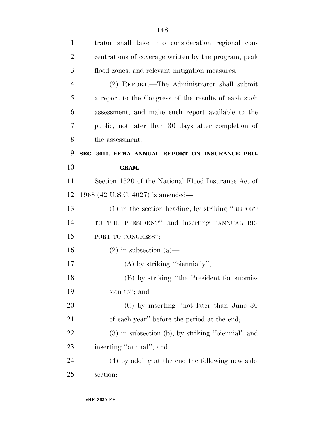| $\mathbf{1}$   | trator shall take into consideration regional con-   |
|----------------|------------------------------------------------------|
| $\overline{2}$ | centrations of coverage written by the program, peak |
| 3              | flood zones, and relevant mitigation measures.       |
| $\overline{4}$ | (2) REPORT.—The Administrator shall submit           |
| 5              | a report to the Congress of the results of each such |
| 6              | assessment, and make such report available to the    |
| 7              | public, not later than 30 days after completion of   |
| 8              | the assessment.                                      |
| 9              | SEC. 3010. FEMA ANNUAL REPORT ON INSURANCE PRO-      |
| 10             | GRAM.                                                |
| 11             | Section 1320 of the National Flood Insurance Act of  |
| 12             | 1968 (42 U.S.C. 4027) is amended—                    |
| 13             | $(1)$ in the section heading, by striking "REPORT"   |
| 14             | TO THE PRESIDENT" and inserting "ANNUAL RE-          |
| 15             | PORT TO CONGRESS";                                   |
| 16             | $(2)$ in subsection $(a)$ —                          |
| 17             | $(A)$ by striking "biennially";                      |
| 18             | (B) by striking "the President for submis-           |
| 19             | sion to"; and                                        |
| 20             | $(C)$ by inserting "not later than June 30           |
| 21             | of each year" before the period at the end;          |
| 22             | (3) in subsection (b), by striking "biennial" and    |
| 23             | inserting "annual"; and                              |
| 24             | (4) by adding at the end the following new sub-      |
| 25             | section:                                             |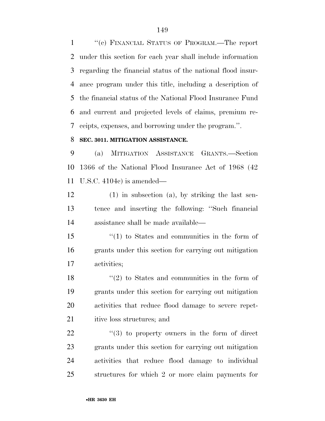''(c) FINANCIAL STATUS OF PROGRAM.—The report under this section for each year shall include information regarding the financial status of the national flood insur- ance program under this title, including a description of the financial status of the National Flood Insurance Fund and current and projected levels of claims, premium re-ceipts, expenses, and borrowing under the program.''.

#### **SEC. 3011. MITIGATION ASSISTANCE.**

 (a) MITIGATION ASSISTANCE GRANTS.—Section 1366 of the National Flood Insurance Act of 1968 (42 U.S.C. 4104c) is amended—

 (1) in subsection (a), by striking the last sen- tence and inserting the following: ''Such financial assistance shall be made available—

 ''(1) to States and communities in the form of grants under this section for carrying out mitigation activities;

 ''(2) to States and communities in the form of grants under this section for carrying out mitigation activities that reduce flood damage to severe repet-21 itive loss structures; and

  $\qquad$   $\qquad$   $\qquad$   $\qquad$   $\qquad$   $\qquad$   $\qquad$   $\qquad$   $\qquad$   $\qquad$   $\qquad$   $\qquad$   $\qquad$   $\qquad$   $\qquad$   $\qquad$   $\qquad$   $\qquad$   $\qquad$   $\qquad$   $\qquad$   $\qquad$   $\qquad$   $\qquad$   $\qquad$   $\qquad$   $\qquad$   $\qquad$   $\qquad$   $\qquad$   $\qquad$   $\qquad$   $\qquad$   $\qquad$   $\qquad$   $\qquad$  grants under this section for carrying out mitigation activities that reduce flood damage to individual structures for which 2 or more claim payments for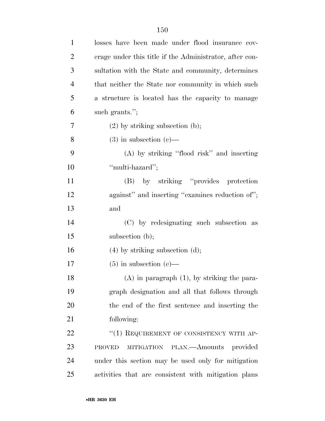| $\mathbf{1}$   | losses have been made under flood insurance cov-        |
|----------------|---------------------------------------------------------|
| $\overline{2}$ | erage under this title if the Administrator, after con- |
| 3              | sultation with the State and community, determines      |
| $\overline{4}$ | that neither the State nor community in which such      |
| 5              | a structure is located has the capacity to manage       |
| 6              | such grants.";                                          |
| 7              | $(2)$ by striking subsection $(b)$ ;                    |
| 8              | $(3)$ in subsection $(e)$ —                             |
| 9              | (A) by striking "flood risk" and inserting              |
| 10             | "multi-hazard";                                         |
| 11             | by striking "provides protection"<br>(B)                |
| 12             | against" and inserting "examines reduction of";         |
| 13             | and                                                     |
| 14             | (C) by redesignating such subsection as                 |
| 15             | subsection (b);                                         |
| 16             | $(4)$ by striking subsection $(d)$ ;                    |
| 17             | $(5)$ in subsection $(e)$ —                             |
| 18             | $(A)$ in paragraph $(1)$ , by striking the para-        |
| 19             | graph designation and all that follows through          |
| 20             | the end of the first sentence and inserting the         |
| 21             | following:                                              |
| 22             | "(1) REQUIREMENT OF CONSISTENCY WITH AP-                |
| 23             | MITIGATION PLAN.—Amounts provided<br><b>PROVED</b>      |
| 24             | under this section may be used only for mitigation      |
| 25             | activities that are consistent with mitigation plans    |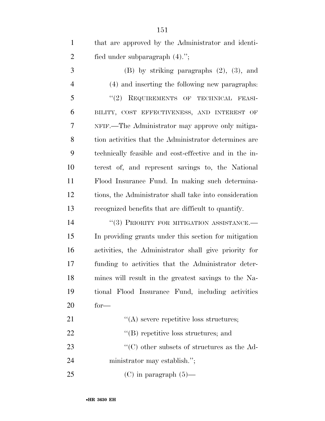| $\mathbf{1}$   | that are approved by the Administrator and identi-     |
|----------------|--------------------------------------------------------|
| $\overline{2}$ | fied under subparagraph $(4)$ .";                      |
| 3              | $(B)$ by striking paragraphs $(2)$ , $(3)$ , and       |
| $\overline{4}$ | (4) and inserting the following new paragraphs:        |
| 5              | "(2) REQUIREMENTS OF TECHNICAL FEASI-                  |
| 6              | BILITY, COST EFFECTIVENESS, AND INTEREST OF            |
| 7              | NFIF.—The Administrator may approve only mitiga-       |
| 8              | tion activities that the Administrator determines are  |
| 9              | technically feasible and cost-effective and in the in- |
| 10             | terest of, and represent savings to, the National      |
| 11             | Flood Insurance Fund. In making such determina-        |
| 12             | tions, the Administrator shall take into consideration |
| 13             | recognized benefits that are difficult to quantify.    |
| 14             | "(3) PRIORITY FOR MITIGATION ASSISTANCE.-              |
| 15             | In providing grants under this section for mitigation  |
| 16             | activities, the Administrator shall give priority for  |
| 17             | funding to activities that the Administrator deter-    |
| 18             | mines will result in the greatest savings to the Na-   |
| 19             | tional Flood Insurance Fund, including activities      |
| 20             | $for-$                                                 |
| 21             | $\lq\lq$ severe repetitive loss structures;            |
| 22             | $\lq\lq$ repetitive loss structures; and               |
| 23             | $\cdot$ (C) other subsets of structures as the Ad-     |
| 24             | ministrator may establish.";                           |
| 25             | $(C)$ in paragraph $(5)$ —                             |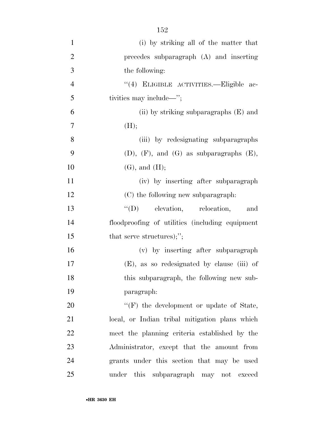| $\mathbf{1}$   | (i) by striking all of the matter that            |
|----------------|---------------------------------------------------|
| $\overline{2}$ | precedes subparagraph $(A)$ and inserting         |
| 3              | the following:                                    |
| $\overline{4}$ | "(4) ELIGIBLE ACTIVITIES.—Eligible ac-            |
| 5              | tivities may include—";                           |
| 6              | (ii) by striking subparagraphs $(E)$ and          |
| 7              | (H);                                              |
| 8              | (iii) by redesignating subparagraphs              |
| 9              | $(D),$ $(F)$ , and $(G)$ as subparagraphs $(E)$ , |
| 10             | $(G)$ , and $(H)$ ;                               |
| 11             | (iv) by inserting after subparagraph              |
| 12             | (C) the following new subparagraph:               |
| 13             | $\lq\lq$ (D) elevation, relocation,<br>and        |
| 14             | floodproofing of utilities (including equipment   |
| 15             | that serve structures);";                         |
| 16             | (v) by inserting after subparagraph               |
| 17             | (E), as so redesignated by clause (iii) of        |
| 18             | this subparagraph, the following new sub-         |
| 19             | paragraph:                                        |
| 20             | "(F) the development or update of State,          |
| 21             | local, or Indian tribal mitigation plans which    |
| 22             | meet the planning criteria established by the     |
| 23             | Administrator, except that the amount from        |
| 24             | grants under this section that may be used        |
| 25             | under this subparagraph may not exceed            |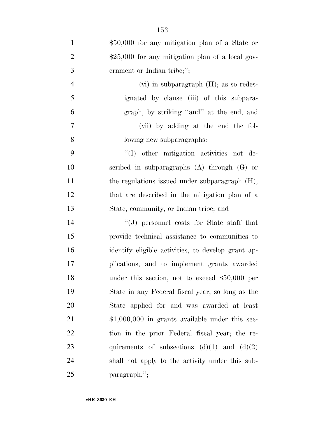| $\mathbf{1}$   | \$50,000 for any mitigation plan of a State or     |
|----------------|----------------------------------------------------|
| $\overline{2}$ | $$25,000$ for any mitigation plan of a local gov-  |
| 3              | ernment or Indian tribe;";                         |
| $\overline{4}$ | $(vi)$ in subparagraph $(H)$ ; as so redes-        |
| 5              | ignated by clause (iii) of this subpara-           |
| 6              | graph, by striking "and" at the end; and           |
| $\overline{7}$ | (vii) by adding at the end the fol-                |
| 8              | lowing new subparagraphs:                          |
| 9              | "(I) other mitigation activities not de-           |
| 10             | scribed in subparagraphs $(A)$ through $(G)$ or    |
| 11             | the regulations issued under subparagraph (H),     |
| 12             | that are described in the mitigation plan of a     |
| 13             | State, community, or Indian tribe; and             |
| 14             | $\lq\lq(J)$ personnel costs for State staff that   |
| 15             | provide technical assistance to communities to     |
| 16             | identify eligible activities, to develop grant ap- |
| 17             | plications, and to implement grants awarded        |
| 18             | under this section, not to exceed $$50,000$ per    |
| 19             | State in any Federal fiscal year, so long as the   |
| 20             | State applied for and was awarded at least         |
| 21             | $$1,000,000$ in grants available under this sec-   |
| 22             | tion in the prior Federal fiscal year; the re-     |
| 23             | quirements of subsections $(d)(1)$ and $(d)(2)$    |
| 24             | shall not apply to the activity under this sub-    |
| 25             | paragraph.";                                       |

•**HR 3630 EH**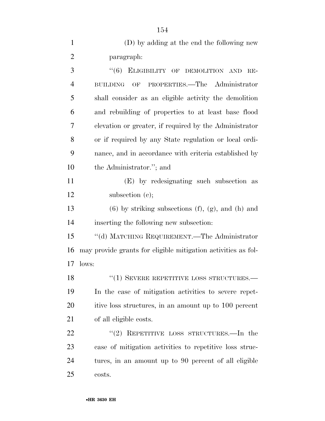| $\mathbf{1}$   | (D) by adding at the end the following new                                 |
|----------------|----------------------------------------------------------------------------|
| $\overline{2}$ | paragraph:                                                                 |
| 3              | "(6) ELIGIBILITY OF DEMOLITION AND<br>$RE-$                                |
| $\overline{4}$ | PROPERTIES.—The Administrator<br>$\overline{\text{OF}}$<br><b>BUILDING</b> |
| 5              | shall consider as an eligible activity the demolition                      |
| 6              | and rebuilding of properties to at least base flood                        |
| 7              | elevation or greater, if required by the Administrator                     |
| 8              | or if required by any State regulation or local ordi-                      |
| 9              | nance, and in accordance with criteria established by                      |
| 10             | the Administrator."; and                                                   |
| 11             | (E) by redesignating such subsection as                                    |
| 12             | subsection $(c)$ ;                                                         |
| 13             | $(6)$ by striking subsections $(f)$ , $(g)$ , and $(h)$ and                |
| 14             | inserting the following new subsection:                                    |
| 15             | "(d) MATCHING REQUIREMENT.—The Administrator                               |
| 16             | may provide grants for eligible mitigation activities as fol-              |
| 17             | lows:                                                                      |
| 18             | $``(1)$ SEVERE REPETITIVE LOSS STRUCTURES.—                                |
| 19             | In the case of mitigation activities to severe repet-                      |
| 20             | itive loss structures, in an amount up to 100 percent                      |
| 21             | of all eligible costs.                                                     |
| 22             | REPETITIVE LOSS STRUCTURES.—In the<br>(2)                                  |
| 23             | case of mitigation activities to repetitive loss struc-                    |
| 24             | tures, in an amount up to 90 percent of all eligible                       |
| 25             | costs.                                                                     |

•**HR 3630 EH**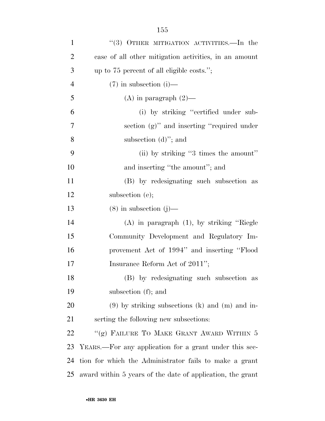| $\mathbf{1}$   | "(3) OTHER MITIGATION ACTIVITIES.—In the                   |
|----------------|------------------------------------------------------------|
| $\overline{2}$ | case of all other mitigation activities, in an amount      |
| 3              | up to 75 percent of all eligible costs.";                  |
| $\overline{4}$ | $(7)$ in subsection (i)—                                   |
| 5              | (A) in paragraph $(2)$ —                                   |
| 6              | (i) by striking "certified under sub-                      |
| 7              | section (g)" and inserting "required under                 |
| 8              | subsection $(d)$ "; and                                    |
| 9              | (ii) by striking "3 times the amount"                      |
| 10             | and inserting "the amount"; and                            |
| 11             | (B) by redesignating such subsection as                    |
| 12             | subsection (e);                                            |
| 13             | $(8)$ in subsection $(j)$ —                                |
| 14             | $(A)$ in paragraph $(1)$ , by striking "Riegle             |
| 15             | Community Development and Regulatory Im-                   |
| 16             | provement Act of 1994" and inserting "Flood                |
| 17             | Insurance Reform Act of 2011";                             |
| 18             | (B) by redesignating such subsection as                    |
| 19             | subsection (f); and                                        |
| 20             | $(9)$ by striking subsections (k) and (m) and in-          |
| 21             | serting the following new subsections:                     |
| 22             | "(g) FAILURE TO MAKE GRANT AWARD WITHIN 5                  |
| 23             | YEARS.—For any application for a grant under this sec-     |
| 24             | tion for which the Administrator fails to make a grant     |
| 25             | award within 5 years of the date of application, the grant |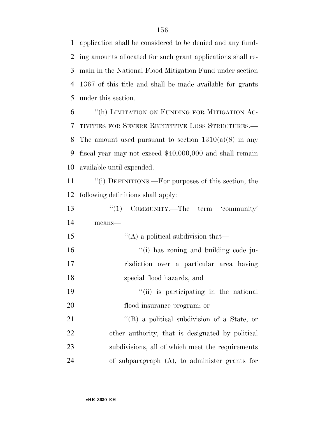application shall be considered to be denied and any fund- ing amounts allocated for such grant applications shall re- main in the National Flood Mitigation Fund under section 1367 of this title and shall be made available for grants under this section.

 ''(h) LIMITATION ON FUNDING FOR MITIGATION AC- TIVITIES FOR SEVERE REPETITIVE LOSS STRUCTURES.— 8 The amount used pursuant to section  $1310(a)(8)$  in any fiscal year may not exceed \$40,000,000 and shall remain available until expended.

 ''(i) DEFINITIONS.—For purposes of this section, the following definitions shall apply:

13 ''(1) COMMUNITY.—The term 'community' means— 15 ''(A) a political subdivision that— 16  $\frac{1}{10}$  has zoning and building code ju- risdiction over a particular area having special flood hazards, and 19 ''(ii) is participating in the national flood insurance program; or 21 ''(B) a political subdivision of a State, or other authority, that is designated by political subdivisions, all of which meet the requirements of subparagraph (A), to administer grants for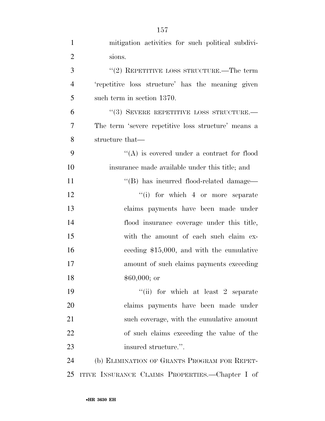| $\mathbf{1}$   | mitigation activities for such political subdivi-   |
|----------------|-----------------------------------------------------|
| $\overline{2}$ | sions.                                              |
| 3              | "(2) REPETITIVE LOSS STRUCTURE.—The term            |
| $\overline{4}$ | 'repetitive loss structure' has the meaning given   |
| 5              | such term in section 1370.                          |
| 6              | "(3) SEVERE REPETITIVE LOSS STRUCTURE.-             |
| 7              | The term 'severe repetitive loss structure' means a |
| 8              | structure that—                                     |
| 9              | $\lq\lq$ is covered under a contract for flood      |
| 10             | insurance made available under this title; and      |
| 11             | "(B) has incurred flood-related damage—             |
| 12             | "(i) for which 4 or more separate                   |
| 13             | claims payments have been made under                |
| 14             | flood insurance coverage under this title,          |
| 15             | with the amount of each such claim ex-              |
| 16             | ceeding $$15,000$ , and with the cumulative         |
| 17             | amount of such claims payments exceeding            |
| 18             | $$60,000;$ or                                       |
| 19             | "(ii) for which at least 2 separate                 |
| <b>20</b>      | claims payments have been made under                |
| 21             | such coverage, with the cumulative amount           |
| 22             | of such claims exceeding the value of the           |
| 23             | insured structure.".                                |
| 24             | (b) ELIMINATION OF GRANTS PROGRAM FOR REPET-        |
| 25             | ITIVE INSURANCE CLAIMS PROPERTIES.—Chapter I of     |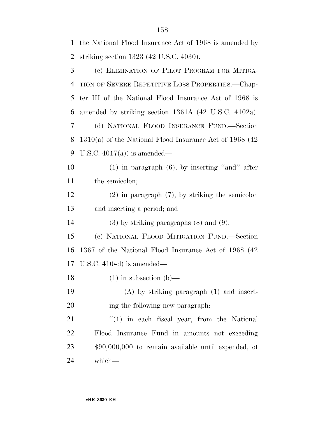| $\mathbf{1}$   | the National Flood Insurance Act of 1968 is amended by     |
|----------------|------------------------------------------------------------|
| $\overline{2}$ | striking section $1323$ (42 U.S.C. 4030).                  |
| 3              | (c) ELIMINATION OF PILOT PROGRAM FOR MITIGA-               |
| $\overline{4}$ | TION OF SEVERE REPETITIVE LOSS PROPERTIES.—Chap-           |
| 5              | ter III of the National Flood Insurance Act of 1968 is     |
| 6              | amended by striking section 1361A (42 U.S.C. 4102a).       |
| 7              | (d) NATIONAL FLOOD INSURANCE FUND.—Section                 |
| 8              | $1310(a)$ of the National Flood Insurance Act of 1968 (42) |
| 9              | U.S.C. $4017(a)$ is amended—                               |
| 10             | $(1)$ in paragraph $(6)$ , by inserting "and" after        |
| 11             | the semicolon;                                             |
| 12             | $(2)$ in paragraph $(7)$ , by striking the semicolon       |
| 13             | and inserting a period; and                                |
| 14             | $(3)$ by striking paragraphs $(8)$ and $(9)$ .             |
| 15             | (e) NATIONAL FLOOD MITIGATION FUND.—Section                |
| 16             | 1367 of the National Flood Insurance Act of 1968 (42       |
|                | 17 U.S.C. $4104d$ is amended—                              |
| 18             | $(1)$ in subsection $(b)$ —                                |
| 19             | $(A)$ by striking paragraph $(1)$ and insert-              |
| 20             | ing the following new paragraph:                           |
| 21             | $f(1)$ in each fiscal year, from the National              |
| 22             | Flood Insurance Fund in amounts not exceeding              |
| 23             | $$90,000,000$ to remain available until expended, of       |
| 24             | which-                                                     |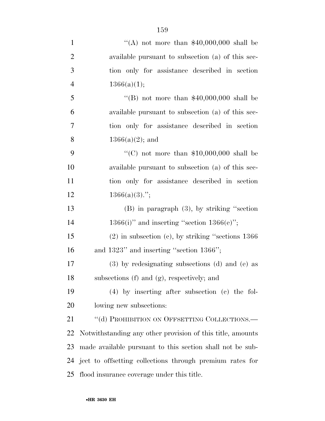$\frac{4}{(A)}$  not more than \$40,000,000 shall be available pursuant to subsection (a) of this sec- tion only for assistance described in section  $1366(a)(1);$  $\text{``(B)}$  not more than \$40,000,000 shall be available pursuant to subsection (a) of this sec- tion only for assistance described in section  $1366(a)(2)$ ; and

 $\frac{1}{2}$  (C) not more than \$10,000,000 shall be available pursuant to subsection (a) of this sec- tion only for assistance described in section  $1366(a)(3)$ .";

 (B) in paragraph (3), by striking ''section 14 1366(i)" and inserting "section  $1366(e)$ ";

 (2) in subsection (c), by striking ''sections 1366 and 1323'' and inserting ''section 1366'';

 (3) by redesignating subsections (d) and (e) as subsections (f) and (g), respectively; and

 (4) by inserting after subsection (c) the fol-lowing new subsections:

21 "(d) PROHIBITION ON OFFSETTING COLLECTIONS.— Notwithstanding any other provision of this title, amounts made available pursuant to this section shall not be sub- ject to offsetting collections through premium rates for flood insurance coverage under this title.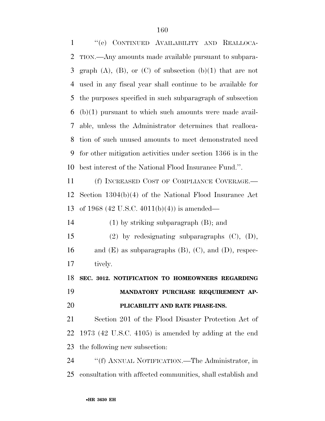''(e) CONTINUED AVAILABILITY AND REALLOCA- TION.—Any amounts made available pursuant to subpara-3 graph  $(A)$ ,  $(B)$ , or  $(C)$  of subsection  $(b)(1)$  that are not used in any fiscal year shall continue to be available for the purposes specified in such subparagraph of subsection (b)(1) pursuant to which such amounts were made avail- able, unless the Administrator determines that realloca- tion of such unused amounts to meet demonstrated need for other mitigation activities under section 1366 is in the best interest of the National Flood Insurance Fund.''. (f) INCREASED COST OF COMPLIANCE COVERAGE.— Section 1304(b)(4) of the National Flood Insurance Act of 1968 (42 U.S.C. 4011(b)(4)) is amended— (1) by striking subparagraph (B); and (2) by redesignating subparagraphs (C), (D), 16 and  $(E)$  as subparagraphs  $(B)$ ,  $(C)$ , and  $(D)$ , respec- tively. **SEC. 3012. NOTIFICATION TO HOMEOWNERS REGARDING MANDATORY PURCHASE REQUIREMENT AP- PLICABILITY AND RATE PHASE-INS.**  Section 201 of the Flood Disaster Protection Act of 1973 (42 U.S.C. 4105) is amended by adding at the end the following new subsection: ''(f) ANNUAL NOTIFICATION.—The Administrator, in consultation with affected communities, shall establish and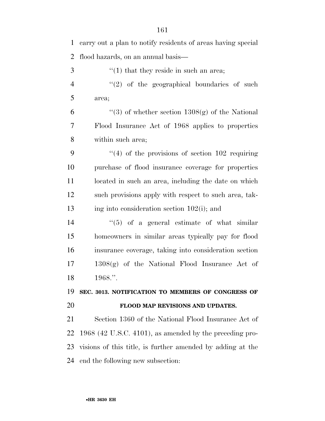carry out a plan to notify residents of areas having special flood hazards, on an annual basis—  $\mathcal{F}$   $\mathcal{F}(1)$  that they reside in such an area;  $\frac{4}{2}$  ''(2) of the geographical boundaries of such area;  $\frac{1308(g)}{g}$  of whether section 1308(g) of the National Flood Insurance Act of 1968 applies to properties within such area; ''(4) of the provisions of section 102 requiring purchase of flood insurance coverage for properties 11 located in such an area, including the date on which such provisions apply with respect to such area, tak- ing into consideration section 102(i); and  $(5)$  of a general estimate of what similar homeowners in similar areas typically pay for flood insurance coverage, taking into consideration section 1308(g) of the National Flood Insurance Act of 1968.''. **SEC. 3013. NOTIFICATION TO MEMBERS OF CONGRESS OF FLOOD MAP REVISIONS AND UPDATES.**  Section 1360 of the National Flood Insurance Act of 1968 (42 U.S.C. 4101), as amended by the preceding pro- visions of this title, is further amended by adding at the end the following new subsection: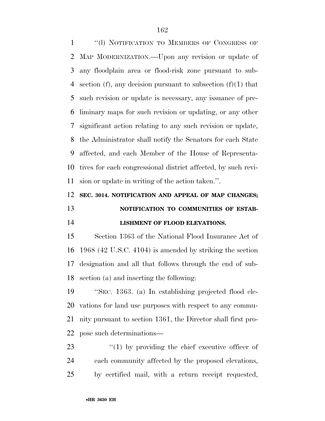''(l) NOTIFICATION TO MEMBERS OF CONGRESS OF MAP MODERNIZATION.—Upon any revision or update of any floodplain area or flood-risk zone pursuant to sub-4 section (f), any decision pursuant to subsection  $(f)(1)$  that such revision or update is necessary, any issuance of pre- liminary maps for such revision or updating, or any other significant action relating to any such revision or update, the Administrator shall notify the Senators for each State affected, and each Member of the House of Representa- tives for each congressional district affected, by such revi-sion or update in writing of the action taken.''.

## **SEC. 3014. NOTIFICATION AND APPEAL OF MAP CHANGES; NOTIFICATION TO COMMUNITIES OF ESTAB-LISHMENT OF FLOOD ELEVATIONS.**

 Section 1363 of the National Flood Insurance Act of 1968 (42 U.S.C. 4104) is amended by striking the section designation and all that follows through the end of sub-section (a) and inserting the following:

 ''SEC. 1363. (a) In establishing projected flood ele- vations for land use purposes with respect to any commu- nity pursuant to section 1361, the Director shall first pro-pose such determinations—

23  $\frac{1}{2}$  (1) by providing the chief executive officer of each community affected by the proposed elevations, by certified mail, with a return receipt requested,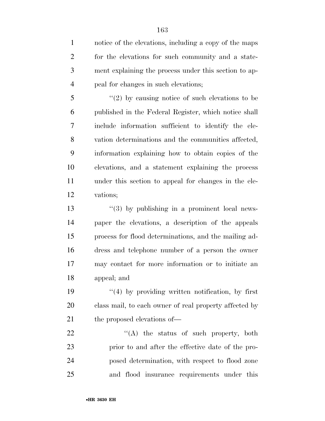notice of the elevations, including a copy of the maps for the elevations for such community and a state- ment explaining the process under this section to ap-peal for changes in such elevations;

 ''(2) by causing notice of such elevations to be published in the Federal Register, which notice shall include information sufficient to identify the ele- vation determinations and the communities affected, information explaining how to obtain copies of the elevations, and a statement explaining the process under this section to appeal for changes in the ele-vations;

 $\frac{13}{2}$   $\frac{13}{2}$  by publishing in a prominent local news- paper the elevations, a description of the appeals process for flood determinations, and the mailing ad- dress and telephone number of a person the owner may contact for more information or to initiate an appeal; and

19  $\frac{1}{2}$  (4) by providing written notification, by first class mail, to each owner of real property affected by 21 the proposed elevations of —

22 "'(A) the status of such property, both prior to and after the effective date of the pro- posed determination, with respect to flood zone and flood insurance requirements under this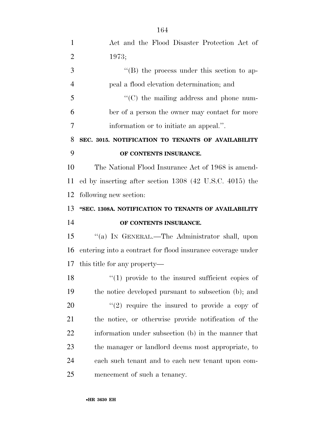| $\mathbf{1}$   | Act and the Flood Disaster Protection Act of                |
|----------------|-------------------------------------------------------------|
| $\overline{2}$ | 1973;                                                       |
| 3              | "(B) the process under this section to ap-                  |
| $\overline{4}$ | peal a flood elevation determination; and                   |
| 5              | $\cdot$ (C) the mailing address and phone num-              |
| 6              | ber of a person the owner may contact for more              |
| 7              | information or to initiate an appeal.".                     |
| 8              | SEC. 3015. NOTIFICATION TO TENANTS OF AVAILABILITY          |
| 9              | OF CONTENTS INSURANCE.                                      |
| 10             | The National Flood Insurance Act of 1968 is amend-          |
| 11             | ed by inserting after section 1308 (42 U.S.C. 4015) the     |
| 12             | following new section:                                      |
| 13             | "SEC. 1308A. NOTIFICATION TO TENANTS OF AVAILABILITY        |
| 14             | OF CONTENTS INSURANCE.                                      |
| 15             | "(a) IN GENERAL.—The Administrator shall, upon              |
| 16             | entering into a contract for flood insurance coverage under |
|                | 17 this title for any property—                             |
| 18             | $\lq(1)$ provide to the insured sufficient copies of        |
| 19             | the notice developed pursuant to subsection (b); and        |
| 20             | $\lq(2)$ require the insured to provide a copy of           |
| 21             | the notice, or otherwise provide notification of the        |
| 22             | information under subsection (b) in the manner that         |
| 23             | the manager or landlord deems most appropriate, to          |
| 24             | each such tenant and to each new tenant upon com-           |
| 25             | mencement of such a tenancy.                                |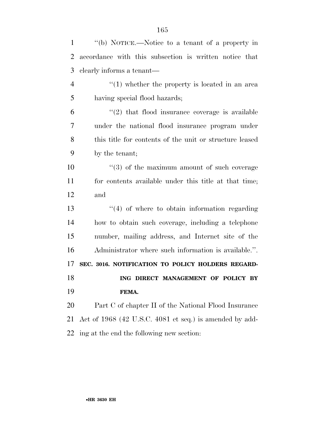| $\mathbf{1}$   | "(b) NOTICE.—Notice to a tenant of a property in          |
|----------------|-----------------------------------------------------------|
| 2              | accordance with this subsection is written notice that    |
| 3              | elearly informs a tenant—                                 |
| $\overline{4}$ | $f(1)$ whether the property is located in an area         |
| 5              | having special flood hazards;                             |
| 6              | $\lq(2)$ that flood insurance coverage is available       |
| 7              | under the national flood insurance program under          |
| 8              | this title for contents of the unit or structure leased   |
| 9              | by the tenant;                                            |
| 10             | $(3)$ of the maximum amount of such coverage              |
| 11             | for contents available under this title at that time;     |
| 12             | and                                                       |
| 13             | $\lq(4)$ of where to obtain information regarding         |
| 14             | how to obtain such coverage, including a telephone        |
| 15             | number, mailing address, and Internet site of the         |
| 16             | Administrator where such information is available.".      |
| 17             | SEC. 3016. NOTIFICATION TO POLICY HOLDERS REGARD-         |
| 18             | ING DIRECT MANAGEMENT OF POLICY BY                        |
| 19             | FEMA.                                                     |
| 20             | Part C of chapter II of the National Flood Insurance      |
| 21             | Act of $1968$ (42 U.S.C. 4081 et seq.) is amended by add- |
| 22             | ing at the end the following new section:                 |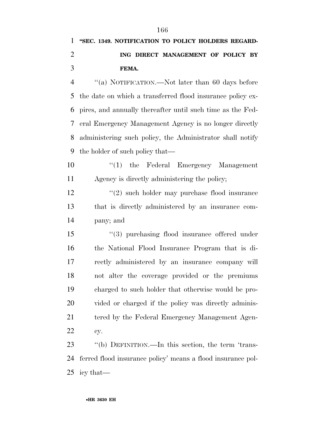# **''SEC. 1349. NOTIFICATION TO POLICY HOLDERS REGARD- ING DIRECT MANAGEMENT OF POLICY BY FEMA.**

 ''(a) NOTIFICATION.—Not later than 60 days before the date on which a transferred flood insurance policy ex- pires, and annually thereafter until such time as the Fed- eral Emergency Management Agency is no longer directly administering such policy, the Administrator shall notify the holder of such policy that—

10  $\cdot$  (1) the Federal Emergency Management Agency is directly administering the policy;

12 ''(2) such holder may purchase flood insurance that is directly administered by an insurance com-pany; and

 ''(3) purchasing flood insurance offered under the National Flood Insurance Program that is di- rectly administered by an insurance company will not alter the coverage provided or the premiums charged to such holder that otherwise would be pro- vided or charged if the policy was directly adminis-21 tered by the Federal Emergency Management Agen-cy.

 ''(b) DEFINITION.—In this section, the term 'trans- ferred flood insurance policy' means a flood insurance pol-icy that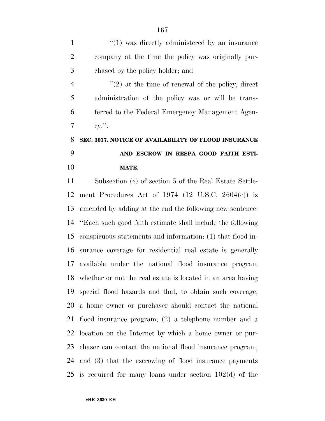1  $\frac{1}{1}$  and  $\frac{1}{2}$  was directly administered by an insurance company at the time the policy was originally pur-chased by the policy holder; and

 $\frac{4}{2}$  ''(2) at the time of renewal of the policy, direct administration of the policy was or will be trans- ferred to the Federal Emergency Management Agen- $7 \quad \text{ev.}$ ".

## **SEC. 3017. NOTICE OF AVAILABILITY OF FLOOD INSURANCE AND ESCROW IN RESPA GOOD FAITH ESTI-MATE.**

 Subsection (c) of section 5 of the Real Estate Settle- ment Procedures Act of 1974 (12 U.S.C. 2604(c)) is amended by adding at the end the following new sentence: ''Each such good faith estimate shall include the following conspicuous statements and information: (1) that flood in- surance coverage for residential real estate is generally available under the national flood insurance program whether or not the real estate is located in an area having special flood hazards and that, to obtain such coverage, a home owner or purchaser should contact the national flood insurance program; (2) a telephone number and a location on the Internet by which a home owner or pur- chaser can contact the national flood insurance program; and (3) that the escrowing of flood insurance payments is required for many loans under section 102(d) of the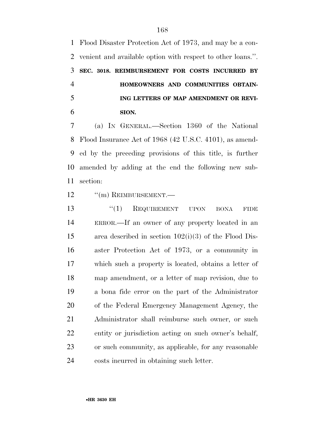Flood Disaster Protection Act of 1973, and may be a con- venient and available option with respect to other loans.''. **SEC. 3018. REIMBURSEMENT FOR COSTS INCURRED BY HOMEOWNERS AND COMMUNITIES OBTAIN- ING LETTERS OF MAP AMENDMENT OR REVI-SION.** 

 (a) IN GENERAL.—Section 1360 of the National Flood Insurance Act of 1968 (42 U.S.C. 4101), as amend- ed by the preceding provisions of this title, is further amended by adding at the end the following new sub-section:

12 "(m) REIMBURSEMENT.—

13 "(1) REQUIREMENT UPON BONA FIDE ERROR.—If an owner of any property located in an area described in section 102(i)(3) of the Flood Dis- aster Protection Act of 1973, or a community in which such a property is located, obtains a letter of map amendment, or a letter of map revision, due to a bona fide error on the part of the Administrator of the Federal Emergency Management Agency, the Administrator shall reimburse such owner, or such entity or jurisdiction acting on such owner's behalf, or such community, as applicable, for any reasonable costs incurred in obtaining such letter.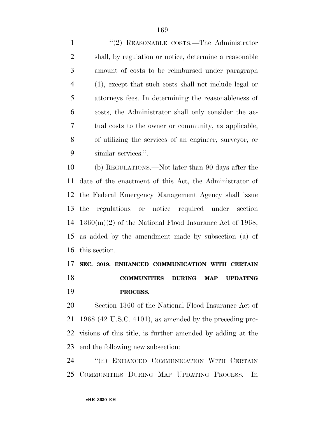1 "(2) REASONABLE COSTS.—The Administrator shall, by regulation or notice, determine a reasonable amount of costs to be reimbursed under paragraph (1), except that such costs shall not include legal or attorneys fees. In determining the reasonableness of costs, the Administrator shall only consider the ac- tual costs to the owner or community, as applicable, of utilizing the services of an engineer, surveyor, or similar services.''.

 (b) REGULATIONS.—Not later than 90 days after the date of the enactment of this Act, the Administrator of the Federal Emergency Management Agency shall issue the regulations or notice required under section 1360(m)(2) of the National Flood Insurance Act of 1968, as added by the amendment made by subsection (a) of this section.

## **SEC. 3019. ENHANCED COMMUNICATION WITH CERTAIN COMMUNITIES DURING MAP UPDATING PROCESS.**

 Section 1360 of the National Flood Insurance Act of 1968 (42 U.S.C. 4101), as amended by the preceding pro- visions of this title, is further amended by adding at the end the following new subsection:

24 "(n) ENHANCED COMMUNICATION WITH CERTAIN COMMUNITIES DURING MAP UPDATING PROCESS.—In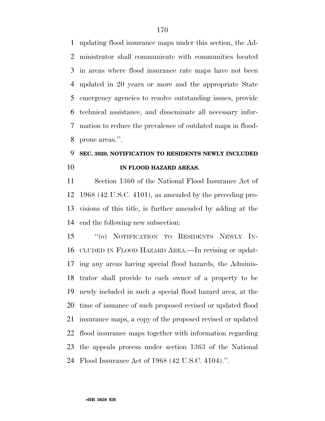updating flood insurance maps under this section, the Ad- ministrator shall communicate with communities located in areas where flood insurance rate maps have not been updated in 20 years or more and the appropriate State emergency agencies to resolve outstanding issues, provide technical assistance, and disseminate all necessary infor- mation to reduce the prevalence of outdated maps in flood-prone areas.''.

# **SEC. 3020. NOTIFICATION TO RESIDENTS NEWLY INCLUDED IN FLOOD HAZARD AREAS.**

 Section 1360 of the National Flood Insurance Act of 1968 (42 U.S.C. 4101), as amended by the preceding pro- visions of this title, is further amended by adding at the end the following new subsection:

 ''(o) NOTIFICATION TO RESIDENTS NEWLY IN- CLUDED IN FLOOD HAZARD AREA.—In revising or updat- ing any areas having special flood hazards, the Adminis- trator shall provide to each owner of a property to be newly included in such a special flood hazard area, at the time of issuance of such proposed revised or updated flood insurance maps, a copy of the proposed revised or updated flood insurance maps together with information regarding the appeals process under section 1363 of the National Flood Insurance Act of 1968 (42 U.S.C. 4104).''.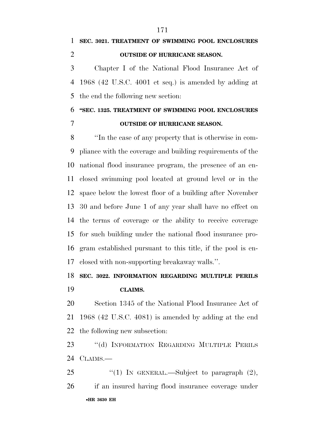**SEC. 3021. TREATMENT OF SWIMMING POOL ENCLOSURES OUTSIDE OF HURRICANE SEASON.**  Chapter I of the National Flood Insurance Act of

 1968 (42 U.S.C. 4001 et seq.) is amended by adding at the end the following new section:

### **''SEC. 1325. TREATMENT OF SWIMMING POOL ENCLOSURES OUTSIDE OF HURRICANE SEASON.**

 ''In the case of any property that is otherwise in com- pliance with the coverage and building requirements of the national flood insurance program, the presence of an en- closed swimming pool located at ground level or in the space below the lowest floor of a building after November 30 and before June 1 of any year shall have no effect on the terms of coverage or the ability to receive coverage for such building under the national flood insurance pro- gram established pursuant to this title, if the pool is en-closed with non-supporting breakaway walls.''.

### **SEC. 3022. INFORMATION REGARDING MULTIPLE PERILS**

### **CLAIMS.**

 Section 1345 of the National Flood Insurance Act of 1968 (42 U.S.C. 4081) is amended by adding at the end the following new subsection:

23 "(d) INFORMATION REGARDING MULTIPLE PERILS 24 CLAIMS.

•**HR 3630 EH** 25  $\text{``(1)}$  IN GENERAL.—Subject to paragraph  $(2)$ , if an insured having flood insurance coverage under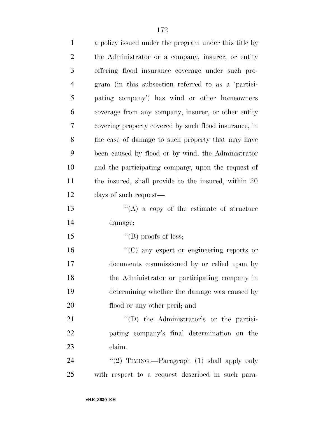| $\mathbf{1}$   | a policy issued under the program under this title by |
|----------------|-------------------------------------------------------|
| $\overline{2}$ | the Administrator or a company, insurer, or entity    |
| 3              | offering flood insurance coverage under such pro-     |
| $\overline{4}$ | gram (in this subsection referred to as a 'partici-   |
| 5              | pating company') has wind or other homeowners         |
| 6              | coverage from any company, insurer, or other entity   |
| 7              | covering property covered by such flood insurance, in |
| 8              | the case of damage to such property that may have     |
| 9              | been caused by flood or by wind, the Administrator    |
| 10             | and the participating company, upon the request of    |
| 11             | the insured, shall provide to the insured, within 30  |
| 12             | days of such request-                                 |
| 13             | "(A) a copy of the estimate of structure              |
| 14             | damage;                                               |
| 15             | "(B) proofs of loss;                                  |
| 16             | $\lq\lq$ (C) any expert or engineering reports or     |
| 17             | documents commissioned by or relied upon by           |
| 18             | the Administrator or participating company in         |
| 19             | determining whether the damage was caused by          |
| 20             | flood or any other peril; and                         |
| 21             | "(D) the Administrator's or the partici-              |
| 22             | pating company's final determination on the           |
| 23             | claim.                                                |
| 24             | "(2) TIMING.—Paragraph $(1)$ shall apply only         |
| 25             | with respect to a request described in such para-     |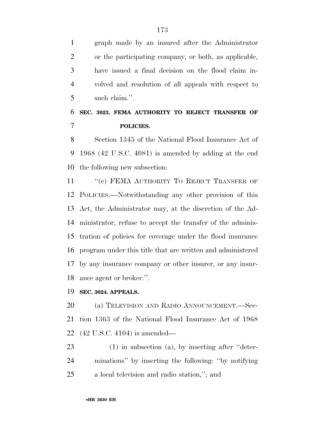graph made by an insured after the Administrator or the participating company, or both, as applicable, have issued a final decision on the flood claim in- volved and resolution of all appeals with respect to such claim.''.

### **SEC. 3023. FEMA AUTHORITY TO REJECT TRANSFER OF POLICIES.**

 Section 1345 of the National Flood Insurance Act of 1968 (42 U.S.C. 4081) is amended by adding at the end the following new subsection:

11 "(e) FEMA AUTHORITY TO REJECT TRANSFER OF POLICIES.—Notwithstanding any other provision of this Act, the Administrator may, at the discretion of the Ad- ministrator, refuse to accept the transfer of the adminis- tration of policies for coverage under the flood insurance program under this title that are written and administered by any insurance company or other insurer, or any insur-ance agent or broker.''.

### **SEC. 3024. APPEALS.**

 (a) TELEVISION AND RADIO ANNOUNCEMENT.—Sec- tion 1363 of the National Flood Insurance Act of 1968 (42 U.S.C. 4104) is amended—

 (1) in subsection (a), by inserting after ''deter- minations'' by inserting the following: ''by notifying a local television and radio station,''; and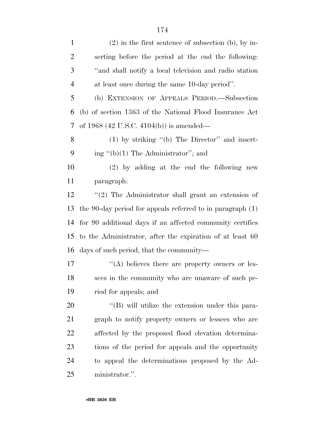| $\mathbf{1}$   | $(2)$ in the first sentence of subsection (b), by in-        |
|----------------|--------------------------------------------------------------|
| $\overline{2}$ | serting before the period at the end the following:          |
| 3              | "and shall notify a local television and radio station       |
| $\overline{4}$ | at least once during the same 10-day period".                |
| 5              | (b) EXTENSION OF APPEALS PERIOD. Subsection                  |
| 6              | (b) of section 1363 of the National Flood Insurance Act      |
| 7              | of 1968 (42 U.S.C. 4104(b)) is amended—                      |
| 8              | $(1)$ by striking "(b) The Director" and insert-             |
| 9              | ing " $(b)(1)$ The Administrator"; and                       |
| 10             | (2) by adding at the end the following new                   |
| 11             | paragraph:                                                   |
| 12             | "(2) The Administrator shall grant an extension of           |
| 13             | the 90-day period for appeals referred to in paragraph $(1)$ |
| 14             | for 90 additional days if an affected community certifies    |
| 15             | to the Administrator, after the expiration of at least 60    |
| 16             | days of such period, that the community—                     |
| 17             | "(A) believes there are property owners or les-              |
| 18             | sees in the community who are unaware of such pe-            |
| 19             | riod for appeals; and                                        |
| 20             | $\lq\lq$ (B) will utilize the extension under this para-     |
| 21             | graph to notify property owners or lessees who are           |
| 22             | affected by the proposed flood elevation determina-          |
| 23             | tions of the period for appeals and the opportunity          |
| 24             | to appeal the determinations proposed by the Ad-             |
| 25             | ministrator.".                                               |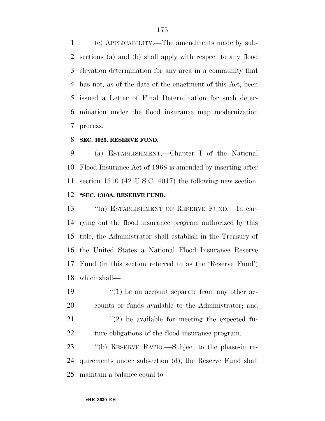(c) APPLICABILITY.—The amendments made by sub- sections (a) and (b) shall apply with respect to any flood elevation determination for any area in a community that has not, as of the date of the enactment of this Act, been issued a Letter of Final Determination for such deter- mination under the flood insurance map modernization process.

#### **SEC. 3025. RESERVE FUND.**

 (a) ESTABLISHMENT.—Chapter I of the National Flood Insurance Act of 1968 is amended by inserting after section 1310 (42 U.S.C. 4017) the following new section: **''SEC. 1310A. RESERVE FUND.** 

13 "(a) ESTABLISHMENT OF RESERVE FUND.—In car- rying out the flood insurance program authorized by this title, the Administrator shall establish in the Treasury of the United States a National Flood Insurance Reserve Fund (in this section referred to as the 'Reserve Fund') which shall—

 $\frac{1}{2}$  (1) be an account separate from any other ac- counts or funds available to the Administrator; and  $(2)$  be available for meeting the expected fu-22 ture obligations of the flood insurance program.

 ''(b) RESERVE RATIO.—Subject to the phase-in re- quirements under subsection (d), the Reserve Fund shall maintain a balance equal to—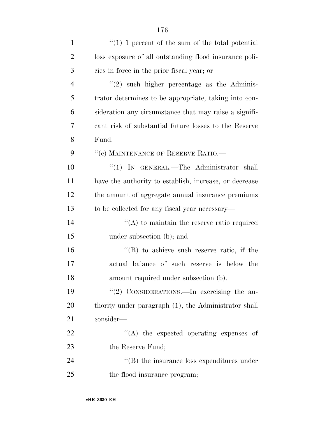| $\mathbf{1}$   | $\lq(1)$ 1 percent of the sum of the total potential   |
|----------------|--------------------------------------------------------|
| $\overline{2}$ | loss exposure of all outstanding flood insurance poli- |
| 3              | cies in force in the prior fiscal year; or             |
| $\overline{4}$ | $\lq(2)$ such higher percentage as the Adminis-        |
| 5              | trator determines to be appropriate, taking into con-  |
| 6              | sideration any circumstance that may raise a signifi-  |
| 7              | cant risk of substantial future losses to the Reserve  |
| 8              | Fund.                                                  |
| 9              | "(c) MAINTENANCE OF RESERVE RATIO.-                    |
| 10             | "(1) IN GENERAL.—The Administrator shall               |
| 11             | have the authority to establish, increase, or decrease |
| 12             | the amount of aggregate annual insurance premiums      |
| 13             | to be collected for any fiscal year necessary—         |
| 14             | $\cdot$ (A) to maintain the reserve ratio required     |
| 15             | under subsection (b); and                              |
| 16             | $\lq\lq$ to achieve such reserve ratio, if the         |
| 17             | actual balance of such reserve is below the            |
| 18             | amount required under subsection (b).                  |
| 19             | "(2) CONSIDERATIONS.—In exercising the au-             |
| 20             | thority under paragraph (1), the Administrator shall   |
| 21             | consider-                                              |
| 22             | "(A) the expected operating expenses of                |
| 23             | the Reserve Fund;                                      |
| 24             | $\lq\lq$ the insurance loss expenditures under         |
| 25             | the flood insurance program;                           |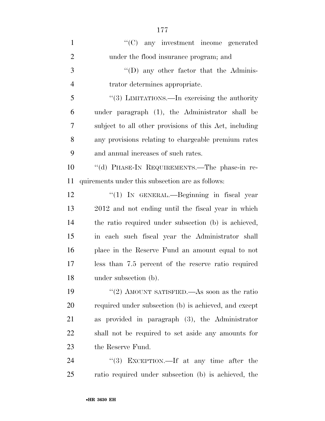| $\mathbf{1}$   | "(C) any investment income generated                   |
|----------------|--------------------------------------------------------|
| $\overline{2}$ | under the flood insurance program; and                 |
| 3              | $\lq\lq$ (D) any other factor that the Adminis-        |
| $\overline{4}$ | trator determines appropriate.                         |
| 5              | "(3) LIMITATIONS.—In exercising the authority          |
| 6              | under paragraph (1), the Administrator shall be        |
| 7              | subject to all other provisions of this Act, including |
| 8              | any provisions relating to chargeable premium rates    |
| 9              | and annual increases of such rates.                    |
| 10             | "(d) PHASE-IN REQUIREMENTS.—The phase-in re-           |
| 11             | quirements under this subsection are as follows:       |
| 12             | "(1) IN GENERAL.—Beginning in fiscal year              |
| 13             | 2012 and not ending until the fiscal year in which     |
| 14             | the ratio required under subsection (b) is achieved,   |
| 15             | in each such fiscal year the Administrator shall       |
| 16             | place in the Reserve Fund an amount equal to not       |
| 17             | less than 7.5 percent of the reserve ratio required    |
| 18             | under subsection (b).                                  |
| 19             | "(2) AMOUNT SATISFIED.—As soon as the ratio            |
| <b>20</b>      | required under subsection (b) is achieved, and except  |
| 21             | as provided in paragraph $(3)$ , the Administrator     |
| 22             | shall not be required to set aside any amounts for     |
| 23             | the Reserve Fund.                                      |
| 24             | "(3) EXCEPTION.—If at any time after the               |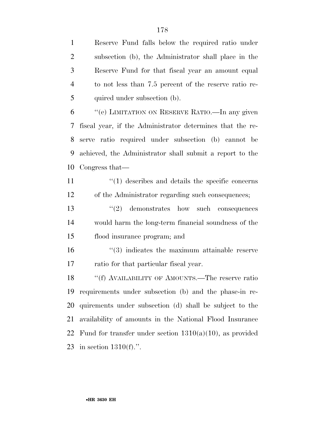subsection (b), the Administrator shall place in the Reserve Fund for that fiscal year an amount equal to not less than 7.5 percent of the reserve ratio re-5 quired under subsection (b).

 ''(e) LIMITATION ON RESERVE RATIO.—In any given fiscal year, if the Administrator determines that the re- serve ratio required under subsection (b) cannot be achieved, the Administrator shall submit a report to the Congress that—

- 11 ''(1) describes and details the specific concerns of the Administrator regarding such consequences;
- 13 ''(2) demonstrates how such consequences would harm the long-term financial soundness of the flood insurance program; and
- 16 ''(3) indicates the maximum attainable reserve ratio for that particular fiscal year.

18 "(f) AVAILABILITY OF AMOUNTS.—The reserve ratio requirements under subsection (b) and the phase-in re- quirements under subsection (d) shall be subject to the availability of amounts in the National Flood Insurance 22 Fund for transfer under section  $1310(a)(10)$ , as provided in section 1310(f).''.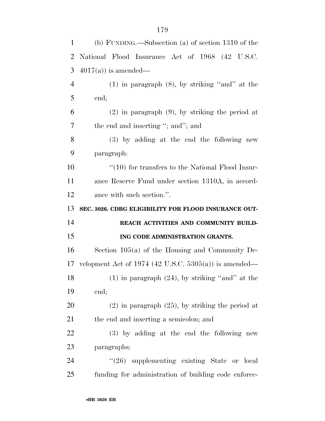| $\mathbf{1}$   | (b) FUNDING.—Subsection (a) of section $1310$ of the  |
|----------------|-------------------------------------------------------|
| $\overline{2}$ | National Flood Insurance Act of 1968 (42 U.S.C.       |
| 3              | $4017(a)$ is amended—                                 |
| $\overline{4}$ | $(1)$ in paragraph $(8)$ , by striking "and" at the   |
| 5              | end;                                                  |
| 6              | $(2)$ in paragraph $(9)$ , by striking the period at  |
| 7              | the end and inserting "; and"; and                    |
| 8              | (3) by adding at the end the following new            |
| 9              | paragraph:                                            |
| 10             | $``(10)$ for transfers to the National Flood Insur-   |
| 11             | ance Reserve Fund under section 1310A, in accord-     |
| 12             | ance with such section.".                             |
|                |                                                       |
| 13             | SEC. 3026. CDBG ELIGIBILITY FOR FLOOD INSURANCE OUT-  |
| 14             | REACH ACTIVITIES AND COMMUNITY BUILD-                 |
| 15             | ING CODE ADMINISTRATION GRANTS.                       |
| 16             | Section $105(a)$ of the Housing and Community De-     |
| 17             | velopment Act of 1974 (42 U.S.C. 5305(a)) is amended— |
| 18             | $(1)$ in paragraph $(24)$ , by striking "and" at the  |
| 19             | end;                                                  |
| 20             | $(2)$ in paragraph $(25)$ , by striking the period at |
| 21             | the end and inserting a semicolon; and                |
| 22             | (3) by adding at the end the following new            |
| 23             | paragraphs:                                           |
| 24             | $\degree$ (26) supplementing existing State or local  |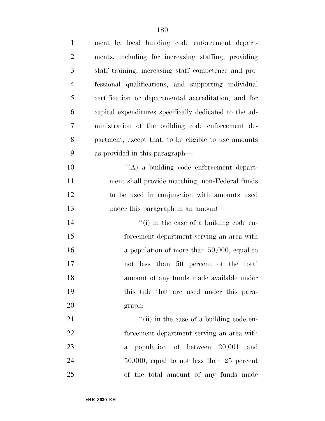| $\mathbf{1}$   | ment by local building code enforcement depart-        |
|----------------|--------------------------------------------------------|
| $\overline{2}$ | ments, including for increasing staffing, providing    |
| 3              | staff training, increasing staff competence and pro-   |
| $\overline{4}$ | fessional qualifications, and supporting individual    |
| 5              | certification or departmental accreditation, and for   |
| 6              | capital expenditures specifically dedicated to the ad- |
| $\tau$         | ministration of the building code enforcement de-      |
| 8              | partment, except that, to be eligible to use amounts   |
| 9              | as provided in this paragraph—                         |
| 10             | $\lq\lq$ a building code enforcement depart-           |
| 11             | ment shall provide matching, non-Federal funds         |
| 12             | to be used in conjunction with amounts used            |
| 13             | under this paragraph in an amount—                     |
| 14             | $\lq\lq$ (i) in the case of a building code en-        |
| 15             | forcement department serving an area with              |
| 16             | a population of more than $50,000$ , equal to          |
| 17             | not less than 50 percent of the total                  |
| 18             | amount of any funds made available under               |
| 19             | this title that are used under this para-              |
| 20             | graph;                                                 |
| 21             | "(ii) in the case of a building code en-               |
| 22             | forcement department serving an area with              |
| 23             | population of between 20,001 and<br>$\mathbf{a}$       |
| 24             | $50,000$ , equal to not less than 25 percent           |
| 25             | of the total amount of any funds made                  |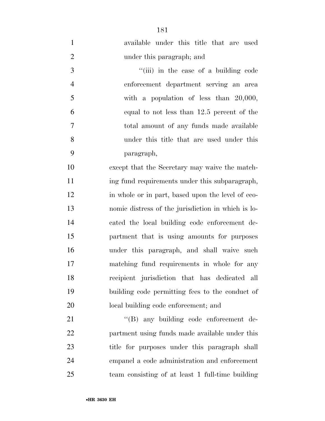available under this title that are used under this paragraph; and

3 ''(iii) in the case of a building code enforcement department serving an area with a population of less than 20,000, equal to not less than 12.5 percent of the total amount of any funds made available under this title that are used under this paragraph,

 except that the Secretary may waive the match-11 ing fund requirements under this subparagraph, in whole or in part, based upon the level of eco- nomic distress of the jurisdiction in which is lo- cated the local building code enforcement de- partment that is using amounts for purposes under this paragraph, and shall waive such matching fund requirements in whole for any recipient jurisdiction that has dedicated all building code permitting fees to the conduct of local building code enforcement; and

21 "'(B) any building code enforcement de- partment using funds made available under this title for purposes under this paragraph shall empanel a code administration and enforcement team consisting of at least 1 full-time building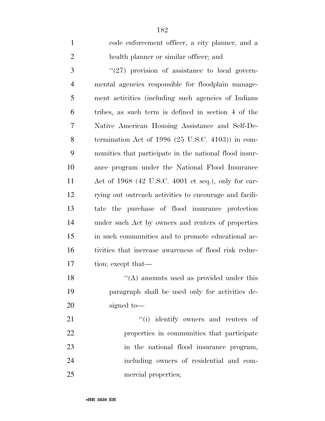| $\mathbf{1}$   | code enforcement officer, a city planner, and a             |
|----------------|-------------------------------------------------------------|
| $\overline{2}$ | health planner or similar officer; and                      |
| 3              | $(27)$ provision of assistance to local govern-             |
| $\overline{4}$ | mental agencies responsible for floodplain manage-          |
| 5              | ment activities (including such agencies of Indians         |
| 6              | tribes, as such term is defined in section 4 of the         |
| 7              | Native American Housing Assistance and Self-De-             |
| 8              | termination Act of 1996 $(25 \text{ U.S.C. } 4103)$ in com- |
| 9              | munities that participate in the national flood insur-      |
| 10             | ance program under the National Flood Insurance             |
| 11             | Act of $1968$ (42 U.S.C. 4001 et seq.), only for car-       |
| 12             | rying out outreach activities to encourage and facili-      |
| 13             | tate the purchase of flood insurance protection             |
| 14             | under such Act by owners and renters of properties          |
| 15             | in such communities and to promote educational ac-          |
| 16             | tivities that increase awareness of flood risk reduc-       |
| 17             | tion; except that—                                          |
| 18             | $\lq\lq$ amounts used as provided under this                |
| 19             | paragraph shall be used only for activities de-             |
| 20             | signed to-                                                  |
| 21             | "(i) identify owners and renters of                         |
| 22             | properties in communities that participate                  |
| 23             | in the national flood insurance program,                    |
| 24             | including owners of residential and com-                    |

mercial properties;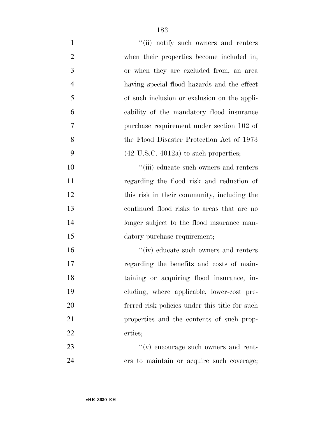| $\mathbf{1}$   | "(ii) notify such owners and renters             |
|----------------|--------------------------------------------------|
| $\overline{2}$ | when their properties become included in,        |
| 3              | or when they are excluded from, an area          |
| $\overline{4}$ | having special flood hazards and the effect      |
| 5              | of such inclusion or exclusion on the appli-     |
| 6              | cability of the mandatory flood insurance        |
| 7              | purchase requirement under section 102 of        |
| 8              | the Flood Disaster Protection Act of 1973        |
| 9              | $(42 \text{ U.S.C. } 4012a)$ to such properties; |
| 10             | "(iii) educate such owners and renters           |
| 11             | regarding the flood risk and reduction of        |
| 12             | this risk in their community, including the      |
| 13             | continued flood risks to areas that are no       |
| 14             | longer subject to the flood insurance man-       |
| 15             | datory purchase requirement;                     |
| 16             | $\lq\lq$ (iv) educate such owners and renters    |
| 17             | regarding the benefits and costs of main-        |
| 18             | taining or acquiring flood insurance, in-        |
| 19             | cluding, where applicable, lower-cost pre-       |
| 20             | ferred risk policies under this title for such   |
| 21             | properties and the contents of such prop-        |
| 22             | erties;                                          |
| 23             | "(v) encourage such owners and rent-             |
| 24             | ers to maintain or acquire such coverage;        |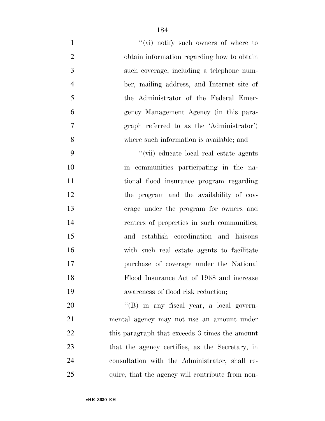| $\mathbf{1}$   | "(vi) notify such owners of where to             |
|----------------|--------------------------------------------------|
| $\overline{2}$ | obtain information regarding how to obtain       |
| 3              | such coverage, including a telephone num-        |
| $\overline{4}$ | ber, mailing address, and Internet site of       |
| 5              | the Administrator of the Federal Emer-           |
| 6              | gency Management Agency (in this para-           |
| 7              | graph referred to as the 'Administrator')        |
| 8              | where such information is available; and         |
| 9              | "(vii) educate local real estate agents          |
| 10             | in communities participating in the na-          |
| 11             | tional flood insurance program regarding         |
| 12             | the program and the availability of cov-         |
| 13             | erage under the program for owners and           |
| 14             | renters of properties in such communities,       |
| 15             | and establish coordination and liaisons          |
| 16             | with such real estate agents to facilitate       |
| 17             | purchase of coverage under the National          |
| 18             | Flood Insurance Act of 1968 and increase         |
| 19             | awareness of flood risk reduction;               |
| 20             | $\lq\lq (B)$ in any fiscal year, a local govern- |
| 21             | mental agency may not use an amount under        |
| 22             | this paragraph that exceeds 3 times the amount   |
| 23             | that the agency certifies, as the Secretary, in  |
| 24             | consultation with the Administrator, shall re-   |
| 25             | quire, that the agency will contribute from non- |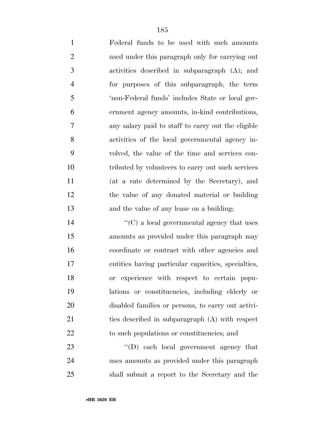Federal funds to be used with such amounts used under this paragraph only for carrying out activities described in subparagraph (A); and for purposes of this subparagraph, the term 'non-Federal funds' includes State or local gov- ernment agency amounts, in-kind contributions, any salary paid to staff to carry out the eligible activities of the local governmental agency in- volved, the value of the time and services con- tributed by volunteers to carry out such services (at a rate determined by the Secretary), and

 the value of any donated material or building and the value of any lease on a building;

 $\lq\lq$  (C) a local governmental agency that uses amounts as provided under this paragraph may coordinate or contract with other agencies and entities having particular capacities, specialties, or experience with respect to certain popu- lations or constituencies, including elderly or disabled families or persons, to carry out activi- ties described in subparagraph (A) with respect to such populations or constituencies; and

23  $\text{``(D) each local government agency that}$  uses amounts as provided under this paragraph shall submit a report to the Secretary and the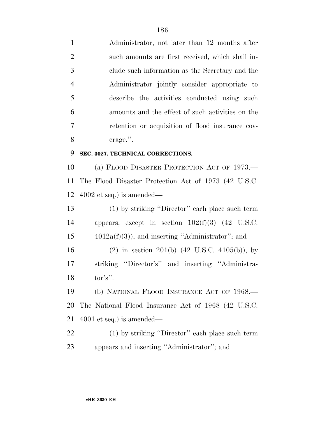Administrator, not later than 12 months after such amounts are first received, which shall in- clude such information as the Secretary and the Administrator jointly consider appropriate to describe the activities conducted using such amounts and the effect of such activities on the retention or acquisition of flood insurance cov- erage.''. **SEC. 3027. TECHNICAL CORRECTIONS.**  (a) FLOOD DISASTER PROTECTION ACT OF 1973.— The Flood Disaster Protection Act of 1973 (42 U.S.C. 4002 et seq.) is amended— (1) by striking ''Director'' each place such term appears, except in section 102(f)(3) (42 U.S.C.  $15 \qquad \qquad 4012a(f)(3)$ , and inserting "Administrator"; and (2) in section 201(b) (42 U.S.C. 4105(b)), by striking ''Director's'' and inserting ''Administra- tor's''. (b) NATIONAL FLOOD INSURANCE ACT OF 1968.— The National Flood Insurance Act of 1968 (42 U.S.C.

4001 et seq.) is amended—

 (1) by striking ''Director'' each place such term appears and inserting ''Administrator''; and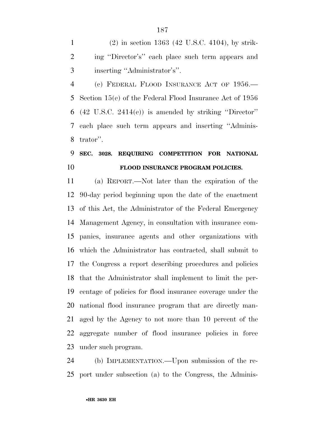(2) in section 1363 (42 U.S.C. 4104), by strik- ing ''Director's'' each place such term appears and inserting ''Administrator's''.

 (c) FEDERAL FLOOD INSURANCE ACT OF 1956.— Section 15(e) of the Federal Flood Insurance Act of 1956 (42 U.S.C. 2414(e)) is amended by striking ''Director'' each place such term appears and inserting ''Adminis-trator''.

## **SEC. 3028. REQUIRING COMPETITION FOR NATIONAL FLOOD INSURANCE PROGRAM POLICIES.**

 (a) REPORT.—Not later than the expiration of the 90-day period beginning upon the date of the enactment of this Act, the Administrator of the Federal Emergency Management Agency, in consultation with insurance com- panies, insurance agents and other organizations with which the Administrator has contracted, shall submit to the Congress a report describing procedures and policies that the Administrator shall implement to limit the per- centage of policies for flood insurance coverage under the national flood insurance program that are directly man- aged by the Agency to not more than 10 percent of the aggregate number of flood insurance policies in force under such program.

 (b) IMPLEMENTATION.—Upon submission of the re-port under subsection (a) to the Congress, the Adminis-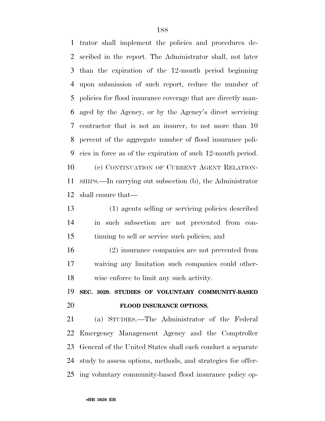trator shall implement the policies and procedures de- scribed in the report. The Administrator shall, not later than the expiration of the 12-month period beginning upon submission of such report, reduce the number of policies for flood insurance coverage that are directly man- aged by the Agency, or by the Agency's direct servicing contractor that is not an insurer, to not more than 10 percent of the aggregate number of flood insurance poli- cies in force as of the expiration of such 12-month period. (c) CONTINUATION OF CURRENT AGENT RELATION- SHIPS.—In carrying out subsection (b), the Administrator shall ensure that—

 (1) agents selling or servicing policies described in such subsection are not prevented from con-tinuing to sell or service such policies; and

 (2) insurance companies are not prevented from waiving any limitation such companies could other-wise enforce to limit any such activity.

 **SEC. 3029. STUDIES OF VOLUNTARY COMMUNITY-BASED FLOOD INSURANCE OPTIONS.** 

 (a) STUDIES.—The Administrator of the Federal Emergency Management Agency and the Comptroller General of the United States shall each conduct a separate study to assess options, methods, and strategies for offer-ing voluntary community-based flood insurance policy op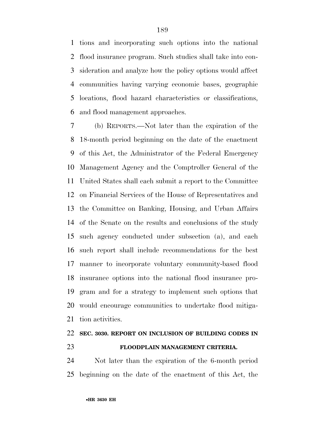tions and incorporating such options into the national flood insurance program. Such studies shall take into con- sideration and analyze how the policy options would affect communities having varying economic bases, geographic locations, flood hazard characteristics or classifications, and flood management approaches.

 (b) REPORTS.—Not later than the expiration of the 18-month period beginning on the date of the enactment of this Act, the Administrator of the Federal Emergency Management Agency and the Comptroller General of the United States shall each submit a report to the Committee on Financial Services of the House of Representatives and the Committee on Banking, Housing, and Urban Affairs of the Senate on the results and conclusions of the study such agency conducted under subsection (a), and each such report shall include recommendations for the best manner to incorporate voluntary community-based flood insurance options into the national flood insurance pro- gram and for a strategy to implement such options that would encourage communities to undertake flood mitiga-tion activities.

### **SEC. 3030. REPORT ON INCLUSION OF BUILDING CODES IN FLOODPLAIN MANAGEMENT CRITERIA.**

 Not later than the expiration of the 6-month period beginning on the date of the enactment of this Act, the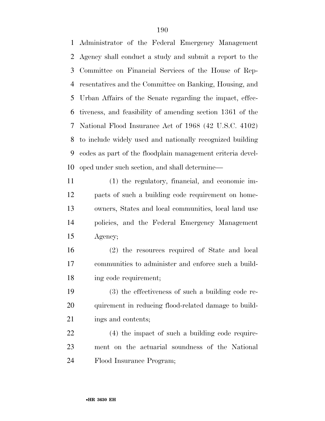Administrator of the Federal Emergency Management Agency shall conduct a study and submit a report to the Committee on Financial Services of the House of Rep- resentatives and the Committee on Banking, Housing, and Urban Affairs of the Senate regarding the impact, effec- tiveness, and feasibility of amending section 1361 of the National Flood Insurance Act of 1968 (42 U.S.C. 4102) to include widely used and nationally recognized building codes as part of the floodplain management criteria devel-oped under such section, and shall determine—

 (1) the regulatory, financial, and economic im- pacts of such a building code requirement on home- owners, States and local communities, local land use policies, and the Federal Emergency Management Agency;

 (2) the resources required of State and local communities to administer and enforce such a build-ing code requirement;

 (3) the effectiveness of such a building code re- quirement in reducing flood-related damage to build-21 ings and contents;

 (4) the impact of such a building code require- ment on the actuarial soundness of the National Flood Insurance Program;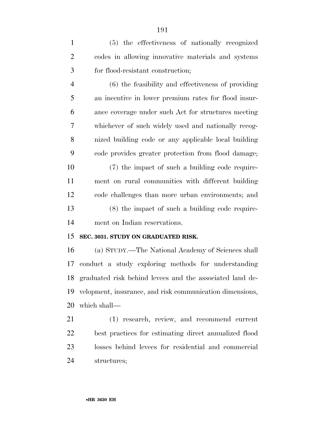(5) the effectiveness of nationally recognized codes in allowing innovative materials and systems for flood-resistant construction;

 (6) the feasibility and effectiveness of providing an incentive in lower premium rates for flood insur- ance coverage under such Act for structures meeting whichever of such widely used and nationally recog- nized building code or any applicable local building code provides greater protection from flood damage;

 (7) the impact of such a building code require- ment on rural communities with different building code challenges than more urban environments; and (8) the impact of such a building code require-ment on Indian reservations.

#### **SEC. 3031. STUDY ON GRADUATED RISK.**

 (a) STUDY.—The National Academy of Sciences shall conduct a study exploring methods for understanding graduated risk behind levees and the associated land de- velopment, insurance, and risk communication dimensions, which shall—

 (1) research, review, and recommend current best practices for estimating direct annualized flood losses behind levees for residential and commercial structures;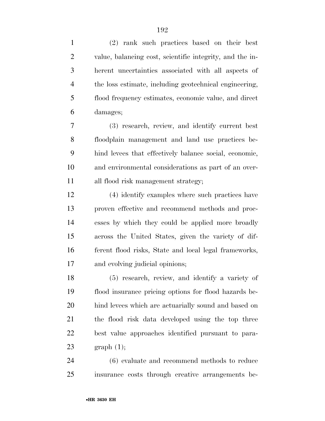(2) rank such practices based on their best value, balancing cost, scientific integrity, and the in- herent uncertainties associated with all aspects of the loss estimate, including geotechnical engineering, flood frequency estimates, economic value, and direct damages;

 (3) research, review, and identify current best floodplain management and land use practices be- hind levees that effectively balance social, economic, and environmental considerations as part of an over-all flood risk management strategy;

 (4) identify examples where such practices have proven effective and recommend methods and proc- esses by which they could be applied more broadly across the United States, given the variety of dif- ferent flood risks, State and local legal frameworks, and evolving judicial opinions;

 (5) research, review, and identify a variety of flood insurance pricing options for flood hazards be- hind levees which are actuarially sound and based on the flood risk data developed using the top three best value approaches identified pursuant to para-23 graph  $(1)$ ;

 (6) evaluate and recommend methods to reduce insurance costs through creative arrangements be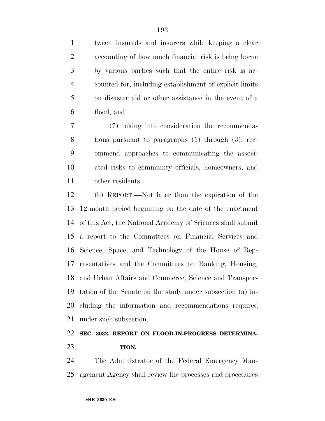tween insureds and insurers while keeping a clear accounting of how much financial risk is being borne by various parties such that the entire risk is ac- counted for, including establishment of explicit limits on disaster aid or other assistance in the event of a flood; and

 (7) taking into consideration the recommenda- tions pursuant to paragraphs (1) through (3), rec- ommend approaches to communicating the associ- ated risks to community officials, homeowners, and other residents.

 (b) REPORT.—Not later than the expiration of the 12-month period beginning on the date of the enactment of this Act, the National Academy of Sciences shall submit a report to the Committees on Financial Services and Science, Space, and Technology of the House of Rep- resentatives and the Committees on Banking, Housing, and Urban Affairs and Commerce, Science and Transpor- tation of the Senate on the study under subsection (a) in- cluding the information and recommendations required under such subsection.

### **SEC. 3032. REPORT ON FLOOD-IN-PROGRESS DETERMINA-TION.**

 The Administrator of the Federal Emergency Man-agement Agency shall review the processes and procedures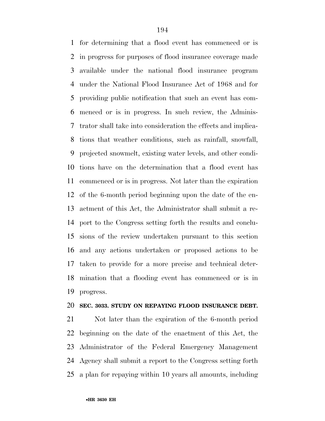for determining that a flood event has commenced or is in progress for purposes of flood insurance coverage made available under the national flood insurance program under the National Flood Insurance Act of 1968 and for providing public notification that such an event has com- menced or is in progress. In such review, the Adminis- trator shall take into consideration the effects and implica- tions that weather conditions, such as rainfall, snowfall, projected snowmelt, existing water levels, and other condi- tions have on the determination that a flood event has commenced or is in progress. Not later than the expiration of the 6-month period beginning upon the date of the en- actment of this Act, the Administrator shall submit a re- port to the Congress setting forth the results and conclu- sions of the review undertaken pursuant to this section and any actions undertaken or proposed actions to be taken to provide for a more precise and technical deter- mination that a flooding event has commenced or is in progress.

#### **SEC. 3033. STUDY ON REPAYING FLOOD INSURANCE DEBT.**

 Not later than the expiration of the 6-month period beginning on the date of the enactment of this Act, the Administrator of the Federal Emergency Management Agency shall submit a report to the Congress setting forth a plan for repaying within 10 years all amounts, including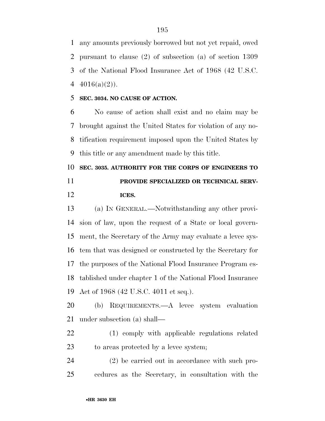any amounts previously borrowed but not yet repaid, owed pursuant to clause (2) of subsection (a) of section 1309 of the National Flood Insurance Act of 1968 (42 U.S.C.  $4016(a)(2)$ .

#### **SEC. 3034. NO CAUSE OF ACTION.**

 No cause of action shall exist and no claim may be brought against the United States for violation of any no- tification requirement imposed upon the United States by this title or any amendment made by this title.

 **SEC. 3035. AUTHORITY FOR THE CORPS OF ENGINEERS TO PROVIDE SPECIALIZED OR TECHNICAL SERV-ICES.** 

 (a) IN GENERAL.—Notwithstanding any other provi- sion of law, upon the request of a State or local govern- ment, the Secretary of the Army may evaluate a levee sys- tem that was designed or constructed by the Secretary for the purposes of the National Flood Insurance Program es- tablished under chapter 1 of the National Flood Insurance Act of 1968 (42 U.S.C. 4011 et seq.).

 (b) REQUIREMENTS.—A levee system evaluation under subsection (a) shall—

 (1) comply with applicable regulations related to areas protected by a levee system;

 (2) be carried out in accordance with such pro-cedures as the Secretary, in consultation with the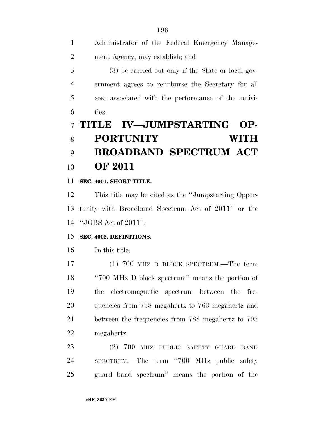| 8              | <b>PORTUNITY</b><br>WITH                            |
|----------------|-----------------------------------------------------|
|                | <b>IV—JUMPSTARTING</b><br>7 TITLE<br>$OP-$          |
| 6              | ties.                                               |
| -5             | cost associated with the performance of the activi- |
| $\overline{4}$ | ernment agrees to reimburse the Secretary for all   |
| 3              | (3) be carried out only if the State or local gov-  |
| 2              | ment Agency, may establish; and                     |
| $\mathbf{1}$   | Administrator of the Federal Emergency Manage-      |

# **BROADBAND SPECTRUM ACT OF 2011**

#### **SEC. 4001. SHORT TITLE.**

 This title may be cited as the ''Jumpstarting Oppor- tunity with Broadband Spectrum Act of 2011'' or the ''JOBS Act of 2011''.

#### **SEC. 4002. DEFINITIONS.**

In this title:

17 (1) 700 MHZ D BLOCK SPECTRUM.—The term ''700 MHz D block spectrum'' means the portion of the electromagnetic spectrum between the fre- quencies from 758 megahertz to 763 megahertz and between the frequencies from 788 megahertz to 793 megahertz.

 (2) 700 MHZ PUBLIC SAFETY GUARD BAND SPECTRUM.—The term ''700 MHz public safety guard band spectrum'' means the portion of the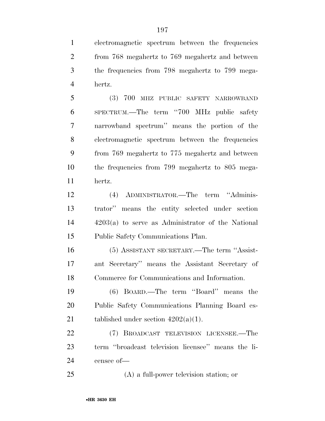electromagnetic spectrum between the frequencies from 768 megahertz to 769 megahertz and between the frequencies from 798 megahertz to 799 mega-hertz.

 (3) 700 MHZ PUBLIC SAFETY NARROWBAND SPECTRUM.—The term ''700 MHz public safety narrowband spectrum'' means the portion of the electromagnetic spectrum between the frequencies from 769 megahertz to 775 megahertz and between the frequencies from 799 megahertz to 805 mega-hertz.

 (4) ADMINISTRATOR.—The term ''Adminis- trator'' means the entity selected under section 4203(a) to serve as Administrator of the National Public Safety Communications Plan.

 (5) ASSISTANT SECRETARY.—The term ''Assist- ant Secretary'' means the Assistant Secretary of Commerce for Communications and Information.

 (6) BOARD.—The term ''Board'' means the Public Safety Communications Planning Board es-21 tablished under section  $4202(a)(1)$ .

 (7) BROADCAST TELEVISION LICENSEE.—The term ''broadcast television licensee'' means the li-censee of—

(A) a full-power television station; or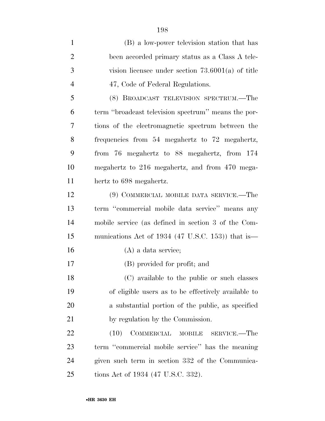(B) a low-power television station that has been accorded primary status as a Class A tele- vision licensee under section 73.6001(a) of title 4 47, Code of Federal Regulations. (8) BROADCAST TELEVISION SPECTRUM.—The term ''broadcast television spectrum'' means the por- tions of the electromagnetic spectrum between the frequencies from 54 megahertz to 72 megahertz, from 76 megahertz to 88 megahertz, from 174 megahertz to 216 megahertz, and from 470 mega- hertz to 698 megahertz. (9) COMMERCIAL MOBILE DATA SERVICE.—The term ''commercial mobile data service'' means any mobile service (as defined in section 3 of the Com- munications Act of 1934 (47 U.S.C. 153)) that is— (A) a data service; (B) provided for profit; and (C) available to the public or such classes of eligible users as to be effectively available to a substantial portion of the public, as specified 21 by regulation by the Commission. 22 (10) COMMERCIAL MOBILE SERVICE.—The term ''commercial mobile service'' has the meaning given such term in section 332 of the Communica-tions Act of 1934 (47 U.S.C. 332).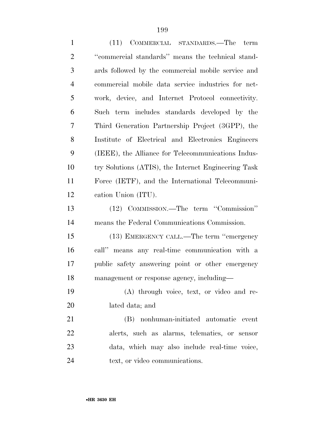| $\mathbf{1}$   | (11) COMMERCIAL STANDARDS.—The term                 |
|----------------|-----------------------------------------------------|
| $\overline{2}$ | "commercial standards" means the technical stand-   |
| 3              | ards followed by the commercial mobile service and  |
| $\overline{4}$ | commercial mobile data service industries for net-  |
| 5              | work, device, and Internet Protocol connectivity.   |
| 6              | Such term includes standards developed by the       |
| 7              | Third Generation Partnership Project (3GPP), the    |
| 8              | Institute of Electrical and Electronics Engineers   |
| 9              | (IEEE), the Alliance for Telecommunications Indus-  |
| 10             | try Solutions (ATIS), the Internet Engineering Task |
| 11             | Force (IETF), and the International Telecommuni-    |
| 12             | cation Union (ITU).                                 |
| 13             | (12) COMMISSION.—The term "Commission"              |
| 14             | means the Federal Communications Commission.        |
| 15             | (13) EMERGENCY CALL.—The term "emergency            |
| 16             | call" means any real-time communication with a      |
| 17             | public safety answering point or other emergency    |
| 18             | management or response agency, including-           |
| 19             | (A) through voice, text, or video and re-           |
| 20             | lated data; and                                     |
| 21             | (B) nonhuman-initiated automatic event              |
| 22             | alerts, such as alarms, telematics, or sensor       |
| 23             | data, which may also include real-time voice,       |
| 24             | text, or video communications.                      |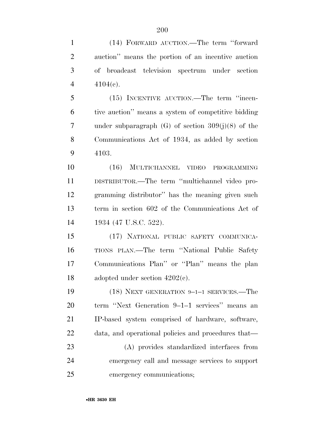| $\mathbf{1}$   | (14) FORWARD AUCTION.—The term "forward                |
|----------------|--------------------------------------------------------|
| $\overline{2}$ | auction" means the portion of an incentive auction     |
| 3              | of broadcast television spectrum under section         |
| $\overline{4}$ | $4104(c)$ .                                            |
| 5              | (15) INCENTIVE AUCTION.—The term "incen-               |
| 6              | tive auction" means a system of competitive bidding    |
| 7              | under subparagraph $(G)$ of section $309(j)(8)$ of the |
| 8              | Communications Act of 1934, as added by section        |
| 9              | 4103.                                                  |
| 10             | (16) MULTICHANNEL VIDEO PROGRAMMING                    |
| 11             | DISTRIBUTOR.—The term "multichannel video pro-         |
| 12             | gramming distributor" has the meaning given such       |
| 13             | term in section 602 of the Communications Act of       |
| 14             | 1934 (47 U.S.C. 522).                                  |
| 15             | (17) NATIONAL PUBLIC SAFETY COMMUNICA-                 |
| 16             | TIONS PLAN.—The term "National Public Safety           |
| 17             | Communications Plan" or "Plan" means the plan          |
| 18             | adopted under section $4202(c)$ .                      |
| 19             | (18) NEXT GENERATION 9-1-1 SERVICES.—The               |
| 20             | term "Next Generation 9-1-1 services" means an         |
| 21             | IP-based system comprised of hardware, software,       |
| 22             | data, and operational policies and procedures that—    |
| 23             | (A) provides standardized interfaces from              |
| 24             | emergency call and message services to support         |
| 25             | emergency communications;                              |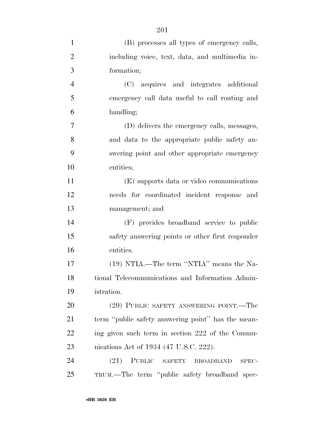| $\mathbf{1}$   | (B) processes all types of emergency calls,        |
|----------------|----------------------------------------------------|
| $\overline{2}$ | including voice, text, data, and multimedia in-    |
| 3              | formation;                                         |
| $\overline{4}$ | (C) acquires and integrates additional             |
| 5              | emergency call data useful to call routing and     |
| 6              | handling;                                          |
| 7              | (D) delivers the emergency calls, messages,        |
| 8              | and data to the appropriate public safety an-      |
| 9              | swering point and other appropriate emergency      |
| 10             | entities;                                          |
| 11             | (E) supports data or video communications          |
| 12             | needs for coordinated incident response and        |
| 13             | management; and                                    |
| 14             | (F) provides broadband service to public           |
| 15             | safety answering points or other first responder   |
| 16             | entities.                                          |
| 17             | (19) NTIA.—The term "NTIA" means the Na-           |
| 18             | tional Telecommunications and Information Admin-   |
| 19             | istration.                                         |
| 20             | (20) PUBLIC SAFETY ANSWERING POINT.—The            |
| 21             | term "public safety answering point" has the mean- |
| 22             | ing given such term in section 222 of the Commu-   |
| 23             | nications Act of 1934 (47 U.S.C. 222).             |
| 24             | (21) PUBLIC SAFETY BROADBAND<br>SPEC-              |
| 25             | TRUM.—The term "public safety broadband spec-      |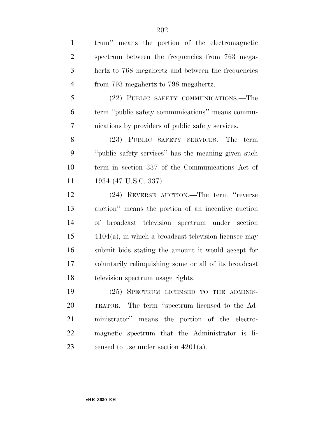trum'' means the portion of the electromagnetic spectrum between the frequencies from 763 mega- hertz to 768 megahertz and between the frequencies from 793 megahertz to 798 megahertz. (22) PUBLIC SAFETY COMMUNICATIONS.—The term ''public safety communications'' means commu- nications by providers of public safety services. (23) PUBLIC SAFETY SERVICES.—The term ''public safety services'' has the meaning given such term in section 337 of the Communications Act of 11 1934 (47 U.S.C. 337). (24) REVERSE AUCTION.—The term ''reverse auction'' means the portion of an incentive auction of broadcast television spectrum under section 4104(a), in which a broadcast television licensee may submit bids stating the amount it would accept for voluntarily relinquishing some or all of its broadcast television spectrum usage rights. (25) SPECTRUM LICENSED TO THE ADMINIS- TRATOR.—The term ''spectrum licensed to the Ad- ministrator'' means the portion of the electro-magnetic spectrum that the Administrator is li-

23 censed to use under section  $4201(a)$ .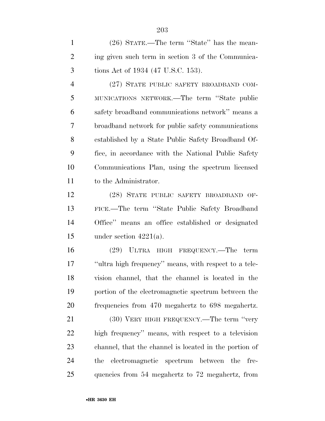(26) STATE.—The term ''State'' has the mean- ing given such term in section 3 of the Communica-tions Act of 1934 (47 U.S.C. 153).

 (27) STATE PUBLIC SAFETY BROADBAND COM- MUNICATIONS NETWORK.—The term ''State public safety broadband communications network'' means a broadband network for public safety communications established by a State Public Safety Broadband Of- fice, in accordance with the National Public Safety Communications Plan, using the spectrum licensed to the Administrator.

 (28) STATE PUBLIC SAFETY BROADBAND OF- FICE.—The term ''State Public Safety Broadband Office'' means an office established or designated 15 under section  $4221(a)$ .

 (29) ULTRA HIGH FREQUENCY.—The term ''ultra high frequency'' means, with respect to a tele- vision channel, that the channel is located in the portion of the electromagnetic spectrum between the frequencies from 470 megahertz to 698 megahertz.

21 (30) VERY HIGH FREQUENCY.—The term "very high frequency'' means, with respect to a television channel, that the channel is located in the portion of the electromagnetic spectrum between the fre-quencies from 54 megahertz to 72 megahertz, from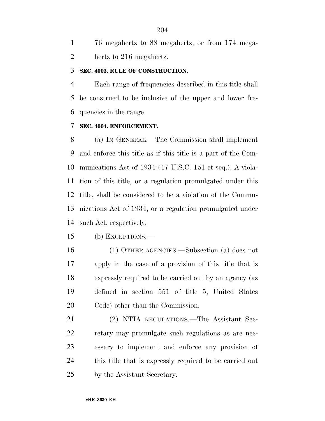76 megahertz to 88 megahertz, or from 174 mega-hertz to 216 megahertz.

#### **SEC. 4003. RULE OF CONSTRUCTION.**

 Each range of frequencies described in this title shall be construed to be inclusive of the upper and lower fre-quencies in the range.

#### **SEC. 4004. ENFORCEMENT.**

 (a) IN GENERAL.—The Commission shall implement and enforce this title as if this title is a part of the Com- munications Act of 1934 (47 U.S.C. 151 et seq.). A viola- tion of this title, or a regulation promulgated under this title, shall be considered to be a violation of the Commu- nications Act of 1934, or a regulation promulgated under such Act, respectively.

(b) EXCEPTIONS.—

 (1) OTHER AGENCIES.—Subsection (a) does not apply in the case of a provision of this title that is expressly required to be carried out by an agency (as defined in section 551 of title 5, United States Code) other than the Commission.

 (2) NTIA REGULATIONS.—The Assistant Sec- retary may promulgate such regulations as are nec- essary to implement and enforce any provision of this title that is expressly required to be carried out by the Assistant Secretary.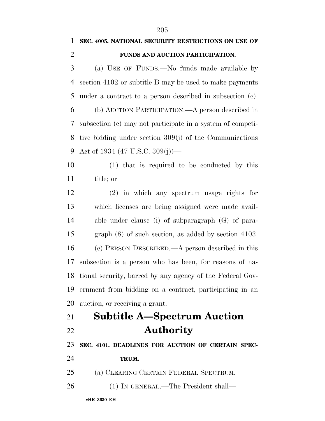## **SEC. 4005. NATIONAL SECURITY RESTRICTIONS ON USE OF FUNDS AND AUCTION PARTICIPATION.**  (a) USE OF FUNDS.—No funds made available by section 4102 or subtitle B may be used to make payments under a contract to a person described in subsection (c).

 (b) AUCTION PARTICIPATION.—A person described in subsection (c) may not participate in a system of competi- tive bidding under section 309(j) of the Communications Act of 1934 (47 U.S.C. 309(j))—

 (1) that is required to be conducted by this title; or

 (2) in which any spectrum usage rights for which licenses are being assigned were made avail- able under clause (i) of subparagraph (G) of para- graph (8) of such section, as added by section 4103. (c) PERSON DESCRIBED.—A person described in this subsection is a person who has been, for reasons of na- tional security, barred by any agency of the Federal Gov- ernment from bidding on a contract, participating in an auction, or receiving a grant.

## **Subtitle A—Spectrum Auction Authority**

**SEC. 4101. DEADLINES FOR AUCTION OF CERTAIN SPEC-**

**TRUM.** 

(a) CLEARING CERTAIN FEDERAL SPECTRUM.—

(1) IN GENERAL.—The President shall—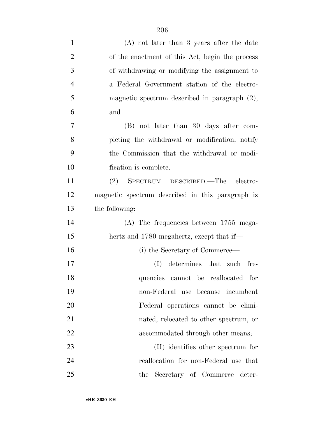| $\mathbf{1}$   | $(A)$ not later than 3 years after the date      |
|----------------|--------------------------------------------------|
| $\overline{2}$ | of the enactment of this Act, begin the process  |
| 3              | of withdrawing or modifying the assignment to    |
| $\overline{4}$ | a Federal Government station of the electro-     |
| 5              | magnetic spectrum described in paragraph $(2)$ ; |
| 6              | and                                              |
| $\overline{7}$ | (B) not later than 30 days after com-            |
| 8              | pleting the withdrawal or modification, notify   |
| 9              | the Commission that the withdrawal or modi-      |
| 10             | fication is complete.                            |
| 11             | SPECTRUM DESCRIBED.—The electro-<br>(2)          |
| 12             | magnetic spectrum described in this paragraph is |
| 13             | the following:                                   |
| 14             | $(A)$ The frequencies between 1755 mega-         |
| 15             | hertz and 1780 megahertz, except that if—        |
| 16             | (i) the Secretary of Commerce—                   |
| 17             | determines that such fre-<br>(I)                 |
| 18             | quencies cannot be reallocated for               |
| 19             | non-Federal use because incumbent                |
| 20             | Federal operations cannot be elimi-              |
| 21             | nated, relocated to other spectrum, or           |
| 22             | accommodated through other means;                |
| 23             | (II) identifies other spectrum for               |
| 24             | reallocation for non-Federal use that            |
| 25             | Secretary of Commerce deter-<br>the              |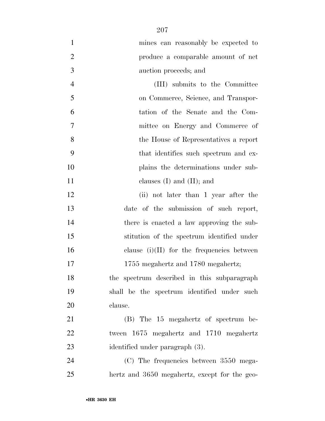| $\mathbf{1}$   | mines can reasonably be expected to           |
|----------------|-----------------------------------------------|
| $\overline{2}$ | produce a comparable amount of net            |
| 3              | auction proceeds; and                         |
| $\overline{4}$ | (III) submits to the Committee                |
| 5              | on Commerce, Science, and Transpor-           |
| 6              | tation of the Senate and the Com-             |
| 7              | mittee on Energy and Commerce of              |
| 8              | the House of Representatives a report         |
| 9              | that identifies such spectrum and ex-         |
| 10             | plains the determinations under sub-          |
| 11             | clauses $(I)$ and $(II)$ ; and                |
| 12             | (ii) not later than 1 year after the          |
| 13             | date of the submission of such report,        |
| 14             | there is enacted a law approving the sub-     |
| 15             | stitution of the spectrum identified under    |
| 16             | clause $(i)(II)$ for the frequencies between  |
| 17             | 1755 megahertz and 1780 megahertz;            |
| 18             | the spectrum described in this subparagraph   |
| 19             | shall be the spectrum identified under such   |
| 20             | clause.                                       |
| 21             | (B) The 15 megahertz of spectrum be-          |
| 22             | tween 1675 megahertz and 1710 megahertz       |
| 23             | identified under paragraph (3).               |
| 24             | (C) The frequencies between 3550 mega-        |
| 25             | hertz and 3650 megahertz, except for the geo- |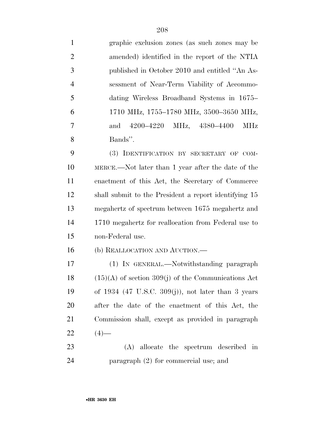| $\mathbf{1}$   | graphic exclusion zones (as such zones may be           |
|----------------|---------------------------------------------------------|
| $\overline{2}$ | amended) identified in the report of the NTIA           |
| 3              | published in October 2010 and entitled "An As-          |
| $\overline{4}$ | sessment of Near-Term Viability of Accommo-             |
| 5              | dating Wireless Broadband Systems in 1675–              |
| 6              | 1710 MHz, 1755-1780 MHz, 3500-3650 MHz,                 |
| 7              | 4200–4220 MHz, 4380–4400<br>MHz<br>and                  |
| 8              | Bands".                                                 |
| 9              | (3) IDENTIFICATION BY SECRETARY OF COM-                 |
| 10             | MERCE.—Not later than 1 year after the date of the      |
| 11             | enactment of this Act, the Secretary of Commerce        |
| 12             | shall submit to the President a report identifying 15   |
| 13             | megahertz of spectrum between 1675 megahertz and        |
| 14             | 1710 megahertz for reallocation from Federal use to     |
| 15             | non-Federal use.                                        |
| 16             | (b) REALLOCATION AND AUCTION.—                          |
| 17             | (1) IN GENERAL.—Notwithstanding paragraph               |
| 18             | $(15)(A)$ of section 309(j) of the Communications Act   |
| 19             | of $1934$ (47 U.S.C. $309(j)$ ), not later than 3 years |
| 20             | after the date of the enactment of this Act, the        |
| 21             | Commission shall, except as provided in paragraph       |
| 22             | $(4)$ —                                                 |
| 23             | allocate the spectrum described in<br>(A)               |

paragraph (2) for commercial use; and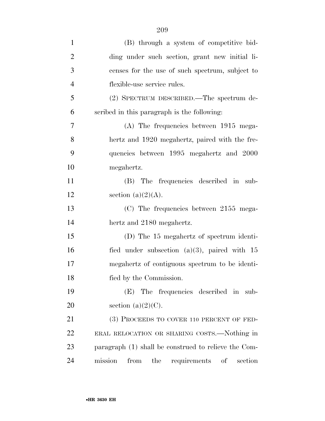| $\mathbf{1}$   | (B) through a system of competitive bid-             |
|----------------|------------------------------------------------------|
| $\overline{2}$ | ding under such section, grant new initial li-       |
| 3              | censes for the use of such spectrum, subject to      |
| $\overline{4}$ | flexible-use service rules.                          |
| 5              | (2) SPECTRUM DESCRIBED.—The spectrum de-             |
| 6              | scribed in this paragraph is the following:          |
| $\overline{7}$ | $(A)$ The frequencies between 1915 mega-             |
| 8              | hertz and 1920 megahertz, paired with the fre-       |
| 9              | quencies between 1995 megahertz and 2000             |
| 10             | megahertz.                                           |
| 11             | (B) The frequencies described in sub-                |
| 12             | section $(a)(2)(A)$ .                                |
| 13             | $(C)$ The frequencies between 2155 mega-             |
| 14             | hertz and 2180 megahertz.                            |
| 15             | (D) The 15 megahertz of spectrum identi-             |
| 16             | fied under subsection $(a)(3)$ , paired with 15      |
| 17             | megahertz of contiguous spectrum to be identi-       |
| 18             | fied by the Commission.                              |
| 19             | The frequencies described in sub-<br>(E)             |
| 20             | section $(a)(2)(C)$ .                                |
| 21             | (3) PROCEEDS TO COVER 110 PERCENT OF FED-            |
| 22             | ERAL RELOCATION OR SHARING COSTS.—Nothing in         |
| 23             | paragraph (1) shall be construed to relieve the Com- |
| 24             | mission<br>from<br>requirements of<br>the<br>section |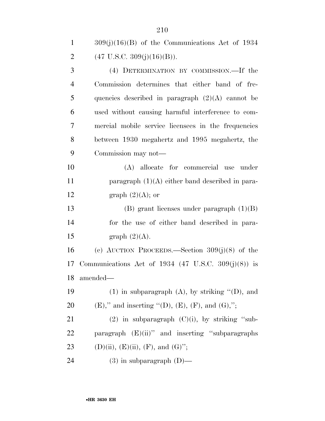| $\mathbf{1}$   | $309(j)(16)(B)$ of the Communications Act of 1934   |
|----------------|-----------------------------------------------------|
| 2              | $(47 \text{ U.S.C. } 309(j)(16)(B)).$               |
| 3              | (4) DETERMINATION BY COMMISSION.—If the             |
| $\overline{4}$ | Commission determines that either band of fre-      |
| 5              | quencies described in paragraph $(2)(A)$ cannot be  |
| 6              | used without causing harmful interference to com-   |
| 7              | mercial mobile service licensees in the frequencies |
| 8              | between 1930 megahertz and 1995 megahertz, the      |
| 9              | Commission may not—                                 |
| 10             | (A) allocate for commercial use under               |
| 11             | paragraph $(1)(A)$ either band described in para-   |
|                |                                                     |

12 graph  $(2)(A)$ ; or

 (B) grant licenses under paragraph (1)(B) for the use of either band described in para-15 graph  $(2)(A)$ .

 (c) AUCTION PROCEEDS.—Section 309(j)(8) of the Communications Act of 1934 (47 U.S.C. 309(j)(8)) is amended—

19 (1) in subparagraph (A), by striking  $\lq$ <sup>"</sup>(D), and 20 (E)," and inserting  $"({\rm D})$ , (E), (F), and (G),";

21 (2) in subparagraph  $(C)(i)$ , by striking "sub- paragraph (E)(ii)'' and inserting ''subparagraphs 23 (D)(ii), (E)(ii), (F), and (G)'';

(3) in subparagraph (D)—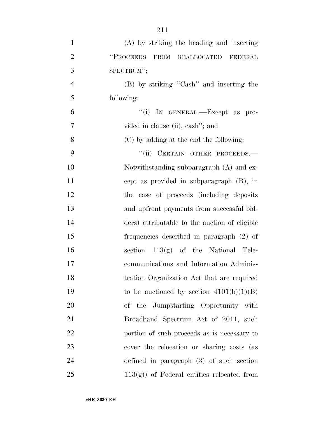| $\mathbf{1}$   | (A) by striking the heading and inserting     |
|----------------|-----------------------------------------------|
| $\overline{2}$ | "PROCEEDS<br>FROM REALLOCATED FEDERAL         |
| 3              | SPECTRUM";                                    |
| $\overline{4}$ | (B) by striking "Cash" and inserting the      |
| 5              | following:                                    |
| 6              | "(i) IN GENERAL.—Except as pro-               |
| 7              | vided in clause (ii), cash"; and              |
| 8              | (C) by adding at the end the following:       |
| 9              | "(ii) CERTAIN OTHER PROCEEDS.-                |
| 10             | Notwithstanding subparagraph (A) and ex-      |
| 11             | cept as provided in subparagraph (B), in      |
| 12             | the case of proceeds (including deposits)     |
| 13             | and upfront payments from successful bid-     |
| 14             | ders) attributable to the auction of eligible |
| 15             | frequencies described in paragraph (2) of     |
| 16             | section $113(g)$ of the National Tele-        |
| 17             | communications and Information Adminis-       |
| 18             | tration Organization Act that are required    |
| 19             | to be auctioned by section $4101(b)(1)(B)$    |
| 20             | of the Jumpstarting Opportunity with          |
| 21             | Broadband Spectrum Act of 2011, such          |
| 22             | portion of such proceeds as is necessary to   |
| 23             | cover the relocation or sharing costs (as     |
| 24             | defined in paragraph $(3)$ of such section    |
| 25             | $113(g)$ of Federal entities relocated from   |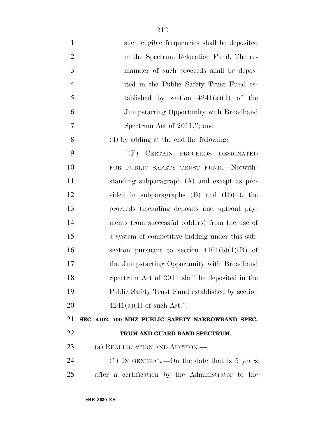| $\mathbf{1}$   | such eligible frequencies shall be deposited      |
|----------------|---------------------------------------------------|
| $\overline{2}$ | in the Spectrum Relocation Fund. The re-          |
| 3              | mainder of such proceeds shall be depos-          |
| $\overline{4}$ | ited in the Public Safety Trust Fund es-          |
| 5              | tablished by section $4241(a)(1)$ of the          |
| 6              | Jumpstarting Opportunity with Broadband           |
| 7              | Spectrum Act of 2011."; and                       |
| 8              | $(4)$ by adding at the end the following:         |
| 9              | CERTAIN PROCEEDS<br>$``$ (F)<br><b>DESIGNATED</b> |
| 10             | FOR PUBLIC SAFETY TRUST FUND.-Notwith-            |
| 11             | standing subparagraph (A) and except as pro-      |
| 12             | vided in subparagraphs $(B)$ and $(D)(ii)$ , the  |
| 13             | proceeds (including deposits and upfront pay-     |
| 14             | ments from successful bidders) from the use of    |
| 15             | a system of competitive bidding under this sub-   |
| 16             | section pursuant to section $4101(b)(1)(B)$ of    |
| 17             | the Jumpstarting Opportunity with Broadband       |
| 18             | Spectrum Act of 2011 shall be deposited in the    |
| 19             | Public Safety Trust Fund established by section   |
| 20             | $4241(a)(1)$ of such Act.".                       |
| 21             | SEC. 4102. 700 MHZ PUBLIC SAFETY NARROWBAND SPEC- |
| 22             | TRUM AND GUARD BAND SPECTRUM.                     |
| 23             | (a) REALLOCATION AND AUCTION.—                    |
| 24             | (1) IN GENERAL.—On the date that is 5 years       |
| 25             | after a certification by the Administrator to the |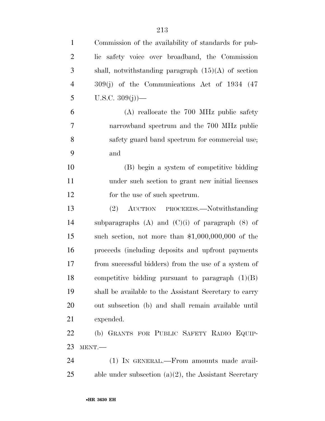| $\mathbf{1}$   | Commission of the availability of standards for pub-     |
|----------------|----------------------------------------------------------|
| $\overline{2}$ | lic safety voice over broadband, the Commission          |
| 3              | shall, notwithstanding paragraph $(15)(A)$ of section    |
| $\overline{4}$ | $309(j)$ of the Communications Act of 1934 (47)          |
| 5              | U.S.C. $309(j)$ )—                                       |
| 6              | (A) reallocate the 700 MHz public safety                 |
| $\tau$         | narrowband spectrum and the 700 MHz public               |
| 8              | safety guard band spectrum for commercial use;           |
| 9              | and                                                      |
| 10             | (B) begin a system of competitive bidding                |
| 11             | under such section to grant new initial licenses         |
| 12             | for the use of such spectrum.                            |
| 13             | (2) AUCTION PROCEEDS.—Notwithstanding                    |
| 14             | subparagraphs $(A)$ and $(C)(i)$ of paragraph $(8)$ of   |
| 15             | such section, not more than $$1,000,000,000$ of the      |
| 16             | proceeds (including deposits and upfront payments)       |
| 17             | from successful bidders) from the use of a system of     |
| 18             | competitive bidding pursuant to paragraph $(1)(B)$       |
| 19             | shall be available to the Assistant Secretary to carry   |
| 20             | out subsection (b) and shall remain available until      |
| 21             | expended.                                                |
| 22             | (b) GRANTS FOR PUBLIC SAFETY RADIO EQUIP-                |
| 23             | MENT.                                                    |
| 24             | (1) IN GENERAL.—From amounts made avail-                 |
| 25             | able under subsection $(a)(2)$ , the Assistant Secretary |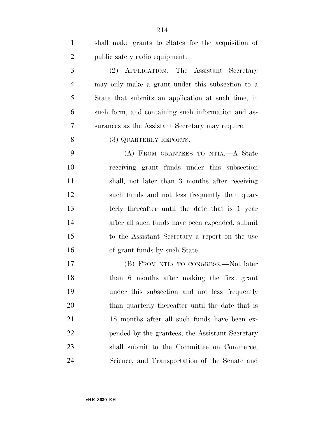| $\mathbf{1}$   | shall make grants to States for the acquisition of |
|----------------|----------------------------------------------------|
| $\overline{2}$ | public safety radio equipment.                     |
| 3              | (2) APPLICATION.—The Assistant Secretary           |
| $\overline{4}$ | may only make a grant under this subsection to a   |
| 5              | State that submits an application at such time, in |
| 6              | such form, and containing such information and as- |
| 7              | surances as the Assistant Secretary may require.   |
| 8              | (3) QUARTERLY REPORTS.—                            |
| 9              | (A) FROM GRANTEES TO NTIA.—A State                 |
| 10             | receiving grant funds under this subsection        |
| 11             | shall, not later than 3 months after receiving     |
| 12             | such funds and not less frequently than quar-      |
| 13             | terly thereafter until the date that is 1 year     |
| 14             | after all such funds have been expended, submit    |
| 15             | to the Assistant Secretary a report on the use     |
| 16             | of grant funds by such State.                      |
| 17             | (B) FROM NTIA TO CONGRESS.—Not later               |
| 18             | than 6 months after making the first grant         |
| 19             | under this subsection and not less frequently      |
| 20             | than quarterly thereafter until the date that is   |
| 21             | 18 months after all such funds have been ex-       |
| 22             | pended by the grantees, the Assistant Secretary    |
| 23             | shall submit to the Committee on Commerce,         |
| 24             | Science, and Transportation of the Senate and      |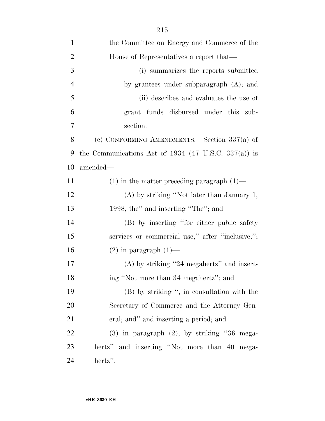| $\mathbf{1}$   | the Committee on Energy and Commerce of the |
|----------------|---------------------------------------------|
| 2              | House of Representatives a report that—     |
| 3              | (i) summarizes the reports submitted        |
| $\overline{4}$ | by grantees under subparagraph $(A)$ ; and  |
| 5              | (ii) describes and evaluates the use of     |

| 6  |                                                | grant funds disbursed under this sub- |  |  |
|----|------------------------------------------------|---------------------------------------|--|--|
| -7 | section.                                       |                                       |  |  |
| 8  | (c) CONFORMING AMENDMENTS.—Section $337(a)$ of |                                       |  |  |

 the Communications Act of 1934 (47 U.S.C. 337(a)) is amended—

| 11 | $(1)$ in the matter preceding paragraph $(1)$ —  |
|----|--------------------------------------------------|
| 12 | (A) by striking "Not later than January 1,       |
| 13 | 1998, the" and inserting "The"; and              |
| 14 | (B) by inserting "for either public safety"      |
| 15 | services or commercial use," after "inclusive,"; |
| 16 | $(2)$ in paragraph $(1)$ —                       |
| 17 | $(A)$ by striking "24 megahertz" and insert-     |
| 18 | ing "Not more than 34 megahertz"; and            |
| 19 | (B) by striking ", in consultation with the      |
| 20 | Secretary of Commerce and the Attorney Gen-      |
| 21 | eral; and" and inserting a period; and           |
| 22 | $(3)$ in paragraph $(2)$ , by striking "36 mega- |

 hertz'' and inserting ''Not more than 40 mega-hertz''.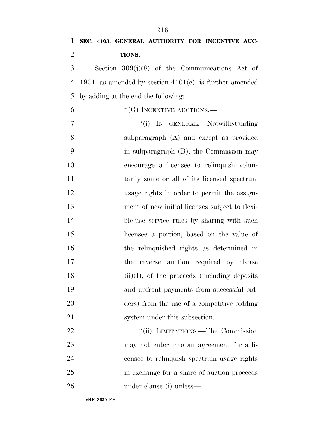| 1              | SEC. 4103. GENERAL AUTHORITY FOR INCENTIVE AUC-            |
|----------------|------------------------------------------------------------|
| $\overline{2}$ | TIONS.                                                     |
| 3              | Section $309(j)(8)$ of the Communications Act of           |
| 4              | 1934, as amended by section $4101(c)$ , is further amended |
| 5              | by adding at the end the following:                        |
| 6              | $``$ (G) INCENTIVE AUCTIONS.—                              |
| 7              | "(i) IN GENERAL.—Notwithstanding                           |
| 8              | subparagraph (A) and except as provided                    |
| 9              | in subparagraph (B), the Commission may                    |
| 10             | encourage a licensee to relinquish volun-                  |
| 11             | tarily some or all of its licensed spectrum                |
| 12             | usage rights in order to permit the assign-                |
| 13             | ment of new initial licenses subject to flexi-             |
| 14             | ble-use service rules by sharing with such                 |
| 15             | licensee a portion, based on the value of                  |
| 16             | the relinquished rights as determined in                   |
| 17             | the reverse auction required by clause                     |
| 18             | $(ii)(I)$ , of the proceeds (including deposits)           |
| 19             | and upfront payments from successful bid-                  |
| 20             | ders) from the use of a competitive bidding                |
| 21             | system under this subsection.                              |
| 22             | "(ii) LIMITATIONS.—The Commission                          |
| 23             | may not enter into an agreement for a li-                  |
| 24             | censee to relinquish spectrum usage rights                 |
| 25             | in exchange for a share of auction proceeds                |
| 26             | under clause (i) unless—                                   |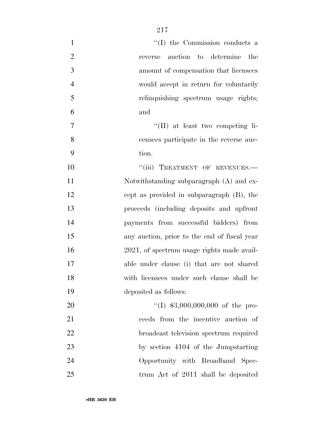| "(I) the Commission conducts a<br>$\mathbf{1}$           |    |
|----------------------------------------------------------|----|
| $\overline{2}$<br>auction to determine the<br>reverse    |    |
| 3<br>amount of compensation that licensees               |    |
| $\overline{4}$<br>would accept in return for voluntarily |    |
| 5<br>relinquishing spectrum usage rights;                |    |
| 6<br>and                                                 |    |
| "(II) at least two competing li-<br>7                    |    |
| 8<br>censees participate in the reverse auc-             |    |
| 9<br>tion.                                               |    |
| "(iii) TREATMENT OF REVENUES.-                           | 10 |
| Notwithstanding subparagraph (A) and ex-                 | 11 |
| cept as provided in subparagraph (B), the                | 12 |
| proceeds (including deposits and upfront                 | 13 |
| payments from successful bidders) from                   | 14 |
| any auction, prior to the end of fiscal year             | 15 |
| 2021, of spectrum usage rights made avail-               | 16 |
| able under clause (i) that are not shared                | 17 |
| with licensees under such clause shall be                | 18 |
| deposited as follows:                                    | 19 |
| "(I) $$3,000,000,000$ of the pro-                        | 20 |
| ceeds from the incentive auction of                      | 21 |
| broadcast television spectrum required                   | 22 |
| by section 4104 of the Jumpstarting                      | 23 |
| Opportunity with Broadband Spec-                         | 24 |
| trum Act of 2011 shall be deposited                      | 25 |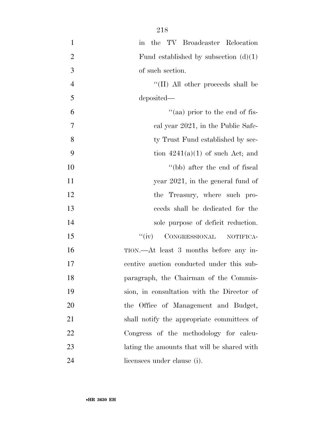| $\mathbf{1}$   | in the TV Broadcaster Relocation            |
|----------------|---------------------------------------------|
| $\overline{2}$ | Fund established by subsection $(d)(1)$     |
| $\mathfrak{Z}$ | of such section.                            |
| $\overline{4}$ | "(II) All other proceeds shall be           |
| 5              | deposited—                                  |
| 6              | "(aa) prior to the end of fis-              |
| $\tau$         | cal year 2021, in the Public Safe-          |
| 8              | ty Trust Fund established by sec-           |
| 9              | tion $4241(a)(1)$ of such Act; and          |
| 10             | "(bb) after the end of fiscal               |
| 11             | year $2021$ , in the general fund of        |
| 12             | the Treasury, where such pro-               |
| 13             | ceeds shall be dedicated for the            |
| 14             | sole purpose of deficit reduction.          |
| 15             | ``(iv)<br>CONGRESSIONAL<br>NOTIFICA-        |
| 16             | TION.—At least 3 months before any in-      |
| 17             | centive auction conducted under this sub-   |
| 18             | paragraph, the Chairman of the Commis-      |
| 19             | sion, in consultation with the Director of  |
| 20             | the Office of Management and Budget,        |
| 21             | shall notify the appropriate committees of  |
| 22             | Congress of the methodology for calcu-      |
| 23             | lating the amounts that will be shared with |
| 24             | licensees under clause (i).                 |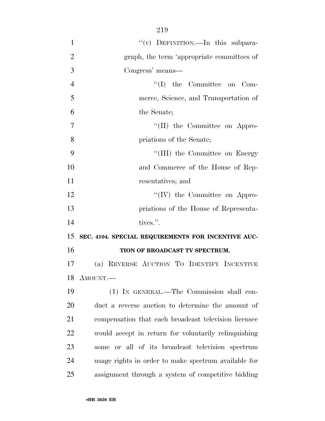| $\mathbf{1}$   | "(v) DEFINITION.—In this subpara-                    |
|----------------|------------------------------------------------------|
| $\overline{2}$ | graph, the term 'appropriate committees of           |
| 3              | Congress' means-                                     |
| $\overline{4}$ | $\lq\lq$ (I) the Committee on Com-                   |
| 5              | merce, Science, and Transportation of                |
| 6              | the Senate;                                          |
| $\overline{7}$ | "(II) the Committee on Appro-                        |
| 8              | priations of the Senate;                             |
| 9              | "(III) the Committee on Energy                       |
| 10             | and Commerce of the House of Rep-                    |
| 11             | resentatives; and                                    |
| 12             | $\lq\lq (IV)$ the Committee on Appro-                |
| 13             | priations of the House of Representa-                |
| 14             | tives.".                                             |
| 15             | SEC. 4104. SPECIAL REQUIREMENTS FOR INCENTIVE AUC-   |
| 16             | TION OF BROADCAST TV SPECTRUM.                       |
| 17             | (a) REVERSE AUCTION TO IDENTIFY INCENTIVE            |
| 18             | AMOUNT.                                              |
| 19             | (1) IN GENERAL.—The Commission shall con-            |
| 20             | duct a reverse auction to determine the amount of    |
| 21             | compensation that each broadcast television licensee |
| 22             | would accept in return for voluntarily relinquishing |
| 23             | some or all of its broadcast television spectrum     |
| 24             | usage rights in order to make spectrum available for |
| 25             | assignment through a system of competitive bidding   |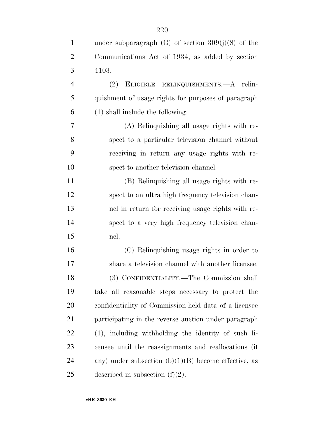| $\mathbf{1}$   | under subparagraph $(G)$ of section $309(j)(8)$ of the |
|----------------|--------------------------------------------------------|
| $\overline{2}$ | Communications Act of 1934, as added by section        |
| 3              | 4103.                                                  |
| $\overline{4}$ | ELIGIBLE RELINQUISHMENTS.—A relin-<br>(2)              |
| 5              | quishment of usage rights for purposes of paragraph    |
| 6              | $(1)$ shall include the following:                     |
| 7              | (A) Relinquishing all usage rights with re-            |
| 8              | spect to a particular television channel without       |
| 9              | receiving in return any usage rights with re-          |
| 10             | spect to another television channel.                   |
| 11             | (B) Relinquishing all usage rights with re-            |
| 12             | spect to an ultra high frequency television chan-      |
| 13             | nel in return for receiving usage rights with re-      |
| 14             | spect to a very high frequency television chan-        |
| 15             | nel.                                                   |
| 16             | (C) Relinquishing usage rights in order to             |
| 17             | share a television channel with another licensee.      |
| 18             | (3) CONFIDENTIALITY.—The Commission shall              |
| 19             | take all reasonable steps necessary to protect the     |
| 20             | confidentiality of Commission-held data of a licensee  |
| 21             | participating in the reverse auction under paragraph   |
| 22             | (1), including withholding the identity of such li-    |
| 23             | censee until the reassignments and reallocations (if   |
| 24             | any) under subsection $(b)(1)(B)$ become effective, as |
| 25             | described in subsection $(f)(2)$ .                     |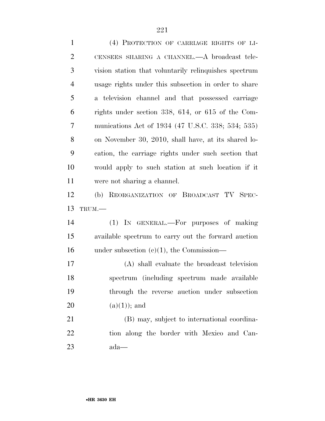| $\mathbf{1}$   | (4) PROTECTION OF CARRIAGE RIGHTS OF LI-              |
|----------------|-------------------------------------------------------|
| $\overline{2}$ | CENSEES SHARING A CHANNEL.—A broadcast tele-          |
| 3              | vision station that voluntarily relinquishes spectrum |
| $\overline{4}$ | usage rights under this subsection in order to share  |
| 5              | a television channel and that possessed carriage      |
| 6              | rights under section 338, 614, or 615 of the Com-     |
| $\overline{7}$ | munications Act of 1934 (47 U.S.C. 338; 534; 535)     |
| 8              | on November 30, 2010, shall have, at its shared lo-   |
| 9              | cation, the carriage rights under such section that   |
| 10             | would apply to such station at such location if it    |
| 11             | were not sharing a channel.                           |
| 12             | (b) REORGANIZATION OF BROADCAST TV SPEC-              |
| 13             | TRUM.-                                                |
| 14             | IN GENERAL.—For purposes of making<br>(1)             |
| 15             | available spectrum to carry out the forward auction   |
| 16             | under subsection $(c)(1)$ , the Commission—           |
| 17             | (A) shall evaluate the broadcast television           |
| 18             | spectrum (including spectrum made available           |
| 19             | through the reverse auction under subsection          |
| 20             | $(a)(1));$ and                                        |
| 21             | (B) may, subject to international coordina-           |
| 22             | tion along the border with Mexico and Can-            |
| 23             | ada—                                                  |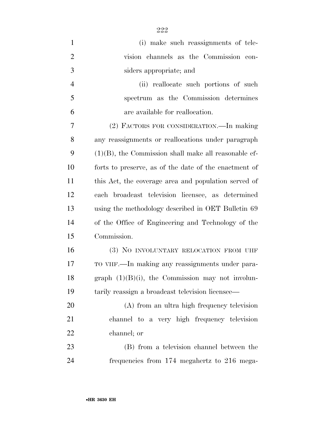| $\mathbf{1}$   | (i) make such reassignments of tele-                    |
|----------------|---------------------------------------------------------|
| $\overline{2}$ | vision channels as the Commission con-                  |
| 3              | siders appropriate; and                                 |
| $\overline{4}$ | (ii) reallocate such portions of such                   |
| 5              | spectrum as the Commission determines                   |
| 6              | are available for reallocation.                         |
| 7              | (2) FACTORS FOR CONSIDERATION.—In making                |
| 8              | any reassignments or reallocations under paragraph      |
| 9              | $(1)(B)$ , the Commission shall make all reasonable ef- |
| 10             | forts to preserve, as of the date of the enactment of   |
| 11             | this Act, the coverage area and population served of    |
| 12             | each broadcast television licensee, as determined       |
| 13             | using the methodology described in OET Bulletin 69      |
| 14             | of the Office of Engineering and Technology of the      |
| 15             | Commission.                                             |
| 16             | (3) NO INVOLUNTARY RELOCATION FROM UHF                  |
| 17             | TO VHF.—In making any reassignments under para-         |
| 18             | graph $(1)(B)(i)$ , the Commission may not involun-     |
| 19             | tarily reassign a broadcast television licensee—        |
| 20             | (A) from an ultra high frequency television             |
| 21             | channel to a very high frequency television             |
| 22             | channel; or                                             |
| 23             | (B) from a television channel between the               |
| 24             | frequencies from 174 megahertz to 216 mega-             |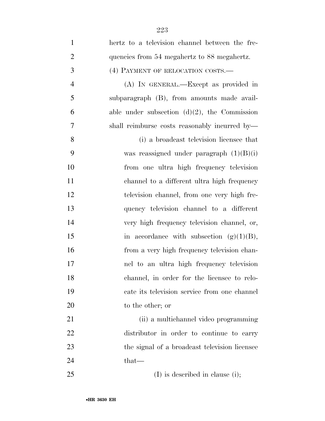| $\mathbf{1}$   | hertz to a television channel between the fre-  |
|----------------|-------------------------------------------------|
| $\overline{2}$ | quencies from 54 megahertz to 88 megahertz.     |
| 3              | (4) PAYMENT OF RELOCATION COSTS.-               |
| $\overline{4}$ | (A) IN GENERAL.—Except as provided in           |
| 5              | subparagraph (B), from amounts made avail-      |
| 6              | able under subsection $(d)(2)$ , the Commission |
| $\overline{7}$ | shall reimburse costs reasonably incurred by—   |
| 8              | (i) a broadcast television licensee that        |
| 9              | was reassigned under paragraph $(1)(B)(i)$      |
| 10             | from one ultra high frequency television        |
| 11             | channel to a different ultra high frequency     |
| 12             | television channel, from one very high fre-     |
| 13             | quency television channel to a different        |
| 14             | very high frequency television channel, or,     |
| 15             | in accordance with subsection $(g)(1)(B)$ ,     |
| 16             | from a very high frequency television chan-     |
| 17             | nel to an ultra high frequency television       |
| 18             | channel, in order for the licensee to relo-     |
| 19             | cate its television service from one channel    |
| 20             | to the other; or                                |
| 21             | (ii) a multichannel video programming           |
| 22             | distributor in order to continue to carry       |
| 23             | the signal of a broadcast television licensee   |
| 24             | that—                                           |
| 25             | $(I)$ is described in clause (i);               |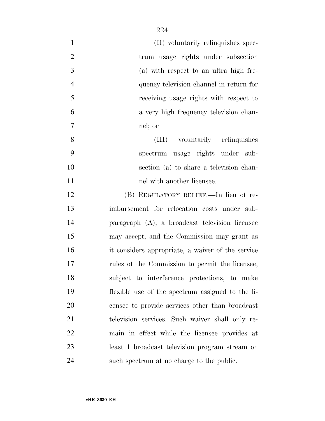| $\mathbf{1}$   | (II) voluntarily relinquishes spec-               |
|----------------|---------------------------------------------------|
| $\mathfrak{2}$ | trum usage rights under subsection                |
| 3              | (a) with respect to an ultra high fre-            |
| $\overline{4}$ | quency television channel in return for           |
| 5              | receiving usage rights with respect to            |
| 6              | a very high frequency television chan-            |
| 7              | nel; or                                           |
| 8              | (III) voluntarily relinquishes                    |
| 9              | spectrum usage rights under sub-                  |
| 10             | section (a) to share a television chan-           |
| 11             | nel with another licensee.                        |
| 12             | (B) REGULATORY RELIEF.—In lieu of re-             |
| 13             | imbursement for relocation costs under sub-       |
| 14             | paragraph (A), a broadcast television licensee    |
| 15             | may accept, and the Commission may grant as       |
| 16             | it considers appropriate, a waiver of the service |
| 17             | rules of the Commission to permit the licensee,   |
| 18             | subject to interference protections, to make      |
| 19             | flexible use of the spectrum assigned to the li-  |
| 20             | censee to provide services other than broadcast   |
| 21             | television services. Such waiver shall only re-   |
| 22             | main in effect while the licensee provides at     |
| 23             | least 1 broadcast television program stream on    |
| 24             | such spectrum at no charge to the public.         |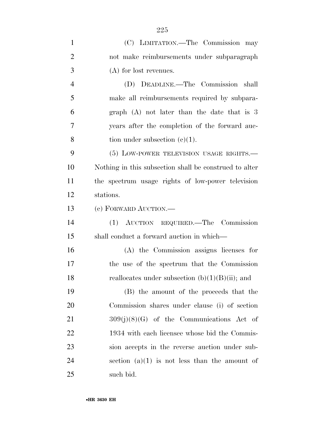| $\mathbf{1}$   | (C) LIMITATION.—The Commission may                     |
|----------------|--------------------------------------------------------|
| $\overline{2}$ | not make reimbursements under subparagraph             |
| 3              | (A) for lost revenues.                                 |
| $\overline{4}$ | (D) DEADLINE.—The Commission shall                     |
| 5              | make all reimbursements required by subpara-           |
| 6              | graph $(A)$ not later than the date that is 3          |
| 7              | years after the completion of the forward auc-         |
| 8              | tion under subsection $(c)(1)$ .                       |
| 9              | (5) LOW-POWER TELEVISION USAGE RIGHTS.                 |
| 10             | Nothing in this subsection shall be construed to alter |
| 11             | the spectrum usage rights of low-power television      |
| 12             | stations.                                              |
| 13             | (c) FORWARD AUCTION.—                                  |
| 14             | (1) AUCTION REQUIRED. The Commission                   |
| 15             | shall conduct a forward auction in which—              |
| 16             | (A) the Commission assigns licenses for                |
| 17             | the use of the spectrum that the Commission            |
| 18             | reallocates under subsection $(b)(1)(B)(ii)$ ; and     |
| 19             | (B) the amount of the proceeds that the                |
| <b>20</b>      | Commission shares under clause (i) of section          |
| 21             | $309(j)(8)(G)$ of the Communications Act of            |
| 22             | 1934 with each licensee whose bid the Commis-          |
| 23             | sion accepts in the reverse auction under sub-         |
| 24             | section $(a)(1)$ is not less than the amount of        |
| 25             | such bid.                                              |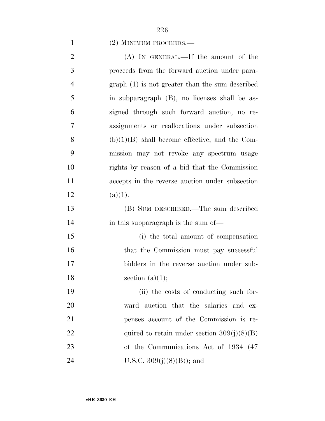## (2) MINIMUM PROCEEDS.—

| $\overline{2}$ | (A) IN GENERAL.—If the amount of the             |
|----------------|--------------------------------------------------|
| 3              | proceeds from the forward auction under para-    |
| $\overline{4}$ | $graph(1)$ is not greater than the sum described |
| 5              | in subparagraph (B), no licenses shall be as-    |
| 6              | signed through such forward auction, no re-      |
| 7              | assignments or reallocations under subsection    |
| 8              | $(b)(1)(B)$ shall become effective, and the Com- |
| 9              | mission may not revoke any spectrum usage        |
| 10             | rights by reason of a bid that the Commission    |
| 11             | accepts in the reverse auction under subsection  |
| 12             | (a)(1).                                          |
| 13             | (B) SUM DESCRIBED.—The sum described             |
| 14             | in this subparagraph is the sum of—              |
| 15             | (i) the total amount of compensation             |
| 16             | that the Commission must pay successful          |
| 17             | bidders in the reverse auction under sub-        |
| 18             | section $(a)(1);$                                |
| 19             | (ii) the costs of conducting such for-           |
| 20             | ward auction that the salaries and ex-           |
| 21             | penses account of the Commission is re-          |
| 22             | quired to retain under section $309(j)(8)(B)$    |
| 23             | of the Communications Act of 1934 (47)           |
| 24             | U.S.C. $309(j)(8)(B)$ ; and                      |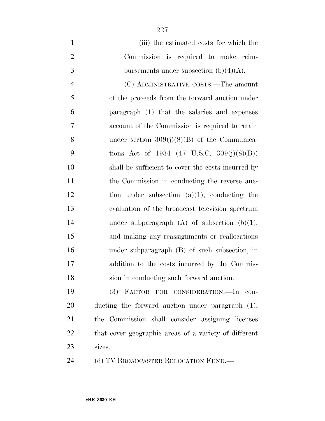(iii) the estimated costs for which the Commission is required to make reim-3 bursements under subsection  $(b)(4)(A)$ . (C) ADMINISTRATIVE COSTS.—The amount of the proceeds from the forward auction under paragraph (1) that the salaries and expenses account of the Commission is required to retain under section 309(j)(8)(B) of the Communica- tions Act of 1934 (47 U.S.C. 309(j)(8)(B)) shall be sufficient to cover the costs incurred by the Commission in conducting the reverse auc- tion under subsection (a)(1), conducting the evaluation of the broadcast television spectrum under subparagraph (A) of subsection (b)(1), and making any reassignments or reallocations under subparagraph (B) of such subsection, in addition to the costs incurred by the Commis-sion in conducting such forward auction.

 (3) FACTOR FOR CONSIDERATION.—In con- ducting the forward auction under paragraph (1), the Commission shall consider assigning licenses that cover geographic areas of a variety of different sizes.

24 (d) TV BROADCASTER RELOCATION FUND.—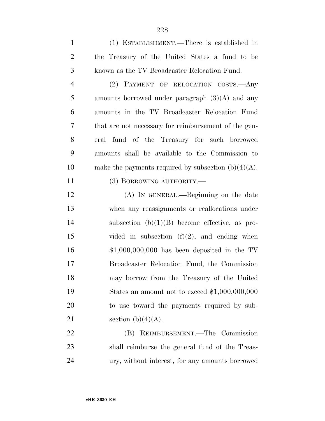| $\mathbf{1}$   | (1) ESTABLISHMENT.—There is established in             |
|----------------|--------------------------------------------------------|
| $\overline{2}$ | the Treasury of the United States a fund to be         |
| 3              | known as the TV Broadcaster Relocation Fund.           |
| $\overline{4}$ | (2) PAYMENT OF RELOCATION COSTS.- Any                  |
| 5              | amounts borrowed under paragraph $(3)(A)$ and any      |
| 6              | amounts in the TV Broadcaster Relocation Fund          |
| $\tau$         | that are not necessary for reimbursement of the gen-   |
| 8              | eral fund of the Treasury for such borrowed            |
| 9              | amounts shall be available to the Commission to        |
| 10             | make the payments required by subsection $(b)(4)(A)$ . |
| 11             | (3) BORROWING AUTHORITY.—                              |
| 12             | (A) IN GENERAL.—Beginning on the date                  |
| 13             | when any reassignments or reallocations under          |
| 14             | subsection $(b)(1)(B)$ become effective, as pro-       |
| 15             | vided in subsection $(f)(2)$ , and ending when         |
| 16             | $$1,000,000,000$ has been deposited in the TV          |
| 17             | Broadcaster Relocation Fund, the Commission            |
| 18             | may borrow from the Treasury of the United             |
| 19             | States an amount not to exceed $$1,000,000,000$        |
| 20             | to use toward the payments required by sub-            |
| 21             | section $(b)(4)(A)$ .                                  |
| 22             | (B) REIMBURSEMENT.—The Commission                      |
| 23             | shall reimburse the general fund of the Treas-         |
| 24             | ury, without interest, for any amounts borrowed        |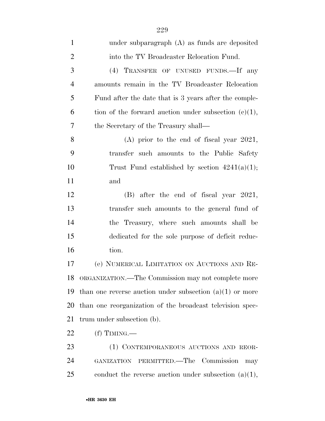| $\mathbf{1}$   | under subparagraph (A) as funds are deposited              |
|----------------|------------------------------------------------------------|
| $\overline{2}$ | into the TV Broadcaster Relocation Fund.                   |
| 3              | (4) TRANSFER OF UNUSED FUNDS.—If any                       |
| $\overline{4}$ | amounts remain in the TV Broadcaster Relocation            |
| 5              | Fund after the date that is 3 years after the comple-      |
| 6              | tion of the forward auction under subsection $(c)(1)$ ,    |
| 7              | the Secretary of the Treasury shall—                       |
| 8              | $(A)$ prior to the end of fiscal year 2021,                |
| 9              | transfer such amounts to the Public Safety                 |
| 10             | Trust Fund established by section $4241(a)(1)$ ;           |
| 11             | and                                                        |
| 12             | $(B)$ after the end of fiscal year 2021,                   |
| 13             | transfer such amounts to the general fund of               |
| 14             | the Treasury, where such amounts shall be                  |
| 15             | dedicated for the sole purpose of deficit reduc-           |
| 16             | tion.                                                      |
| 17             | (e) NUMERICAL LIMITATION ON AUCTIONS AND RE-               |
| 18             | ORGANIZATION.—The Commission may not complete more         |
| 19             | than one reverse auction under subsection $(a)(1)$ or more |
| 20             | than one reorganization of the broadcast television spec-  |
| 21             | trum under subsection (b).                                 |
| 22             | (f) TIMING.—                                               |
| 23             | (1) CONTEMPORANEOUS AUCTIONS AND REOR-                     |
| 24             | GANIZATION PERMITTED.—The Commission<br>may                |
| 25             | conduct the reverse auction under subsection $(a)(1)$ ,    |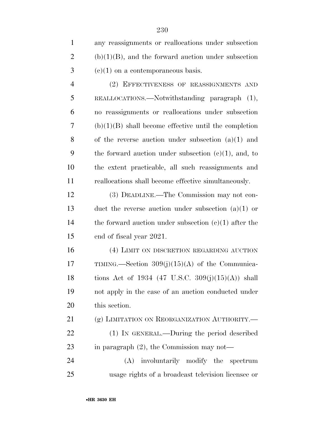(2) EFFECTIVENESS OF REASSIGNMENTS AND REALLOCATIONS.—Notwithstanding paragraph (1), no reassignments or reallocations under subsection (b)(1)(B) shall become effective until the completion of the reverse auction under subsection (a)(1) and 9 the forward auction under subsection  $(c)(1)$ , and, to the extent practicable, all such reassignments and reallocations shall become effective simultaneously.

 (3) DEADLINE.—The Commission may not con- duct the reverse auction under subsection (a)(1) or 14 the forward auction under subsection  $(c)(1)$  after the end of fiscal year 2021.

 (4) LIMIT ON DISCRETION REGARDING AUCTION TIMING.—Section 309(j)(15)(A) of the Communica- tions Act of 1934 (47 U.S.C. 309(j)(15)(A)) shall not apply in the case of an auction conducted under this section.

21 (g) LIMITATION ON REORGANIZATION AUTHORITY. (1) IN GENERAL.—During the period described 23 in paragraph (2), the Commission may not—

 (A) involuntarily modify the spectrum usage rights of a broadcast television licensee or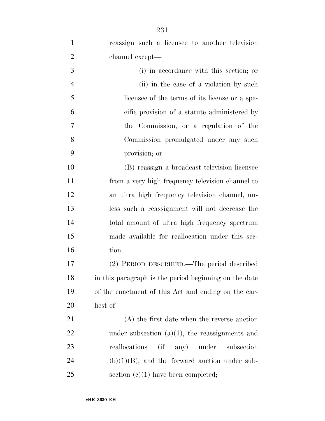| $\mathbf{1}$   | reassign such a licensee to another television        |
|----------------|-------------------------------------------------------|
| $\overline{2}$ | channel except—                                       |
| 3              | (i) in accordance with this section; or               |
| $\overline{4}$ | (ii) in the case of a violation by such               |
| 5              | licensee of the terms of its license or a spe-        |
| 6              | cific provision of a statute administered by          |
| 7              | the Commission, or a regulation of the                |
| 8              | Commission promulgated under any such                 |
| 9              | provision; or                                         |
| 10             | (B) reassign a broadcast television licensee          |
| 11             | from a very high frequency television channel to      |
| 12             | an ultra high frequency television channel, un-       |
| 13             | less such a reassignment will not decrease the        |
| 14             | total amount of ultra high frequency spectrum         |
| 15             | made available for reallocation under this sec-       |
| 16             | tion.                                                 |
| 17             | (2) PERIOD DESCRIBED.—The period described            |
| 18             | in this paragraph is the period beginning on the date |
| 19             | of the enactment of this Act and ending on the ear-   |
| 20             | liest of-                                             |
| 21             | (A) the first date when the reverse auction           |
| 22             | under subsection $(a)(1)$ , the reassignments and     |
| 23             | $\int$<br>reallocations<br>any) under<br>subsection   |
| 24             | $(b)(1)(B)$ , and the forward auction under sub-      |
| 25             | section $(c)(1)$ have been completed;                 |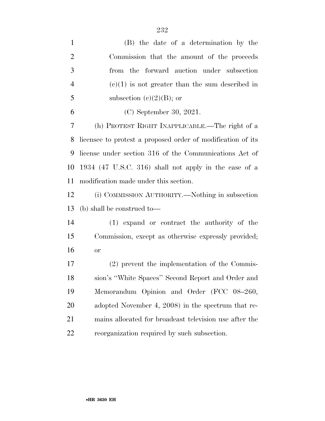| $\mathbf{1}$   | (B) the date of a determination by the                      |
|----------------|-------------------------------------------------------------|
| $\overline{2}$ | Commission that the amount of the proceeds                  |
| 3              | the forward auction under subsection<br>from                |
| $\overline{4}$ | $(e)(1)$ is not greater than the sum described in           |
| 5              | subsection (c) $(2)(B)$ ; or                                |
| 6              | $(C)$ September 30, 2021.                                   |
| $\overline{7}$ | (h) PROTEST RIGHT INAPPLICABLE.—The right of a              |
| 8              | licensee to protest a proposed order of modification of its |
| 9              | license under section 316 of the Communications Act of      |
| 10             | 1934 (47 U.S.C. 316) shall not apply in the case of a       |
| 11             | modification made under this section.                       |
| 12             | (i) COMMISSION AUTHORITY.—Nothing in subsection             |
| 13             | (b) shall be construed to—                                  |
| 14             | $(1)$ expand or contract the authority of the               |
| 15             | Commission, except as otherwise expressly provided;         |
| 16             | <b>or</b>                                                   |
| 17             | (2) prevent the implementation of the Commis-               |
| 18             | sion's "White Spaces" Second Report and Order and           |
| 19             | Memorandum Opinion and Order (FCC 08-260,                   |
| 20             | adopted November 4, 2008) in the spectrum that re-          |
| 21             | mains allocated for broadcast television use after the      |
| 22             | reorganization required by such subsection.                 |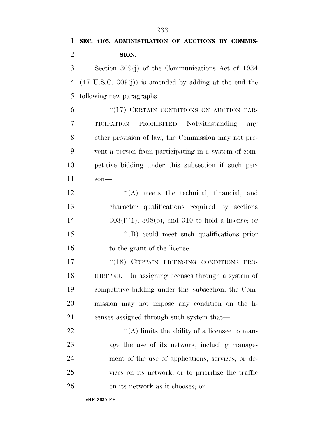## **SEC. 4105. ADMINISTRATION OF AUCTIONS BY COMMIS- SION.**  Section 309(j) of the Communications Act of 1934

 (47 U.S.C. 309(j)) is amended by adding at the end the following new paragraphs:

6 "(17) CERTAIN CONDITIONS ON AUCTION PAR- TICIPATION PROHIBITED.—Notwithstanding any other provision of law, the Commission may not pre- vent a person from participating in a system of com- petitive bidding under this subsection if such per-son—

12 ''(A) meets the technical, financial, and character qualifications required by sections 303(l)(1), 308(b), and 310 to hold a license; or ''(B) could meet such qualifications prior 16 to the grant of the license.

17 "(18) CERTAIN LICENSING CONDITIONS PRO- HIBITED.—In assigning licenses through a system of competitive bidding under this subsection, the Com- mission may not impose any condition on the li-censes assigned through such system that—

 $\langle (A) \rangle$  limits the ability of a licensee to man- age the use of its network, including manage- ment of the use of applications, services, or de- vices on its network, or to prioritize the traffic on its network as it chooses; or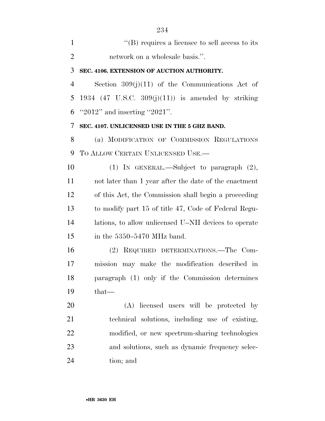| $\mathbf{1}$   | $\lq\lq$ (B) requires a licensee to sell access to its |
|----------------|--------------------------------------------------------|
| $\overline{2}$ | network on a wholesale basis.".                        |
| 3              | SEC. 4106. EXTENSION OF AUCTION AUTHORITY.             |
| 4              | Section $309(j)(11)$ of the Communications Act of      |
| 5              | 1934 (47 U.S.C. 309 $(j)(11)$ ) is amended by striking |
| 6              | " $2012"$ and inserting " $2021"$ .                    |
| 7              | SEC. 4107. UNLICENSED USE IN THE 5 GHZ BAND.           |
| 8              | (a) MODIFICATION OF COMMISSION REGULATIONS             |
| 9              | TO ALLOW CERTAIN UNLICENSED USE.                       |
| 10             | (1) IN GENERAL.—Subject to paragraph $(2)$ ,           |
| 11             | not later than 1 year after the date of the enactment  |
| 12             | of this Act, the Commission shall begin a proceeding   |
| 13             | to modify part 15 of title 47, Code of Federal Regu-   |
| 14             | lations, to allow unlicensed U–NII devices to operate  |
| 15             | in the $5350-5470$ MHz band.                           |
| 16             | (2) REQUIRED DETERMINATIONS.—The Com-                  |
| 17             | mission may make the modification described in         |
| 18             | paragraph (1) only if the Commission determines        |
| 19             | that—                                                  |
| 20             | (A) licensed users will be protected by                |
| 21             | technical solutions, including use of existing,        |
| 22             | modified, or new spectrum-sharing technologies         |
| 23             | and solutions, such as dynamic frequency selec-        |
| 24             | tion; and                                              |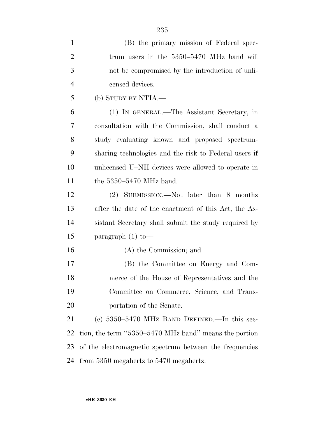| $\mathbf{1}$   | (B) the primary mission of Federal spec-                |
|----------------|---------------------------------------------------------|
| $\overline{2}$ | trum users in the 5350–5470 MHz band will               |
| 3              | not be compromised by the introduction of unli-         |
| $\overline{4}$ | censed devices.                                         |
| 5              | (b) STUDY BY NTIA.—                                     |
| 6              | (1) IN GENERAL.—The Assistant Secretary, in             |
| $\tau$         | consultation with the Commission, shall conduct a       |
| 8              | study evaluating known and proposed spectrum-           |
| 9              | sharing technologies and the risk to Federal users if   |
| 10             | unlicensed U–NII devices were allowed to operate in     |
| 11             | the $5350-5470$ MHz band.                               |
| 12             | (2) SUBMISSION.—Not later than 8 months                 |
| 13             | after the date of the enactment of this Act, the As-    |
| 14             | sistant Secretary shall submit the study required by    |
| 15             | paragraph $(1)$ to —                                    |
| 16             | (A) the Commission; and                                 |
| 17             | (B) the Committee on Energy and Com-                    |
| 18             | merce of the House of Representatives and the           |
| 19             | Committee on Commerce, Science, and Trans-              |
| 20             | portation of the Senate.                                |
| 21             | (c) $5350-5470$ MHz BAND DEFINED.—In this sec-          |
| 22             | tion, the term "5350-5470 MHz band" means the portion   |
| 23             | of the electromagnetic spectrum between the frequencies |
| 24             | from 5350 megahertz to 5470 megahertz.                  |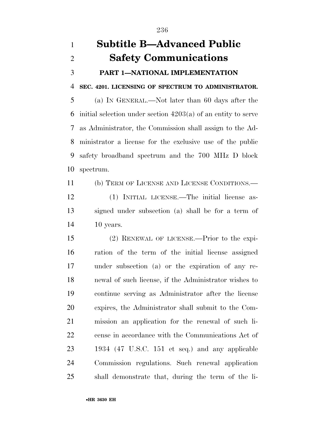## **Subtitle B—Advanced Public Safety Communications PART 1—NATIONAL IMPLEMENTATION SEC. 4201. LICENSING OF SPECTRUM TO ADMINISTRATOR.**  (a) IN GENERAL.—Not later than 60 days after the initial selection under section 4203(a) of an entity to serve as Administrator, the Commission shall assign to the Ad- ministrator a license for the exclusive use of the public safety broadband spectrum and the 700 MHz D block spectrum.

 (b) TERM OF LICENSE AND LICENSE CONDITIONS.— (1) INITIAL LICENSE.—The initial license as-signed under subsection (a) shall be for a term of

10 years.

 (2) RENEWAL OF LICENSE.—Prior to the expi- ration of the term of the initial license assigned under subsection (a) or the expiration of any re- newal of such license, if the Administrator wishes to continue serving as Administrator after the license expires, the Administrator shall submit to the Com- mission an application for the renewal of such li- cense in accordance with the Communications Act of 1934 (47 U.S.C. 151 et seq.) and any applicable Commission regulations. Such renewal application shall demonstrate that, during the term of the li-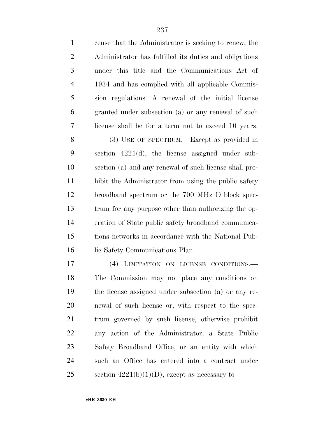| $\mathbf{1}$   | cense that the Administrator is seeking to renew, the  |
|----------------|--------------------------------------------------------|
| $\overline{2}$ | Administrator has fulfilled its duties and obligations |
| 3              | under this title and the Communications Act of         |
| $\overline{4}$ | 1934 and has complied with all applicable Commis-      |
| 5              | sion regulations. A renewal of the initial license     |
| 6              | granted under subsection (a) or any renewal of such    |
| 7              | license shall be for a term not to exceed 10 years.    |
| 8              | (3) USE OF SPECTRUM.—Except as provided in             |
| 9              | section $4221(d)$ , the license assigned under sub-    |
| 10             | section (a) and any renewal of such license shall pro- |
| 11             | hibit the Administrator from using the public safety   |
| 12             | broadband spectrum or the 700 MHz D block spec-        |
| 13             | trum for any purpose other than authorizing the op-    |
| 14             | eration of State public safety broadband communica-    |
| 15             | tions networks in accordance with the National Pub-    |
| 16             | lic Safety Communications Plan.                        |
| 17             | (4)<br>LIMITATION ON LICENSE CONDITIONS.               |
| 18             | The Commission may not place any conditions on         |
| 19             | the license assigned under subsection (a) or any re-   |
| 20             | newal of such license or, with respect to the spec-    |
| 21             | trum governed by such license, otherwise prohibit      |
| 22             | any action of the Administrator, a State Public        |
| 23             | Safety Broadband Office, or an entity with which       |
| 24             | such an Office has entered into a contract under       |
| 25             | section $4221(b)(1)(D)$ , except as necessary to-      |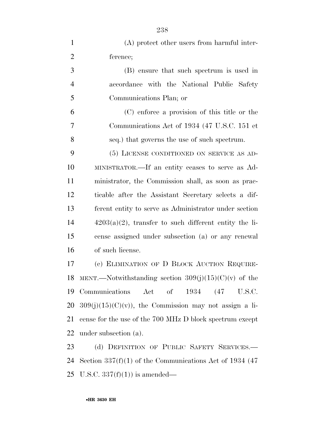| $\mathbf{1}$   | (A) protect other users from harmful inter-                |
|----------------|------------------------------------------------------------|
| $\overline{2}$ | ference;                                                   |
| 3              | (B) ensure that such spectrum is used in                   |
| $\overline{4}$ | accordance with the National Public Safety                 |
| 5              | Communications Plan; or                                    |
| 6              | (C) enforce a provision of this title or the               |
| 7              | Communications Act of 1934 (47 U.S.C. 151 et               |
| 8              | seq.) that governs the use of such spectrum.               |
| 9              | (5) LICENSE CONDITIONED ON SERVICE AS AD-                  |
| 10             | MINISTRATOR.—If an entity ceases to serve as Ad-           |
| 11             | ministrator, the Commission shall, as soon as prac-        |
| 12             | ticable after the Assistant Secretary selects a dif-       |
| 13             | ferent entity to serve as Administrator under section      |
| 14             | $4203(a)(2)$ , transfer to such different entity the li-   |
| 15             | cense assigned under subsection (a) or any renewal         |
| 16             | of such license.                                           |
| 17             | (c) ELIMINATION OF D BLOCK AUCTION REQUIRE-                |
|                | 18 MENT.—Notwithstanding section $309(j)(15)(C)(v)$ of the |
| 19             | Communications Act of 1934 (47 U.S.C.                      |
| 20             | $309(j)(15)(C)(v)$ , the Commission may not assign a li-   |
| 21             | cense for the use of the 700 MHz D block spectrum except   |
| 22             | under subsection (a).                                      |
| 23             | (d) DEFINITION OF PUBLIC SAFETY SERVICES.-                 |
| 24             | Section 337(f)(1) of the Communications Act of 1934 (47    |
|                | 25 U.S.C. $337(f)(1)$ is amended—                          |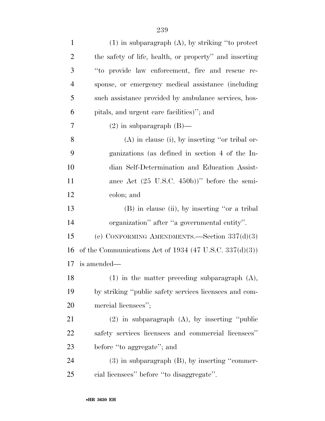| $\mathbf{1}$   | $(1)$ in subparagraph $(A)$ , by striking "to protect           |
|----------------|-----------------------------------------------------------------|
| $\overline{2}$ | the safety of life, health, or property" and inserting          |
| 3              | "to provide law enforcement, fire and rescue re-                |
| $\overline{4}$ | sponse, or emergency medical assistance (including              |
| 5              | such assistance provided by ambulance services, hos-            |
| 6              | pitals, and urgent care facilities)"; and                       |
| $\overline{7}$ | $(2)$ in subparagraph $(B)$ —                                   |
| 8              | $(A)$ in clause (i), by inserting "or tribal or-                |
| 9              | ganizations (as defined in section 4 of the In-                 |
| 10             | dian Self-Determination and Education Assist-                   |
| 11             | ance Act $(25 \text{ U.S.C. } 450\text{b}))$ " before the semi- |
| 12             | colon; and                                                      |
| 13             | (B) in clause (ii), by inserting "or a tribal                   |
| 14             | organization" after "a governmental entity".                    |
| 15             | (e) CONFORMING AMENDMENTS.—Section $337(d)(3)$                  |
| 16             | of the Communications Act of 1934 (47 U.S.C. 337(d)(3))         |
| 17             | is amended—                                                     |
| 18             | $(1)$ in the matter preceding subparagraph $(A)$ ,              |
| 19             | by striking "public safety services licensees and com-          |
| 20             | mercial licensees";                                             |
| 21             | $(2)$ in subparagraph $(A)$ , by inserting "public              |
| 22             | safety services licensees and commercial licensees"             |
| 23             | before "to aggregate"; and                                      |
| 24             | $(3)$ in subparagraph $(B)$ , by inserting "commer-             |
| 25             | cial licensees" before "to disaggregate".                       |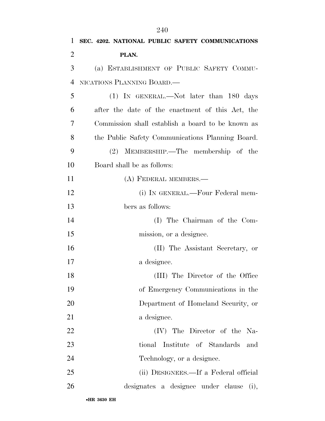| 1              | SEC. 4202. NATIONAL PUBLIC SAFETY COMMUNICATIONS  |
|----------------|---------------------------------------------------|
| $\overline{2}$ | PLAN.                                             |
| 3              | (a) ESTABLISHMENT OF PUBLIC SAFETY COMMU-         |
| $\overline{4}$ | NICATIONS PLANNING BOARD.—                        |
| 5              | $(1)$ IN GENERAL.—Not later than 180 days         |
| 6              | after the date of the enactment of this Act, the  |
| 7              | Commission shall establish a board to be known as |
| 8              | the Public Safety Communications Planning Board.  |
| 9              | (2) MEMBERSHIP.—The membership of the             |
| 10             | Board shall be as follows:                        |
| 11             | (A) FEDERAL MEMBERS.—                             |
| 12             | (i) IN GENERAL.—Four Federal mem-                 |
| 13             | bers as follows:                                  |
| 14             | (I) The Chairman of the Com-                      |
| 15             | mission, or a designee.                           |
| 16             | (II) The Assistant Secretary, or                  |
| 17             | a designee.                                       |
| 18             | (III) The Director of the Office                  |
| 19             | of Emergency Communications in the                |
| 20             | Department of Homeland Security, or               |
| 21             | a designee.                                       |
| 22             | (IV) The Director of the Na-                      |
| 23             | Institute of Standards<br>tional<br>and           |
| 24             | Technology, or a designee.                        |
| 25             | (ii) DESIGNEES.—If a Federal official             |
| 26             | designates a designee under clause<br>(i),        |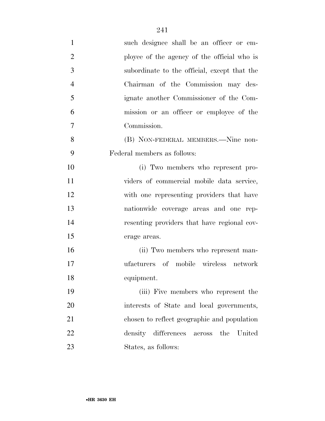| $\mathbf{1}$   | such designee shall be an officer or em-     |
|----------------|----------------------------------------------|
| $\overline{2}$ | ployee of the agency of the official who is  |
| 3              | subordinate to the official, except that the |
| $\overline{4}$ | Chairman of the Commission may des-          |
| 5              | ignate another Commissioner of the Com-      |
| 6              | mission or an officer or employee of the     |
| $\overline{7}$ | Commission.                                  |
| 8              | (B) NON-FEDERAL MEMBERS.—Nine non-           |
| 9              | Federal members as follows:                  |
| 10             | (i) Two members who represent pro-           |
| 11             | viders of commercial mobile data service,    |
| 12             | with one representing providers that have    |
| 13             | nationwide coverage areas and one rep-       |
| 14             | resenting providers that have regional cov-  |
| 15             | erage areas.                                 |
| 16             | (ii) Two members who represent man-          |
| 17             | ufacturers of mobile wireless network        |
| 18             | equipment.                                   |
| 19             | (iii) Five members who represent the         |
| 20             | interests of State and local governments,    |
| 21             | chosen to reflect geographic and population  |
| 22             | density differences across the<br>United     |
| 23             | States, as follows:                          |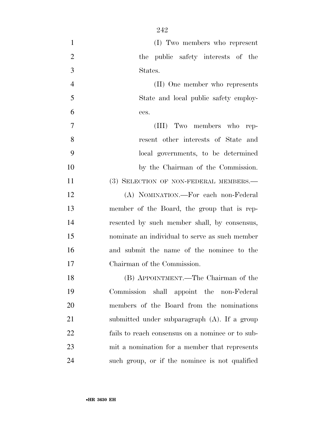| $\mathbf{1}$   | (I) Two members who represent                    |
|----------------|--------------------------------------------------|
| $\overline{2}$ | the public safety interests of the               |
| 3              | States.                                          |
| $\overline{4}$ | (II) One member who represents                   |
| 5              | State and local public safety employ-            |
| 6              | ees.                                             |
| 7              | (III) Two members who rep-                       |
| 8              | resent other interests of State and              |
| 9              | local governments, to be determined              |
| 10             | by the Chairman of the Commission.               |
| 11             | (3) SELECTION OF NON-FEDERAL MEMBERS.—           |
| 12             | (A) NOMINATION.-For each non-Federal             |
| 13             | member of the Board, the group that is rep-      |
| 14             | resented by such member shall, by consensus,     |
| 15             | nominate an individual to serve as such member   |
| 16             | and submit the name of the nominee to the        |
| 17             | Chairman of the Commission.                      |
| 18             | (B) APPOINTMENT.—The Chairman of the             |
| 19             | Commission shall appoint the non-Federal         |
| 20             | members of the Board from the nominations        |
| 21             | submitted under subparagraph (A). If a group     |
| 22             | fails to reach consensus on a nominee or to sub- |
| 23             | mit a nomination for a member that represents    |
| 24             | such group, or if the nominee is not qualified   |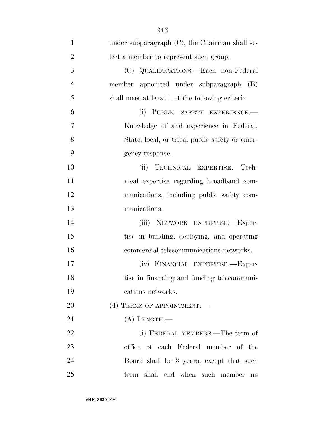| $\mathbf{1}$   | under subparagraph $(C)$ , the Chairman shall se- |
|----------------|---------------------------------------------------|
| $\overline{2}$ | lect a member to represent such group.            |
| 3              | (C) QUALIFICATIONS.—Each non-Federal              |
| $\overline{4}$ | member appointed under subparagraph (B)           |
| 5              | shall meet at least 1 of the following criteria:  |
| 6              | (i) PUBLIC SAFETY EXPERIENCE.-                    |
| $\overline{7}$ | Knowledge of and experience in Federal,           |
| 8              | State, local, or tribal public safety or emer-    |
| 9              | gency response.                                   |
| 10             | TECHNICAL EXPERTISE.-Tech-<br>(ii)                |
| 11             | nical expertise regarding broadband com-          |
| 12             | munications, including public safety com-         |
| 13             | munications.                                      |
| 14             | (iii) NETWORK EXPERTISE.-Exper-                   |
| 15             | tise in building, deploying, and operating        |
| 16             | commercial telecommunications networks.           |
| 17             | (iv) FINANCIAL EXPERTISE.-Exper-                  |
| 18             | tise in financing and funding telecommuni-        |
| 19             | cations networks.                                 |
| 20             | (4) TERMS OF APPOINTMENT.                         |
| 21             | $(A)$ LENGTH.—                                    |
| 22             | (i) FEDERAL MEMBERS.—The term of                  |
| 23             | office of each Federal member of the              |
| 24             | Board shall be 3 years, except that such          |
| 25             | term shall end when such member<br>n <sub>0</sub> |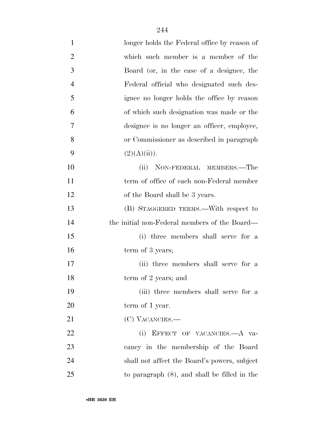| $\mathbf{1}$   | longer holds the Federal office by reason of    |
|----------------|-------------------------------------------------|
| $\overline{2}$ | which such member is a member of the            |
| 3              | Board (or, in the case of a designee, the       |
| $\overline{4}$ | Federal official who designated such des-       |
| 5              | ignee no longer holds the office by reason      |
| 6              | of which such designation was made or the       |
| 7              | designee is no longer an officer, employee,     |
| 8              | or Commissioner as described in paragraph       |
| 9              | (2)(A)(ii)).                                    |
| 10             | NON-FEDERAL MEMBERS.—The<br>(ii)                |
| 11             | term of office of each non-Federal member       |
| 12             | of the Board shall be 3 years.                  |
| 13             | (B) STAGGERED TERMS.—With respect to            |
| 14             | the initial non-Federal members of the Board—   |
| 15             | (i) three members shall serve for a             |
| 16             | term of 3 years;                                |
| 17             | (ii) three members shall serve for a            |
| 18             | term of 2 years; and                            |
| 19             | (iii) three members shall serve for a           |
| 20             | term of 1 year.                                 |
| 21             | (C) VACANCIES.—                                 |
| 22             | EFFECT OF VACANCIES.- A va-<br>(i)              |
| 23             | cancy in the membership of the Board            |
| 24             | shall not affect the Board's powers, subject    |
| 25             | to paragraph $(8)$ , and shall be filled in the |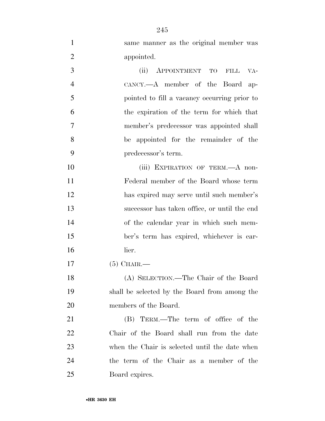same manner as the original member was appointed. (ii) APPOINTMENT TO FILL VA- CANCY.—A member of the Board ap- pointed to fill a vacancy occurring prior to the expiration of the term for which that member's predecessor was appointed shall be appointed for the remainder of the predecessor's term. 10 (iii) EXPIRATION OF TERM.—A non- Federal member of the Board whose term has expired may serve until such member's successor has taken office, or until the end of the calendar year in which such mem- ber's term has expired, whichever is ear- lier. (5) CHAIR.— (A) SELECTION.—The Chair of the Board shall be selected by the Board from among the members of the Board. (B) TERM.—The term of office of the Chair of the Board shall run from the date when the Chair is selected until the date when the term of the Chair as a member of the Board expires.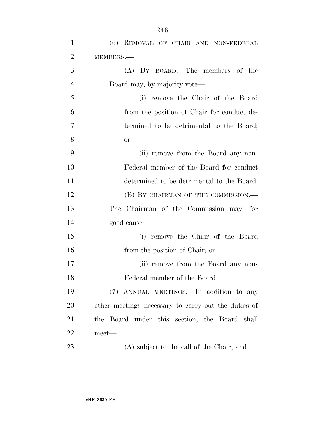| $\mathbf{1}$   | (6) REMOVAL OF CHAIR AND NON-FEDERAL                |
|----------------|-----------------------------------------------------|
| $\overline{2}$ | MEMBERS.-                                           |
| 3              | $(A)$ BY BOARD.—The members of the                  |
| $\overline{4}$ | Board may, by majority vote—                        |
| 5              | (i) remove the Chair of the Board                   |
| 6              | from the position of Chair for conduct de-          |
| $\overline{7}$ | termined to be detrimental to the Board;            |
| 8              | or                                                  |
| 9              | (ii) remove from the Board any non-                 |
| 10             | Federal member of the Board for conduct             |
| 11             | determined to be detrimental to the Board.          |
| 12             | (B) BY CHAIRMAN OF THE COMMISSION.—                 |
| 13             | The Chairman of the Commission may, for             |
| 14             | good cause—                                         |
| 15             | (i) remove the Chair of the Board                   |
| 16             | from the position of Chair; or                      |
| 17             | (ii) remove from the Board any non-                 |
| 18             | Federal member of the Board.                        |
| 19             | (7) ANNUAL MEETINGS.—In addition to any             |
| 20             | other meetings necessary to carry out the duties of |
| 21             | the Board under this section, the Board shall       |
| 22             | meet—                                               |
| 23             | (A) subject to the call of the Chair; and           |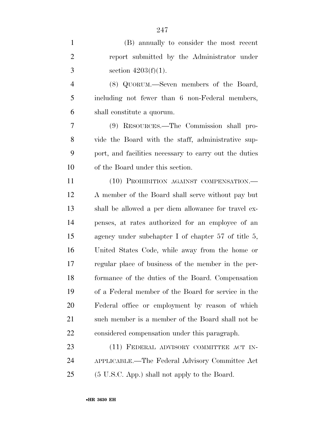(B) annually to consider the most recent report submitted by the Administrator under 3 section  $4203(f)(1)$ . (8) QUORUM.—Seven members of the Board, including not fewer than 6 non-Federal members, shall constitute a quorum. (9) RESOURCES.—The Commission shall pro- vide the Board with the staff, administrative sup- port, and facilities necessary to carry out the duties of the Board under this section. 11 (10) PROHIBITION AGAINST COMPENSATION.— A member of the Board shall serve without pay but shall be allowed a per diem allowance for travel ex- penses, at rates authorized for an employee of an agency under subchapter I of chapter 57 of title 5, United States Code, while away from the home or regular place of business of the member in the per- formance of the duties of the Board. Compensation of a Federal member of the Board for service in the Federal office or employment by reason of which such member is a member of the Board shall not be considered compensation under this paragraph. 23 (11) FEDERAL ADVISORY COMMITTEE ACT IN-APPLICABLE.—The Federal Advisory Committee Act

(5 U.S.C. App.) shall not apply to the Board.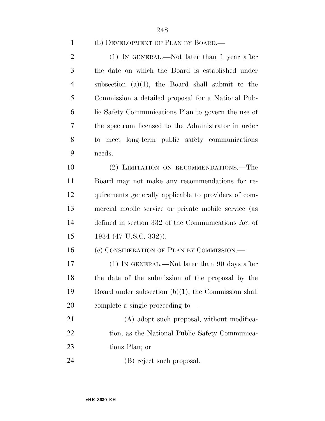## (b) DEVELOPMENT OF PLAN BY BOARD.—

 (1) IN GENERAL.—Not later than 1 year after the date on which the Board is established under subsection (a)(1), the Board shall submit to the Commission a detailed proposal for a National Pub- lic Safety Communications Plan to govern the use of the spectrum licensed to the Administrator in order to meet long-term public safety communications needs.

 (2) LIMITATION ON RECOMMENDATIONS.—The Board may not make any recommendations for re- quirements generally applicable to providers of com- mercial mobile service or private mobile service (as defined in section 332 of the Communications Act of 1934 (47 U.S.C. 332)).

16 (c) CONSIDERATION OF PLAN BY COMMISSION.—

 (1) IN GENERAL.—Not later than 90 days after the date of the submission of the proposal by the Board under subsection (b)(1), the Commission shall complete a single proceeding to—

21 (A) adopt such proposal, without modifica-22 tion, as the National Public Safety Communica-tions Plan; or

(B) reject such proposal.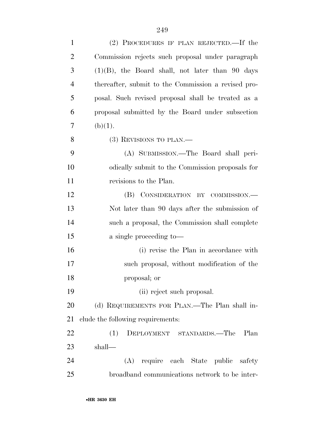| $\mathbf{1}$   | (2) PROCEDURES IF PLAN REJECTED.—If the             |
|----------------|-----------------------------------------------------|
| $\overline{2}$ | Commission rejects such proposal under paragraph    |
| 3              | $(1)(B)$ , the Board shall, not later than 90 days  |
| $\overline{4}$ | thereafter, submit to the Commission a revised pro- |
| 5              | posal. Such revised proposal shall be treated as a  |
| 6              | proposal submitted by the Board under subsection    |
| 7              | (b)(1).                                             |
| 8              | $(3)$ REVISIONS TO PLAN.—                           |
| 9              | (A) SUBMISSION.—The Board shall peri-               |
| 10             | odically submit to the Commission proposals for     |
| 11             | revisions to the Plan.                              |
| 12             | (B) CONSIDERATION BY COMMISSION.—                   |
| 13             | Not later than 90 days after the submission of      |
| 14             | such a proposal, the Commission shall complete      |
| 15             | a single proceeding to-                             |
| 16             | (i) revise the Plan in accordance with              |
| 17             | such proposal, without modification of the          |
| 18             | proposal; or                                        |
| 19             | (ii) reject such proposal.                          |
| 20             | (d) REQUIREMENTS FOR PLAN.—The Plan shall in-       |
| 21             | clude the following requirements:                   |
| 22             | (1)<br>DEPLOYMENT STANDARDS.—The<br>Plan            |
| 23             | shall—                                              |
| 24             | (A) require each State public safety                |
| 25             | broadband communications network to be inter-       |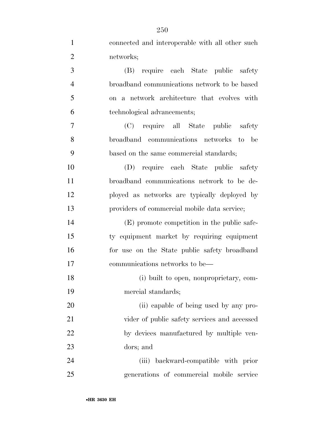| $\mathbf{1}$   | connected and interoperable with all other such |
|----------------|-------------------------------------------------|
| $\overline{2}$ | networks;                                       |
| 3              | require each State public safety<br>(B)         |
| $\overline{4}$ | broadband communications network to be based    |
| 5              | on a network architecture that evolves with     |
| 6              | technological advancements;                     |
| 7              | (C) require all State public safety             |
| 8              | broadband communications networks to be         |
| 9              | based on the same commercial standards;         |
| 10             | (D) require each State public safety            |
| 11             | broadband communications network to be de-      |
| 12             | ployed as networks are typically deployed by    |
| 13             | providers of commercial mobile data service;    |
| 14             | (E) promote competition in the public safe-     |
| 15             | ty equipment market by requiring equipment      |
| 16             | for use on the State public safety broadband    |
| 17             | communications networks to be—                  |
| 18             | (i) built to open, nonproprietary, com-         |
| 19             | mercial standards;                              |
| 20             | (ii) capable of being used by any pro-          |
| 21             | vider of public safety services and accessed    |
| 22             | by devices manufactured by multiple ven-        |
| 23             | dors; and                                       |
| 24             | (iii) backward-compatible with prior            |
| 25             | generations of commercial mobile service        |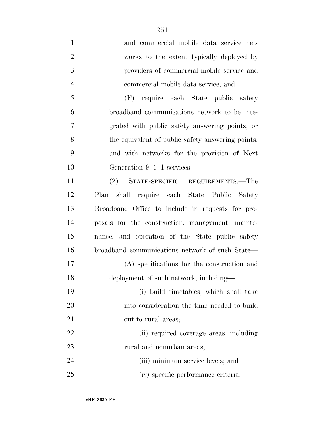and commercial mobile data service net- works to the extent typically deployed by providers of commercial mobile service and commercial mobile data service; and (F) require each State public safety broadband communications network to be inte- grated with public safety answering points, or the equivalent of public safety answering points, and with networks for the provision of Next Generation 9–1–1 services. (2) STATE-SPECIFIC REQUIREMENTS.—The Plan shall require each State Public Safety Broadband Office to include in requests for pro- posals for the construction, management, mainte- nance, and operation of the State public safety broadband communications network of such State— (A) specifications for the construction and deployment of such network, including— (i) build timetables, which shall take into consideration the time needed to build out to rural areas; (ii) required coverage areas, including 23 rural and nonurban areas; 24 (iii) minimum service levels; and (iv) specific performance criteria;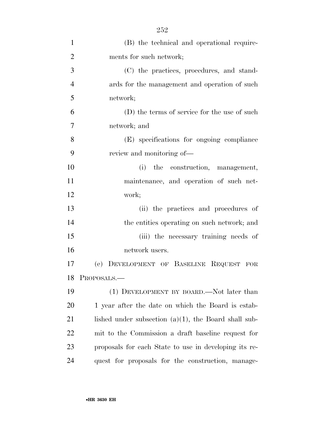| $\mathbf{1}$   | (B) the technical and operational require-              |
|----------------|---------------------------------------------------------|
| $\overline{2}$ | ments for such network;                                 |
| 3              | (C) the practices, procedures, and stand-               |
| $\overline{4}$ | ards for the management and operation of such           |
| 5              | network;                                                |
| 6              | (D) the terms of service for the use of such            |
| 7              | network; and                                            |
| 8              | (E) specifications for ongoing compliance               |
| 9              | review and monitoring of—                               |
| 10             | (i) the construction, management,                       |
| 11             | maintenance, and operation of such net-                 |
| 12             | work;                                                   |
| 13             | (ii) the practices and procedures of                    |
| 14             | the entities operating on such network; and             |
| 15             | (iii) the necessary training needs of                   |
| 16             | network users.                                          |
| 17             | (e) DEVELOPMENT OF BASELINE REQUEST FOR                 |
| 18             | PROPOSALS.                                              |
| 19             | (1) DEVELOPMENT BY BOARD.—Not later than                |
| 20             | 1 year after the date on which the Board is estab-      |
| 21             | lished under subsection $(a)(1)$ , the Board shall sub- |
| 22             | mit to the Commission a draft baseline request for      |
| 23             | proposals for each State to use in developing its re-   |
| 24             | quest for proposals for the construction, manage-       |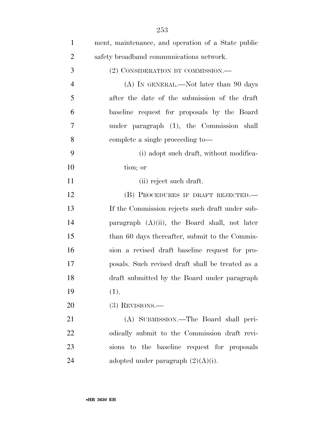| $\mathbf{1}$   | ment, maintenance, and operation of a State public |
|----------------|----------------------------------------------------|
| $\overline{2}$ | safety broadband communications network.           |
| 3              | (2) CONSIDERATION BY COMMISSION.—                  |
| $\overline{4}$ | (A) IN GENERAL.—Not later than 90 days             |
| 5              | after the date of the submission of the draft      |
| 6              | baseline request for proposals by the Board        |
| 7              | under paragraph (1), the Commission shall          |
| 8              | complete a single proceeding to-                   |
| 9              | (i) adopt such draft, without modifica-            |
| 10             | tion; or                                           |
| 11             | (ii) reject such draft.                            |
| 12             | (B) PROCEDURES IF DRAFT REJECTED.—                 |
| 13             | If the Commission rejects such draft under sub-    |
| 14             | paragraph $(A)(ii)$ , the Board shall, not later   |
| 15             | than 60 days thereafter, submit to the Commis-     |
| 16             | sion a revised draft baseline request for pro-     |
| 17             | posals. Such revised draft shall be treated as a   |
| 18             | draft submitted by the Board under paragraph       |
| 19             | (1).                                               |
| 20             | $(3)$ REVISIONS.—                                  |
| 21             | (A) SUBMISSION.—The Board shall peri-              |
| 22             | odically submit to the Commission draft revi-      |
| 23             | sions to the baseline request for proposals        |
| 24             | adopted under paragraph $(2)(A)(i)$ .              |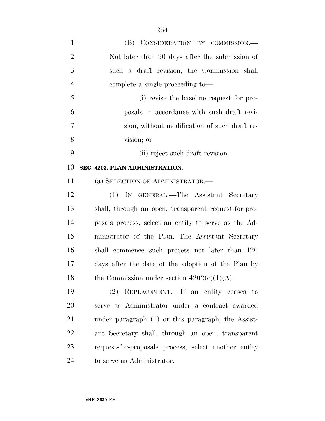| $\mathbf{1}$   | (B) CONSIDERATION BY COMMISSION.-                    |
|----------------|------------------------------------------------------|
| $\overline{2}$ | Not later than 90 days after the submission of       |
| 3              | such a draft revision, the Commission shall          |
| $\overline{4}$ | complete a single proceeding to-                     |
| 5              | (i) revise the baseline request for pro-             |
| 6              | posals in accordance with such draft revi-           |
| 7              | sion, without modification of such draft re-         |
| 8              | vision; or                                           |
| 9              | (ii) reject such draft revision.                     |
| 10             | SEC. 4203. PLAN ADMINISTRATION.                      |
| 11             | (a) SELECTION OF ADMINISTRATOR.-                     |
| 12             | (1) IN GENERAL.—The Assistant Secretary              |
| 13             | shall, through an open, transparent request-for-pro- |
| 14             | posals process, select an entity to serve as the Ad- |
| 15             | ministrator of the Plan. The Assistant Secretary     |
| 16             | shall commence such process not later than 120       |
| 17             | days after the date of the adoption of the Plan by   |
| 18             | the Commission under section $4202(c)(1)(A)$ .       |
| 19             | (2) REPLACEMENT.—If an entity ceases to              |
| 20             | serve as Administrator under a contract awarded      |
| 21             | under paragraph (1) or this paragraph, the Assist-   |
| 22             | ant Secretary shall, through an open, transparent    |
| 23             | request-for-proposals process, select another entity |
| 24             | to serve as Administrator.                           |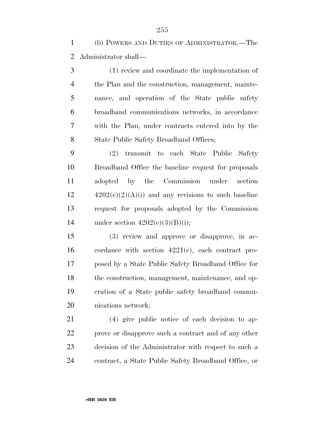(b) POWERS AND DUTIES OF ADMINISTRATOR.—The Administrator shall—

 (1) review and coordinate the implementation of the Plan and the construction, management, mainte- nance, and operation of the State public safety broadband communications networks, in accordance with the Plan, under contracts entered into by the 8 State Public Safety Broadband Offices;

 (2) transmit to each State Public Safety Broadband Office the baseline request for proposals adopted by the Commission under section  $12 \qquad \qquad 4202(e)(2)(A)(i)$  and any revisions to such baseline request for proposals adopted by the Commission 14 under section  $4202(e)(3)(B)(i)$ ;

 (3) review and approve or disapprove, in ac- cordance with section 4221(c), each contract pro- posed by a State Public Safety Broadband Office for the construction, management, maintenance, and op- eration of a State public safety broadband commu-nications network;

 (4) give public notice of each decision to ap- prove or disapprove such a contract and of any other decision of the Administrator with respect to such a contract, a State Public Safety Broadband Office, or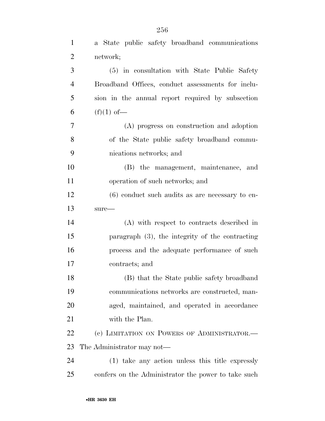| $\mathbf{1}$   | a State public safety broadband communications      |
|----------------|-----------------------------------------------------|
| $\overline{2}$ | network;                                            |
| 3              | (5) in consultation with State Public Safety        |
| $\overline{4}$ | Broadband Offices, conduct assessments for inclu-   |
| 5              | sion in the annual report required by subsection    |
| 6              | $(f)(1)$ of —                                       |
| $\tau$         | (A) progress on construction and adoption           |
| 8              | of the State public safety broadband commu-         |
| 9              | nications networks; and                             |
| 10             | (B) the management, maintenance, and                |
| 11             | operation of such networks; and                     |
| 12             | $(6)$ conduct such audits as are necessary to en-   |
| 13             | $sure-$                                             |
| 14             | (A) with respect to contracts described in          |
| 15             | paragraph $(3)$ , the integrity of the contracting  |
| 16             | process and the adequate performance of such        |
| 17             | contracts; and                                      |
| 18             | (B) that the State public safety broadband          |
| 19             | communications networks are constructed, man-       |
| 20             | aged, maintained, and operated in accordance        |
| 21             | with the Plan.                                      |
| 22             | (c) LIMITATION ON POWERS OF ADMINISTRATOR.—         |
| 23             | The Administrator may not—                          |
| 24             | (1) take any action unless this title expressly     |
| 25             | confers on the Administrator the power to take such |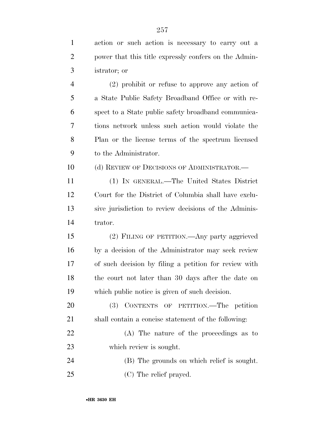action or such action is necessary to carry out a

power that this title expressly confers on the Admin-

| 3              | istrator; or                                          |
|----------------|-------------------------------------------------------|
| $\overline{4}$ | $(2)$ prohibit or refuse to approve any action of     |
| 5              | a State Public Safety Broadband Office or with re-    |
| 6              | spect to a State public safety broadband communica-   |
| 7              | tions network unless such action would violate the    |
| 8              | Plan or the license terms of the spectrum licensed    |
| 9              | to the Administrator.                                 |
| 10             | (d) REVIEW OF DECISIONS OF ADMINISTRATOR.—            |
| 11             | (1) IN GENERAL.—The United States District            |
| 12             | Court for the District of Columbia shall have exclu-  |
| 13             | sive jurisdiction to review decisions of the Adminis- |
| 14             | trator.                                               |
| 15             | (2) FILING OF PETITION.—Any party aggrieved           |
| 16             | by a decision of the Administrator may seek review    |
| 17             | of such decision by filing a petition for review with |
| 18             | the court not later than 30 days after the date on    |
| 19             | which public notice is given of such decision.        |
| 20             | (3) CONTENTS OF PETITION.—The petition                |
| 21             | shall contain a concise statement of the following:   |
| 22             | (A) The nature of the proceedings as to               |
| 23             | which review is sought.                               |
| 24             | (B) The grounds on which relief is sought.            |
| 25             | (C) The relief prayed.                                |
|                |                                                       |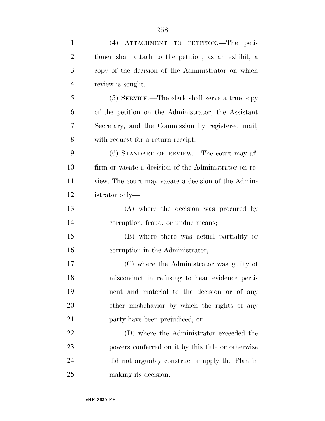| $\mathbf{1}$   | (4) ATTACHMENT TO PETITION.—The peti-                 |
|----------------|-------------------------------------------------------|
| $\overline{2}$ | tioner shall attach to the petition, as an exhibit, a |
| 3              | copy of the decision of the Administrator on which    |
| $\overline{4}$ | review is sought.                                     |
| 5              | $(5)$ SERVICE.—The clerk shall serve a true copy      |
| 6              | of the petition on the Administrator, the Assistant   |
| 7              | Secretary, and the Commission by registered mail,     |
| 8              | with request for a return receipt.                    |
| 9              | $(6)$ STANDARD OF REVIEW.—The court may af-           |
| 10             | firm or vacate a decision of the Administrator on re- |
| 11             | view. The court may vacate a decision of the Admin-   |
| 12             | istrator only—                                        |
| 13             | (A) where the decision was procured by                |
| 14             | corruption, fraud, or undue means;                    |
| 15             | (B) where there was actual partiality or              |
| 16             | corruption in the Administrator;                      |
| 17             | (C) where the Administrator was guilty of             |
| 18             | misconduct in refusing to hear evidence perti-        |
| 19             | nent and material to the decision or of any           |
| 20             | other misbehavior by which the rights of any          |
| 21             | party have been prejudiced; or                        |
| 22             | (D) where the Administrator exceeded the              |
| 23             | powers conferred on it by this title or otherwise     |
| 24             | did not arguably construe or apply the Plan in        |
| 25             | making its decision.                                  |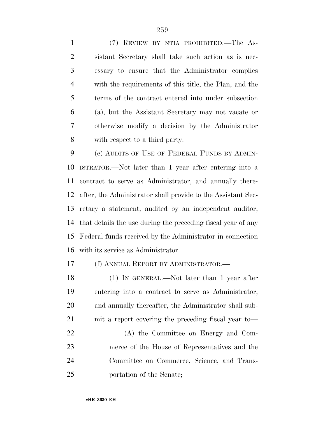(7) REVIEW BY NTIA PROHIBITED.—The As- sistant Secretary shall take such action as is nec- essary to ensure that the Administrator complies with the requirements of this title, the Plan, and the terms of the contract entered into under subsection (a), but the Assistant Secretary may not vacate or otherwise modify a decision by the Administrator with respect to a third party.

 (e) AUDITS OF USE OF FEDERAL FUNDS BY ADMIN- ISTRATOR.—Not later than 1 year after entering into a contract to serve as Administrator, and annually there- after, the Administrator shall provide to the Assistant Sec- retary a statement, audited by an independent auditor, that details the use during the preceding fiscal year of any Federal funds received by the Administrator in connection with its service as Administrator.

(f) ANNUAL REPORT BY ADMINISTRATOR.—

 (1) IN GENERAL.—Not later than 1 year after entering into a contract to serve as Administrator, and annually thereafter, the Administrator shall sub- mit a report covering the preceding fiscal year to— (A) the Committee on Energy and Com- merce of the House of Representatives and the Committee on Commerce, Science, and Trans-portation of the Senate;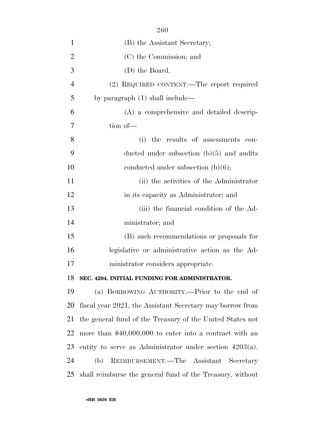| $\mathbf{1}$   | (B) the Assistant Secretary;                               |
|----------------|------------------------------------------------------------|
| $\overline{2}$ | (C) the Commission; and                                    |
| 3              | (D) the Board.                                             |
| $\overline{4}$ | (2) REQUIRED CONTENT.—The report required                  |
| 5              | by paragraph $(1)$ shall include—                          |
| 6              | (A) a comprehensive and detailed descrip-                  |
| 7              | tion of-                                                   |
| 8              | (i) the results of assessments con-                        |
| 9              | ducted under subsection $(b)(5)$ and audits                |
| 10             | conducted under subsection $(b)(6)$ ;                      |
| 11             | (ii) the activities of the Administrator                   |
| 12             | in its capacity as Administrator; and                      |
| 13             | (iii) the financial condition of the Ad-                   |
| 14             | ministrator; and                                           |
| 15             | (B) such recommendations or proposals for                  |
| 16             | legislative or administrative action as the Ad-            |
| 17             | ministrator considers appropriate.                         |
| 18             | SEC. 4204. INITIAL FUNDING FOR ADMINISTRATOR.              |
| 19             | (a) BORROWING AUTHORITY.—Prior to the end of               |
| 20             | fiscal year 2021, the Assistant Secretary may borrow from  |
| 21             | the general fund of the Treasury of the United States not  |
| 22             | more than $$40,000,000$ to enter into a contract with an   |
| 23             | entity to serve as Administrator under section $4203(a)$ . |
| 24             | REIMBURSEMENT.—The Assistant<br>(b)<br>Secretary           |
| 25             | shall reimburse the general fund of the Treasury, without  |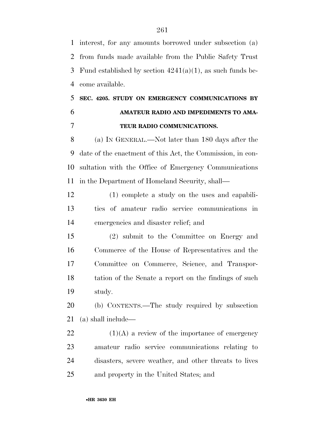interest, for any amounts borrowed under subsection (a) from funds made available from the Public Safety Trust 3 Fund established by section  $4241(a)(1)$ , as such funds be-come available.

# **SEC. 4205. STUDY ON EMERGENCY COMMUNICATIONS BY AMATEUR RADIO AND IMPEDIMENTS TO AMA-TEUR RADIO COMMUNICATIONS.**

 (a) IN GENERAL.—Not later than 180 days after the date of the enactment of this Act, the Commission, in con- sultation with the Office of Emergency Communications in the Department of Homeland Security, shall—

 (1) complete a study on the uses and capabili- ties of amateur radio service communications in emergencies and disaster relief; and

 (2) submit to the Committee on Energy and Commerce of the House of Representatives and the Committee on Commerce, Science, and Transpor- tation of the Senate a report on the findings of such study.

 (b) CONTENTS.—The study required by subsection (a) shall include—

 $(1)(A)$  a review of the importance of emergency amateur radio service communications relating to disasters, severe weather, and other threats to lives and property in the United States; and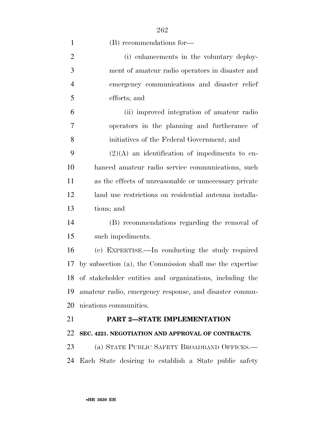| $\mathbf{1}$   | (B) recommendations for-                                    |
|----------------|-------------------------------------------------------------|
| $\overline{2}$ | (i) enhancements in the voluntary deploy-                   |
| 3              | ment of amateur radio operators in disaster and             |
| $\overline{4}$ | emergency communications and disaster relief                |
| 5              | efforts; and                                                |
| 6              | (ii) improved integration of amateur radio                  |
| 7              | operators in the planning and furtherance of                |
| 8              | initiatives of the Federal Government; and                  |
| 9              | $(2)(A)$ an identification of impediments to en-            |
| 10             | hanced amateur radio service communications, such           |
| 11             | as the effects of unreasonable or unnecessary private       |
| 12             | land use restrictions on residential antenna installa-      |
| 13             | tions; and                                                  |
| 14             | (B) recommendations regarding the removal of                |
| 15             | such impediments.                                           |
| 16             | (c) EXPERTISE.—In conducting the study required             |
| 17             | by subsection (a), the Commission shall use the expertise   |
|                | 18 of stakeholder entities and organizations, including the |
| 19             | amateur radio, emergency response, and disaster commu-      |
| 20             | nications communities.                                      |
| 21             | <b>PART 2-STATE IMPLEMENTATION</b>                          |
| 22             | SEC. 4221. NEGOTIATION AND APPROVAL OF CONTRACTS.           |
| 23             | (a) STATE PUBLIC SAFETY BROADBAND OFFICES.—                 |
| 24             | Each State desiring to establish a State public safety      |

•**HR 3630 EH**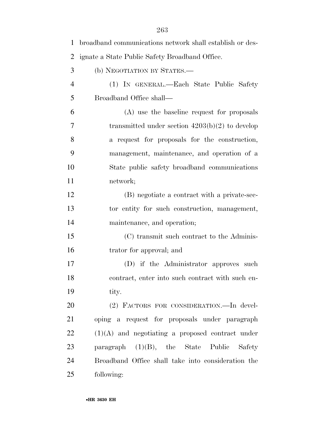| 1              | broadband communications network shall establish or des- |
|----------------|----------------------------------------------------------|
| $\overline{2}$ | ignate a State Public Safety Broadband Office.           |
| 3              | (b) NEGOTIATION BY STATES.-                              |
| $\overline{4}$ | (1) IN GENERAL.—Each State Public Safety                 |
| 5              | Broadband Office shall—                                  |
| 6              | (A) use the baseline request for proposals               |
| 7              | transmitted under section $4203(b)(2)$ to develop        |
| 8              | a request for proposals for the construction,            |
| 9              | management, maintenance, and operation of a              |
| 10             | State public safety broadband communications             |
| 11             | network;                                                 |
| 12             | (B) negotiate a contract with a private-sec-             |
| 13             | tor entity for such construction, management,            |
| 14             | maintenance, and operation;                              |
| 15             | (C) transmit such contract to the Adminis-               |
| 16             | trator for approval; and                                 |
| 17             | (D) if the Administrator approves such                   |
| 18             | contract, enter into such contract with such en-         |
| 19             | tity.                                                    |
| 20             | (2) FACTORS FOR CONSIDERATION. In devel-                 |
| 21             | oping a request for proposals under paragraph            |
| 22             | $(1)(A)$ and negotiating a proposed contract under       |
| 23             | paragraph $(1)(B)$ , the State Public<br>Safety          |
| 24             | Broadband Office shall take into consideration the       |
| 25             | following:                                               |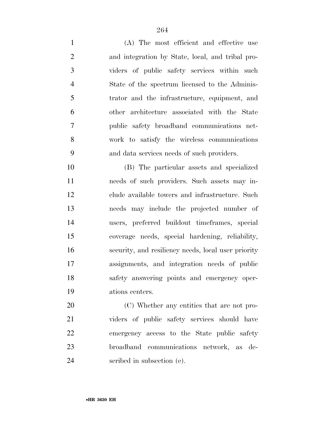(A) The most efficient and effective use and integration by State, local, and tribal pro- viders of public safety services within such State of the spectrum licensed to the Adminis- trator and the infrastructure, equipment, and other architecture associated with the State public safety broadband communications net- work to satisfy the wireless communications and data services needs of such providers.

 (B) The particular assets and specialized needs of such providers. Such assets may in- clude available towers and infrastructure. Such needs may include the projected number of users, preferred buildout timeframes, special coverage needs, special hardening, reliability, security, and resiliency needs, local user priority assignments, and integration needs of public safety answering points and emergency oper-ations centers.

20 (C) Whether any entities that are not pro- viders of public safety services should have emergency access to the State public safety broadband communications network, as de-scribed in subsection (e).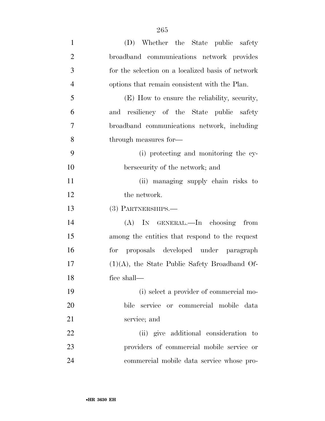| $\mathbf{1}$   | (D) Whether the State public safety               |
|----------------|---------------------------------------------------|
| $\overline{2}$ | broadband communications network provides         |
| 3              | for the selection on a localized basis of network |
| $\overline{4}$ | options that remain consistent with the Plan.     |
| 5              | (E) How to ensure the reliability, security,      |
| 6              | and resiliency of the State public safety         |
| 7              | broadband communications network, including       |
| 8              | through measures for—                             |
| 9              | (i) protecting and monitoring the cy-             |
| 10             | bersecurity of the network; and                   |
| 11             | (ii) managing supply chain risks to               |
| 12             | the network.                                      |
| 13             | (3) PARTNERSHIPS.—                                |
| 14             | (A) IN GENERAL.—In choosing from                  |
| 15             | among the entities that respond to the request    |
| 16             | proposals developed under paragraph<br>for        |
| 17             | $(1)(A)$ , the State Public Safety Broadband Of-  |
| 18             | fice shall—                                       |
| 19             | (i) select a provider of commercial mo-           |
| 20             | service or commercial mobile data<br>bile         |
| 21             | service; and                                      |
| 22             | (ii) give additional consideration to             |
| 23             | providers of commercial mobile service or         |
| 24             | commercial mobile data service whose pro-         |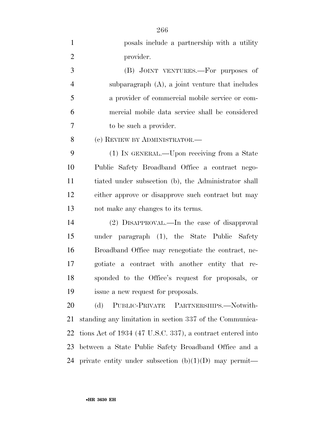| $\mathbf{1}$   | posals include a partnership with a utility                |
|----------------|------------------------------------------------------------|
| $\overline{2}$ | provider.                                                  |
| 3              | (B) JOINT VENTURES.—For purposes of                        |
| $\overline{4}$ | subparagraph $(A)$ , a joint venture that includes         |
| 5              | a provider of commercial mobile service or com-            |
| 6              | mercial mobile data service shall be considered            |
| 7              | to be such a provider.                                     |
| 8              | (c) REVIEW BY ADMINISTRATOR.—                              |
| 9              | (1) IN GENERAL.—Upon receiving from a State                |
| 10             | Public Safety Broadband Office a contract nego-            |
| 11             | tiated under subsection (b), the Administrator shall       |
| 12             | either approve or disapprove such contract but may         |
| 13             | not make any changes to its terms.                         |
| 14             | (2) DISAPPROVAL.—In the case of disapproval                |
| 15             | under paragraph (1), the State Public Safety               |
| 16             | Broadband Office may renegotiate the contract, ne-         |
| 17             | a contract with another entity that re-<br>gotiate         |
| 18             | sponded to the Office's request for proposals, or          |
| 19             | issue a new request for proposals.                         |
| 20             | PUBLIC-PRIVATE PARTNERSHIPS.-Notwith-<br>(d)               |
| 21             | standing any limitation in section 337 of the Communica-   |
| 22             | tions Act of 1934 (47 U.S.C. 337), a contract entered into |
| 23             | between a State Public Safety Broadband Office and a       |
| 24             | private entity under subsection $(b)(1)(D)$ may permit—    |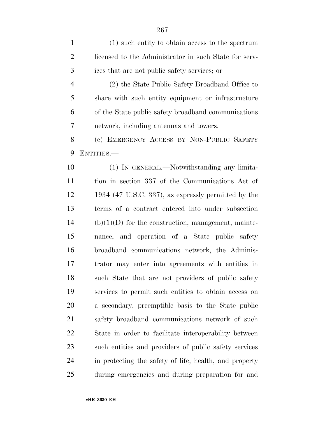(1) such entity to obtain access to the spectrum licensed to the Administrator in such State for serv- ices that are not public safety services; or (2) the State Public Safety Broadband Office to share with such entity equipment or infrastructure of the State public safety broadband communications network, including antennas and towers. (e) EMERGENCY ACCESS BY NON-PUBLIC SAFETY ENTITIES.— (1) IN GENERAL.—Notwithstanding any limita- tion in section 337 of the Communications Act of 1934 (47 U.S.C. 337), as expressly permitted by the terms of a contract entered into under subsection (b)(1)(D) for the construction, management, mainte- nance, and operation of a State public safety broadband communications network, the Adminis- trator may enter into agreements with entities in such State that are not providers of public safety services to permit such entities to obtain access on a secondary, preemptible basis to the State public safety broadband communications network of such State in order to facilitate interoperability between such entities and providers of public safety services in protecting the safety of life, health, and property during emergencies and during preparation for and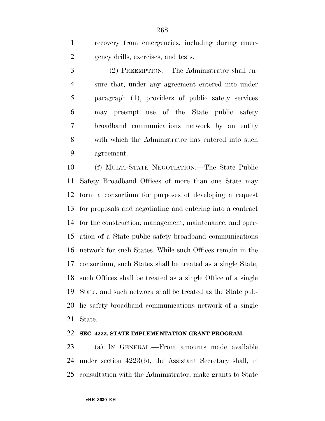recovery from emergencies, including during emer-gency drills, exercises, and tests.

 (2) PREEMPTION.—The Administrator shall en- sure that, under any agreement entered into under paragraph (1), providers of public safety services may preempt use of the State public safety broadband communications network by an entity with which the Administrator has entered into such agreement.

 (f) MULTI-STATE NEGOTIATION.—The State Public Safety Broadband Offices of more than one State may form a consortium for purposes of developing a request for proposals and negotiating and entering into a contract for the construction, management, maintenance, and oper- ation of a State public safety broadband communications network for such States. While such Offices remain in the consortium, such States shall be treated as a single State, such Offices shall be treated as a single Office of a single State, and such network shall be treated as the State pub- lic safety broadband communications network of a single State.

### **SEC. 4222. STATE IMPLEMENTATION GRANT PROGRAM.**

 (a) IN GENERAL.—From amounts made available under section 4223(b), the Assistant Secretary shall, in consultation with the Administrator, make grants to State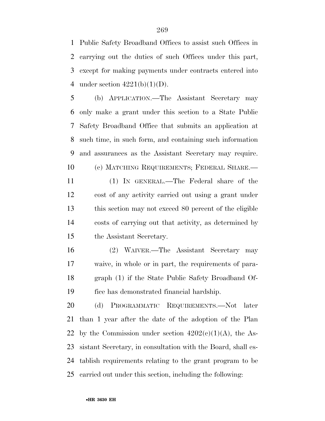Public Safety Broadband Offices to assist such Offices in carrying out the duties of such Offices under this part, except for making payments under contracts entered into 4 under section  $4221(b)(1)(D)$ .

 (b) APPLICATION.—The Assistant Secretary may only make a grant under this section to a State Public Safety Broadband Office that submits an application at such time, in such form, and containing such information and assurances as the Assistant Secretary may require. (c) MATCHING REQUIREMENTS; FEDERAL SHARE.—

 (1) IN GENERAL.—The Federal share of the cost of any activity carried out using a grant under this section may not exceed 80 percent of the eligible costs of carrying out that activity, as determined by the Assistant Secretary.

 (2) WAIVER.—The Assistant Secretary may waive, in whole or in part, the requirements of para- graph (1) if the State Public Safety Broadband Of-fice has demonstrated financial hardship.

 (d) PROGRAMMATIC REQUIREMENTS.—Not later than 1 year after the date of the adoption of the Plan 22 by the Commission under section  $4202(c)(1)(A)$ , the As- sistant Secretary, in consultation with the Board, shall es- tablish requirements relating to the grant program to be carried out under this section, including the following: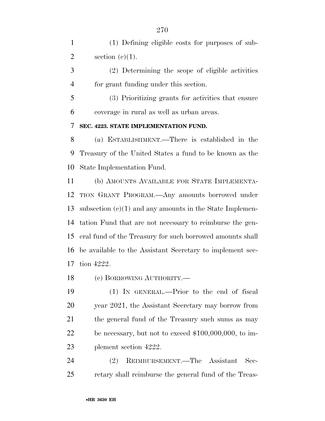(1) Defining eligible costs for purposes of sub-2 section  $(e)(1)$ .

 (2) Determining the scope of eligible activities for grant funding under this section.

 (3) Prioritizing grants for activities that ensure coverage in rural as well as urban areas.

**SEC. 4223. STATE IMPLEMENTATION FUND.** 

 (a) ESTABLISHMENT.—There is established in the Treasury of the United States a fund to be known as the State Implementation Fund.

 (b) AMOUNTS AVAILABLE FOR STATE IMPLEMENTA- TION GRANT PROGRAM.—Any amounts borrowed under subsection (c)(1) and any amounts in the State Implemen- tation Fund that are not necessary to reimburse the gen- eral fund of the Treasury for such borrowed amounts shall be available to the Assistant Secretary to implement sec-tion 4222.

(c) BORROWING AUTHORITY.—

 (1) IN GENERAL.—Prior to the end of fiscal year 2021, the Assistant Secretary may borrow from the general fund of the Treasury such sums as may be necessary, but not to exceed \$100,000,000, to im-plement section 4222.

 (2) REIMBURSEMENT.—The Assistant Sec-retary shall reimburse the general fund of the Treas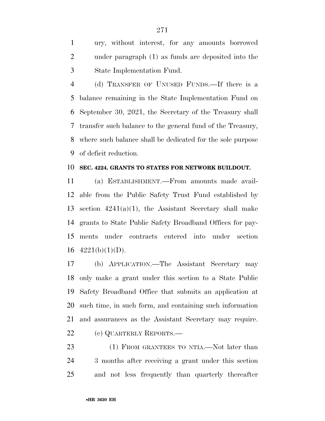ury, without interest, for any amounts borrowed under paragraph (1) as funds are deposited into the State Implementation Fund.

 (d) TRANSFER OF UNUSED FUNDS.—If there is a balance remaining in the State Implementation Fund on September 30, 2021, the Secretary of the Treasury shall transfer such balance to the general fund of the Treasury, where such balance shall be dedicated for the sole purpose of deficit reduction.

#### **SEC. 4224. GRANTS TO STATES FOR NETWORK BUILDOUT.**

 (a) ESTABLISHMENT.—From amounts made avail- able from the Public Safety Trust Fund established by 13 section  $4241(a)(1)$ , the Assistant Secretary shall make grants to State Public Safety Broadband Offices for pay- ments under contracts entered into under section  $4221(b)(1)(D)$ .

 (b) APPLICATION.—The Assistant Secretary may only make a grant under this section to a State Public Safety Broadband Office that submits an application at such time, in such form, and containing such information and assurances as the Assistant Secretary may require. 22 (c) QUARTERLY REPORTS.—

23 (1) FROM GRANTEES TO NTIA.—Not later than 3 months after receiving a grant under this section and not less frequently than quarterly thereafter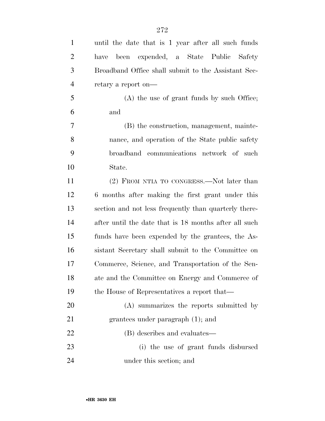| $\mathbf{1}$   | until the date that is 1 year after all such funds    |
|----------------|-------------------------------------------------------|
| $\overline{2}$ | been expended, a State Public Safety<br>have          |
| 3              | Broadband Office shall submit to the Assistant Sec-   |
| $\overline{4}$ | retary a report on—                                   |
| 5              | (A) the use of grant funds by such Office;            |
| 6              | and                                                   |
| 7              | (B) the construction, management, mainte-             |
| 8              | nance, and operation of the State public safety       |
| 9              | broadband communications network of such              |
| 10             | State.                                                |
| 11             | (2) FROM NTIA TO CONGRESS.—Not later than             |
| 12             | 6 months after making the first grant under this      |
| 13             | section and not less frequently than quarterly there- |
| 14             | after until the date that is 18 months after all such |
| 15             | funds have been expended by the grantees, the As-     |
| 16             | sistant Secretary shall submit to the Committee on    |
| 17             | Commerce, Science, and Transportation of the Sen-     |
| 18             | ate and the Committee on Energy and Commerce of       |
| 19             | the House of Representatives a report that—           |
| 20             | (A) summarizes the reports submitted by               |
| 21             | grantees under paragraph $(1)$ ; and                  |
| 22             | (B) describes and evaluates—                          |
| 23             | (i) the use of grant funds disbursed                  |
| 24             | under this section; and                               |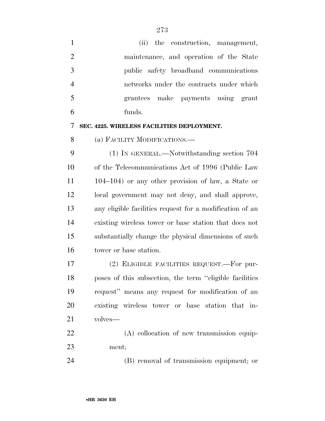| $\mathbf{1}$   | (ii) the construction, management,                       |
|----------------|----------------------------------------------------------|
| $\overline{2}$ | maintenance, and operation of the State                  |
| 3              | public safety broadband communications                   |
| $\overline{4}$ | networks under the contracts under which                 |
| 5              | grantees make payments using grant                       |
| 6              | funds.                                                   |
| 7              | SEC. 4225. WIRELESS FACILITIES DEPLOYMENT.               |
| 8              | (a) FACILITY MODIFICATIONS.—                             |
| 9              | (1) IN GENERAL.—Notwithstanding section 704              |
| 10             | of the Telecommunications Act of 1996 (Public Law        |
| 11             | $104-104$ ) or any other provision of law, a State or    |
| 12             | local government may not deny, and shall approve,        |
| 13             | any eligible facilities request for a modification of an |
| 14             | existing wireless tower or base station that does not    |
| 15             | substantially change the physical dimensions of such     |
| 16             | tower or base station.                                   |
| 17             | (2) ELIGIBLE FACILITIES REQUEST.—For pur-                |
| 18             | poses of this subsection, the term "eligible facilities" |
| 19             | request" means any request for modification of an        |
| 20             | existing wireless tower or base station that in-         |
| 21             | volves—                                                  |
| 22             | (A) collocation of new transmission equip-               |
| 23             | ment;                                                    |
| 24             | (B) removal of transmission equipment; or                |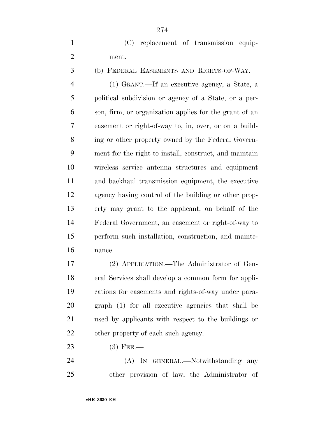(C) replacement of transmission equip-ment.

 (b) FEDERAL EASEMENTS AND RIGHTS-OF-WAY.— (1) GRANT.—If an executive agency, a State, a political subdivision or agency of a State, or a per- son, firm, or organization applies for the grant of an easement or right-of-way to, in, over, or on a build- ing or other property owned by the Federal Govern- ment for the right to install, construct, and maintain wireless service antenna structures and equipment and backhaul transmission equipment, the executive agency having control of the building or other prop- erty may grant to the applicant, on behalf of the Federal Government, an easement or right-of-way to perform such installation, construction, and mainte-nance.

 (2) APPLICATION.—The Administrator of Gen- eral Services shall develop a common form for appli- cations for easements and rights-of-way under para- graph (1) for all executive agencies that shall be used by applicants with respect to the buildings or 22 other property of each such agency.

(3) FEE.—

24 (A) IN GENERAL.—Notwithstanding any other provision of law, the Administrator of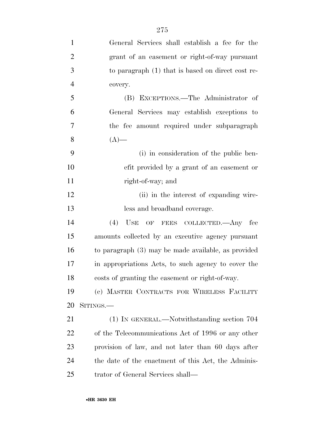| $\mathbf{1}$   | General Services shall establish a fee for the        |
|----------------|-------------------------------------------------------|
| $\overline{2}$ | grant of an easement or right-of-way pursuant         |
| 3              | to paragraph (1) that is based on direct cost re-     |
| $\overline{4}$ | covery.                                               |
| 5              | (B) EXCEPTIONS.—The Administrator of                  |
| 6              | General Services may establish exceptions to          |
| $\overline{7}$ | the fee amount required under subparagraph            |
| 8              | $(A)$ —                                               |
| 9              | (i) in consideration of the public ben-               |
| 10             | efit provided by a grant of an easement or            |
| 11             | right-of-way; and                                     |
| 12             | (ii) in the interest of expanding wire-               |
| 13             | less and broadband coverage.                          |
| 14             | (4)<br>USE OF FEES COLLECTED.—Any fee                 |
| 15             | amounts collected by an executive agency pursuant     |
| 16             | to paragraph $(3)$ may be made available, as provided |
| 17             | in appropriations Acts, to such agency to cover the   |
| 18             | costs of granting the easement or right-of-way.       |
| 19             | (c) MASTER CONTRACTS FOR WIRELESS FACILITY            |
| 20             | SITINGS.—                                             |
| 21             | $(1)$ In GENERAL.—Notwithstanding section 704         |
| 22             | of the Telecommunications Act of 1996 or any other    |
| 23             | provision of law, and not later than 60 days after    |
| 24             | the date of the enactment of this Act, the Adminis-   |
| 25             | trator of General Services shall—                     |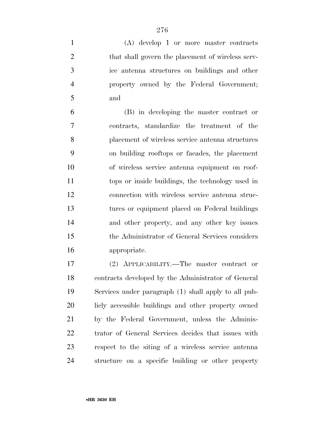(A) develop 1 or more master contracts 2 that shall govern the placement of wireless serv- ice antenna structures on buildings and other property owned by the Federal Government; and

 (B) in developing the master contract or contracts, standardize the treatment of the placement of wireless service antenna structures on building rooftops or facades, the placement of wireless service antenna equipment on roof- tops or inside buildings, the technology used in connection with wireless service antenna struc- tures or equipment placed on Federal buildings and other property, and any other key issues the Administrator of General Services considers appropriate.

 (2) APPLICABILITY.—The master contract or contracts developed by the Administrator of General Services under paragraph (1) shall apply to all pub- licly accessible buildings and other property owned by the Federal Government, unless the Adminis- trator of General Services decides that issues with respect to the siting of a wireless service antenna structure on a specific building or other property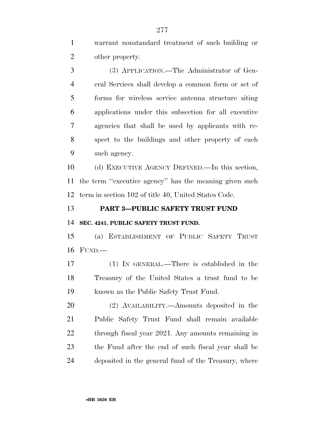warrant nonstandard treatment of such building or other property.

 (3) APPLICATION.—The Administrator of Gen- eral Services shall develop a common form or set of forms for wireless service antenna structure siting applications under this subsection for all executive agencies that shall be used by applicants with re- spect to the buildings and other property of each such agency.

 (d) EXECUTIVE AGENCY DEFINED.—In this section, the term ''executive agency'' has the meaning given such term in section 102 of title 40, United States Code.

**PART 3—PUBLIC SAFETY TRUST FUND** 

**SEC. 4241. PUBLIC SAFETY TRUST FUND.** 

 (a) ESTABLISHMENT OF PUBLIC SAFETY TRUST FUND.—

 (1) IN GENERAL.—There is established in the Treasury of the United States a trust fund to be known as the Public Safety Trust Fund.

 (2) AVAILABILITY.—Amounts deposited in the Public Safety Trust Fund shall remain available 22 through fiscal year 2021. Any amounts remaining in the Fund after the end of such fiscal year shall be deposited in the general fund of the Treasury, where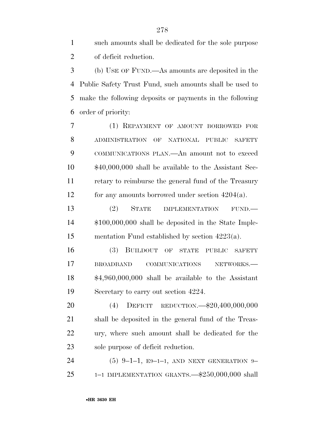| $\sim$ 1  | such amounts shall be dedicated for the sole purpose |
|-----------|------------------------------------------------------|
| 2         | of deficit reduction.                                |
| $3 \quad$ | (b) USE OF FUND.—As amounts are deposited in the     |

 Public Safety Trust Fund, such amounts shall be used to make the following deposits or payments in the following order of priority:

 (1) REPAYMENT OF AMOUNT BORROWED FOR ADMINISTRATION OF NATIONAL PUBLIC SAFETY COMMUNICATIONS PLAN.—An amount not to exceed \$40,000,000 shall be available to the Assistant Sec- retary to reimburse the general fund of the Treasury for any amounts borrowed under section 4204(a).

13 (2) STATE IMPLEMENTATION FUND.— \$100,000,000 shall be deposited in the State Imple-mentation Fund established by section 4223(a).

 (3) BUILDOUT OF STATE PUBLIC SAFETY BROADBAND COMMUNICATIONS NETWORKS.— \$4,960,000,000 shall be available to the Assistant Secretary to carry out section 4224.

 (4) DEFICIT REDUCTION.—\$20,400,000,000 shall be deposited in the general fund of the Treas- ury, where such amount shall be dedicated for the sole purpose of deficit reduction.

 (5) 9–1–1, E9–1–1, AND NEXT GENERATION 9– 1–1 IMPLEMENTATION GRANTS.—\$250,000,000 shall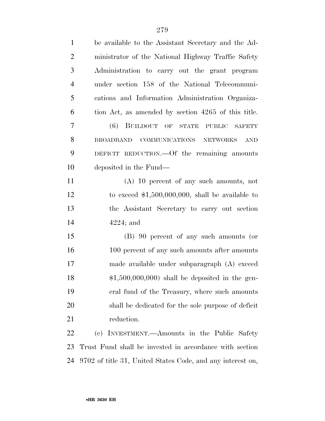| $\mathbf{1}$   | be available to the Assistant Secretary and the Ad-        |
|----------------|------------------------------------------------------------|
| $\overline{2}$ | ministrator of the National Highway Traffic Safety         |
| 3              | Administration to carry out the grant program              |
| $\overline{4}$ | under section 158 of the National Telecommuni-             |
| 5              | cations and Information Administration Organiza-           |
| 6              | tion Act, as amended by section 4265 of this title.        |
| $\overline{7}$ | (6) BUILDOUT OF STATE PUBLIC SAFETY                        |
| 8              | COMMUNICATIONS NETWORKS<br><b>BROADBAND</b><br><b>AND</b>  |
| 9              | DEFICIT REDUCTION. Of the remaining amounts                |
| 10             | deposited in the Fund—                                     |
| 11             | $(A)$ 10 percent of any such amounts, not                  |
| 12             | to exceed $$1,500,000,000$ , shall be available to         |
| 13             | the Assistant Secretary to carry out section               |
| 14             | $4224$ ; and                                               |
| 15             | (B) 90 percent of any such amounts (or                     |
| 16             | 100 percent of any such amounts after amounts              |
| 17             | made available under subparagraph (A) exceed               |
| 18             | $$1,500,000,000$ shall be deposited in the gen-            |
| 19             | eral fund of the Treasury, where such amounts              |
| 20             | shall be dedicated for the sole purpose of deficit         |
| 21             | reduction.                                                 |
| 22             | (c) INVESTMENT.—Amounts in the Public<br>Safety            |
| 23             | Trust Fund shall be invested in accordance with section    |
| 24             | 9702 of title 31, United States Code, and any interest on, |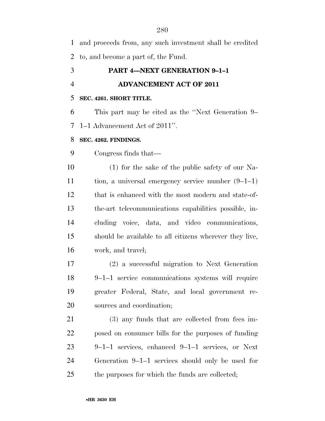and proceeds from, any such investment shall be credited to, and become a part of, the Fund.

# **PART 4—NEXT GENERATION 9–1–1**

# **ADVANCEMENT ACT OF 2011**

### **SEC. 4261. SHORT TITLE.**

 This part may be cited as the ''Next Generation 9– 1–1 Advancement Act of 2011''.

## **SEC. 4262. FINDINGS.**

Congress finds that—

 (1) for the sake of the public safety of our Na- tion, a universal emergency service number (9–1–1) that is enhanced with the most modern and state-of- the-art telecommunications capabilities possible, in- cluding voice, data, and video communications, should be available to all citizens wherever they live, work, and travel;

 (2) a successful migration to Next Generation 9–1–1 service communications systems will require greater Federal, State, and local government re-sources and coordination;

 (3) any funds that are collected from fees im- posed on consumer bills for the purposes of funding 9–1–1 services, enhanced 9–1–1 services, or Next Generation 9–1–1 services should only be used for the purposes for which the funds are collected;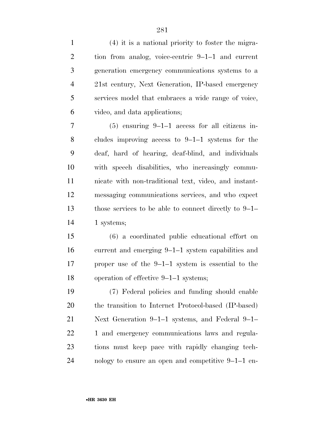| $\mathbf{1}$   | $(4)$ it is a national priority to foster the migra-    |
|----------------|---------------------------------------------------------|
| $\overline{2}$ | tion from analog, voice-centric 9-1-1 and current       |
| 3              | generation emergency communications systems to a        |
| $\overline{4}$ | 21st century, Next Generation, IP-based emergency       |
| 5              | services model that embraces a wide range of voice,     |
| 6              | video, and data applications;                           |
| 7              | $(5)$ ensuring 9-1-1 access for all citizens in-        |
| 8              | cludes improving access to $9-1-1$ systems for the      |
| 9              | deaf, hard of hearing, deaf-blind, and individuals      |
| 10             | with speech disabilities, who increasingly commu-       |
| 11             | nicate with non-traditional text, video, and instant-   |
| 12             | messaging communications services, and who expect       |
| 13             | those services to be able to connect directly to $9-1-$ |
| 14             | 1 systems;                                              |
| 15             | (6) a coordinated public educational effort on          |
| 16             | current and emerging 9–1–1 system capabilities and      |
| 17             | proper use of the $9-1-1$ system is essential to the    |
| 18             | operation of effective 9-1-1 systems;                   |
| 19             | (7) Federal policies and funding should enable          |
| 20             | the transition to Internet Protocol-based (IP-based)    |
| 21             | Next Generation $9-1-1$ systems, and Federal $9-1-$     |
| 22             | 1 and emergency communications laws and regula-         |
| 23             | tions must keep pace with rapidly changing tech-        |
| 24             | nology to ensure an open and competitive $9-1-1$ en-    |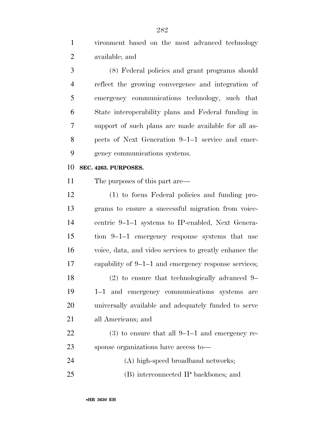vironment based on the most advanced technology available; and

 (8) Federal policies and grant programs should reflect the growing convergence and integration of emergency communications technology, such that State interoperability plans and Federal funding in support of such plans are made available for all as- pects of Next Generation 9–1–1 service and emer-gency communications systems.

#### **SEC. 4263. PURPOSES.**

The purposes of this part are—

 (1) to focus Federal policies and funding pro- grams to ensure a successful migration from voice- centric 9–1–1 systems to IP-enabled, Next Genera- tion 9–1–1 emergency response systems that use voice, data, and video services to greatly enhance the capability of 9–1–1 and emergency response services; (2) to ensure that technologically advanced 9– 1–1 and emergency communications systems are universally available and adequately funded to serve all Americans; and (3) to ensure that all 9–1–1 and emergency re-

sponse organizations have access to—

(A) high-speed broadband networks;

(B) interconnected IP backbones; and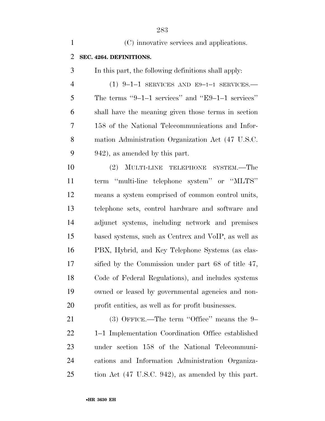| $\mathbf{1}$   | (C) innovative services and applications.            |
|----------------|------------------------------------------------------|
| $\overline{2}$ | SEC. 4264. DEFINITIONS.                              |
| 3              | In this part, the following definitions shall apply: |
| $\overline{4}$ | $(1)$ 9-1-1 SERVICES AND E9-1-1 SERVICES.            |
| 5              | The terms "9-1-1 services" and "E9-1-1 services"     |
| 6              | shall have the meaning given those terms in section  |
| 7              | 158 of the National Telecommunications and Infor-    |
| 8              | mation Administration Organization Act (47 U.S.C.    |
| 9              | 942), as amended by this part.                       |
| 10             | (2) MULTI-LINE TELEPHONE SYSTEM.—The                 |
| 11             | term "multi-line telephone system" or "MLTS"         |
| 12             | means a system comprised of common control units,    |
| 13             | telephone sets, control hardware and software and    |
| 14             | adjunct systems, including network and premises      |
| 15             | based systems, such as Centrex and VoIP, as well as  |
| 16             | PBX, Hybrid, and Key Telephone Systems (as clas-     |
| 17             | sified by the Commission under part 68 of title 47,  |
| 18             | Code of Federal Regulations), and includes systems   |
| 19             | owned or leased by governmental agencies and non-    |
| 20             | profit entities, as well as for profit businesses.   |
| 21             | $(3)$ OFFICE.—The term "Office" means the 9-         |
| 22             | 1-1 Implementation Coordination Office established   |
| 23             | under section 158 of the National Telecommuni-       |

 cations and Information Administration Organiza-tion Act (47 U.S.C. 942), as amended by this part.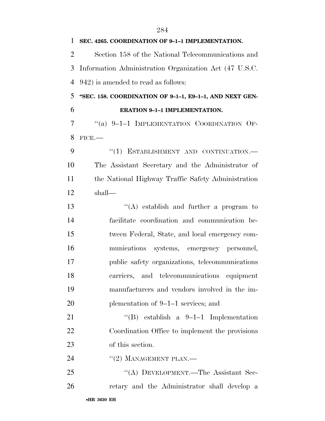| SEC. 4265. COORDINATION OF 9-1-1 IMPLEMENTATION.        |
|---------------------------------------------------------|
| Section 158 of the National Telecommunications and      |
| Information Administration Organization Act (47 U.S.C.  |
| 942) is amended to read as follows:                     |
| "SEC. 158. COORDINATION OF 9-1-1, E9-1-1, AND NEXT GEN- |
| <b>ERATION 9-1-1 IMPLEMENTATION.</b>                    |
| "(a) $9-1-1$ IMPLEMENTATION COORDINATION OF-            |
| FICE.                                                   |
| "(1) ESTABLISHMENT AND CONTINUATION.-                   |
| The Assistant Secretary and the Administrator of        |
| the National Highway Traffic Safety Administration      |
| shall—                                                  |
| $\lq\lq$ establish and further a program to             |
| facilitate coordination and communication be-           |
| tween Federal, State, and local emergency com-          |
| munications systems, emergency personnel,               |
| public safety organizations, telecommunications         |
| carriers, and telecommunications equipment              |
| manufacturers and vendors involved in the im-           |
| plementation of 9–1–1 services; and                     |
| "(B) establish a $9-1-1$ Implementation                 |
| Coordination Office to implement the provisions         |
| of this section.                                        |
| $"(2)$ MANAGEMENT PLAN.—                                |
| "(A) DEVELOPMENT.—The Assistant Sec-                    |
| retary and the Administrator shall develop a            |
|                                                         |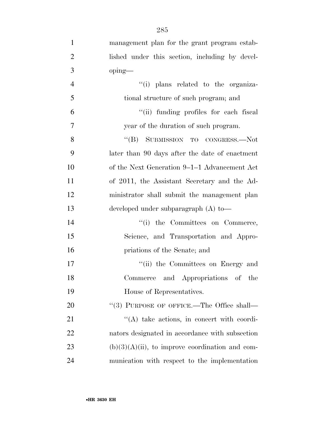| $\mathbf{1}$   | management plan for the grant program estab-       |
|----------------|----------------------------------------------------|
| $\overline{2}$ | lished under this section, including by devel-     |
| 3              | oping-                                             |
| $\overline{4}$ | "(i) plans related to the organiza-                |
| 5              | tional structure of such program; and              |
| 6              | "(ii) funding profiles for each fiscal             |
| $\overline{7}$ | year of the duration of such program.              |
| 8              | "(B) SUBMISSION TO CONGRESS.—Not                   |
| 9              | later than 90 days after the date of enactment     |
| 10             | of the Next Generation 9–1–1 Advancement Act       |
| 11             | of 2011, the Assistant Secretary and the Ad-       |
| 12             | ministrator shall submit the management plan       |
| 13             | developed under subparagraph (A) to-               |
| 14             | "(i) the Committees on Commerce,                   |
| 15             | Science, and Transportation and Appro-             |
| 16             | priations of the Senate; and                       |
| 17             | "(ii) the Committees on Energy and                 |
| 18             | Commerce and Appropriations of the                 |
| 19             | House of Representatives.                          |
| 20             | "(3) PURPOSE OF OFFICE.—The Office shall—          |
| 21             | $\lq\lq$ take actions, in concert with coordi-     |
| 22             | nators designated in accordance with subsection    |
| 23             | $(b)(3)(A)(ii)$ , to improve coordination and com- |
| 24             | munication with respect to the implementation      |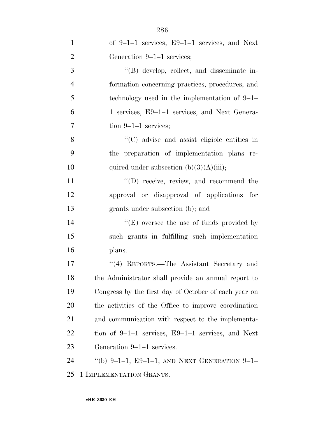| $\mathbf{1}$   | of $9-1-1$ services, $E9-1-1$ services, and Next      |
|----------------|-------------------------------------------------------|
| $\overline{2}$ | Generation 9–1–1 services;                            |
| 3              | "(B) develop, collect, and disseminate in-            |
| 4              | formation concerning practices, procedures, and       |
| 5              | technology used in the implementation of $9-1-$       |
| 6              | 1 services, E9-1-1 services, and Next Genera-         |
| 7              | tion $9-1-1$ services;                                |
| 8              | "(C) advise and assist eligible entities in           |
| 9              | the preparation of implementation plans re-           |
| 10             | quired under subsection $(b)(3)(A)(iii)$ ;            |
| 11             | $\lq\lq$ (D) receive, review, and recommend the       |
| 12             | approval or disapproval of applications for           |
| 13             | grants under subsection (b); and                      |
| 14             | $\lq\lq(E)$ oversee the use of funds provided by      |
| 15             | such grants in fulfilling such implementation         |
| 16             | plans.                                                |
| 17             | "(4) REPORTS.—The Assistant Secretary and             |
| 18             | the Administrator shall provide an annual report to   |
| 19             | Congress by the first day of October of each year on  |
| 20             | the activities of the Office to improve coordination  |
| 21             | and communication with respect to the implementa-     |
| 22             | tion of $9-1-1$ services, $E9-1-1$ services, and Next |
| 23             | Generation 9–1–1 services.                            |
| 24             | "(b) 9-1-1, E9-1-1, AND NEXT GENERATION 9-1-          |
| 25             | 1 IMPLEMENTATION GRANTS.                              |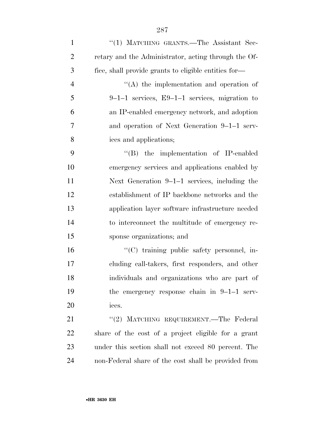| $\mathbf{1}$   | "(1) MATCHING GRANTS.—The Assistant Sec-             |
|----------------|------------------------------------------------------|
| $\overline{2}$ | retary and the Administrator, acting through the Of- |
| 3              | fice, shall provide grants to eligible entities for- |
| $\overline{4}$ | $\lq\lq$ the implementation and operation of         |
| 5              | $9-1-1$ services, E9-1-1 services, migration to      |
| 6              | an IP-enabled emergency network, and adoption        |
| 7              | and operation of Next Generation 9–1–1 serv-         |
| 8              | ices and applications;                               |
| 9              | $\lq\lq$ (B) the implementation of IP-enabled        |
| 10             | emergency services and applications enabled by       |
| 11             | Next Generation $9-1-1$ services, including the      |
| 12             | establishment of IP backbone networks and the        |
| 13             | application layer software infrastructure needed     |
| 14             | to interconnect the multitude of emergency re-       |
| 15             | sponse organizations; and                            |
| 16             | "(C) training public safety personnel, in-           |
| 17             | cluding call-takers, first responders, and other     |
| 18             | individuals and organizations who are part of        |
| 19             | the emergency response chain in $9-1-1$ serv-        |
| 20             | ices.                                                |
| 21             | "(2) MATCHING REQUIREMENT.—The Federal               |
| 22             | share of the cost of a project eligible for a grant  |
| 23             | under this section shall not exceed 80 percent. The  |
| 24             | non-Federal share of the cost shall be provided from |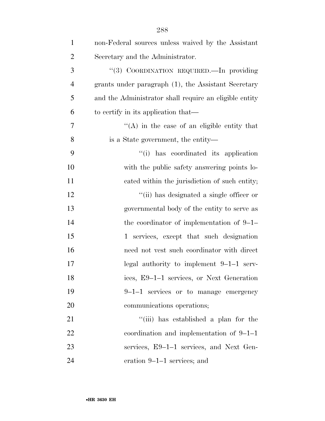| $\mathbf{1}$   | non-Federal sources unless waived by the Assistant      |
|----------------|---------------------------------------------------------|
| $\overline{2}$ | Secretary and the Administrator.                        |
| 3              | "(3) COORDINATION REQUIRED. In providing                |
| $\overline{4}$ | grants under paragraph (1), the Assistant Secretary     |
| 5              | and the Administrator shall require an eligible entity  |
| 6              | to certify in its application that—                     |
| 7              | $\mathcal{L}(A)$ in the case of an eligible entity that |
| 8              | is a State government, the entity—                      |
| 9              | "(i) has coordinated its application                    |
| 10             | with the public safety answering points lo-             |
| 11             | cated within the jurisdiction of such entity;           |
| 12             | "(ii) has designated a single officer or                |
| 13             | governmental body of the entity to serve as             |
| 14             | the coordinator of implementation of $9-1-$             |
| 15             | 1 services, except that such designation                |
| 16             | need not vest such coordinator with direct              |
| 17             | legal authority to implement $9-1-1$ serv-              |
| 18             | ices, E9-1-1 services, or Next Generation               |
| 19             | 9-1-1 services or to manage emergency                   |
| 20             | communications operations;                              |
| 21             | "(iii) has established a plan for the                   |
| 22             | coordination and implementation of $9-1-1$              |
| 23             | services, E9–1–1 services, and Next Gen-                |
| 24             | eration $9-1-1$ services; and                           |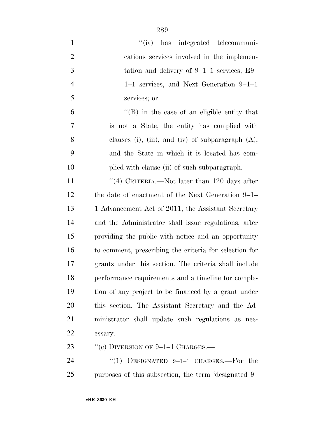| $\mathbf{1}$   | "(iv) has integrated telecommuni-                      |
|----------------|--------------------------------------------------------|
| $\overline{2}$ | cations services involved in the implemen-             |
| $\mathfrak{Z}$ | tation and delivery of $9-1-1$ services, $E9-$         |
| $\overline{4}$ | 1–1 services, and Next Generation 9–1–1                |
| 5              | services; or                                           |
| 6              | $\lq\lq (B)$ in the case of an eligible entity that    |
| 7              | is not a State, the entity has complied with           |
| 8              | clauses (i), (iii), and (iv) of subparagraph $(A)$ ,   |
| 9              | and the State in which it is located has com-          |
| 10             | plied with clause (ii) of such subparagraph.           |
| 11             | "(4) CRITERIA.—Not later than 120 days after           |
| 12             | the date of enactment of the Next Generation 9–1–      |
| 13             | 1 Advancement Act of 2011, the Assistant Secretary     |
| 14             | and the Administrator shall issue regulations, after   |
| 15             | providing the public with notice and an opportunity    |
| 16             | to comment, prescribing the criteria for selection for |
| 17             | grants under this section. The criteria shall include  |
| 18             | performance requirements and a timeline for comple-    |
| 19             | tion of any project to be financed by a grant under    |
| 20             | this section. The Assistant Secretary and the Ad-      |
| 21             | ministrator shall update such regulations as nec-      |
| 22             | essary.                                                |
| 23             | "(c) DIVERSION OF $9-1-1$ CHARGES.—                    |
| 24             | "(1) DESIGNATED $9-1-1$ CHARGES.—For the               |
| 25             | purposes of this subsection, the term 'designated 9–   |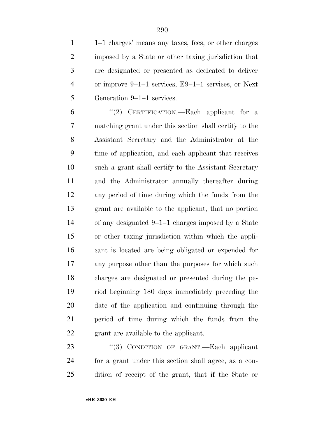|                | 1–1 charges' means any taxes, fees, or other charges    |
|----------------|---------------------------------------------------------|
| $\overline{2}$ | imposed by a State or other taxing jurisdiction that    |
| 3              | are designated or presented as dedicated to deliver     |
| 4              | or improve $9-1-1$ services, $E9-1-1$ services, or Next |
| 5              | Generation 9–1–1 services.                              |

 ''(2) CERTIFICATION.—Each applicant for a matching grant under this section shall certify to the Assistant Secretary and the Administrator at the time of application, and each applicant that receives such a grant shall certify to the Assistant Secretary and the Administrator annually thereafter during any period of time during which the funds from the grant are available to the applicant, that no portion of any designated 9–1–1 charges imposed by a State or other taxing jurisdiction within which the appli- cant is located are being obligated or expended for any purpose other than the purposes for which such charges are designated or presented during the pe- riod beginning 180 days immediately preceding the date of the application and continuing through the period of time during which the funds from the grant are available to the applicant.

23 "(3) CONDITION OF GRANT.—Each applicant for a grant under this section shall agree, as a con-dition of receipt of the grant, that if the State or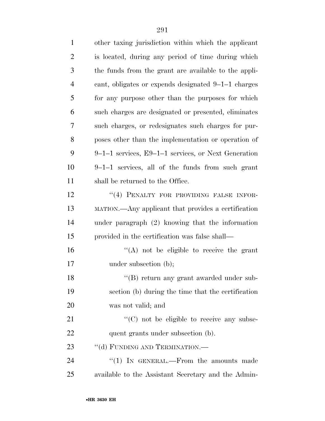| $\mathbf{1}$   | other taxing jurisdiction within which the applicant  |
|----------------|-------------------------------------------------------|
| $\overline{2}$ | is located, during any period of time during which    |
| 3              | the funds from the grant are available to the appli-  |
| $\overline{4}$ | cant, obligates or expends designated 9-1-1 charges   |
| 5              | for any purpose other than the purposes for which     |
| 6              | such charges are designated or presented, eliminates  |
| 7              | such charges, or redesignates such charges for pur-   |
| 8              | poses other than the implementation or operation of   |
| 9              | $9-1-1$ services, E9-1-1 services, or Next Generation |
| 10             | 9-1-1 services, all of the funds from such grant      |
| 11             | shall be returned to the Office.                      |
| 12             | "(4) PENALTY FOR PROVIDING FALSE INFOR-               |
| 13             | MATION.—Any applicant that provides a certification   |
| 14             | under paragraph $(2)$ knowing that the information    |
| 15             | provided in the certification was false shall—        |
| 16             | $\lq\lq$ not be eligible to receive the grant         |
| 17             | under subsection (b);                                 |
| 18             | "(B) return any grant awarded under sub-              |
| 19             | section (b) during the time that the certification    |
| 20             | was not valid; and                                    |
| 21             | "(C) not be eligible to receive any subse-            |
| 22             | quent grants under subsection (b).                    |
| 23             | "(d) FUNDING AND TERMINATION.—                        |
| 24             | "(1) IN GENERAL.—From the amounts made                |
| 25             | available to the Assistant Secretary and the Admin-   |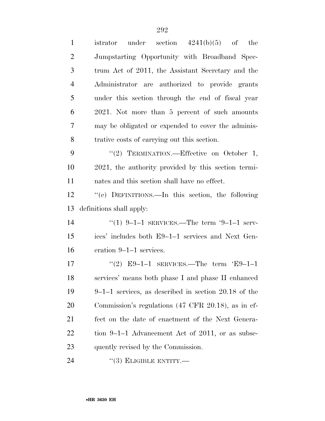| $\mathbf{1}$   | under section $4241(b)(5)$ of the<br>istrator                  |
|----------------|----------------------------------------------------------------|
| $\overline{2}$ | Jumpstarting Opportunity with Broadband Spec-                  |
| 3              | trum Act of 2011, the Assistant Secretary and the              |
| $\overline{4}$ | Administrator are authorized to provide grants                 |
| 5              | under this section through the end of fiscal year              |
| 6              | 2021. Not more than 5 percent of such amounts                  |
| 7              | may be obligated or expended to cover the adminis-             |
| 8              | trative costs of carrying out this section.                    |
| 9              | "(2) TERMINATION.—Effective on October 1,                      |
| 10             | 2021, the authority provided by this section termi-            |
| 11             | nates and this section shall have no effect.                   |
| 12             | "(e) DEFINITIONS.—In this section, the following               |
|                |                                                                |
| 13             | definitions shall apply:                                       |
| 14             | "(1) $9-1-1$ SERVICES.—The term '9-1-1 serv-                   |
| 15             | ices' includes both E9–1–1 services and Next Gen-              |
| 16             | eration 9–1–1 services.                                        |
| 17             | "(2) E9-1-1 SERVICES.—The term 'E9-1-1                         |
| 18             | services' means both phase I and phase II enhanced             |
| 19             | $9-1-1$ services, as described in section 20.18 of the         |
| 20             | Commission's regulations $(47 \text{ CFR } 20.18)$ , as in ef- |
| 21             | fect on the date of enactment of the Next Genera-              |
| 22             | tion 9–1–1 Advancement Act of 2011, or as subse-               |
| 23             | quently revised by the Commission.                             |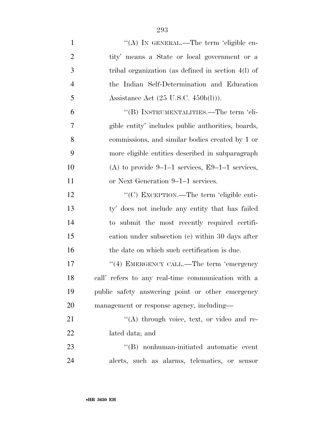| $\mathbf{1}$   | "(A) IN GENERAL.—The term 'eligible en-                |
|----------------|--------------------------------------------------------|
| $\overline{2}$ | tity' means a State or local government or a           |
| 3              | tribal organization (as defined in section $4(l)$ ) of |
| $\overline{4}$ | the Indian Self-Determination and Education            |
| 5              | Assistance Act $(25 \text{ U.S.C. } 450b(l))$ .        |
| 6              | "(B) INSTRUMENTALITIES.—The term 'eli-                 |
| 7              | gible entity' includes public authorities, boards,     |
| 8              | commissions, and similar bodies created by 1 or        |
| 9              | more eligible entities described in subparagraph       |
| 10             | (A) to provide $9-1-1$ services, E9-1-1 services,      |
| 11             | or Next Generation 9–1–1 services.                     |
| 12             | "(C) EXCEPTION.—The term 'eligible enti-               |
| 13             | ty' does not include any entity that has failed        |
| 14             | to submit the most recently required certifi-          |
| 15             | cation under subsection (c) within 30 days after       |
| 16             | the date on which such certification is due.           |
| 17             | "(4) EMERGENCY CALL.—The term 'emergency               |
| 18             | call' refers to any real-time communication with a     |
| 19             | public safety answering point or other emergency       |
| 20             | management or response agency, including—              |
| 21             | $\lq\lq$ through voice, text, or video and re-         |
| 22             | lated data; and                                        |
| 23             | "(B) nonhuman-initiated automatic event                |
| 24             | alerts, such as alarms, telematics, or sensor          |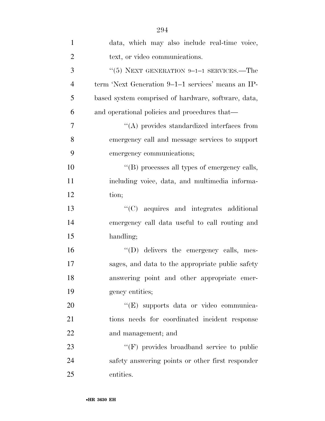| $\mathbf{1}$   | data, which may also include real-time voice,       |
|----------------|-----------------------------------------------------|
| $\overline{2}$ | text, or video communications.                      |
| 3              | "(5) NEXT GENERATION $9-1-1$ SERVICES.—The          |
| $\overline{4}$ | term 'Next Generation 9–1–1 services' means an IP-  |
| 5              | based system comprised of hardware, software, data, |
| 6              | and operational policies and procedures that—       |
| 7              | $\lq\lq$ provides standardized interfaces from      |
| 8              | emergency call and message services to support      |
| 9              | emergency communications;                           |
| 10             | "(B) processes all types of emergency calls,        |
| 11             | including voice, data, and multimedia informa-      |
| 12             | tion;                                               |
| 13             | "(C) acquires and integrates additional             |
| 14             | emergency call data useful to call routing and      |
| 15             | handling;                                           |
| 16             | "(D) delivers the emergency calls, mes-             |
| 17             | sages, and data to the appropriate public safety    |
| 18             | answering point and other appropriate emer-         |
| 19             | gency entities;                                     |
| 20             | "(E) supports data or video communica-              |
| 21             | tions needs for coordinated incident response       |
| 22             | and management; and                                 |
| 23             | "(F) provides broadband service to public           |
| 24             | safety answering points or other first responder    |
| 25             | entities.                                           |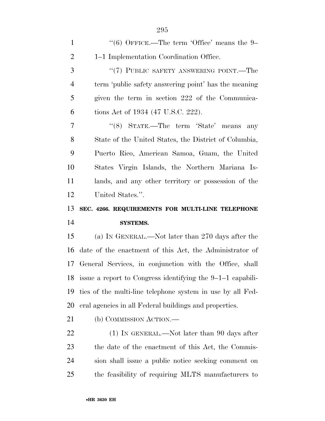| $\mathbf{1}$   | "(6) OFFICE.—The term 'Office' means the $9-$              |
|----------------|------------------------------------------------------------|
| $\overline{2}$ | 1–1 Implementation Coordination Office.                    |
| 3              | "(7) PUBLIC SAFETY ANSWERING POINT.—The                    |
| $\overline{4}$ | term 'public safety answering point' has the meaning       |
| 5              | given the term in section 222 of the Communica-            |
| 6              | tions Act of 1934 (47 U.S.C. 222).                         |
| 7              | " $(8)$ STATE.—The term 'State' means<br>any               |
| 8              | State of the United States, the District of Columbia,      |
| 9              | Puerto Rico, American Samoa, Guam, the United              |
| 10             | States Virgin Islands, the Northern Mariana Is-            |
| 11             | lands, and any other territory or possession of the        |
| 12             | United States.".                                           |
|                |                                                            |
| 13             | SEC. 4266. REQUIREMENTS FOR MULTI-LINE TELEPHONE           |
| 14             | <b>SYSTEMS.</b>                                            |
| 15             | (a) IN GENERAL.—Not later than 270 days after the          |
| 16             | date of the enactment of this Act, the Administrator of    |
| 17             | General Services, in conjunction with the Office, shall    |
| 18             | issue a report to Congress identifying the 9-1-1 capabili- |
| 19             | ties of the multi-line telephone system in use by all Fed- |
| 20             | eral agencies in all Federal buildings and properties.     |
| 21             | (b) COMMISSION ACTION.—                                    |
| 22             | $(1)$ In GENERAL.—Not later than 90 days after             |
| 23             | the date of the enactment of this Act, the Commis-         |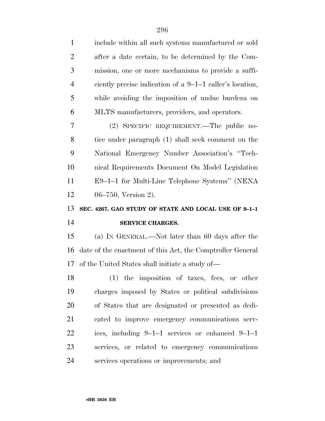| $\mathbf{1}$   | include within all such systems manufactured or sold       |
|----------------|------------------------------------------------------------|
| $\overline{2}$ | after a date certain, to be determined by the Com-         |
| 3              | mission, one or more mechanisms to provide a suffi-        |
| $\overline{4}$ | ciently precise indication of a $9-1-1$ caller's location, |
| 5              | while avoiding the imposition of undue burdens on          |
| 6              | MLTS manufacturers, providers, and operators.              |
| 7              | (2) SPECIFIC REQUIREMENT.—The public no-                   |
| 8              | tice under paragraph (1) shall seek comment on the         |
| 9              | National Emergency Number Association's "Tech-             |
| 10             | nical Requirements Document On Model Legislation           |
| 11             | E9-1-1 for Multi-Line Telephone Systems" (NENA             |
| 12             | 06–750, Version 2).                                        |
|                |                                                            |
| 13             | SEC. 4267. GAO STUDY OF STATE AND LOCAL USE OF 9-1-1       |
| 14             | SERVICE CHARGES.                                           |
| 15             | (a) IN GENERAL.—Not later than 60 days after the           |
| 16             | date of the enactment of this Act, the Comptroller General |
| 17             | of the United States shall initiate a study of—            |
| 18             | (1) the imposition of taxes, fees, or other                |
| 19             | charges imposed by States or political subdivisions        |
| 20             | of States that are designated or presented as dedi-        |
| 21             | cated to improve emergency communications serv-            |
| 22             | ices, including $9-1-1$ services or enhanced $9-1-1$       |
| 23             | services, or related to emergency communications           |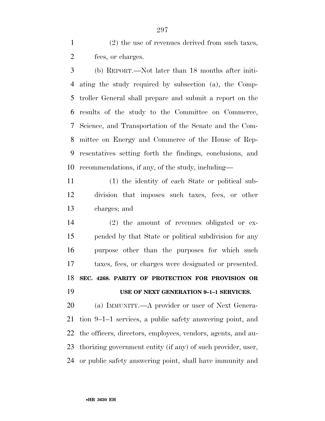(2) the use of revenues derived from such taxes, fees, or charges.

 (b) REPORT.—Not later than 18 months after initi- ating the study required by subsection (a), the Comp- troller General shall prepare and submit a report on the results of the study to the Committee on Commerce, Science, and Transportation of the Senate and the Com- mittee on Energy and Commerce of the House of Rep- resentatives setting forth the findings, conclusions, and recommendations, if any, of the study, including—

 (1) the identity of each State or political sub- division that imposes such taxes, fees, or other charges; and

 (2) the amount of revenues obligated or ex- pended by that State or political subdivision for any purpose other than the purposes for which such taxes, fees, or charges were designated or presented. **SEC. 4268. PARITY OF PROTECTION FOR PROVISION OR USE OF NEXT GENERATION 9–1–1 SERVICES.** 

 (a) IMMUNITY.—A provider or user of Next Genera- tion 9–1–1 services, a public safety answering point, and the officers, directors, employees, vendors, agents, and au- thorizing government entity (if any) of such provider, user, or public safety answering point, shall have immunity and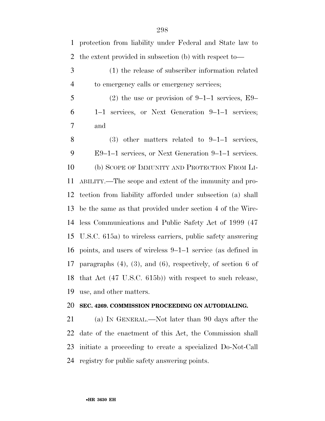| $\mathbf{1}$   | protection from liability under Federal and State law to             |
|----------------|----------------------------------------------------------------------|
| $\overline{2}$ | the extent provided in subsection (b) with respect to-               |
| 3              | (1) the release of subscriber information related                    |
| $\overline{4}$ | to emergency calls or emergency services;                            |
| 5              | $(2)$ the use or provision of 9-1-1 services, E9-                    |
| 6              | services, or Next Generation 9-1-1 services;<br>$1 - 1$              |
| 7              | and                                                                  |
| 8              | $(3)$ other matters related to 9-1-1 services,                       |
| 9              | $E9-1-1$ services, or Next Generation $9-1-1$ services.              |
| 10             | (b) SCOPE OF IMMUNITY AND PROTECTION FROM LI-                        |
| 11             | ABILITY.—The scope and extent of the immunity and pro-               |
| 12             | tection from liability afforded under subsection (a) shall           |
| 13             | be the same as that provided under section 4 of the Wire-            |
| 14             | less Communications and Public Safety Act of 1999 (47                |
| 15             | U.S.C. 615a) to wireless carriers, public safety answering           |
| 16             | points, and users of wireless 9–1–1 service (as defined in           |
| 17             | paragraphs $(4)$ , $(3)$ , and $(6)$ , respectively, of section 6 of |
| 18             | that Act $(47 \text{ U.S.C. } 615b)$ with respect to such release,   |
| 19             | use, and other matters.                                              |
| 20             | SEC. 4269. COMMISSION PROCEEDING ON AUTODIALING.                     |

 (a) IN GENERAL.—Not later than 90 days after the date of the enactment of this Act, the Commission shall initiate a proceeding to create a specialized Do-Not-Call registry for public safety answering points.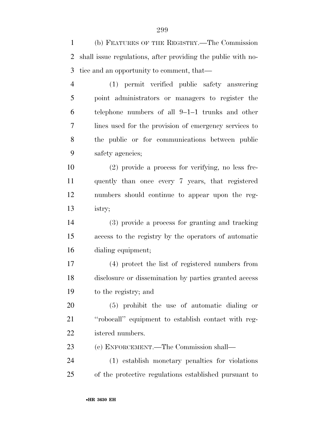(b) FEATURES OF THE REGISTRY.—The Commission shall issue regulations, after providing the public with no-tice and an opportunity to comment, that—

 (1) permit verified public safety answering point administrators or managers to register the telephone numbers of all 9–1–1 trunks and other lines used for the provision of emergency services to the public or for communications between public safety agencies;

 (2) provide a process for verifying, no less fre- quently than once every 7 years, that registered numbers should continue to appear upon the reg-istry;

 (3) provide a process for granting and tracking access to the registry by the operators of automatic dialing equipment;

 (4) protect the list of registered numbers from disclosure or dissemination by parties granted access to the registry; and

 (5) prohibit the use of automatic dialing or ''robocall'' equipment to establish contact with reg-istered numbers.

(c) ENFORCEMENT.—The Commission shall—

 (1) establish monetary penalties for violations of the protective regulations established pursuant to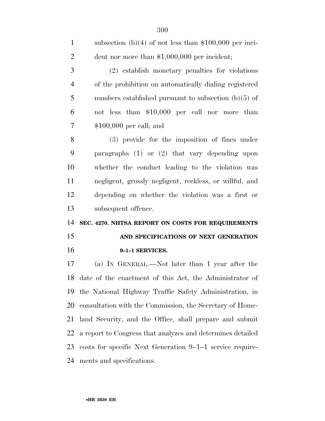| $\mathbf{1}$   | subsection (b)(4) of not less than $$100,000$ per inci-    |
|----------------|------------------------------------------------------------|
| $\overline{2}$ | dent nor more than $$1,000,000$ per incident;              |
| 3              | (2) establish monetary penalties for violations            |
| $\overline{4}$ | of the prohibition on automatically dialing registered     |
| 5              | numbers established pursuant to subsection $(b)(5)$ of     |
| 6              | not less than \$10,000 per call nor more than              |
| $\overline{7}$ | $$100,000$ per call; and                                   |
| 8              | (3) provide for the imposition of fines under              |
| 9              | paragraphs $(1)$ or $(2)$ that vary depending upon         |
| 10             | whether the conduct leading to the violation was           |
| 11             | negligent, grossly negligent, reckless, or willful, and    |
| 12             | depending on whether the violation was a first or          |
| 13             | subsequent offence.                                        |
| 14             | SEC. 4270. NHTSA REPORT ON COSTS FOR REQUIREMENTS          |
| 15             | AND SPECIFICATIONS OF NEXT GENERATION                      |
| 16             | 9-1-1 SERVICES.                                            |
| 17             | (a) IN GENERAL.—Not later than 1 year after the            |
| 18             | date of the enactment of this Act, the Administrator of    |
| 19             | the National Highway Traffic Safety Administration, in     |
| 20             | consultation with the Commission, the Secretary of Home-   |
| 21             | land Security, and the Office, shall prepare and submit    |
|                |                                                            |
| 22             | a report to Congress that analyzes and determines detailed |
| 23             | costs for specific Next Generation 9–1–1 service require-  |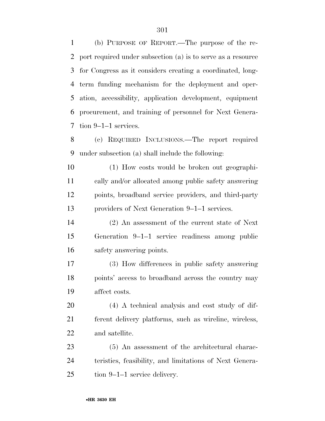(b) PURPOSE OF REPORT.—The purpose of the re- port required under subsection (a) is to serve as a resource for Congress as it considers creating a coordinated, long- term funding mechanism for the deployment and oper- ation, accessibility, application development, equipment procurement, and training of personnel for Next Genera-tion 9–1–1 services.

 (c) REQUIRED INCLUSIONS.—The report required under subsection (a) shall include the following:

 (1) How costs would be broken out geographi- cally and/or allocated among public safety answering points, broadband service providers, and third-party providers of Next Generation 9–1–1 services.

 (2) An assessment of the current state of Next Generation 9–1–1 service readiness among public safety answering points.

 (3) How differences in public safety answering points' access to broadband across the country may affect costs.

 (4) A technical analysis and cost study of dif- ferent delivery platforms, such as wireline, wireless, and satellite.

 (5) An assessment of the architectural charac- teristics, feasibility, and limitations of Next Genera-tion 9–1–1 service delivery.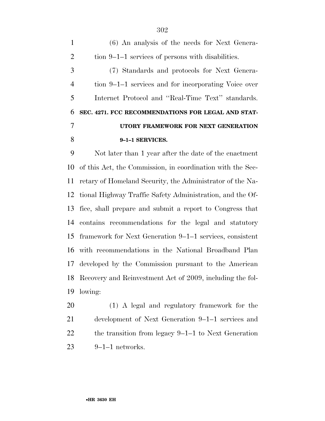(6) An analysis of the needs for Next Genera- tion 9–1–1 services of persons with disabilities. (7) Standards and protocols for Next Genera- tion 9–1–1 services and for incorporating Voice over Internet Protocol and ''Real-Time Text'' standards. **SEC. 4271. FCC RECOMMENDATIONS FOR LEGAL AND STAT- UTORY FRAMEWORK FOR NEXT GENERATION 9–1–1 SERVICES.** 

 Not later than 1 year after the date of the enactment of this Act, the Commission, in coordination with the Sec- retary of Homeland Security, the Administrator of the Na- tional Highway Traffic Safety Administration, and the Of- fice, shall prepare and submit a report to Congress that contains recommendations for the legal and statutory framework for Next Generation 9–1–1 services, consistent with recommendations in the National Broadband Plan developed by the Commission pursuant to the American Recovery and Reinvestment Act of 2009, including the fol-lowing:

 (1) A legal and regulatory framework for the development of Next Generation 9–1–1 services and the transition from legacy 9–1–1 to Next Generation 9–1–1 networks.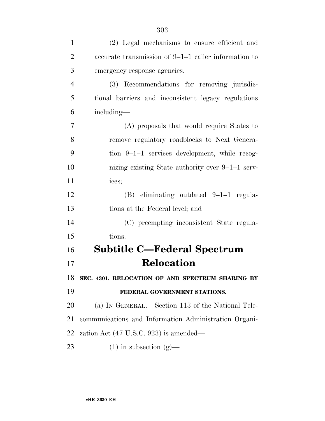| $\mathbf{1}$   | (2) Legal mechanisms to ensure efficient and          |
|----------------|-------------------------------------------------------|
| $\overline{2}$ | accurate transmission of 9-1-1 caller information to  |
| 3              | emergency response agencies.                          |
| $\overline{4}$ | (3) Recommendations for removing jurisdic-            |
| 5              | tional barriers and inconsistent legacy regulations   |
| 6              | including—                                            |
| 7              | (A) proposals that would require States to            |
| 8              | remove regulatory roadblocks to Next Genera-          |
| 9              | tion 9-1-1 services development, while recog-         |
| 10             | nizing existing State authority over 9–1–1 serv-      |
| 11             | ices;                                                 |
| 12             | $(B)$ eliminating outdated 9-1-1 regula-              |
| 13             | tions at the Federal level; and                       |
| 14             | (C) preempting inconsistent State regula-             |
| 15             | tions.                                                |
| 16             | <b>Subtitle C—Federal Spectrum</b>                    |
| 17             | <b>Relocation</b>                                     |
| 18             | SEC. 4301. RELOCATION OF AND SPECTRUM SHARING BY      |
| 19             | FEDERAL GOVERNMENT STATIONS.                          |
| 20             | (a) IN GENERAL.—Section 113 of the National Tele-     |
| 21             | communications and Information Administration Organi- |
| 22             | zation Act $(47 \text{ U.S.C. } 923)$ is amended—     |
| 23             | $(1)$ in subsection $(g)$ —                           |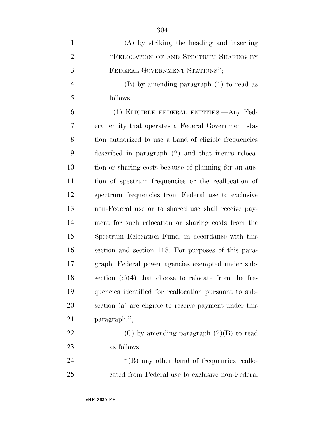| $\mathbf{1}$   | (A) by striking the heading and inserting              |
|----------------|--------------------------------------------------------|
| $\overline{2}$ | "RELOCATION OF AND SPECTRUM SHARING BY                 |
| 3              | FEDERAL GOVERNMENT STATIONS";                          |
| $\overline{4}$ | $(B)$ by amending paragraph $(1)$ to read as           |
| 5              | follows:                                               |
| 6              | "(1) ELIGIBLE FEDERAL ENTITIES.—Any Fed-               |
| 7              | eral entity that operates a Federal Government sta-    |
| 8              | tion authorized to use a band of eligible frequencies  |
| 9              | described in paragraph (2) and that incurs reloca-     |
| 10             | tion or sharing costs because of planning for an auc-  |
| 11             | tion of spectrum frequencies or the reallocation of    |
| 12             | spectrum frequencies from Federal use to exclusive     |
| 13             | non-Federal use or to shared use shall receive pay-    |
| 14             | ment for such relocation or sharing costs from the     |
| 15             | Spectrum Relocation Fund, in accordance with this      |
| 16             | section and section 118. For purposes of this para-    |
| 17             | graph, Federal power agencies exempted under sub-      |
| 18             | section $(c)(4)$ that choose to relocate from the fre- |
| 19             | quencies identified for reallocation pursuant to sub-  |
| 20             | section (a) are eligible to receive payment under this |
| 21             | paragraph.";                                           |
| 22             | (C) by amending paragraph $(2)(B)$ to read             |
| 23             | as follows:                                            |
| 24             | $\lq\lq (B)$ any other band of frequencies reallo-     |
| 25             | cated from Federal use to exclusive non-Federal        |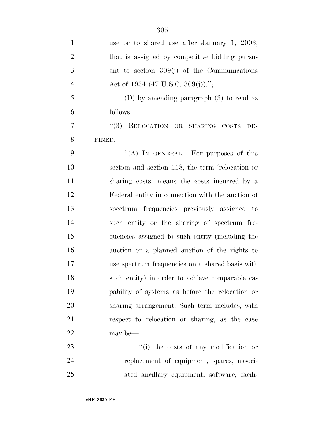| $\mathbf{1}$   | use or to shared use after January 1, 2003,      |
|----------------|--------------------------------------------------|
| $\overline{2}$ | that is assigned by competitive bidding pursu-   |
| 3              | ant to section $309(j)$ of the Communications    |
| $\overline{4}$ | Act of 1934 (47 U.S.C. 309(j)).";                |
| 5              | (D) by amending paragraph $(3)$ to read as       |
| 6              | follows:                                         |
| 7              | (3)<br>RELOCATION OR SHARING COSTS<br>DE-        |
| 8              | FINED.                                           |
| 9              | "(A) IN GENERAL.—For purposes of this            |
| 10             | section and section 118, the term 'relocation or |
| 11             | sharing costs' means the costs incurred by a     |
| 12             | Federal entity in connection with the auction of |
| 13             | spectrum frequencies previously assigned to      |
| 14             | such entity or the sharing of spectrum fre-      |
| 15             | quencies assigned to such entity (including the  |
| 16             | auction or a planned auction of the rights to    |
| 17             | use spectrum frequencies on a shared basis with  |
| 18             | such entity) in order to achieve comparable ca-  |
| 19             | pability of systems as before the relocation or  |
| 20             | sharing arrangement. Such term includes, with    |
| 21             | respect to relocation or sharing, as the case    |
| 22             | may be—                                          |
| 23             | "(i) the costs of any modification or            |
| 24             | replacement of equipment, spares, associ-        |
| 25             | ated ancillary equipment, software, facili-      |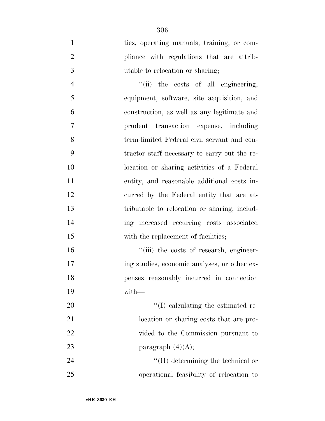ties, operating manuals, training, or com-2 pliance with regulations that are attrib-utable to relocation or sharing;

 ''(ii) the costs of all engineering, equipment, software, site acquisition, and construction, as well as any legitimate and prudent transaction expense, including term-limited Federal civil servant and con- tractor staff necessary to carry out the re- location or sharing activities of a Federal entity, and reasonable additional costs in- curred by the Federal entity that are at- tributable to relocation or sharing, includ- ing increased recurring costs associated 15 with the replacement of facilities;

 $"$ (iii) the costs of research, engineer- ing studies, economic analyses, or other ex- penses reasonably incurred in connection with—

20  $\frac{1}{2}$  (I) calculating the estimated re-21 location or sharing costs that are pro- vided to the Commission pursuant to 23 paragraph  $(4)(A)$ ;

24 ''(II) determining the technical or operational feasibility of relocation to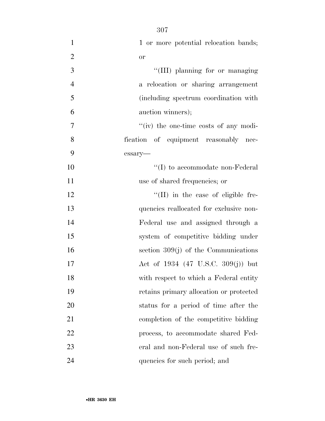| $\mathbf{1}$   | 1 or more potential relocation bands;         |
|----------------|-----------------------------------------------|
| $\overline{2}$ | <b>or</b>                                     |
| 3              | "(III) planning for or managing               |
| $\overline{4}$ | a relocation or sharing arrangement           |
| 5              | (including spectrum coordination with         |
| 6              | auction winners);                             |
| 7              | $\lq\lq$ (iv) the one-time costs of any modi- |
| 8              | fication of equipment reasonably nec-         |
| 9              | essary-                                       |
| 10             | $\lq\lq$ to accommodate non-Federal           |
| 11             | use of shared frequencies; or                 |
| 12             | $\lq\lq$ (II) in the case of eligible fre-    |
| 13             | quencies reallocated for exclusive non-       |
| 14             | Federal use and assigned through a            |
| 15             | system of competitive bidding under           |
| 16             | section $309(j)$ of the Communications        |
| 17             | Act of 1934 (47 U.S.C. 309(j)) but            |
| 18             | with respect to which a Federal entity        |
| 19             | retains primary allocation or protected       |
| 20             | status for a period of time after the         |
| 21             | completion of the competitive bidding         |
| 22             | process, to accommodate shared Fed-           |
| 23             | eral and non-Federal use of such fre-         |
| 24             | quencies for such period; and                 |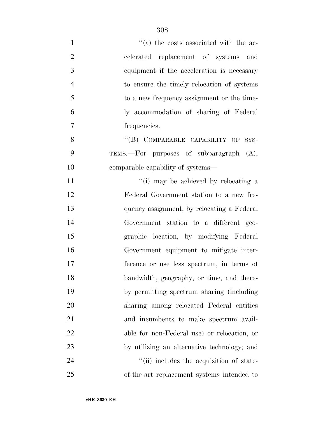| $\mathbf{1}$   | $f'(v)$ the costs associated with the ac-   |
|----------------|---------------------------------------------|
| $\overline{2}$ | celerated replacement of systems and        |
| 3              | equipment if the acceleration is necessary  |
| $\overline{4}$ | to ensure the timely relocation of systems  |
| 5              | to a new frequency assignment or the time-  |
| 6              | ly accommodation of sharing of Federal      |
| $\tau$         | frequencies.                                |
| 8              | "(B) COMPARABLE CAPABILITY OF<br>SYS-       |
| 9              | TEMS.—For purposes of subparagraph (A),     |
| 10             | comparable capability of systems—           |
| 11             | "(i) may be achieved by relocating a        |
| 12             | Federal Government station to a new fre-    |
| 13             | quency assignment, by relocating a Federal  |
| 14             | Government station to a different geo-      |
| 15             | graphic location, by modifying Federal      |
| 16             | Government equipment to mitigate inter-     |
| 17             | ference or use less spectrum, in terms of   |
| 18             | bandwidth, geography, or time, and there-   |
| 19             | by permitting spectrum sharing (including   |
| 20             | sharing among relocated Federal entities    |
| 21             | and incumbents to make spectrum avail-      |
| 22             | able for non-Federal use) or relocation, or |
| 23             | by utilizing an alternative technology; and |
| 24             | "(ii) includes the acquisition of state-    |
| 25             | of-the-art replacement systems intended to  |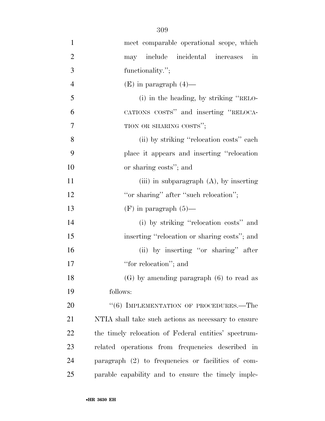meet comparable operational scope, which may include incidental increases in functionality.''; 4 (E) in paragraph  $(4)$ — (i) in the heading, by striking ''RELO- CATIONS COSTS'' and inserting ''RELOCA-7 TION OR SHARING COSTS": (ii) by striking ''relocation costs'' each place it appears and inserting ''relocation or sharing costs''; and 11 (iii) in subparagraph (A), by inserting 12 "or sharing" after "such relocation"; 13 (F) in paragraph  $(5)$ — 14 (i) by striking "relocation costs" and inserting ''relocation or sharing costs''; and (ii) by inserting ''or sharing'' after  $"for$  relocation"; and (G) by amending paragraph (6) to read as follows: 20 "(6) IMPLEMENTATION OF PROCEDURES.—The NTIA shall take such actions as necessary to ensure the timely relocation of Federal entities' spectrum- related operations from frequencies described in paragraph (2) to frequencies or facilities of com-parable capability and to ensure the timely imple-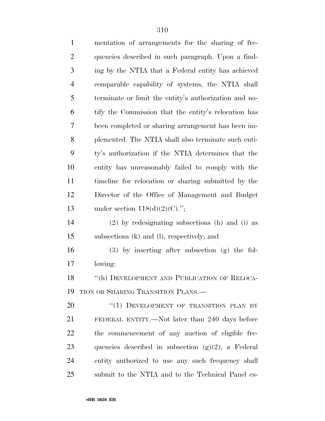| $\mathbf{1}$   | mentation of arrangements for the sharing of fre-     |
|----------------|-------------------------------------------------------|
| $\overline{2}$ | quencies described in such paragraph. Upon a find-    |
| 3              | ing by the NTIA that a Federal entity has achieved    |
| $\overline{4}$ | comparable capability of systems, the NTIA shall      |
| 5              | terminate or limit the entity's authorization and no- |
| 6              | tify the Commission that the entity's relocation has  |
| 7              | been completed or sharing arrangement has been im-    |
| 8              | plemented. The NTIA shall also terminate such enti-   |
| 9              | ty's authorization if the NTIA determines that the    |
| 10             | entity has unreasonably failed to comply with the     |
| 11             | timeline for relocation or sharing submitted by the   |
| 12             | Director of the Office of Management and Budget       |
| 13             | under section $118(d)(2)(C)$ .";                      |
| 14             | $(2)$ by redesignating subsections (h) and (i) as     |
| 15             | subsections (k) and (l), respectively; and            |
| 16             | $(3)$ by inserting after subsection $(g)$ the fol-    |
| 17             | lowing:                                               |
| 18             | "(h) DEVELOPMENT AND PUBLICATION OF RELOCA-           |
| 19             | TION OR SHARING TRANSITION PLANS.—                    |
| 20             | "(1) DEVELOPMENT OF TRANSITION PLAN BY                |
| 21             | FEDERAL ENTITY.—Not later than 240 days before        |
| <u>22</u>      | the commencement of any auction of eligible fre-      |
| 23             | quencies described in subsection $(g)(2)$ , a Federal |
| 24             | entity authorized to use any such frequency shall     |
| 25             | submit to the NTIA and to the Technical Panel es-     |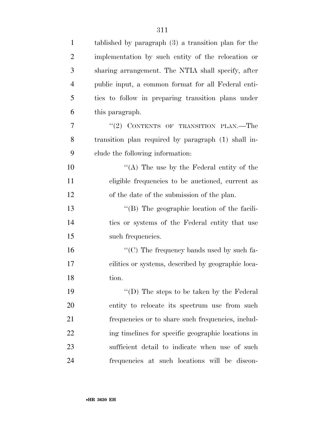| $\mathbf{1}$   | tablished by paragraph $(3)$ a transition plan for the |
|----------------|--------------------------------------------------------|
| $\overline{2}$ | implementation by such entity of the relocation or     |
| 3              | sharing arrangement. The NTIA shall specify, after     |
| $\overline{4}$ | public input, a common format for all Federal enti-    |
| 5              | ties to follow in preparing transition plans under     |
| 6              | this paragraph.                                        |
| $\overline{7}$ | $``(2)$ CONTENTS OF TRANSITION PLAN.—The               |
| 8              | transition plan required by paragraph (1) shall in-    |
| 9              | clude the following information:                       |
| 10             | "(A) The use by the Federal entity of the              |
| 11             | eligible frequencies to be auctioned, current as       |
| 12             | of the date of the submission of the plan.             |
| 13             | $\lq\lq$ (B) The geographic location of the facili-    |
| 14             | ties or systems of the Federal entity that use         |
| 15             | such frequencies.                                      |
| 16             | " $(C)$ The frequency bands used by such fa-           |
| 17             | cilities or systems, described by geographic loca-     |
| 18             | tion.                                                  |
| 19             | "(D) The steps to be taken by the Federal              |
| 20             | entity to relocate its spectrum use from such          |
| 21             | frequencies or to share such frequencies, includ-      |
| 22             | ing timelines for specific geographic locations in     |
| 23             | sufficient detail to indicate when use of such         |
| 24             | frequencies at such locations will be discon-          |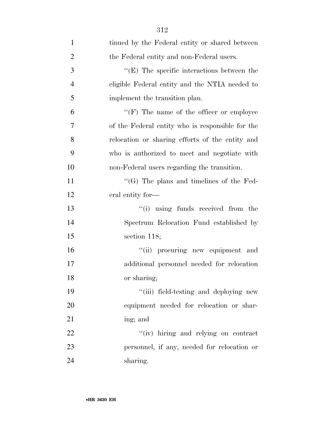| $\mathbf{1}$   | tinued by the Federal entity or shared between     |
|----------------|----------------------------------------------------|
| $\overline{2}$ | the Federal entity and non-Federal users.          |
| 3              | $\lq\lq$ (E) The specific interactions between the |
| $\overline{4}$ | eligible Federal entity and the NTIA needed to     |
| 5              | implement the transition plan.                     |
| 6              | $\lq\lq(F)$ The name of the officer or employee    |
| 7              | of the Federal entity who is responsible for the   |
| 8              | relocation or sharing efforts of the entity and    |
| 9              | who is authorized to meet and negotiate with       |
| 10             | non-Federal users regarding the transition.        |
| 11             | $\lq\lq$ The plans and timelines of the Fed-       |
| 12             | eral entity for-                                   |
| 13             | "(i) using funds received from the                 |
| 14             | Spectrum Relocation Fund established by            |
| 15             | section $118;$                                     |
| 16             | "(ii) procuring new equipment and                  |
| 17             | additional personnel needed for relocation         |
| 18             | or sharing;                                        |
| 19             | "(iii) field-testing and deploying new             |
| 20             | equipment needed for relocation or shar-           |
| 21             | ing; and                                           |
| 22             | "(iv) hiring and relying on contract               |
| 23             | personnel, if any, needed for relocation or        |
| 24             | sharing.                                           |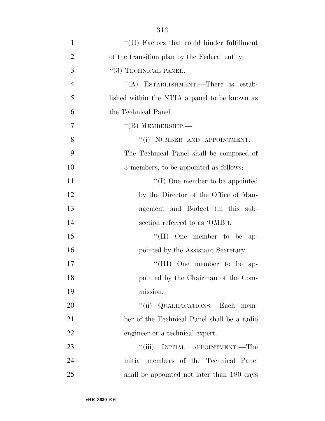| $\mathbf{1}$   | $\lq\lq (H)$ Factors that could hinder fulfillment |
|----------------|----------------------------------------------------|
| $\overline{2}$ | of the transition plan by the Federal entity.      |
| 3              | $``(3)$ TECHNICAL PANEL.—                          |
| $\overline{4}$ | "(A) ESTABLISHMENT.—There is estab-                |
| 5              | lished within the NTIA a panel to be known as      |
| 6              | the Technical Panel.                               |
| 7              | $\lq\lq (B)$ MEMBERSHIP.—                          |
| 8              | "(i) NUMBER AND APPOINTMENT.-                      |
| 9              | The Technical Panel shall be composed of           |
| 10             | 3 members, to be appointed as follows:             |
| 11             | $\lq\lq$ (I) One member to be appointed            |
| 12             | by the Director of the Office of Man-              |
| 13             | agement and Budget (in this sub-                   |
| 14             | section referred to as 'OMB').                     |
| 15             | "(II) One member to be ap-                         |
| 16             | pointed by the Assistant Secretary.                |
| 17             | "(III) One member to be ap-                        |
| 18             | pointed by the Chairman of the Com-                |
| 19             | mission.                                           |
| 20             | "(ii) QUALIFICATIONS.—Each mem-                    |
| 21             | ber of the Technical Panel shall be a radio        |
| 22             | engineer or a technical expert.                    |
| 23             | ``(iii)<br>INITIAL APPOINTMENT.—The                |
| 24             | initial members of the Technical Panel             |
| 25             | shall be appointed not later than 180 days         |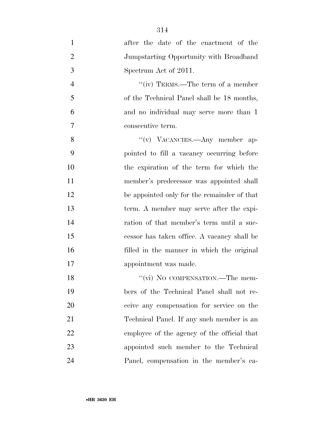after the date of the enactment of the Jumpstarting Opportunity with Broadband Spectrum Act of 2011. 4 "(iv) TERMS.—The term of a member of the Technical Panel shall be 18 months, and no individual may serve more than 1 consecutive term. 8 "(v) VACANCIES.—Any member ap- pointed to fill a vacancy occurring before the expiration of the term for which the member's predecessor was appointed shall be appointed only for the remainder of that term. A member may serve after the expi- ration of that member's term until a suc- cessor has taken office. A vacancy shall be filled in the manner in which the original appointment was made. 18 "(vi) No COMPENSATION.—The mem- bers of the Technical Panel shall not re- ceive any compensation for service on the Technical Panel. If any such member is an employee of the agency of the official that appointed such member to the Technical Panel, compensation in the member's ca-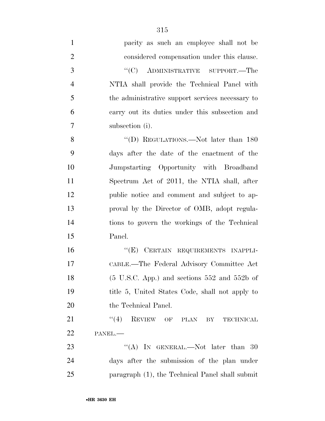| $\mathbf{1}$   | pacity as such an employee shall not be            |
|----------------|----------------------------------------------------|
| $\overline{2}$ | considered compensation under this clause.         |
| 3              | "(C) ADMINISTRATIVE SUPPORT.—The                   |
| $\overline{4}$ | NTIA shall provide the Technical Panel with        |
| 5              | the administrative support services necessary to   |
| 6              | carry out its duties under this subsection and     |
| 7              | subsection (i).                                    |
| 8              | "(D) REGULATIONS.—Not later than 180               |
| 9              | days after the date of the enactment of the        |
| 10             | Jumpstarting Opportunity with Broadband            |
| 11             | Spectrum Act of 2011, the NTIA shall, after        |
| 12             | public notice and comment and subject to ap-       |
| 13             | proval by the Director of OMB, adopt regula-       |
| 14             | tions to govern the workings of the Technical      |
| 15             | Panel.                                             |
| 16             | "(E) CERTAIN REQUIREMENTS INAPPLI-                 |
| 17             | CABLE.—The Federal Advisory Committee Act          |
| 18             | $(5$ U.S.C. App.) and sections $552$ and $552b$ of |
| 19             | title 5, United States Code, shall not apply to    |
| 20             | the Technical Panel.                               |
| 21             | (4)<br>REVIEW OF PLAN<br>BY<br>TECHNICAL           |
| 22             | PANEL.-                                            |
| 23             | "(A) IN GENERAL.—Not later than 30                 |
| 24             | days after the submission of the plan under        |
| 25             | paragraph (1), the Technical Panel shall submit    |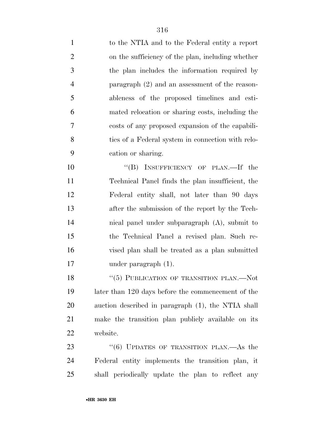| $\mathbf{1}$   | to the NTIA and to the Federal entity a report     |
|----------------|----------------------------------------------------|
| $\overline{2}$ | on the sufficiency of the plan, including whether  |
| 3              | the plan includes the information required by      |
| $\overline{4}$ | paragraph $(2)$ and an assessment of the reason-   |
| 5              | ableness of the proposed timelines and esti-       |
| 6              | mated relocation or sharing costs, including the   |
| 7              | costs of any proposed expansion of the capabili-   |
| 8              | ties of a Federal system in connection with relo-  |
| 9              | cation or sharing.                                 |
| 10             | "(B) INSUFFICIENCY OF PLAN.—If the                 |
| 11             | Technical Panel finds the plan insufficient, the   |
| 12             | Federal entity shall, not later than 90 days       |
| 13             | after the submission of the report by the Tech-    |
| 14             | nical panel under subparagraph (A), submit to      |
| 15             | the Technical Panel a revised plan. Such re-       |
| 16             | vised plan shall be treated as a plan submitted    |
| 17             | under paragraph $(1)$ .                            |
| 18             | "(5) PUBLICATION OF TRANSITION PLAN.—Not           |
| 19             | later than 120 days before the commencement of the |
| 20             | auction described in paragraph (1), the NTIA shall |
| 21             | make the transition plan publicly available on its |
| 22             | website.                                           |
| 23             | " $(6)$ UPDATES OF TRANSITION PLAN.—As the         |
| 24             | Federal entity implements the transition plan, it  |
| 25             | shall periodically update the plan to reflect any  |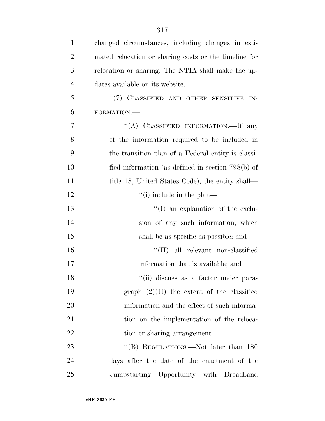| $\mathbf{1}$   | changed circumstances, including changes in esti-     |
|----------------|-------------------------------------------------------|
| $\overline{2}$ | mated relocation or sharing costs or the timeline for |
| 3              | relocation or sharing. The NTIA shall make the up-    |
| $\overline{4}$ | dates available on its website.                       |
| 5              | "(7) CLASSIFIED AND OTHER SENSITIVE IN-               |
| 6              | FORMATION.                                            |
| 7              | "(A) CLASSIFIED INFORMATION.—If any                   |
| 8              | of the information required to be included in         |
| 9              | the transition plan of a Federal entity is classi-    |
| 10             | fied information (as defined in section $798(b)$ ) of |
| 11             | title 18, United States Code), the entity shall—      |
| 12             | $\lq\lq$ (i) include in the plan—                     |
| 13             | $\lq\lq$ (I) an explanation of the exclu-             |
| 14             | sion of any such information, which                   |
| 15             | shall be as specific as possible; and                 |
| 16             | $\lq\lq$ (II) all relevant non-classified             |
| 17             | information that is available; and                    |
| 18             | "(ii) discuss as a factor under para-                 |
| 19             | graph $(2)(H)$ the extent of the classified           |
| 20             | information and the effect of such informa-           |
| 21             | tion on the implementation of the reloca-             |
| 22             | tion or sharing arrangement.                          |
| 23             | "(B) REGULATIONS.—Not later than 180                  |
| 24             | days after the date of the enactment of the           |
| 25             | Jumpstarting Opportunity with Broadband               |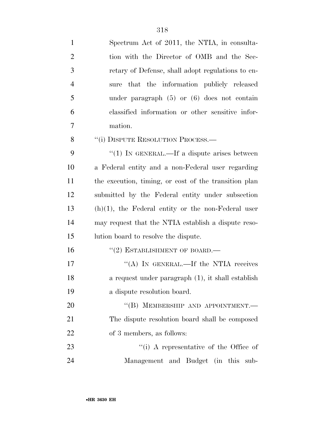| $\mathbf{1}$   | Spectrum Act of 2011, the NTIA, in consulta-          |
|----------------|-------------------------------------------------------|
| $\overline{2}$ | tion with the Director of OMB and the Sec-            |
| 3              | retary of Defense, shall adopt regulations to en-     |
| $\overline{4}$ | sure that the information publicly released           |
| 5              | under paragraph $(5)$ or $(6)$ does not contain       |
| 6              | classified information or other sensitive infor-      |
| 7              | mation.                                               |
| 8              | "(i) DISPUTE RESOLUTION PROCESS.—                     |
| 9              | " $(1)$ In GENERAL.—If a dispute arises between       |
| 10             | a Federal entity and a non-Federal user regarding     |
| 11             | the execution, timing, or cost of the transition plan |
| 12             | submitted by the Federal entity under subsection      |
| 13             | $(h)(1)$ , the Federal entity or the non-Federal user |
| 14             | may request that the NTIA establish a dispute reso-   |
| 15             | lution board to resolve the dispute.                  |
| 16             | $``(2)$ ESTABLISHMENT OF BOARD.—                      |
| 17             | "(A) IN GENERAL.—If the NTIA receives                 |
| 18             | a request under paragraph (1), it shall establish     |
| 19             | a dispute resolution board.                           |
| 20             | "(B) MEMBERSHIP AND APPOINTMENT.-                     |
| 21             | The dispute resolution board shall be composed        |
| 22             | of 3 members, as follows:                             |
| 23             | "(i) A representative of the Office of                |
| 24             | Management and Budget (in this<br>sub-                |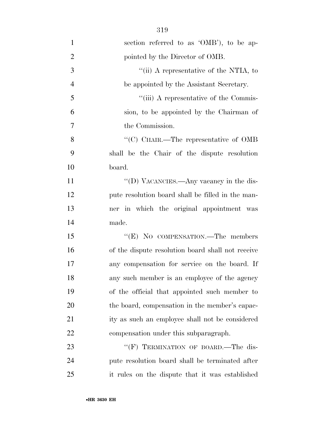| $\mathbf{1}$   | section referred to as 'OMB'), to be ap-          |
|----------------|---------------------------------------------------|
| $\overline{2}$ | pointed by the Director of OMB.                   |
| 3              | "(ii) A representative of the NTIA, to            |
| $\overline{4}$ | be appointed by the Assistant Secretary.          |
| 5              | "(iii) A representative of the Commis-            |
| 6              | sion, to be appointed by the Chairman of          |
| $\tau$         | the Commission.                                   |
| 8              | "(C) CHAIR.—The representative of OMB             |
| 9              | shall be the Chair of the dispute resolution      |
| 10             | board.                                            |
| 11             | "(D) VACANCIES.—Any vacancy in the dis-           |
| 12             | pute resolution board shall be filled in the man- |
| 13             | ner in which the original appointment was         |
| 14             | made.                                             |
| 15             | "(E) NO COMPENSATION.—The members                 |
| 16             | of the dispute resolution board shall not receive |
| 17             | any compensation for service on the board. If     |
| 18             | any such member is an employee of the agency      |
| 19             | of the official that appointed such member to     |
| 20             | the board, compensation in the member's capac-    |
| 21             | ity as such an employee shall not be considered   |
| 22             | compensation under this subparagraph.             |
| 23             | "(F) TERMINATION OF BOARD.—The dis-               |
| 24             | pute resolution board shall be terminated after   |

it rules on the dispute that it was established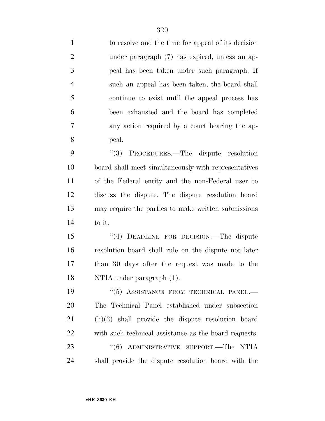| $\mathbf{1}$   | to resolve and the time for appeal of its decision    |
|----------------|-------------------------------------------------------|
| $\overline{2}$ | under paragraph (7) has expired, unless an ap-        |
| 3              | peal has been taken under such paragraph. If          |
| $\overline{4}$ | such an appeal has been taken, the board shall        |
| 5              | continue to exist until the appeal process has        |
| 6              | been exhausted and the board has completed            |
| 7              | any action required by a court hearing the ap-        |
| 8              | peal.                                                 |
| 9              | (3)<br>PROCEDURES.—The dispute resolution             |
| 10             | board shall meet simultaneously with representatives  |
| 11             | of the Federal entity and the non-Federal user to     |
| 12             | discuss the dispute. The dispute resolution board     |
| 13             | may require the parties to make written submissions   |
| 14             | to it.                                                |
| 15             | "(4) DEADLINE FOR DECISION.—The dispute               |
| 16             | resolution board shall rule on the dispute not later  |
| 17             | than 30 days after the request was made to the        |
| 18             | NTIA under paragraph (1).                             |
| 19             | "(5) ASSISTANCE FROM TECHNICAL PANEL.-                |
| 20             | The Technical Panel established under subsection      |
| 21             | $(h)(3)$ shall provide the dispute resolution board   |
| 22             | with such technical assistance as the board requests. |
| 23             | "(6) ADMINISTRATIVE SUPPORT.—The NTIA                 |
| 24             | shall provide the dispute resolution board with the   |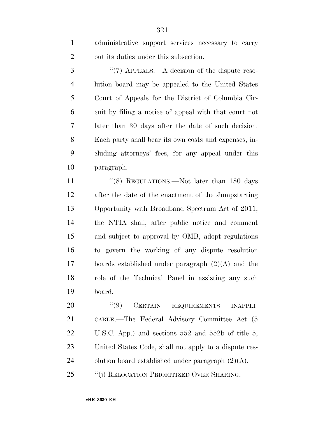administrative support services necessary to carry out its duties under this subsection.

3 "(7) APPEALS.—A decision of the dispute reso- lution board may be appealed to the United States Court of Appeals for the District of Columbia Cir- cuit by filing a notice of appeal with that court not later than 30 days after the date of such decision. Each party shall bear its own costs and expenses, in- cluding attorneys' fees, for any appeal under this paragraph.

11 ''(8) REGULATIONS.—Not later than 180 days after the date of the enactment of the Jumpstarting Opportunity with Broadband Spectrum Act of 2011, the NTIA shall, after public notice and comment and subject to approval by OMB, adopt regulations to govern the working of any dispute resolution boards established under paragraph (2)(A) and the role of the Technical Panel in assisting any such board.

20 "(9) CERTAIN REQUIREMENTS INAPPLI- CABLE.—The Federal Advisory Committee Act (5 U.S.C. App.) and sections 552 and 552b of title 5, United States Code, shall not apply to a dispute res-24 olution board established under paragraph  $(2)(A)$ . ''(j) RELOCATION PRIORITIZED OVER SHARING.—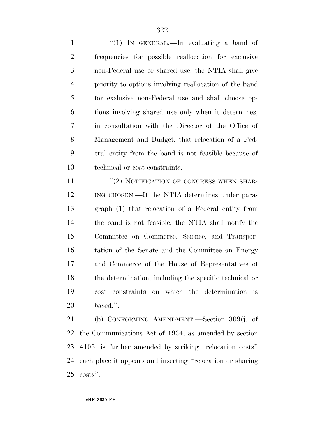1 "(1) IN GENERAL.—In evaluating a band of frequencies for possible reallocation for exclusive non-Federal use or shared use, the NTIA shall give priority to options involving reallocation of the band for exclusive non-Federal use and shall choose op- tions involving shared use only when it determines, in consultation with the Director of the Office of Management and Budget, that relocation of a Fed- eral entity from the band is not feasible because of technical or cost constraints.

11 "(2) NOTIFICATION OF CONGRESS WHEN SHAR- ING CHOSEN.—If the NTIA determines under para- graph (1) that relocation of a Federal entity from the band is not feasible, the NTIA shall notify the Committee on Commerce, Science, and Transpor- tation of the Senate and the Committee on Energy and Commerce of the House of Representatives of the determination, including the specific technical or cost constraints on which the determination is based.''.

 (b) CONFORMING AMENDMENT.—Section 309(j) of the Communications Act of 1934, as amended by section 4105, is further amended by striking ''relocation costs'' each place it appears and inserting ''relocation or sharing costs''.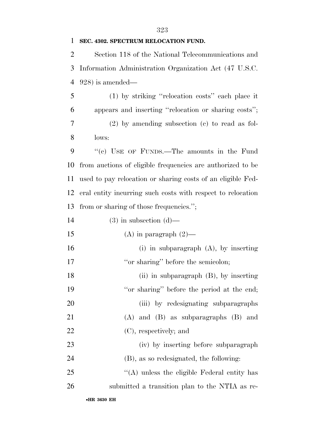## **SEC. 4302. SPECTRUM RELOCATION FUND.**

 Section 118 of the National Telecommunications and Information Administration Organization Act (47 U.S.C. 928) is amended—

 (1) by striking ''relocation costs'' each place it appears and inserting ''relocation or sharing costs''; (2) by amending subsection (c) to read as fol-lows:

 ''(c) USE OF FUNDS.—The amounts in the Fund from auctions of eligible frequencies are authorized to be used to pay relocation or sharing costs of an eligible Fed- eral entity incurring such costs with respect to relocation from or sharing of those frequencies.'';

| 14 |  | $(3)$ in subsection $(d)$ — |  |
|----|--|-----------------------------|--|
|----|--|-----------------------------|--|

15 (A) in paragraph  $(2)$ —

 (i) in subparagraph (A), by inserting 17 ''or sharing'' before the semicolon;

 (ii) in subparagraph (B), by inserting 19 "or sharing" before the period at the end; 20 (iii) by redesignating subparagraphs (A) and (B) as subparagraphs (B) and (C), respectively; and

 (iv) by inserting before subparagraph (B), as so redesignated, the following:

 ''(A) unless the eligible Federal entity has submitted a transition plan to the NTIA as re-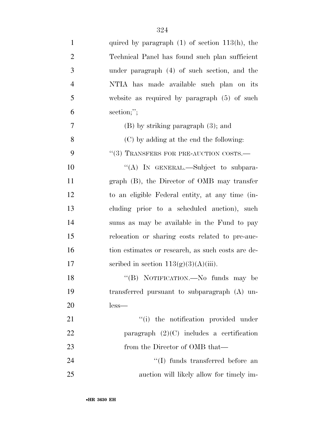| $\mathbf{1}$   | quired by paragraph $(1)$ of section $113(h)$ , the |
|----------------|-----------------------------------------------------|
| $\overline{2}$ | Technical Panel has found such plan sufficient      |
| 3              | under paragraph (4) of such section, and the        |
| $\overline{4}$ | NTIA has made available such plan on its            |
| 5              | website as required by paragraph $(5)$ of such      |
| 6              | section;";                                          |
| 7              | $(B)$ by striking paragraph $(3)$ ; and             |
| 8              | (C) by adding at the end the following:             |
| 9              | $``(3)$ TRANSFERS FOR PRE-AUCTION COSTS.—           |
| 10             | "(A) IN GENERAL.—Subject to subpara-                |
| 11             | graph (B), the Director of OMB may transfer         |
| 12             | to an eligible Federal entity, at any time (in-     |
| 13             | cluding prior to a scheduled auction), such         |
| 14             | sums as may be available in the Fund to pay         |
| 15             | relocation or sharing costs related to pre-auc-     |
| 16             | tion estimates or research, as such costs are de-   |
| 17             | scribed in section $113(g)(3)(A)(iii)$ .            |
| 18             | "(B) NOTIFICATION.—No funds may be                  |
| 19             | transferred pursuant to subparagraph (A) un-        |
| 20             | $less-$                                             |
| 21             | "(i) the notification provided under                |
| 22             | paragraph $(2)(C)$ includes a certification         |
| 23             | from the Director of OMB that—                      |
| 24             | "(I) funds transferred before an                    |
| 25             | auction will likely allow for timely im-            |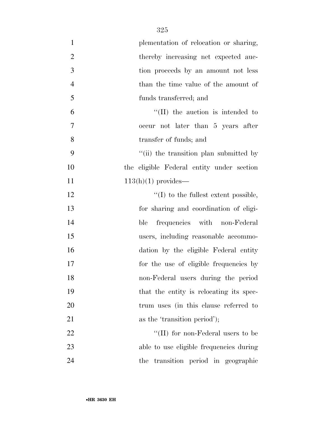| $\mathbf{1}$   | plementation of relocation or sharing,    |
|----------------|-------------------------------------------|
| $\overline{2}$ | thereby increasing net expected auc-      |
| $\mathfrak{Z}$ | tion proceeds by an amount not less       |
| $\overline{4}$ | than the time value of the amount of      |
| 5              | funds transferred; and                    |
| 6              | $\lq\lq$ (II) the auction is intended to  |
| 7              | occur not later than 5 years after        |
| 8              | transfer of funds; and                    |
| 9              | "(ii) the transition plan submitted by    |
| 10             | the eligible Federal entity under section |
| 11             | $113(h)(1)$ provides—                     |
| 12             | $\lq\lq$ to the fullest extent possible,  |
| 13             | for sharing and coordination of eligi-    |
| 14             | frequencies with non-Federal<br>ble       |
| 15             | users, including reasonable accommo-      |
| 16             | dation by the eligible Federal entity     |
| 17             | for the use of eligible frequencies by    |
| 18             | non-Federal users during the period       |
| 19             | that the entity is relocating its spec-   |
| 20             | trum uses (in this clause referred to     |
| 21             | as the 'transition period');              |
| 22             | "(II) for non-Federal users to be         |
| 23             | able to use eligible frequencies during   |
| 24             | the transition period in geographic       |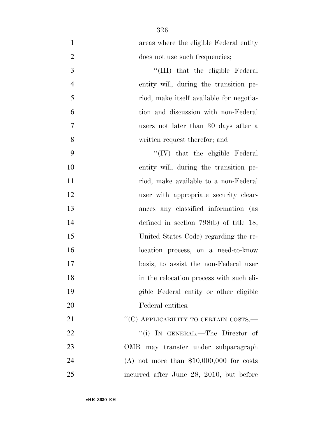| $\mathbf{1}$   | areas where the eligible Federal entity   |
|----------------|-------------------------------------------|
| $\mathbf{2}$   | does not use such frequencies;            |
| 3              | "(III) that the eligible Federal          |
| $\overline{4}$ | entity will, during the transition pe-    |
| 5              | riod, make itself available for negotia-  |
| 6              | tion and discussion with non-Federal      |
| $\overline{7}$ | users not later than 30 days after a      |
| 8              | written request therefor; and             |
| 9              | "(IV) that the eligible Federal           |
| 10             | entity will, during the transition pe-    |
| 11             | riod, make available to a non-Federal     |
| 12             | user with appropriate security clear-     |
| 13             | ances any classified information (as      |
| 14             | defined in section $798(b)$ of title 18,  |
| 15             | United States Code) regarding the re-     |
| 16             | location process, on a need-to-know       |
| 17             | basis, to assist the non-Federal user     |
| 18             | in the relocation process with such eli-  |
| 19             | gible Federal entity or other eligible    |
| 20             | Federal entities.                         |
| 21             | "(C) APPLICABILITY TO CERTAIN COSTS.—     |
| 22             | "(i) IN GENERAL.—The Director of          |
| 23             | OMB may transfer under subparagraph       |
| 24             | (A) not more than $$10,000,000$ for costs |
| 25             | incurred after June 28, 2010, but before  |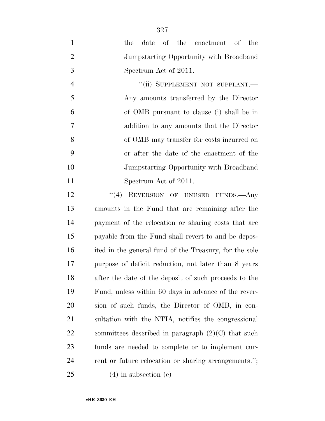| $\mathbf{1}$   | date of the enactment of the<br>the                    |
|----------------|--------------------------------------------------------|
| $\overline{2}$ | Jumpstarting Opportunity with Broadband                |
| 3              | Spectrum Act of 2011.                                  |
| $\overline{4}$ | "(ii) SUPPLEMENT NOT SUPPLANT.-                        |
| 5              | Any amounts transferred by the Director                |
| 6              | of OMB pursuant to clause (i) shall be in              |
| 7              | addition to any amounts that the Director              |
| 8              | of OMB may transfer for costs incurred on              |
| 9              | or after the date of the enactment of the              |
| 10             | Jumpstarting Opportunity with Broadband                |
| 11             | Spectrum Act of 2011.                                  |
| 12             | "(4) REVERSION OF UNUSED FUNDS.—Any                    |
| 13             | amounts in the Fund that are remaining after the       |
| 14             | payment of the relocation or sharing costs that are    |
| 15             | payable from the Fund shall revert to and be depos-    |
| 16             | ited in the general fund of the Treasury, for the sole |
| 17             | purpose of deficit reduction, not later than 8 years   |
| 18             | after the date of the deposit of such proceeds to the  |
| 19             | Fund, unless within 60 days in advance of the rever-   |
| 20             | sion of such funds, the Director of OMB, in con-       |
| 21             | sultation with the NTIA, notifies the congressional    |
| 22             | committees described in paragraph $(2)(C)$ that such   |
| 23             | funds are needed to complete or to implement cur-      |
| 24             | rent or future relocation or sharing arrangements.";   |
| 25             | $(4)$ in subsection $(e)$ —                            |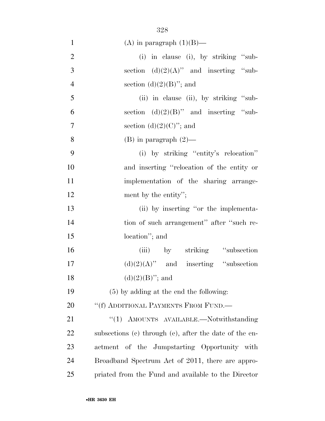| $\mathbf{1}$   | (A) in paragraph $(1)(B)$ —                            |
|----------------|--------------------------------------------------------|
| $\overline{2}$ | (i) in clause (i), by striking "sub-                   |
| 3              | section $(d)(2)(A)$ " and inserting "sub-              |
| $\overline{4}$ | section $(d)(2)(B)$ "; and                             |
| 5              | (ii) in clause (ii), by striking "sub-                 |
| 6              | section $(d)(2)(B)$ " and inserting "sub-              |
| $\overline{7}$ | section $(d)(2)(C)$ "; and                             |
| 8              | $(B)$ in paragraph $(2)$ —                             |
| 9              | (i) by striking "entity's relocation"                  |
| 10             | and inserting "relocation of the entity or             |
| 11             | implementation of the sharing arrange-                 |
| 12             | ment by the entity";                                   |
| 13             | (ii) by inserting "or the implementa-                  |
| 14             | tion of such arrangement" after "such re-              |
| 15             | location"; and                                         |
| 16             | (iii) by striking "subsection"                         |
| 17             | $(d)(2)(A)$ " and inserting "subsection"               |
| 18             | $(d)(2)(B)$ "; and                                     |
| 19             | $(5)$ by adding at the end the following:              |
| 20             | "(f) ADDITIONAL PAYMENTS FROM FUND.—                   |
| 21             | "(1) AMOUNTS AVAILABLE.—Notwithstanding                |
| 22             | subsections (c) through (e), after the date of the en- |
| 23             | actment of the Jumpstarting Opportunity with           |
| 24             | Broadband Spectrum Act of 2011, there are appro-       |
| 25             | priated from the Fund and available to the Director    |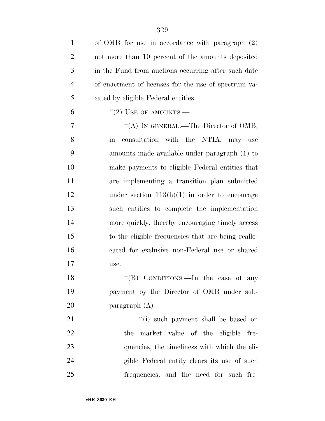| $\mathbf{1}$   | of OMB for use in accordance with paragraph (2)            |
|----------------|------------------------------------------------------------|
| $\overline{2}$ | not more than 10 percent of the amounts deposited          |
| 3              | in the Fund from auctions occurring after such date        |
| $\overline{4}$ | of enactment of licenses for the use of spectrum va-       |
| 5              | cated by eligible Federal entities.                        |
| 6              | $``(2)$ USE OF AMOUNTS.—                                   |
| 7              | "(A) IN GENERAL.—The Director of OMB,                      |
| 8              | consultation with the NTIA, may use<br>$\operatorname{in}$ |
| 9              | amounts made available under paragraph (1) to              |
| 10             | make payments to eligible Federal entities that            |
| 11             | are implementing a transition plan submitted               |
| 12             | under section $113(h)(1)$ in order to encourage            |
| 13             | such entities to complete the implementation               |
| 14             | more quickly, thereby encouraging timely access            |
| 15             | to the eligible frequencies that are being reallo-         |
| 16             | cated for exclusive non-Federal use or shared              |
| 17             | use.                                                       |
| 18             | "(B) CONDITIONS.—In the case of any                        |
| 19             | payment by the Director of OMB under sub-                  |
| <b>20</b>      | paragraph $(A)$ —                                          |
| 21             | "(i) such payment shall be based on                        |
| 22             | the market value of the eligible fre-                      |
| 23             | quencies, the timeliness with which the eli-               |
| 24             | gible Federal entity clears its use of such                |
| 25             | frequencies, and the need for such fre-                    |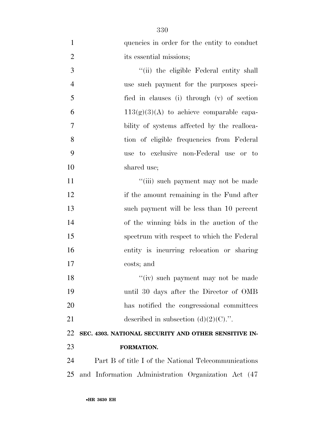| $\mathbf{1}$   | quencies in order for the entity to conduct          |
|----------------|------------------------------------------------------|
| $\overline{2}$ | its essential missions;                              |
| 3              | "(ii) the eligible Federal entity shall              |
| $\overline{4}$ | use such payment for the purposes speci-             |
| 5              | fied in clauses (i) through (v) of section           |
| 6              | $113(g)(3)(A)$ to achieve comparable capa-           |
| 7              | bility of systems affected by the realloca-          |
| 8              | tion of eligible frequencies from Federal            |
| 9              | use to exclusive non-Federal use or to               |
| 10             | shared use;                                          |
| 11             | "(iii) such payment may not be made                  |
| 12             | if the amount remaining in the Fund after            |
| 13             | such payment will be less than 10 percent            |
| 14             | of the winning bids in the auction of the            |
| 15             | spectrum with respect to which the Federal           |
| 16             | entity is incurring relocation or sharing            |
| 17             | costs; and                                           |
| 18             | "(iv) such payment may not be made                   |
| 19             | until 30 days after the Director of OMB              |
| 20             | has notified the congressional committees            |
| 21             | described in subsection $(d)(2)(C)$ .".              |
| 22             | SEC. 4303. NATIONAL SECURITY AND OTHER SENSITIVE IN- |
| 23             | FORMATION.                                           |
| 24             | Part B of title I of the National Telecommunications |
| 25             | and Information Administration Organization Act (47) |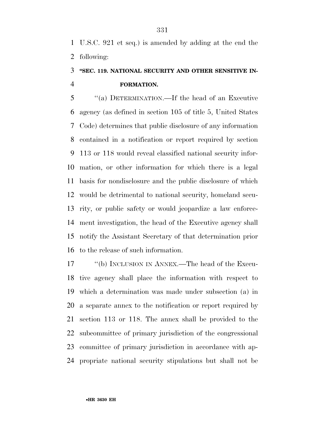U.S.C. 921 et seq.) is amended by adding at the end the following:

### **''SEC. 119. NATIONAL SECURITY AND OTHER SENSITIVE IN-FORMATION.**

 ''(a) DETERMINATION.—If the head of an Executive agency (as defined in section 105 of title 5, United States Code) determines that public disclosure of any information contained in a notification or report required by section 113 or 118 would reveal classified national security infor- mation, or other information for which there is a legal basis for nondisclosure and the public disclosure of which would be detrimental to national security, homeland secu- rity, or public safety or would jeopardize a law enforce- ment investigation, the head of the Executive agency shall notify the Assistant Secretary of that determination prior to the release of such information.

17 ""(b) INCLUSION IN ANNEX.—The head of the Execu- tive agency shall place the information with respect to which a determination was made under subsection (a) in a separate annex to the notification or report required by section 113 or 118. The annex shall be provided to the subcommittee of primary jurisdiction of the congressional committee of primary jurisdiction in accordance with ap-propriate national security stipulations but shall not be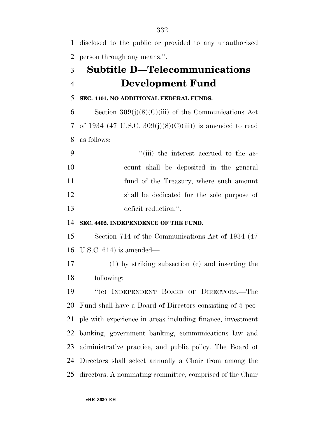disclosed to the public or provided to any unauthorized person through any means.''.

## **Subtitle D—Telecommunications Development Fund**

#### **SEC. 4401. NO ADDITIONAL FEDERAL FUNDS.**

6 Section  $309(j)(8)(C)(iii)$  of the Communications Act 7 of 1934 (47 U.S.C.  $309(j)(8)(C)(iii)$ ) is amended to read as follows:

 $\frac{1}{1}$  the interest accrued to the ac- count shall be deposited in the general fund of the Treasury, where such amount shall be dedicated for the sole purpose of deficit reduction.''.

#### **SEC. 4402. INDEPENDENCE OF THE FUND.**

 Section 714 of the Communications Act of 1934 (47 U.S.C. 614) is amended—

 (1) by striking subsection (c) and inserting the following:

 ''(c) INDEPENDENT BOARD OF DIRECTORS.—The Fund shall have a Board of Directors consisting of 5 peo- ple with experience in areas including finance, investment banking, government banking, communications law and administrative practice, and public policy. The Board of Directors shall select annually a Chair from among the directors. A nominating committee, comprised of the Chair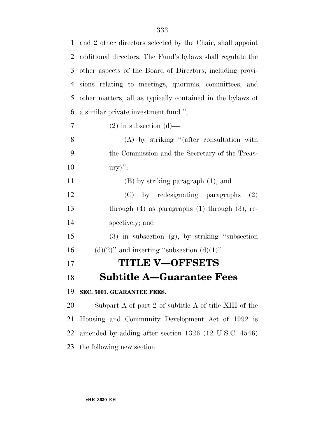| $\mathbf{1}$   | and 2 other directors selected by the Chair, shall appoint |
|----------------|------------------------------------------------------------|
| $\overline{2}$ | additional directors. The Fund's bylaws shall regulate the |
| 3              | other aspects of the Board of Directors, including provi-  |
| $\overline{4}$ | sions relating to meetings, quorums, committees, and       |
| 5              | other matters, all as typically contained in the bylaws of |
| 6              | a similar private investment fund.";                       |
| 7              | $(2)$ in subsection $(d)$ —                                |
| 8              | $(A)$ by striking "(after consultation with                |
| 9              | the Commission and the Secretary of the Treas-             |
| 10             | $\text{ury})"$                                             |
| 11             | $(B)$ by striking paragraph $(1)$ ; and                    |
| 12             | (C) by redesignating paragraphs<br>(2)                     |
| 13             | through $(4)$ as paragraphs $(1)$ through $(3)$ , re-      |
| 14             | spectively; and                                            |
| 15             | $(3)$ in subsection $(g)$ , by striking "subsection        |
| 16             | $(d)(2)$ " and inserting "subsection $(d)(1)$ ".           |
| 17             | <b>TITLE V-OFFSETS</b>                                     |
| 18             | <b>Subtitle A-Guarantee Fees</b>                           |
| 19             | SEC. 5001. GUARANTEE FEES.                                 |
| 20             | Subpart A of part 2 of subtitle A of title XIII of the     |
| 21             | Housing and Community Development Act of 1992 is           |
| 22             | amended by adding after section 1326 (12 U.S.C. 4546)      |
| 23             | the following new section:                                 |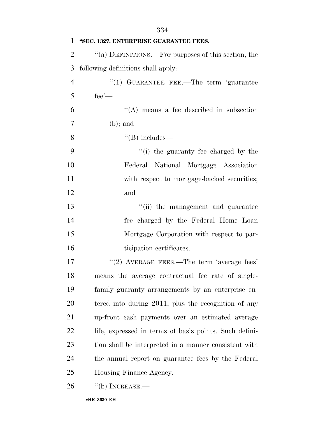| 1              | "SEC. 1327. ENTERPRISE GUARANTEE FEES.                 |
|----------------|--------------------------------------------------------|
| $\overline{2}$ | "(a) DEFINITIONS.—For purposes of this section, the    |
| 3              | following definitions shall apply:                     |
| $\overline{4}$ | "(1) GUARANTEE FEE.—The term 'guarantee                |
| 5              | $fee'$ —                                               |
| 6              | $\lq\lq$ means a fee described in subsection           |
| $\overline{7}$ | $(b)$ ; and                                            |
| 8              | $\lq\lq(B)$ includes—                                  |
| 9              | "(i) the guaranty fee charged by the                   |
| 10             | Federal National Mortgage Association                  |
| 11             | with respect to mortgage-backed securities;            |
| 12             | and                                                    |
| 13             | "(ii) the management and guarantee                     |
| 14             | fee charged by the Federal Home Loan                   |
| 15             | Mortgage Corporation with respect to par-              |
| 16             | ticipation certificates.                               |
| 17             | $"(2)$ AVERAGE FEES.—The term 'average fees'           |
| 18             | means the average contractual fee rate of single-      |
| 19             | family guaranty arrangements by an enterprise en-      |
| 20             | tered into during 2011, plus the recognition of any    |
| 21             | up-front cash payments over an estimated average       |
| 22             | life, expressed in terms of basis points. Such defini- |
| 23             | tion shall be interpreted in a manner consistent with  |
| 24             | the annual report on guarantee fees by the Federal     |
| 25             | Housing Finance Agency.                                |
| 26             | $``$ (b) INCREASE.—                                    |
|                | •HR 3630 EH                                            |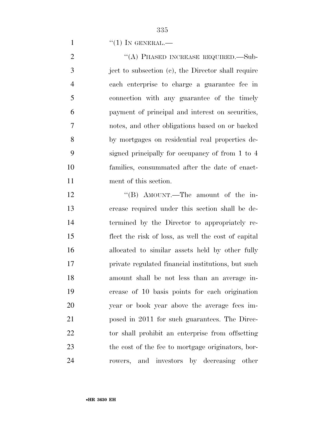$\frac{1}{1}$  ''(1) In GENERAL.—

2 "(A) PHASED INCREASE REQUIRED.—Sub- ject to subsection (c), the Director shall require each enterprise to charge a guarantee fee in connection with any guarantee of the timely payment of principal and interest on securities, notes, and other obligations based on or backed by mortgages on residential real properties de- signed principally for occupancy of from 1 to 4 families, consummated after the date of enact-ment of this section.

12 ''(B) AMOUNT.—The amount of the in- crease required under this section shall be de- termined by the Director to appropriately re- flect the risk of loss, as well the cost of capital allocated to similar assets held by other fully private regulated financial institutions, but such amount shall be not less than an average in- crease of 10 basis points for each origination year or book year above the average fees im- posed in 2011 for such guarantees. The Direc- tor shall prohibit an enterprise from offsetting the cost of the fee to mortgage originators, bor-rowers, and investors by decreasing other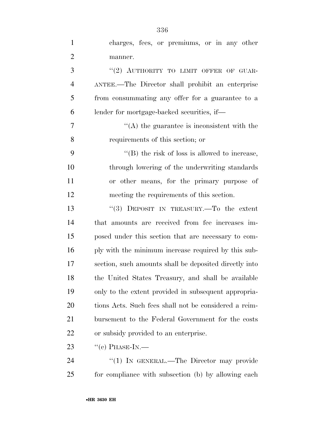| $\mathbf{1}$   | charges, fees, or premiums, or in any other            |
|----------------|--------------------------------------------------------|
| $\overline{2}$ | manner.                                                |
| 3              | "(2) AUTHORITY TO LIMIT OFFER OF GUAR-                 |
| $\overline{4}$ | ANTEE.—The Director shall prohibit an enterprise       |
| 5              | from consummating any offer for a guarantee to a       |
| 6              | lender for mortgage-backed securities, if—             |
| 7              | $\cdot$ (A) the guarantee is inconsistent with the     |
| 8              | requirements of this section; or                       |
| 9              | $\lq\lq$ (B) the risk of loss is allowed to increase,  |
| 10             | through lowering of the underwriting standards         |
| 11             | or other means, for the primary purpose of             |
| 12             | meeting the requirements of this section.              |
| 13             | "(3) DEPOSIT IN TREASURY.—To the extent                |
| 14             | that amounts are received from fee increases im-       |
| 15             | posed under this section that are necessary to com-    |
| 16             | ply with the minimum increase required by this sub-    |
| 17             | section, such amounts shall be deposited directly into |
| 18             | the United States Treasury, and shall be available     |
| 19             | only to the extent provided in subsequent appropria-   |
| 20             | tions Acts. Such fees shall not be considered a reim-  |
| 21             | bursement to the Federal Government for the costs      |
| 22             | or subsidy provided to an enterprise.                  |
| 23             | $``(c)$ PHASE-IN.—                                     |
| 24             | "(1) IN GENERAL.—The Director may provide              |
| 25             | for compliance with subsection (b) by allowing each    |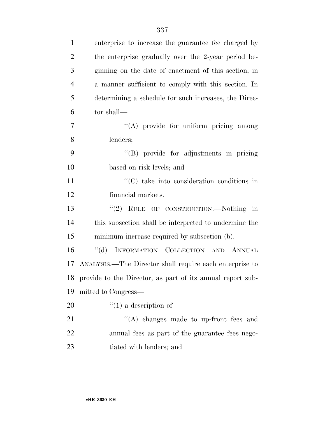| $\mathbf{1}$   | enterprise to increase the guarantee fee charged by           |
|----------------|---------------------------------------------------------------|
| $\overline{2}$ | the enterprise gradually over the 2-year period be-           |
| 3              | ginning on the date of enactment of this section, in          |
| $\overline{4}$ | a manner sufficient to comply with this section. In           |
| 5              | determining a schedule for such increases, the Direc-         |
| 6              | tor shall—                                                    |
| $\tau$         | "(A) provide for uniform pricing among                        |
| 8              | lenders;                                                      |
| 9              | "(B) provide for adjustments in pricing                       |
| 10             | based on risk levels; and                                     |
| 11             | "(C) take into consideration conditions in                    |
| 12             | financial markets.                                            |
| 13             | "(2) RULE OF CONSTRUCTION.—Nothing in                         |
| 14             | this subsection shall be interpreted to undermine the         |
| 15             | minimum increase required by subsection (b).                  |
| 16             | $\lq\lq (d)$<br>INFORMATION COLLECTION AND ANNUAL             |
|                | 17 ANALYSIS.—The Director shall require each enterprise to    |
|                | 18 provide to the Director, as part of its annual report sub- |
| 19             | mitted to Congress—                                           |
| 20             | $\lq(1)$ a description of —                                   |
| 21             | "(A) changes made to up-front fees and                        |
| 22             | annual fees as part of the guarantee fees nego-               |
| 23             | tiated with lenders; and                                      |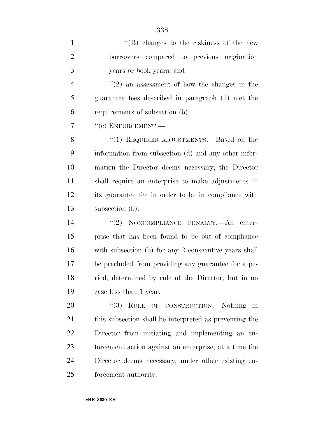| $\mathbf{1}$   | $\lq\lq (B)$ changes to the riskiness of the new        |
|----------------|---------------------------------------------------------|
| $\overline{2}$ | borrowers compared to previous origination              |
| 3              | years or book years; and                                |
| $\overline{4}$ | $\cdot\cdot(2)$ an assessment of how the changes in the |
| 5              | guarantee fees described in paragraph (1) met the       |
| 6              | requirements of subsection (b).                         |
| 7              | "(e) ENFORCEMENT.-                                      |
| 8              | "(1) REQUIRED ADJUSTMENTS.—Based on the                 |
| 9              | information from subsection (d) and any other infor-    |
| 10             | mation the Director deems necessary, the Director       |
| 11             | shall require an enterprise to make adjustments in      |
| 12             | its guarantee fee in order to be in compliance with     |
| 13             | subsection (b).                                         |
| 14             | "(2) NONCOMPLIANCE PENALTY.—An enter-                   |
| 15             | prise that has been found to be out of compliance       |
| 16             | with subsection (b) for any 2 consecutive years shall   |
| 17             | be precluded from providing any guarantee for a pe-     |
| 18             | riod, determined by rule of the Director, but in no     |
| 19             | case less than 1 year.                                  |
| 20             | (3)<br>RULE OF CONSTRUCTION.—Nothing in                 |
| 21             | this subsection shall be interpreted as preventing the  |
| 22             | Director from initiating and implementing an en-        |
| 23             | forcement action against an enterprise, at a time the   |
| 24             | Director deems necessary, under other existing en-      |
| 25             | forcement authority.                                    |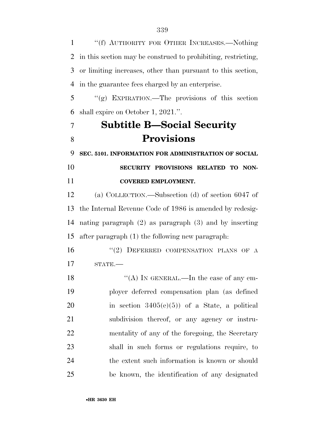''(f) AUTHORITY FOR OTHER INCREASES.—Nothing in this section may be construed to prohibiting, restricting, or limiting increases, other than pursuant to this section, in the guarantee fees charged by an enterprise.

 ''(g) EXPIRATION.—The provisions of this section shall expire on October 1, 2021.''.

# **Subtitle B—Social Security Provisions**

**SEC. 5101. INFORMATION FOR ADMINISTRATION OF SOCIAL** 

 **SECURITY PROVISIONS RELATED TO NON-COVERED EMPLOYMENT.** 

 (a) COLLECTION.—Subsection (d) of section 6047 of the Internal Revenue Code of 1986 is amended by redesig- nating paragraph (2) as paragraph (3) and by inserting after paragraph (1) the following new paragraph:

16 "(2) DEFERRED COMPENSATION PLANS OF A STATE.—

18 "(A) In GENERAL.—In the case of any em- ployer deferred compensation plan (as defined 20 in section  $3405(e)(5)$  of a State, a political subdivision thereof, or any agency or instru- mentality of any of the foregoing, the Secretary shall in such forms or regulations require, to the extent such information is known or should be known, the identification of any designated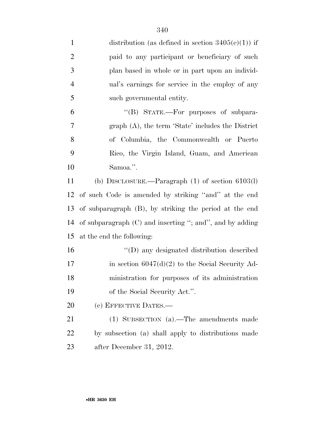| $\mathbf{1}$   | distribution (as defined in section $3405(e)(1)$ ) if      |
|----------------|------------------------------------------------------------|
| $\overline{2}$ | paid to any participant or beneficiary of such             |
| 3              | plan based in whole or in part upon an individ-            |
| 4              | ual's earnings for service in the employ of any            |
| 5              | such governmental entity.                                  |
| 6              | "(B) STATE.—For purposes of subpara-                       |
| $\overline{7}$ | graph $(A)$ , the term 'State' includes the District       |
| 8              | of Columbia, the Commonwealth or Puerto                    |
| 9              | Rico, the Virgin Island, Guam, and American                |
| 10             | Samoa.".                                                   |
| 11             | (b) DISCLOSURE.—Paragraph $(1)$ of section $6103(1)$       |
| 12             | of such Code is amended by striking "and" at the end       |
| 13             | of subparagraph (B), by striking the period at the end     |
| 14             | of subparagraph $(C)$ and inserting "; and", and by adding |
| 15             | at the end the following:                                  |
| 16             | "(D) any designated distribution described                 |
| 17             | in section $6047(d)(2)$ to the Social Security Ad-         |
| 18             | ministration for purposes of its administration            |
| 19             | of the Social Security Act.".                              |
| <b>20</b>      | (c) EFFECTIVE DATES.—                                      |
| 21             | (1) SUBSECTION (a).—The amendments made                    |
| 22             | by subsection (a) shall apply to distributions made        |
| 23             | after December 31, 2012.                                   |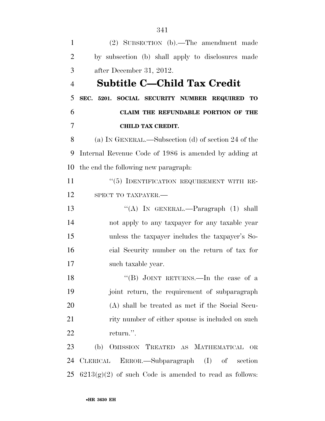(2) SUBSECTION (b).—The amendment made by subsection (b) shall apply to disclosures made after December 31, 2012. **Subtitle C—Child Tax Credit SEC. 5201. SOCIAL SECURITY NUMBER REQUIRED TO CLAIM THE REFUNDABLE PORTION OF THE CHILD TAX CREDIT.**  (a) IN GENERAL.—Subsection (d) of section 24 of the Internal Revenue Code of 1986 is amended by adding at the end the following new paragraph: 11 "(5) IDENTIFICATION REQUIREMENT WITH RE-12 SPECT TO TAXPAYER.— 13 "(A) IN GENERAL.—Paragraph (1) shall not apply to any taxpayer for any taxable year unless the taxpayer includes the taxpayer's So- cial Security number on the return of tax for such taxable year. 18 "(B) JOINT RETURNS.—In the case of a joint return, the requirement of subparagraph (A) shall be treated as met if the Social Secu-21 rity number of either spouse is included on such return.''. (b) OMISSION TREATED AS MATHEMATICAL OR CLERICAL ERROR.—Subparagraph (I) of section  $6213(g)(2)$  of such Code is amended to read as follows: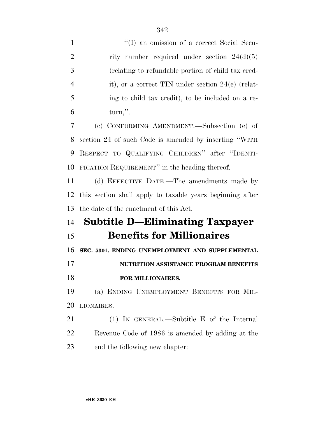1 ''(I) an omission of a correct Social Secu-2 rity number required under section  $24(d)(5)$  (relating to refundable portion of child tax cred-4 it), or a correct TIN under section 24(e) (relat- ing to child tax credit), to be included on a re- turn,''. (c) CONFORMING AMENDMENT.—Subsection (e) of section 24 of such Code is amended by inserting ''WITH RESPECT TO QUALIFYING CHILDREN'' after ''IDENTI- FICATION REQUIREMENT'' in the heading thereof. (d) EFFECTIVE DATE.—The amendments made by this section shall apply to taxable years beginning after the date of the enactment of this Act. **Subtitle D—Eliminating Taxpayer Benefits for Millionaires SEC. 5301. ENDING UNEMPLOYMENT AND SUPPLEMENTAL NUTRITION ASSISTANCE PROGRAM BENEFITS FOR MILLIONAIRES.**  (a) ENDING UNEMPLOYMENT BENEFITS FOR MIL- LIONAIRES.— (1) IN GENERAL.—Subtitle E of the Internal Revenue Code of 1986 is amended by adding at the

end the following new chapter: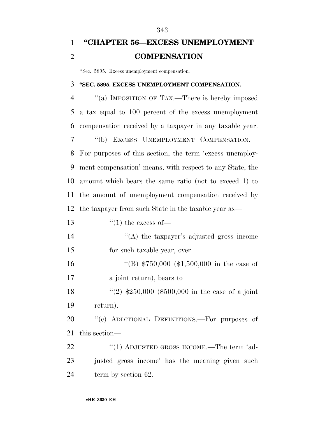### **''CHAPTER 56—EXCESS UNEMPLOYMENT COMPENSATION**

''Sec. 5895. Excess unemployment compensation.

#### **''SEC. 5895. EXCESS UNEMPLOYMENT COMPENSATION.**

 ''(a) IMPOSITION OF TAX.—There is hereby imposed a tax equal to 100 percent of the excess unemployment compensation received by a taxpayer in any taxable year. ''(b) EXCESS UNEMPLOYMENT COMPENSATION.— For purposes of this section, the term 'excess unemploy- ment compensation' means, with respect to any State, the amount which bears the same ratio (not to exceed 1) to the amount of unemployment compensation received by the taxpayer from such State in the taxable year as—  $\frac{1}{2}$   $\frac{1}{2}$  the excess of —  $\langle A \rangle$  the taxpayer's adjusted gross income for such taxable year, over 16 "(B) \$750,000 (\$1,500,000 in the case of a joint return), bears to ''(2) \$250,000 (\$500,000 in the case of a joint return). 20 "(c) ADDITIONAL DEFINITIONS.—For purposes of this section— 22 "(1) ADJUSTED GROSS INCOME.—The term 'ad- justed gross income' has the meaning given such 24 term by section 62.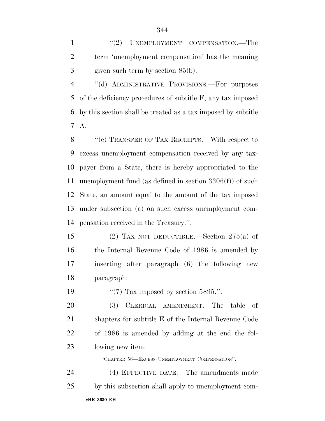1 ''(2) UNEMPLOYMENT COMPENSATION.—The term 'unemployment compensation' has the meaning given such term by section 85(b).

 ''(d) ADMINISTRATIVE PROVISIONS.—For purposes of the deficiency procedures of subtitle F, any tax imposed by this section shall be treated as a tax imposed by subtitle A.

 ''(e) TRANSFER OF TAX RECEIPTS.—With respect to excess unemployment compensation received by any tax- payer from a State, there is hereby appropriated to the unemployment fund (as defined in section 3306(f)) of such State, an amount equal to the amount of the tax imposed under subsection (a) on such excess unemployment com-pensation received in the Treasury.''.

 (2) TAX NOT DEDUCTIBLE.—Section 275(a) of the Internal Revenue Code of 1986 is amended by inserting after paragraph (6) the following new paragraph:

19  $\frac{1}{2}$  (7) Tax imposed by section 5895.".

 (3) CLERICAL AMENDMENT.—The table of chapters for subtitle E of the Internal Revenue Code of 1986 is amended by adding at the end the fol-lowing new item:

''CHAPTER 56—EXCESS UNEMPLOYMENT COMPENSATION''.

•**HR 3630 EH** (4) EFFECTIVE DATE.—The amendments made by this subsection shall apply to unemployment com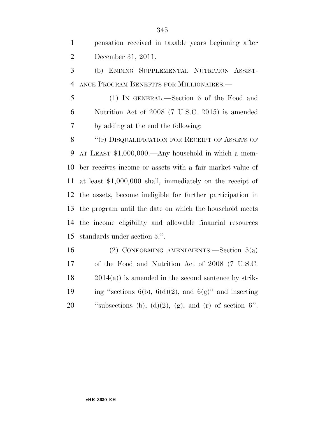pensation received in taxable years beginning after December 31, 2011.

 (b) ENDING SUPPLEMENTAL NUTRITION ASSIST-ANCE PROGRAM BENEFITS FOR MILLIONAIRES.—

 (1) IN GENERAL.—Section 6 of the Food and Nutrition Act of 2008 (7 U.S.C. 2015) is amended by adding at the end the following:

8 "(r) DISQUALIFICATION FOR RECEIPT OF ASSETS OF AT LEAST \$1,000,000.—Any household in which a mem- ber receives income or assets with a fair market value of at least \$1,000,000 shall, immediately on the receipt of the assets, become ineligible for further participation in the program until the date on which the household meets the income eligibility and allowable financial resources standards under section 5.''.

 (2) CONFORMING AMENDMENTS.—Section 5(a) of the Food and Nutrition Act of 2008 (7 U.S.C. 2014(a)) is amended in the second sentence by strik-19 ing "sections  $6(b)$ ,  $6(d)(2)$ , and  $6(g)$ " and inserting  $\text{``subsections (b), (d)(2), (g), and (r) of section 6".}$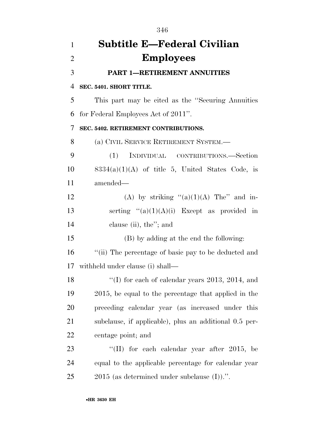| $\mathbf{1}$   | <b>Subtitle E-Federal Civilian</b>                     |
|----------------|--------------------------------------------------------|
| $\overline{2}$ | <b>Employees</b>                                       |
| 3              | <b>PART 1-RETIREMENT ANNUITIES</b>                     |
| 4              | SEC. 5401. SHORT TITLE.                                |
| 5              | This part may be cited as the "Securing Annuities"     |
| 6              | for Federal Employees Act of 2011".                    |
| 7              | SEC. 5402. RETIREMENT CONTRIBUTIONS.                   |
| 8              | (a) CIVIL SERVICE RETIREMENT SYSTEM.—                  |
| 9              | INDIVIDUAL CONTRIBUTIONS.—Section<br>(1)               |
| 10             | $8334(a)(1)(A)$ of title 5, United States Code, is     |
| 11             | amended-                                               |
| 12             | (A) by striking " $(a)(1)(A)$ The" and in-             |
| 13             | serting $(2a)(1)(A)(i)$ Except as provided in          |
| 14             | clause (ii), the"; and                                 |
| 15             | (B) by adding at the end the following:                |
| 16             | "(ii) The percentage of basic pay to be deducted and   |
| 17             | withheld under clause (i) shall—                       |
| 18             | "(I) for each of calendar years $2013$ , $2014$ , and  |
| 19             | 2015, be equal to the percentage that applied in the   |
| <b>20</b>      | preceding calendar year (as increased under this       |
| 21             | subclause, if applicable), plus an additional 0.5 per- |
| 22             | centage point; and                                     |
| 23             | "(II) for each calendar year after $2015$ , be         |
| 24             | equal to the applicable percentage for calendar year   |
| 25             | $2015$ (as determined under subclause $(I)$ ).".       |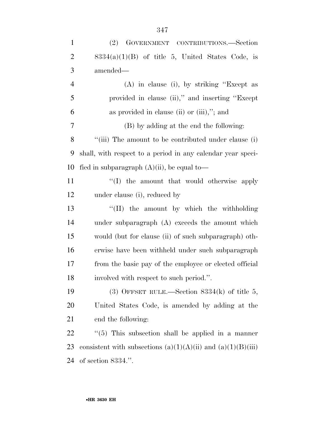| $\mathbf{1}$   | (2)<br>GOVERNMENT CONTRIBUTIONS.-Section                    |
|----------------|-------------------------------------------------------------|
| $\overline{2}$ | $8334(a)(1)(B)$ of title 5, United States Code, is          |
| 3              | amended—                                                    |
| $\overline{4}$ | $(A)$ in clause (i), by striking "Except as                 |
| 5              | provided in clause (ii)," and inserting "Except             |
| 6              | as provided in clause (ii) or $(iii),''$ ; and              |
| 7              | (B) by adding at the end the following:                     |
| 8              | "(iii) The amount to be contributed under clause (i)        |
| 9              | shall, with respect to a period in any calendar year speci- |
| 10             | fied in subparagraph $(A)(ii)$ , be equal to-               |
| 11             | $\lq\lq$ the amount that would otherwise apply              |
| 12             | under clause (i), reduced by                                |
| 13             | "(II) the amount by which the withholding                   |
| 14             | under subparagraph $(A)$ exceeds the amount which           |
| 15             | would (but for clause (ii) of such subparagraph) oth-       |
| 16             | erwise have been withheld under such subparagraph           |
| 17             | from the basic pay of the employee or elected official      |
| 18             | involved with respect to such period.".                     |
| 19             | (3) OFFSET RULE.—Section $8334(k)$ of title 5,              |
| 20             | United States Code, is amended by adding at the             |
| 21             | end the following:                                          |
| 22             | $\lq(5)$ This subsection shall be applied in a manner       |
|                |                                                             |

23 consistent with subsections  $(a)(1)(A)(ii)$  and  $(a)(1)(B)(iii)$ of section 8334.''.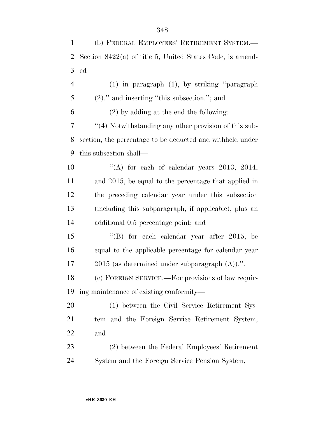| $\mathbf{1}$   | (b) FEDERAL EMPLOYEES' RETIREMENT SYSTEM.-                  |
|----------------|-------------------------------------------------------------|
| $\overline{2}$ | Section $8422(a)$ of title 5, United States Code, is amend- |
| 3              | $ed$ —                                                      |
| $\overline{4}$ | $(1)$ in paragraph $(1)$ , by striking "paragraph"          |
| 5              | $(2)$ ." and inserting "this subsection."; and              |
| 6              | $(2)$ by adding at the end the following:                   |
| 7              | "(4) Notwithstanding any other provision of this sub-       |
| 8              | section, the percentage to be deducted and withheld under   |
| 9              | this subsection shall—                                      |
| 10             | "(A) for each of calendar years $2013$ , $2014$ ,           |
| 11             | and 2015, be equal to the percentage that applied in        |
| 12             | the preceding calendar year under this subsection           |
| 13             | (including this subparagraph, if applicable), plus an       |
| 14             | additional 0.5 percentage point; and                        |
| 15             | "(B) for each calendar year after 2015, be                  |
| 16             | equal to the applicable percentage for calendar year        |
| 17             | $2015$ (as determined under subparagraph $(A)$ ).".         |
| 18             | (c) FOREIGN SERVICE.—For provisions of law requir-          |
| 19             | ing maintenance of existing conformity—                     |
| <b>20</b>      | (1) between the Civil Service Retirement Sys-               |
| 21             | tem and the Foreign Service Retirement System,              |
| 22             | and                                                         |
| 23             | (2) between the Federal Employees' Retirement               |
| 24             | System and the Foreign Service Pension System,              |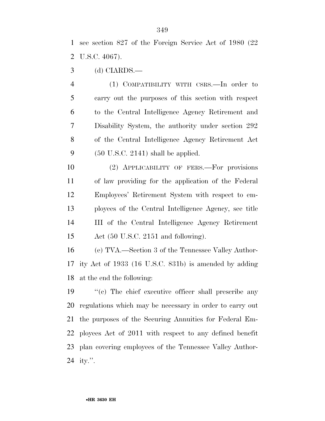see section 827 of the Foreign Service Act of 1980 (22 U.S.C. 4067).

(d) CIARDS.—

 (1) COMPATIBILITY WITH CSRS.—In order to carry out the purposes of this section with respect to the Central Intelligence Agency Retirement and Disability System, the authority under section 292 of the Central Intelligence Agency Retirement Act (50 U.S.C. 2141) shall be applied.

 (2) APPLICABILITY OF FERS.—For provisions of law providing for the application of the Federal Employees' Retirement System with respect to em- ployees of the Central Intelligence Agency, see title III of the Central Intelligence Agency Retirement Act (50 U.S.C. 2151 and following).

 (e) TVA.—Section 3 of the Tennessee Valley Author- ity Act of 1933 (16 U.S.C. 831b) is amended by adding at the end the following:

 ''(c) The chief executive officer shall prescribe any regulations which may be necessary in order to carry out the purposes of the Securing Annuities for Federal Em- ployees Act of 2011 with respect to any defined benefit plan covering employees of the Tennessee Valley Author-ity.''.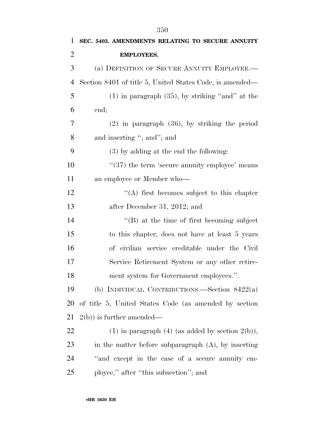| 1              | SEC. 5403. AMENDMENTS RELATING TO SECURE ANNUITY           |
|----------------|------------------------------------------------------------|
| $\overline{2}$ | <b>EMPLOYEES.</b>                                          |
| 3              | (a) DEFINITION OF SECURE ANNUITY EMPLOYEE.—                |
| 4              | Section 8401 of title 5, United States Code, is amended—   |
| 5              | $(1)$ in paragraph $(35)$ , by striking "and" at the       |
| 6              | end;                                                       |
| 7              | $(2)$ in paragraph $(36)$ , by striking the period         |
| 8              | and inserting "; and"; and                                 |
| 9              | $(3)$ by adding at the end the following:                  |
| 10             | $\cdot\cdot$ (37) the term 'secure annuity employee' means |
| 11             | an employee or Member who-                                 |
| 12             | $\cdot$ (A) first becomes subject to this chapter          |
| 13             | after December 31, 2012; and                               |
| 14             | $\lq$ (B) at the time of first becoming subject            |
| 15             | to this chapter, does not have at least 5 years            |
| 16             | of civilian service creditable under the Civil             |
| 17             | Service Retirement System or any other retire-             |
| 18             | ment system for Government employees.".                    |
| 19             | (b) INDIVIDUAL CONTRIBUTIONS.—Section $8422(a)$            |
| 20             | of title 5, United States Code (as amended by section      |
| 21             | $2(b)$ ) is further amended—                               |
| 22             | $(1)$ in paragraph $(4)$ (as added by section $2(b)$ ),    |
| 23             | in the matter before subparagraph $(A)$ , by inserting     |
| 24             | "and except in the case of a secure annuity em-            |
| 25             | ployee," after "this subsection"; and                      |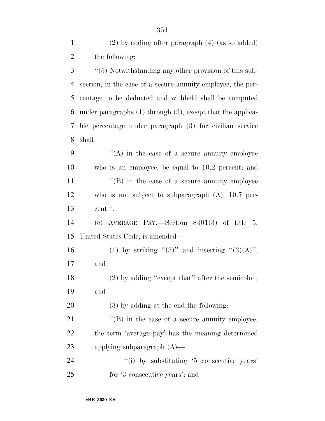(2) by adding after paragraph (4) (as so added) the following:

 ''(5) Notwithstanding any other provision of this sub- section, in the case of a secure annuity employee, the per- centage to be deducted and withheld shall be computed under paragraphs (1) through (3), except that the applica- ble percentage under paragraph (3) for civilian service shall—

 $\langle (A)$  in the case of a secure annuity employee who is an employee, be equal to 10.2 percent; and 11 ''(B) in the case of a secure annuity employee who is not subject to subparagraph (A), 10.7 per-cent.''.

 (c) AVERAGE PAY.—Section 8401(3) of title 5, United States Code, is amended—

16 (1) by striking "(3)" and inserting "(3)(A)"; and

18 (2) by adding "except that" after the semicolon; and

(3) by adding at the end the following:

21  $\langle$  (B) in the case of a secure annuity employee, the term 'average pay' has the meaning determined applying subparagraph (A)—

24  $\frac{1}{2}$  (i) by substituting '5 consecutive years' for '3 consecutive years'; and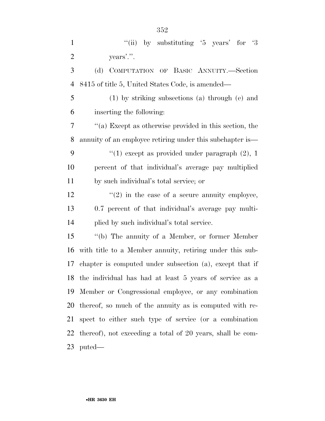| $\mathbf{1}$   | "(ii) by substituting $5$ years' for $3$                   |
|----------------|------------------------------------------------------------|
| $\overline{2}$ | years'.".                                                  |
| 3              | COMPUTATION OF BASIC ANNUITY.-Section<br>(d)               |
| $\overline{4}$ | 8415 of title 5, United States Code, is amended—           |
| 5              | $(1)$ by striking subsections $(a)$ through $(e)$ and      |
| 6              | inserting the following:                                   |
| 7              | "(a) Except as otherwise provided in this section, the     |
| 8              | annuity of an employee retiring under this subchapter is—  |
| 9              | "(1) except as provided under paragraph $(2)$ , 1          |
| 10             | percent of that individual's average pay multiplied        |
| 11             | by such individual's total service; or                     |
| 12             | $\lq(2)$ in the case of a secure annuity employee,         |
| 13             | 0.7 percent of that individual's average pay multi-        |
| 14             | plied by such individual's total service.                  |
| 15             | "(b) The annuity of a Member, or former Member             |
| 16             | with title to a Member annuity, retiring under this sub-   |
| 17             | chapter is computed under subsection (a), except that if   |
|                | 18 the individual has had at least 5 years of service as a |
| 19             | Member or Congressional employee, or any combination       |
| 20             | thereof, so much of the annuity as is computed with re-    |
| 21             | spect to either such type of service (or a combination     |
| 22             | thereof), not exceeding a total of 20 years, shall be com- |
| 23             | puted—                                                     |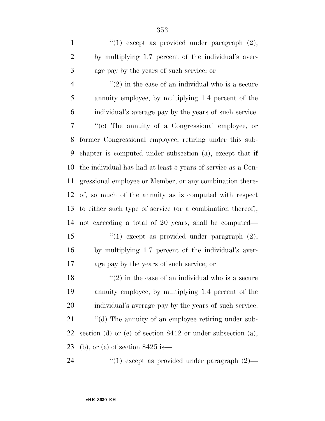1  $\frac{1}{2}$ ,  $\frac{1}{2}$  except as provided under paragraph (2), by multiplying 1.7 percent of the individual's aver-age pay by the years of such service; or

 $\frac{4}{2}$  ''(2) in the case of an individual who is a secure annuity employee, by multiplying 1.4 percent of the individual's average pay by the years of such service. ''(c) The annuity of a Congressional employee, or former Congressional employee, retiring under this sub- chapter is computed under subsection (a), except that if the individual has had at least 5 years of service as a Con- gressional employee or Member, or any combination there- of, so much of the annuity as is computed with respect to either such type of service (or a combination thereof), not exceeding a total of 20 years, shall be computed— 15 "(1) except as provided under paragraph (2), by multiplying 1.7 percent of the individual's aver-age pay by the years of such service; or

18  $\frac{1}{2}$  in the case of an individual who is a secure annuity employee, by multiplying 1.4 percent of the individual's average pay by the years of such service.

21  $\qquad$  "(d) The annuity of an employee retiring under sub- section (d) or (e) of section 8412 or under subsection (a), (b), or (c) of section 8425 is—

24  $(1)$  except as provided under paragraph  $(2)$ —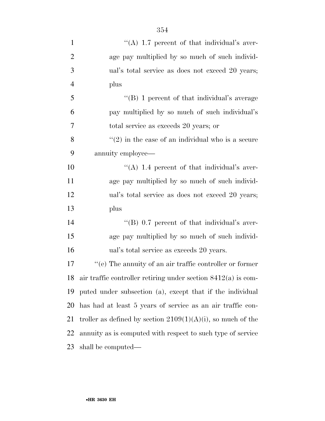| $\mathbf{1}$   | "(A) $1.7$ percent of that individual's aver-                   |
|----------------|-----------------------------------------------------------------|
| $\overline{2}$ | age pay multiplied by so much of such individ-                  |
| 3              | ual's total service as does not exceed 20 years;                |
| $\overline{4}$ | plus                                                            |
| 5              | "(B) 1 percent of that individual's average                     |
| 6              | pay multiplied by so much of such individual's                  |
| 7              | total service as exceeds 20 years; or                           |
| 8              | $\lq(2)$ in the case of an individual who is a secure           |
| 9              | annuity employee—                                               |
| 10             | "(A) 1.4 percent of that individual's aver-                     |
| 11             | age pay multiplied by so much of such individ-                  |
| 12             | ual's total service as does not exceed 20 years;                |
| 13             | plus                                                            |
| 14             | "(B) $0.7$ percent of that individual's aver-                   |
| 15             | age pay multiplied by so much of such individ-                  |
| 16             | ual's total service as exceeds 20 years.                        |
| 17             | $f'(e)$ The annuity of an air traffic controller or former      |
| 18             | air traffic controller retiring under section $8412(a)$ is com- |
| 19             | puted under subsection (a), except that if the individual       |
| 20             | has had at least 5 years of service as an air traffic con-      |
| 21             | troller as defined by section $2109(1)(A)(i)$ , so much of the  |
| 22             | annuity as is computed with respect to such type of service     |
| 23             | shall be computed—                                              |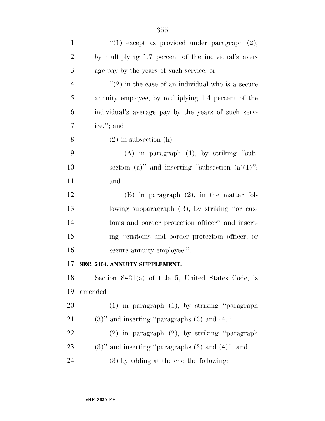| $\mathbf{1}$   | "(1) except as provided under paragraph $(2)$ ,          |
|----------------|----------------------------------------------------------|
| $\overline{2}$ | by multiplying 1.7 percent of the individual's aver-     |
| 3              | age pay by the years of such service; or                 |
| $\overline{4}$ | $\lq(2)$ in the case of an individual who is a secure    |
| 5              | annuity employee, by multiplying 1.4 percent of the      |
| 6              | individual's average pay by the years of such serv-      |
| 7              | ice."; and                                               |
| 8              | $(2)$ in subsection $(h)$ —                              |
| 9              | $(A)$ in paragraph $(1)$ , by striking "sub-             |
| 10             | section (a)" and inserting "subsection $(a)(1)$ ";       |
| 11             | and                                                      |
| 12             | $(B)$ in paragraph $(2)$ , in the matter fol-            |
| 13             | lowing subparagraph (B), by striking "or cus-            |
| 14             | toms and border protection officer" and insert-          |
| 15             | ing "customs and border protection officer, or           |
| 16             | secure annuity employee.".                               |
| 17             | SEC. 5404. ANNUITY SUPPLEMENT.                           |
| 18             | Section $8421(a)$ of title 5, United States Code, is     |
| 19             | amended—                                                 |
| 20             | $(1)$ in paragraph $(1)$ , by striking "paragraph"       |
| 21             | $(3)$ " and inserting "paragraphs $(3)$ and $(4)$ ";     |
| 22             | $(2)$ in paragraph $(2)$ , by striking "paragraph"       |
| 23             | $(3)$ " and inserting "paragraphs $(3)$ and $(4)$ "; and |
| 24             | $(3)$ by adding at the end the following:                |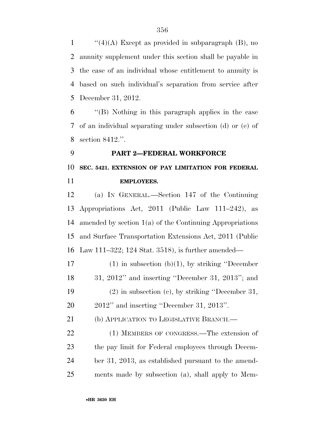$\frac{1}{2}(4)(A)$  Except as provided in subparagraph (B), no annuity supplement under this section shall be payable in the case of an individual whose entitlement to annuity is based on such individual's separation from service after December 31, 2012.

 ''(B) Nothing in this paragraph applies in the case of an individual separating under subsection (d) or (e) of section 8412.''.

 **PART 2—FEDERAL WORKFORCE SEC. 5421. EXTENSION OF PAY LIMITATION FOR FEDERAL EMPLOYEES.** 

 (a) IN GENERAL.—Section 147 of the Continuing Appropriations Act, 2011 (Public Law 111–242), as amended by section 1(a) of the Continuing Appropriations and Surface Transportation Extensions Act, 2011 (Public Law 111–322; 124 Stat. 3518), is further amended—

 (1) in subsection (b)(1), by striking ''December 31, 2012'' and inserting ''December 31, 2013''; and

 (2) in subsection (c), by striking ''December 31, 2012'' and inserting ''December 31, 2013''.

21 (b) APPLICATION TO LEGISLATIVE BRANCH.—

22 (1) MEMBERS OF CONGRESS.—The extension of the pay limit for Federal employees through Decem- ber 31, 2013, as established pursuant to the amend-ments made by subsection (a), shall apply to Mem-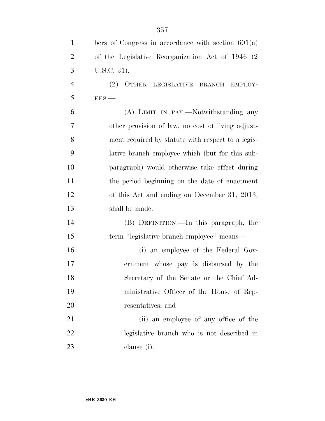| $\mathbf{1}$   | bers of Congress in accordance with section $601(a)$    |
|----------------|---------------------------------------------------------|
| $\overline{2}$ | of the Legislative Reorganization Act of 1946 (2)       |
| 3              | U.S.C. 31).                                             |
| $\overline{4}$ | OTHER<br>(2)<br>LEGISLATIVE<br><b>BRANCH</b><br>EMPLOY- |
| 5              | EES.                                                    |
| 6              | (A) LIMIT IN PAY.—Notwithstanding any                   |
| $\tau$         | other provision of law, no cost of living adjust-       |
| 8              | ment required by statute with respect to a legis-       |
| 9              | lative branch employee which (but for this sub-         |
| 10             | paragraph) would otherwise take effect during           |
| 11             | the period beginning on the date of enactment           |
| 12             | of this Act and ending on December 31, 2013,            |
| 13             | shall be made.                                          |
| 14             | (B) DEFINITION.—In this paragraph, the                  |
| 15             | term "legislative branch employee" means—               |
| 16             | (i) an employee of the Federal Gov-                     |
| 17             | ernment whose pay is disbursed by the                   |
| 18             | Secretary of the Senate or the Chief Ad-                |
| 19             | ministrative Officer of the House of Rep-               |
| 20             | resentatives; and                                       |
| 21             | (ii) an employee of any office of the                   |
| 22             | legislative branch who is not described in              |
| 23             | clause (i).                                             |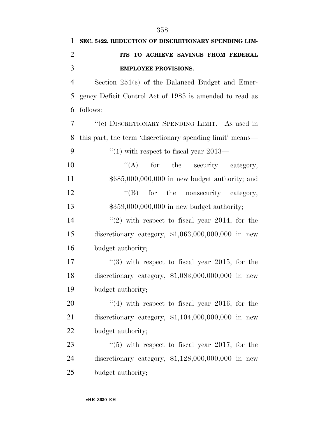| $\mathbf{1}$   | SEC. 5422. REDUCTION OF DISCRETIONARY SPENDING LIM-       |
|----------------|-----------------------------------------------------------|
| $\overline{2}$ | ITS TO ACHIEVE SAVINGS FROM FEDERAL                       |
| 3              | <b>EMPLOYEE PROVISIONS.</b>                               |
| $\overline{4}$ | Section $251(e)$ of the Balanced Budget and Emer-         |
| 5              | gency Deficit Control Act of 1985 is amended to read as   |
| 6              | follows:                                                  |
| 7              | "(c) DISCRETIONARY SPENDING LIMIT.—As used in             |
| 8              | this part, the term 'discretionary spending limit' means— |
| 9              | "(1) with respect to fiscal year $2013-$                  |
| 10             | $f(A)$ for the security category,                         |
| 11             | $$685,000,000,000$ in new budget authority; and           |
| 12             | "(B) for the nonsecurity category,                        |
| 13             | $$359,000,000,000$ in new budget authority;               |
| 14             | $(2)$ with respect to fiscal year 2014, for the           |
| 15             | discretionary category, $$1,063,000,000,000$ in new       |
| 16             | budget authority;                                         |
| 17             | $(3)$ with respect to fiscal year 2015, for the           |
| 18             | discretionary category, $$1,083,000,000,000$ in new       |
| 19             | budget authority;                                         |
| 20             | $(4)$ with respect to fiscal year 2016, for the           |
| 21             | discretionary category, $$1,104,000,000,000$ in new       |
| 22             | budget authority;                                         |
| 23             | $\lq(5)$ with respect to fiscal year 2017, for the        |
| 24             | discretionary category, $$1,128,000,000,000$ in new       |
| 25             | budget authority;                                         |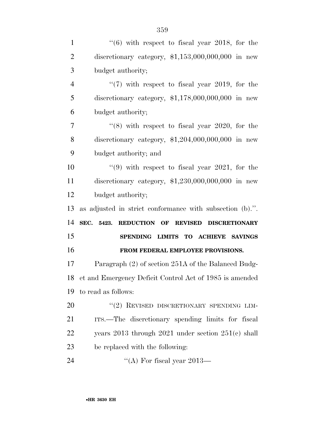| $\mathbf{1}$   | $(6)$ with respect to fiscal year 2018, for the            |
|----------------|------------------------------------------------------------|
| $\overline{2}$ | discretionary category, $$1,153,000,000,000$ in new        |
| 3              | budget authority;                                          |
| $\overline{4}$ | $\lq(7)$ with respect to fiscal year 2019, for the         |
| 5              | discretionary category, $$1,178,000,000,000$ in new        |
| 6              | budget authority;                                          |
| 7              | $(8)$ with respect to fiscal year 2020, for the            |
| 8              | discretionary category, $$1,204,000,000,000$ in new        |
| 9              | budget authority; and                                      |
| 10             | $(9)$ with respect to fiscal year 2021, for the            |
| 11             | discretionary category, $$1,230,000,000,000$ in new        |
| 12             | budget authority;                                          |
| 13             | as adjusted in strict conformance with subsection (b).".   |
|                |                                                            |
| 14             | SEC. 5423.<br><b>REDUCTION OF</b><br>REVISED DISCRETIONARY |
| 15             | SPENDING LIMITS TO ACHIEVE SAVINGS                         |
| 16             | FROM FEDERAL EMPLOYEE PROVISIONS.                          |
| 17             | Paragraph (2) of section 251A of the Balanced Budg-        |
| 18             | et and Emergency Deficit Control Act of 1985 is amended    |
| 19             | to read as follows:                                        |
| 20             | "(2) REVISED DISCRETIONARY SPENDING LIM-                   |
| 21             | ITS.—The discretionary spending limits for fiscal          |
| 22             | years $2013$ through $2021$ under section $251(c)$ shall   |
| 23             | be replaced with the following:                            |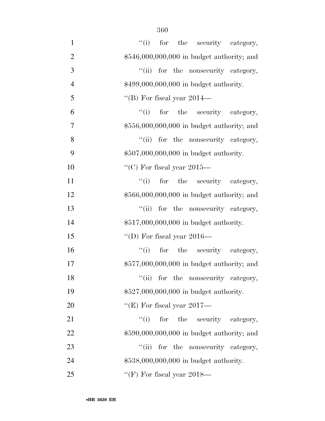| $\mathbf{1}$   | "(i) for the security category,             |
|----------------|---------------------------------------------|
| $\overline{2}$ | \$546,000,000,000 in budget authority; and  |
| 3              | "(ii) for the nonsecurity category,         |
| $\overline{4}$ | \$499,000,000,000 in budget authority.      |
| 5              | "(B) For fiscal year $2014-$                |
| 6              | ``(i)<br>for the security category,         |
| $\overline{7}$ | $$556,000,000,000$ in budget authority; and |
| 8              | "(ii) for the nonsecurity category,         |
| 9              | \$507,000,000,000 in budget authority.      |
| 10             | "(C) For fiscal year 2015—                  |
| 11             | "(i) for the security category,             |
| 12             | \$566,000,000,000 in budget authority; and  |
| 13             | "(ii) for the nonsecurity category,         |
| 14             | \$517,000,000,000 in budget authority.      |
| 15             | "(D) For fiscal year 2016—                  |
| 16             | "(i) for the security category,             |
| 17             | \$577,000,000,000 in budget authority; and  |
| 18             | "(ii) for the nonsecurity category,         |
| 19             | \$527,000,000,000 in budget authority.      |
| 20             | "(E) For fiscal year $2017$ —               |
| 21             | ``(i)<br>for the security category,         |
| 22             | \$590,000,000,000 in budget authority; and  |
| 23             | ``(ii)<br>for the nonsecurity category,     |
| 24             | \$538,000,000,000 in budget authority.      |
| 25             | "(F) For fiscal year $2018-$                |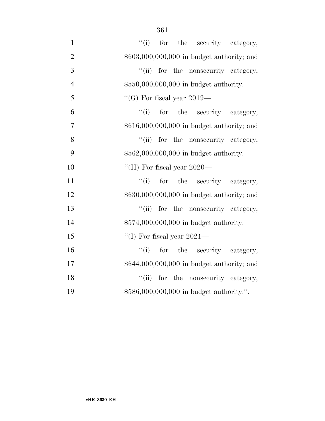| $\mathbf{1}$   | "(i) for the security category,             |
|----------------|---------------------------------------------|
| $\overline{2}$ | $$603,000,000,000$ in budget authority; and |
| 3              | "(ii) for the nonsecurity category,         |
| $\overline{4}$ | \$550,000,000,000 in budget authority.      |
| 5              | "(G) For fiscal year $2019-$                |
| 6              | ``(i)<br>for the security category,         |
| $\overline{7}$ | \$616,000,000,000 in budget authority; and  |
| 8              | "(ii) for the nonsecurity category,         |
| 9              | \$562,000,000,000 in budget authority.      |
| 10             | "(H) For fiscal year $2020-$                |
| 11             | ``(i)<br>for the security category,         |
| 12             | \$630,000,000,000 in budget authority; and  |
| 13             | "(ii) for the nonsecurity category,         |
| 14             | \$574,000,000,000 in budget authority.      |
| 15             | "(I) For fiscal year 2021—                  |
| 16             | ``(i)<br>for the security category,         |
| 17             | \$644,000,000,000 in budget authority; and  |
| 18             | "(ii) for the nonsecurity category,         |
| 19             | \$586,000,000,000 in budget authority.".    |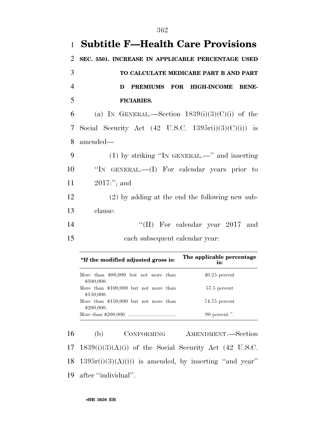|                | 1 Subtitle F—Health Care Provisions                             |
|----------------|-----------------------------------------------------------------|
| 2              | SEC. 5501. INCREASE IN APPLICABLE PERCENTAGE USED               |
| 3              | TO CALCULATE MEDICARE PART B AND PART                           |
| $\overline{4}$ | PREMIUMS FOR HIGH-INCOME BENE-<br>D                             |
| 5              | <b>FICIARIES.</b>                                               |
| 6              | (a) IN GENERAL.—Section $1839(i)(3)(C)(i)$ of the               |
| 7              | Social Security Act $(42 \text{ U.S.C. } 1395r(i)(3)(C)(i))$ is |
| 8              | amended—                                                        |
| 9              | $(1)$ by striking "In GENERAL.—" and inserting                  |
| 10             | "IN GENERAL.—(I) For calendar years prior to                    |
| 11             | $2017$ :"; and                                                  |
| 12             | $(2)$ by adding at the end the following new sub-               |
| 13             | clause:                                                         |
| 14             | "(II) For calendar year $2017$ and                              |
| 15             | each subsequent calendar year:                                  |

| "If the modified adjusted gross is:                 | The applicable percentage<br>is: |
|-----------------------------------------------------|----------------------------------|
| More than \$80,000 but not more than<br>\$100,000.  | $40.25$ percent                  |
| More than \$100,000 but not more than<br>\$150,000. | 57.5 percent                     |
| More than \$150,000 but not more than<br>\$200,000. | 74.75 percent                    |
|                                                     | $90$ percent.".                  |

 (b) CONFORMING AMENDMENT.—Section 1839(i)(3)(A)(i) of the Social Security Act (42 U.S.C.  $1395r(i)(3)(A)(i)$  is amended, by inserting "and year" after ''individual''.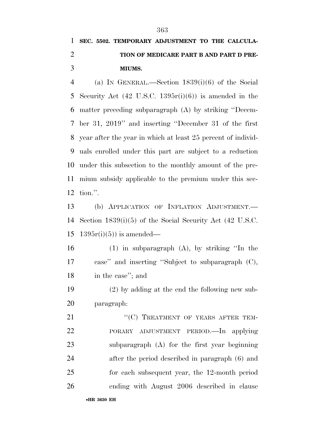## **SEC. 5502. TEMPORARY ADJUSTMENT TO THE CALCULA- TION OF MEDICARE PART B AND PART D PRE-MIUMS.**

 (a) IN GENERAL.—Section 1839(i)(6) of the Social Security Act (42 U.S.C. 1395r(i)(6)) is amended in the matter preceding subparagraph (A) by striking ''Decem- ber 31, 2019'' and inserting ''December 31 of the first year after the year in which at least 25 percent of individ- uals enrolled under this part are subject to a reduction under this subsection to the monthly amount of the pre- mium subsidy applicable to the premium under this sec-tion.''.

 (b) APPLICATION OF INFLATION ADJUSTMENT.— Section 1839(i)(5) of the Social Security Act (42 U.S.C. 15 1395 $r(i)(5)$  is amended—

 (1) in subparagraph (A), by striking ''In the case'' and inserting ''Subject to subparagraph (C), in the case''; and

 (2) by adding at the end the following new sub-paragraph:

21 ""(C) TREATMENT OF YEARS AFTER TEM- PORARY ADJUSTMENT PERIOD.—In applying subparagraph (A) for the first year beginning after the period described in paragraph (6) and for each subsequent year, the 12-month period ending with August 2006 described in clause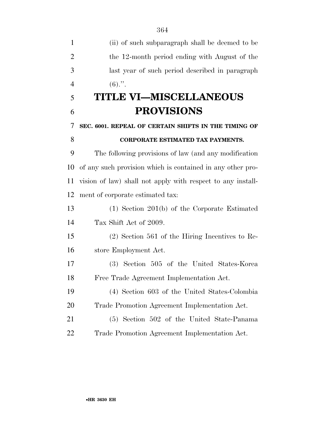(ii) of such subparagraph shall be deemed to be the 12-month period ending with August of the last year of such period described in paragraph 4  $(6)$ .". **TITLE VI—MISCELLANEOUS PROVISIONS SEC. 6001. REPEAL OF CERTAIN SHIFTS IN THE TIMING OF CORPORATE ESTIMATED TAX PAYMENTS.**  The following provisions of law (and any modification of any such provision which is contained in any other pro- vision of law) shall not apply with respect to any install- ment of corporate estimated tax: (1) Section 201(b) of the Corporate Estimated Tax Shift Act of 2009. (2) Section 561 of the Hiring Incentives to Re- store Employment Act. (3) Section 505 of the United States-Korea Free Trade Agreement Implementation Act. (4) Section 603 of the United States-Colombia Trade Promotion Agreement Implementation Act. (5) Section 502 of the United State-Panama Trade Promotion Agreement Implementation Act.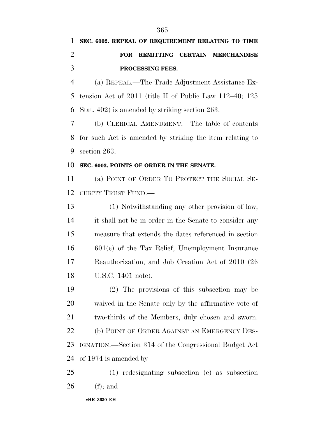## **SEC. 6002. REPEAL OF REQUIREMENT RELATING TO TIME FOR REMITTING CERTAIN MERCHANDISE PROCESSING FEES.**

 (a) REPEAL.—The Trade Adjustment Assistance Ex- tension Act of 2011 (title II of Public Law 112–40; 125 Stat. 402) is amended by striking section 263.

 (b) CLERICAL AMENDMENT.—The table of contents for such Act is amended by striking the item relating to section 263.

#### **SEC. 6003. POINTS OF ORDER IN THE SENATE.**

 (a) POINT OF ORDER TO PROTECT THE SOCIAL SE-CURITY TRUST FUND.—

 (1) Notwithstanding any other provision of law, it shall not be in order in the Senate to consider any measure that extends the dates referenced in section 601(c) of the Tax Relief, Unemployment Insurance Reauthorization, and Job Creation Act of 2010 (26 U.S.C. 1401 note).

 (2) The provisions of this subsection may be waived in the Senate only by the affirmative vote of two-thirds of the Members, duly chosen and sworn. 22 (b) POINT OF ORDER AGAINST AN EMERGENCY DES- IGNATION.—Section 314 of the Congressional Budget Act of 1974 is amended by—

 (1) redesignating subsection (e) as subsection (f); and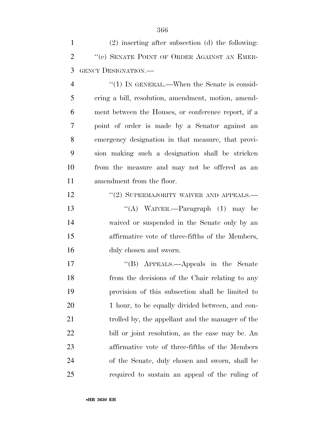(2) inserting after subsection (d) the following: 2 <sup>"</sup>(e) SENATE POINT OF ORDER AGAINST AN EMER-GENCY DESIGNATION.—

4 "(1) IN GENERAL.—When the Senate is consid- ering a bill, resolution, amendment, motion, amend- ment between the Houses, or conference report, if a point of order is made by a Senator against an emergency designation in that measure, that provi- sion making such a designation shall be stricken from the measure and may not be offered as an amendment from the floor.

12 "(2) SUPERMAJORITY WAIVER AND APPEALS.—

 ''(A) WAIVER.—Paragraph (1) may be waived or suspended in the Senate only by an affirmative vote of three-fifths of the Members, duly chosen and sworn.

 ''(B) APPEALS.—Appeals in the Senate from the decisions of the Chair relating to any provision of this subsection shall be limited to 20 1 hour, to be equally divided between, and con- trolled by, the appellant and the manager of the bill or joint resolution, as the case may be. An affirmative vote of three-fifths of the Members of the Senate, duly chosen and sworn, shall be required to sustain an appeal of the ruling of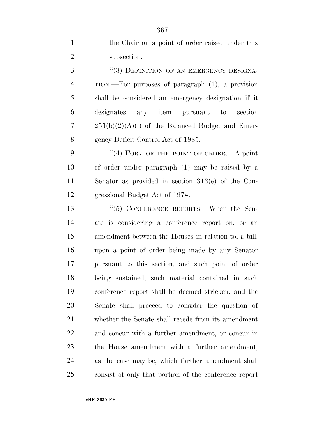| $\mathbf{1}$   | the Chair on a point of order raised under this       |
|----------------|-------------------------------------------------------|
| $\overline{2}$ | subsection.                                           |
| 3              | "(3) DEFINITION OF AN EMERGENCY DESIGNA-              |
| 4              | TION.—For purposes of paragraph (1), a provision      |
| 5              | shall be considered an emergency designation if it    |
| 6              | designates<br>any item pursuant to<br>section         |
| 7              | $251(b)(2)(A)(i)$ of the Balanced Budget and Emer-    |
| 8              | gency Deficit Control Act of 1985.                    |
| 9              | "(4) FORM OF THE POINT OF ORDER.—A point              |
| 10             | of order under paragraph (1) may be raised by a       |
| 11             | Senator as provided in section $313(e)$ of the Con-   |
| 12             | gressional Budget Act of 1974.                        |
| 13             | $\cdot$ (5) CONFERENCE REPORTS.—When the Sen-         |
| 14             | ate is considering a conference report on, or an      |
| 15             | amendment between the Houses in relation to, a bill,  |
| 16             | upon a point of order being made by any Senator       |
| 17             | pursuant to this section, and such point of order     |
| 18             | being sustained, such material contained in such      |
| 19             | conference report shall be deemed stricken, and the   |
| 20             | Senate shall proceed to consider the question of      |
| 21             | whether the Senate shall recede from its amendment    |
| 22             | and concur with a further amendment, or concur in     |
| 23             | the House amendment with a further amendment,         |
| 24             | as the case may be, which further amendment shall     |
| 25             | consist of only that portion of the conference report |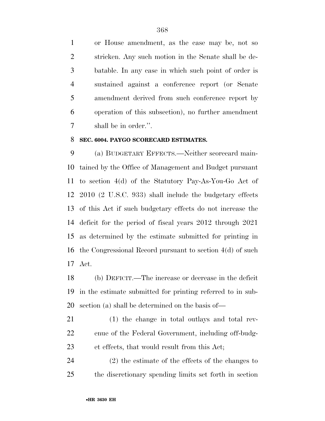or House amendment, as the case may be, not so stricken. Any such motion in the Senate shall be de- batable. In any case in which such point of order is sustained against a conference report (or Senate amendment derived from such conference report by operation of this subsection), no further amendment shall be in order.''.

#### **SEC. 6004. PAYGO SCORECARD ESTIMATES.**

 (a) BUDGETARY EFFECTS.—Neither scorecard main- tained by the Office of Management and Budget pursuant to section 4(d) of the Statutory Pay-As-You-Go Act of 2010 (2 U.S.C. 933) shall include the budgetary effects of this Act if such budgetary effects do not increase the deficit for the period of fiscal years 2012 through 2021 as determined by the estimate submitted for printing in the Congressional Record pursuant to section 4(d) of such Act.

 (b) DEFICIT.—The increase or decrease in the deficit in the estimate submitted for printing referred to in sub-section (a) shall be determined on the basis of—

 (1) the change in total outlays and total rev- enue of the Federal Government, including off-budg-et effects, that would result from this Act;

 (2) the estimate of the effects of the changes to the discretionary spending limits set forth in section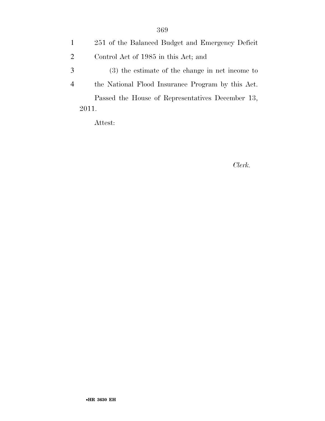|               | 251 of the Balanced Budget and Emergency Deficit  |
|---------------|---------------------------------------------------|
| 2             | Control Act of 1985 in this Act; and              |
| $\mathcal{R}$ | $(3)$ the estimate of the change in net income to |
|               | the National Flood Insurance Program by this Act. |
|               | Passed the House of Representatives December 13,  |
|               | 2011.                                             |

Attest:

#### *Clerk.*